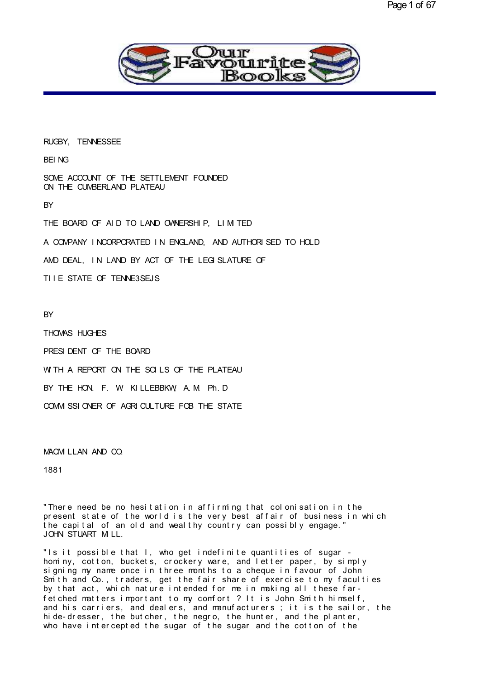

**RUGBY, TENNESSEE<br>RELNG** RUGBY, TENNESSEE<br>BEI NG

SOME ACCOUNT OF THE SETTLEMENT FOUNDED ON THE CUMBERLAND PLATEAU SOME ACCOUNT OF THE SETTLEMENT FOUNDED<br>ON THE CUMBERLAND PLATEAU<br>BY<br>THE BOARD OF AID TO LAND OWNERSHIP, LIMITED<br>A COMPANY INCOPPOPATED IN ENGLAND. AND AITHOPLISED TO 5

BY

BY<br>THE BOARD OF AID TO LAND OWNERSHIP, LIMITED<br>A COMPANY INCORPORATED IN ENGLAND, AND AUTHORISED TO HOLD<br>AMD DEALL IN LAND BY ACT OF THE LEGISLATIBE OF THE BOARD OF AID TO LAND OWNERSHIP, LIM TED<br>A COMPANY INCORPORATED IN ENGLAND, AND AUTHORISED TO H<br>AMD DEAL, IN LAND BY ACT OF THE LEGISLATURE OF<br>TILE STATE OF TENNERSELS

AND DEAL, IN LAND BY ACT OF THE LEGISLATURE OF<br>TIIE STATE OF TENNE3SEJS

BY

THOMAS HUGHES BY<br>THOMAS HUGHES<br>PRESIDENT OF THE BOARD<br>WITH A REPORT ON THE SOLIS OF T THOMAS HUGHES<br>PRESIDENT OF THE BOARD<br>WITH A REPORT ON THE SOI LS OF THE PLATEAU<br>RY THE HON E. W. KILLEBRKW A M. Ph. D. PRESIDENT OF THE BOARD<br>WITH A REPORT ON THE SOILS OF THE PLATEAU<br>BY THE HON. F. W. KILLEBBKW, A. M. Ph. D<br>COMM SSLONER OF AGRICULTURE FOR THE STATE WITH A REPORT ON THE SOILS OF THE PLATEAU<br>BY THE HON. F. W. KILLEBBKW, A. M. Ph. D<br>COMMISSIONER OF AGRICULTURE FOB THE STATE COMM SSIONER OF AGRI<br>MACM LLAN AND CO.<br>1881

1881

There need be no hesitation in affirming that colonisation in the<br>present state of the world is the very best affair of business in which<br>the capital of an old and wealthy country can possibly engage." There need be no hesitation in affirming that colonisation in the<br>present state of the world is the very best affair of business in which<br>the capital of an old and wealthy country can possibly engage."<br>ICHN STIAPT MIL "There need be no hesitation in affirming that colonisation in the<br>present state of the world is the very best affair of business in which<br>the capital of an old and wealthy country can possibly engage."<br>JOHN STUART M.LL. There need be no hesitation<br>present state of the world if<br>the capital of an old and we<br>JOHN STUART MLL.<br>"Is it possible that I who " I here need be no hesitation in affirming that colonisation in the<br>present state of the world is the very best affair of business in which<br>the capital of an old and wealthy country can possibly engage."<br>JOHN STUART MLL.<br>

the capital of an old and wealthy country can possibly engage."<br>JOHN STUART MILL.<br>"Is it possible that I, who get indefinite quantities of sugar -<br>hominy, cotton, buckets, crockery ware, and letter paper, by simply<br>signing JOHN STUART MILL.<br>"Is it possible that I, who get indefinite quantities of sugar-<br>hominy, cotton, buckets, crockery ware, and letter paper, by simply<br>signing my name once in three months to a cheque in favour of John<br>Smith "Is it possible that I, who get indefinite quantities of sugar-<br>hominy, cotton, buckets, crockery ware, and letter paper, by simply<br>signing my name once in three months to a cheque in favour of John<br>Smith and Co., traders "Is it possible that I, who get indefinite quantities of sugar-<br>hominy, cotton, buckets, crockery ware, and letter paper, by simply<br>signing my name once in three months to a cheque in favour of John<br>Smith and Co., traders, hom ny, cotton, buckets, crockery ware, and letter paper, by simply<br>signing my name once in three months to a cheque in favour of John<br>Smith and Co., traders, get the fair share of exercise to my faculties<br>by that act, whi signing my name once in three months to a cheque in favour of John<br>Smith and Co., traders, get the fair share of exercise to my faculties<br>by that act, which nature intended for me in making all these far-<br>fetched matters i Sm th and Co., traders, get the fair share of exercise to my faculties<br>by that act, which nature intended for me in making all these far-<br>fetched matters important to my comfort ? It is John Smith himself,<br>and his carriers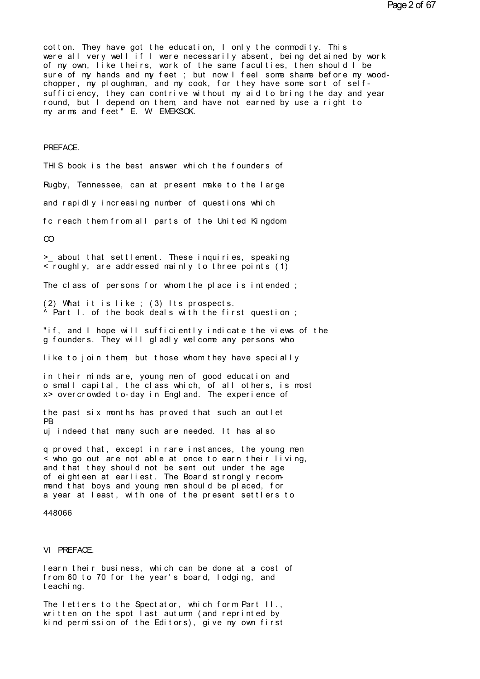Page:<br>cotton. They have got the education, I only the commodity. This<br>were all very well if I were necessarily absent, being detained by work<br>of my own, like theirs, work of the same faculties, then should I be cotton. They have got the education, I only the commodity. This<br>were all very well if I were necessarily absent, being detained by work<br>of my own, like theirs, work of the same faculties, then should I be<br>sure of my hands cotton. They have got the education, I only the commodity. This<br>were all very well if I were necessarily absent, being detained by work<br>of my own, like theirs, work of the same faculties, then should I be<br>sure of my hands cotton. They have got the education, I only the commodity. This<br>were all very well if I were necessarily absent, being detained by work<br>of my own, like theirs, work of the same faculties, then should I be<br>sure of my hands were all very well if I were necessarily absent, being detained by work<br>of my own, like theirs, work of the same faculties, then should I be<br>sure of my hands and my feet ; but now I feel some shame before my wood-<br>chopper, of my own, like theirs, work of the saure of my hands and my feet ; but no<br>chopper, my ploughman, and my cook, f<br>sufficiency, they can contrive withour<br>round, but I depend on them, and have<br>my arms and feet" E. W EMEKSOK.

## **PREFACE**

PREFACE.<br>THIS book is the best answer which the founders of<br>Puchy, Tennessee, can at present make to the Large PREFACE.<br>THIS book is the best answer which the founders of<br>Rugby, Tennessee, can at present make to the large<br>and rapidly increasing pumber of questions which THIS book is the best answer which the founders of<br>Rugby, Tennessee, can at present make to the large<br>and rapidly increasing number of questions which<br>foreach them from all parts of the lhited Kingdom Fraughy, Tennessee, can at present make to the large<br>and rapidly increasing number of questions which<br>fc reach them from all parts of the United Kingdom<br>CO

CO

fc reach them from all parts of the United Kingdom<br>CO<br>>\_ about that settlement. These inquiries, speaking<br>< roughly, are addressed mainly to three points (1) fc reach them from all parts of the United Kingdom<br>CO<br>>\_about that settlement. These inquiries, speaking<br>< roughly, are addressed mainly to three points (1)<br>The class of persons for whom the place is intended :  $\ge$  about that settlement. These inquiries, speaking<br>  $\le$  roughly, are addressed mainly to three points (1)<br>
The class of persons for whom the place is intended ;<br>
(2) What it is like ; (3) Its prospects.

extract that settlement. These inquiries, speaking<br>
froughly, are addressed mainly to three points (1)<br>
The class of persons for whom the place is intended<br>
(2) What it is like ; (3) Its prospects.<br>
A Part I. of the book d roughly, are addressed mainly to three points (1)<br>The class of persons for whom the place is intended ;<br>(2) What it is like ; (3) Its prospects.<br>^ Part I. of the book deals with the first question ;<br>"if and I hope will suf

The class of persons for whom the place is intended;<br>(2) What it is like; (3) Its prospects.<br>^ Part I. of the book deals with the first question;<br>"if, and I hope will sufficiently indicate the views of the<br>g founders. They (2) What it is like; (3) Its prospects.<br>^ Part I. of the book deals with the first question;<br>"if, and I hope will sufficiently indicate the views of the<br>g founders. They will gladly welcome any persons who A Part I. of the book deals with the first question;<br>"if, and I hope will sufficiently indicate the views of the<br>g founders. They will gladly welcome any persons who<br>like to join them; but those whom they have specially<br>in

"it, and I hope will sufficiently indicate the views of the<br>g founders. They will gladly welcome any persons who<br>like to join them, but those whom they have specially<br>in their minds are, young men of good education and<br>o s g founders. They will gladly welcome any persons who<br>like to join them, but those whom they have specially<br>in their minds are, young men of good education and<br>o small capital, the class which, of all others, is most<br>x> ove like to join them, but those whom they have specially<br>in their minds are, young men of good education and<br>o small capital, the class which, of all others, is most<br>x> overcrowded to-day in England. The experience of<br>the pas in their minds are, young men of good education and<br>o small capital, the class which, of all others, is most<br>x> overcrowded to-day in England. The experience of<br>the past six months has proved that such an outlet<br>PB

PB<br>ujindeed that many such are needed. It has also x > over crowded to-day in Engl and. The experience of<br>the past six months has proved that such an outlet<br> $PB$ <br>uj indeed that many such are needed. It has also<br>q proved that, except in rare instances, the young men

the past six months has proved that such an outlet<br>PB<br>ujindeed that many such are needed. It has also<br>q proved that, except in rare instances, the young men<br>< who go out are not able at once to earn their living,<br>and that the past six months has proved that such an outlet<br>PB<br>ujindeed that many such are needed. It has also<br>q proved that, except in rare instances, the young men<br>< who go out are not able at once to earn their living,<br>and that PB<br>ujindeed that many such are needed. It has also<br>q proved that, except in rare instances, the young men<br>< who go out are not able at once to earn their living,<br>and that they should not be sent out under the age<br>of eighte ujindeed that many such are needed. It has also<br>q proved that, except in rare instances, the young men<br>< who go out are not able at once to earn their living,<br>and that they should not be sent out under the age<br>of eighteen q proved that, except in rare instances, the young men<br>< who go out are not able at once to earn their living,<br>and that they should not be sent out under the age<br>of eighteen at earliest. The Board strongly recom-<br>mend that

### 448066

# 448066<br>VI PREFACE.<br>Learn their busi

VI PREFACE.<br>learn their business, which can be done at a cost of<br>from 60 to 70 for the year's board, lodging, and VI PREFACE.<br>learn their business, which can be done at a cost of<br>from 60 to 70 for the year's board, lodging, and<br>teaching. VI PREFACE.<br>Iearn their business<br>from 60 to 70 for th<br>teaching.<br>The letters to the S learn their business, which can be done at a cost of<br>from 60 to 70 for the year's board, lodging, and<br>teaching.<br>The letters to the Spectator, which form Part II.,<br>written on the spot last autumn (and reprinted by<br>kind perm

learn their business, which can be done at a cost of<br>from 60 to 70 for the year's board, lodging, and<br>teaching.<br>The letters to the Spectator, which form Part II.,<br>written on the spot last autumn (and reprinted by<br>kind perm from 60 to 70 for the year's board, lodging, and<br>teaching.<br>The letters to the Spectator, which form Part II.,<br>written on the spot last autumn (and reprinted by<br>kind permission of the Editors), give my own first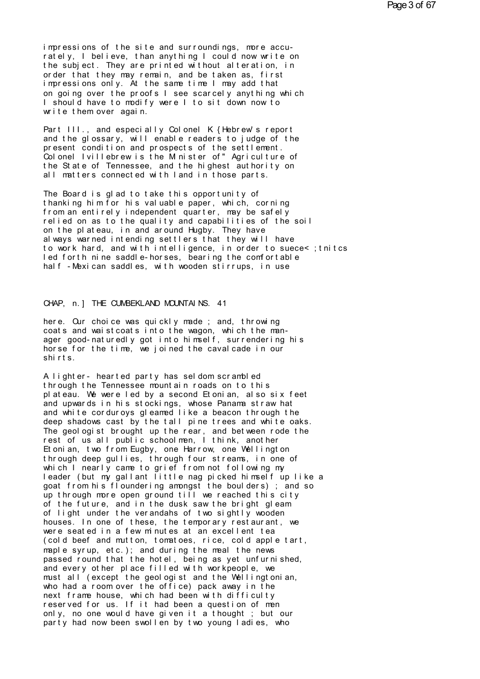impressions of the site and surroundings, more accurately, I believe, than anything I could now write on the subject. They are printed without alteration, in order that they may remain, and be taken as, first impressions only. At the same time I may add that on going over the proofs I see scarcely anything which I should have to modify were I to sit down now to write them over again.

Part III., and especially Colonel K {Hebrew's report and the glossary, will enable readers to judge of the present condition and prospects of the settlement. Colonel Ivillebrew is the M nister of" Agriculture of the State of Tennessee, and the highest authority on all matters connected with land in those parts.

The Board is glad to take this opportunity of thanking him for his valuable paper, which, corning from an entirely independent quarter, may be safely relied on as to the quality and capabilities of the soil on the plateau, in and around Hugby. They have al ways warned intending settlers that they will have to work hard, and with intelligence, in order to suece<; tnitcs led forth nine saddle-horses, bearing the comfortable half - Mexican saddles, with wooden stirrups, in use

## CHAP, n. ] THE CUMBEKLAND MOUNTAINS. 41

here. Our choice was quickly made; and, throwing coats and waist coats into the wagon, which the manager good-naturedly got into himself, surrendering his horse for the time, we joined the caval cade in our shirts.

A lighter- hearted party has seldom scrambled through the Tennessee mountain roads on to this plateau. We were led by a second Etonian, also six feet and upwards in his stockings, whose Panama straw hat and white corduroys gleamed like a beacon through the deep shadows cast by the tall pine trees and white oaks. The geologist brought up the rear, and between rode the rest of us all public school men, I think, another Et oni an, two from Eugby, one Harrow, one Wellington through deep gullies, through four streams, in one of which I nearly came to grief from not following my leader (but my gallant little nag picked himself up like a goat from his floundering amongst the boulders); and so up through more open ground till we reached this city of the future, and in the dusk saw the bright gleam of light under the verandahs of two sightly wooden houses. In one of these, the temporary restaurant, we were seated in a few minutes at an excellent tea (cold beef and mutton, tomatoes, rice, cold apple tart, maple syrup, etc.); and during the meal the news passed round that the hotel, being as yet unfurnished. and every other place filled with workpeople, we must all (except the geologist and the Wellingtonian, who had a room over the office) pack away in the next frame house, which had been with difficulty reserved for us. If it had been a question of men only, no one would have given it a thought : but our party had now been swollen by two young ladies, who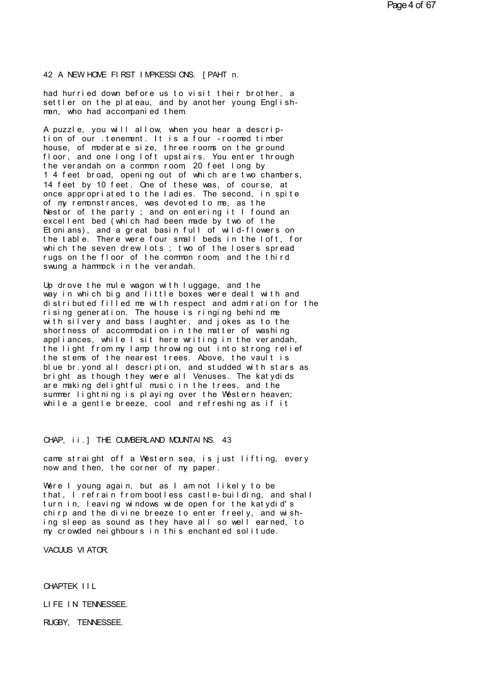## 42 A NEW HOME FIRST IMPKESSIONS. [PAHT n.

had hurried down before us to visit their brother, a settler on the plateau, and by another young Englishman, who had accompanied them

A puzzle, you will allow, when you hear a description of our .tenement. It is a four -roomed timber house, of moderate size, three rooms on the ground floor, and one long loft upstairs. You enter through the verandah on a common room, 20 feet long by 1 4 feet broad, opening out of which are two chambers, 14 feet by 10 feet. One of these was, of course, at once appropriated to the ladies. The second, in spite of my remonstrances, was devoted to me, as the<br>Nest or of the party; and on entering it I found an<br>excellent bed (which had been made by two of the Etonians), and a great basin full of wild-flowers on the table. There were four small beds in the loft, for which the seven drew lots; two of the losers spread rugs on the floor of the common room, and the third swung a hammock in the verandah.

Up drove the mule wagon with luggage, and the way in which big and little boxes were dealt with and distributed filled me with respect and admiration for the rising generation. The house is ringing behind me with silvery and bass laughter, and jokes as to the shortness of accommodation in the matter of washing appliances, while I sit here writing in the verandah, the light from my lamp throwing out into strong relief the stems of the nearest trees. Above, the vault is blue br. yond all description, and studded with stars as bright as though they were all Venuses. The katydids are making delightful music in the trees, and the summer lightning is playing over the Western heaven; while a gentle breeze, cool and refreshing as if it

## CHAP. ii. I THE CUMBERLAND MOUNTAINS. 43

came straight off a Western sea, is just lifting, every now and then, the corner of my paper.

Were I young again, but as I am not likely to be that, I refrain from bootless castle-building, and shall turn in, leaving windows wide open for the katydid's chirp and the divine breeze to enter freely, and wishing sleep as sound as they have all so well earned, to my crowded neighbours in this enchanted solitude.

VACUUS VI ATOR

## CHAPTEK IIL

LI FE IN TENNESSEE.

RUGBY, TENNESSEE.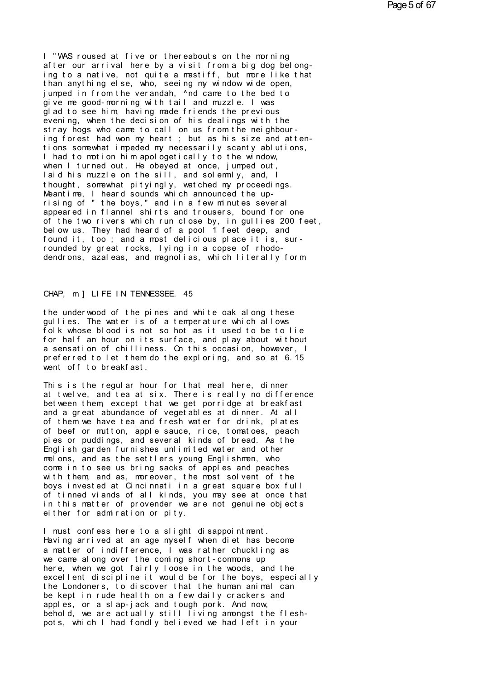I "WAS roused at five or thereabouts on the morning after our arrival here by a visit from a big dog belonging to a native, not quite a mastiff, but more like that than anything else, who, seeing my window wide open, jumped in from the verandah, 'nd came to the bed to give me good-morning with tail and muzzle. I was glad to see him having made friends the previous evening, when the decision of his dealings with the stray hogs who came to call on us from the neighbouring forest had won my heart; but as his size and attentions somewhat impeded my necessarily scanty ablutions, I had to motion him apologetically to the window, when I turned out. He obeyed at once, jumped out, laid his muzzle on the sill, and solemnly, and, I thought, somewhat pityingly, watched my proceedings. Meantime, I heard sounds which announced the uprising of " the boys," and in a few minutes several appeared in flannel shirts and trousers, bound for one of the two rivers which run close by, in gullies 200 feet,<br>below us. They had heard of a pool 1 feet deep, and found it, too; and a most delicious place it is, surrounded by great rocks, lying in a copse of rhododendrons, azaleas, and magnolias, which literally form

## CHAP, m ] LIFE IN TENNESSEE. 45

the under wood of the pines and white oak along these gullies. The water is of a temperature which allows folk whose blood is not so hot as it used to be to lie for half an hour on its surface, and play about without a sensation of chilliness. On this occasion, however, I preferred to let them do the exploring, and so at 6.15 went off to breakfast.

This is the regular hour for that meal here, dinner at twelve, and tea at six. There is really no difference between them except that we get porridge at breakfast and a great abundance of veget ables at dinner. At all of them we have tea and fresh water for drink, plates of beef or mutton, apple sauce, rice, tomatoes, peach pies or puddings, and several kinds of bread. As the English garden furnishes unlimited water and other melons, and as the settlers young Englishmen, who come in to see us bring sacks of apples and peaches with them, and as, moreover, the most solvent of the boys invested at Cincinnati in a great square box full of tinned viands of all kinds, you may see at once that in this matter of provender we are not genuine objects either for admiration or pity.

I must confess here to a slight disappointment. Having arrived at an age myself when diet has become a matter of indifference. I was rather chuckling as we came allong over the coming short-commons up here, when we got fairly loose in the woods, and the excellent discipline it would be for the boys, especially the Londoners, to discover that the human animal can be kept in rude health on a few daily crackers and apples, or a slap-jack and tough pork. And now. behold, we are actually still living amongst the fleshpots, which I had fondly believed we had left in your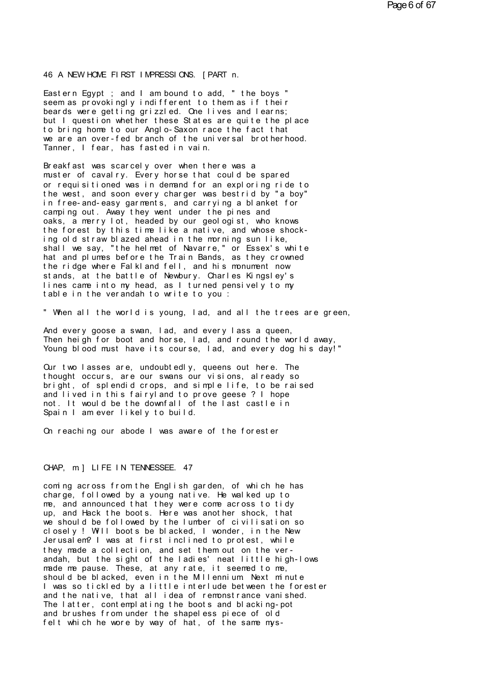46 A NEW HOME FIRST IMPRESSIONS. [PART n.<br>Eastern Eqypt : and I am bound to add. " the boys " 46 A NEW HONE FIRST IMPRESSIONS. [PART n.<br>Eastern Egypt ; and I am bound to add, "the boys "<br>seem as provokingly indifferent to them as if their<br>beards were getting grizzled. One lives and learns: 46 A NEW HONE FIRST IMPRESSIONS. [PART n.<br>Eastern Egypt ; and I am bound to add, "the boys "<br>seem as provokingly indifferent to them as if their<br>beards were getting grizzled. One lives and learns;<br>but I question whether th 46 A NEW HOWE FIRST IMPRESSIONS. [PART n.<br>Eastern Egypt ; and I am bound to add, "the boys"<br>seem as provokingly indifferent to them as if their<br>beards were getting grizzled. One lives and learns;<br>but I question whether the 46 A NEW HOWE FIRST IMPRESSIONS. [PARI n.<br>Eastern Egypt ; and I am bound to add, "the boys"<br>seem as provokingly indifferent to them as if their<br>beards were getting grizzled. One lives and learns;<br>but I question whether the Eastern Egypt ; and I am bound to add, "the boys"<br>seem as provokingly indifferent to them as if their<br>beards were getting grizzled. One lives and learns;<br>but I question whether these States are quite the place<br>to bring hom Eastern Egypt ; and I am bound to add, "the boys"<br>seem as provokingly indifferent to them as if their<br>beards were getting grizzled. One lives and learns;<br>but I question whether these States are quite the place<br>to bring hom beards were getting grizzled. One lives and learns;<br>but I question whether these States are quite the place<br>to bring home to our Anglo-Saxon race the fact that<br>we are an over-fed branch of the universal brotherhood.<br>Tanner

muster of cavalry. Every horse that could be spared or requisitioned was in demand for an exploring ride to we are an over-ted branch of the universal brotherhood.<br>Tanner, I fear, has fasted in vain.<br>Breakfast was scarcely over when there was a<br>muster of cavalry. Every horse that could be spared<br>or requisitioned was in demand fo Transmer, I fear, has fasted in vain.<br>Breakfast was scarcely over when there was a<br>muster of cavalry. Every horse that could be spared<br>or requisitioned was in demand for an exploring ride to<br>the west, and soon every charge Breakfast was scarcely over when there was a<br>muster of cavalry. Every horse that could be spared<br>or requisitioned was in demand for an exploring ride to<br>the west, and soon every charger was bestrid by "a boy"<br>in free-and-e in free-and-easy garments, and carrying a blanket for<br>camping out. Away they went under the pines and<br>oaks, a merry lot, headed by our geologist, who knows muster of cavalry. Every horse that could be spared<br>or requisitioned was in demand for an exploring ride to<br>the west, and soon every charger was bestrid by "a boy"<br>in free-and-easy garments, and carrying a blanket for<br>camp or requisitioned was in demand for an exploring ride to<br>the west, and soon every charger was bestrid by "a boy"<br>in free-and-easy garments, and carrying a blanket for<br>camping out. Away they went under the pines and<br>oaks, a the west, and soon every charger was bestrid by "a boy"<br>in free-and-easy garments, and carrying a blanket for<br>camping out. Away they went under the pines and<br>oaks, a merry lot, headed by our geologist, who knows<br>the forest in free-and-easy garments, and carrying a blanket for<br>camping out. Away they went under the pines and<br>oaks, a merry lot, headed by our geologist, who knows<br>the forest by this time like a native, and whose shock-<br>ing old st camping out. Away they went under the pines and<br>oaks, a merry lot, headed by our geologist, who knows<br>the forest by this time like a native, and whose shock-<br>ing old straw blazed ahead in the morning sun like,<br>shall we say oaks, a merry lot, headed by our geologist, who knows<br>the forest by this time like a native, and whose shock-<br>ing old straw blazed ahead in the morning sun like,<br>shall we say, "the helmet of Navarre," or Essex's white<br>hat the forest by this time like a native, and whose shock-<br>ing old straw blazed ahead in the morning sun like,<br>shall we say, "the helmet of Navarre," or Essex's white<br>hat and plumes before the Train Bands, as they crowned<br>the ing old straw blazed anead in the morning sun like,<br>shall we say, "the helmet of Navarre," or Essex's white<br>hat and plumes before the Train Bands, as they crowned<br>the ridge where Falkland fell, and his monument now<br>stands, shall we say, "the helmet of Navarre," or Esse<br>hat and plumes before the Train Bands, as they<br>the ridge where Falkland fell, and his monumen<br>stands, at the battle of Newbury. Charles King<br>lines came into my head, as I turn the ridge where Falkland fell, and his monument now<br>stands, at the battle of Newbury. Charles Kingsley's<br>lines came into my head, as I turned pensively to my<br>table in the verandah to write to you :<br>"When all the world is y I ines came into my head, as I turned pensively to my<br>table in the verandah to write to you :<br>"When all the world is young, lad, and all the trees are gre<br>And every goose a swan, lad, and every lass a queen,<br>Then heigh for

table in the verandah to write to you :<br>"When all the world is young, lad, and all the trees are green,<br>And every goose a swan, lad, and every lass a queen,<br>Then heigh for boot and horse, lad, and round the world away,<br>You "When all the world is young, lad, and all the trees are green,<br>And every goose a swan, lad, and every lass a queen,<br>Then heigh for boot and horse, lad, and round the world away,<br>Young blood must have its course, lad, and

Young blood must have its course, lad, and every dog his day!"<br>Our two lasses are, undoubtedly, queens out here. The<br>thought occurs, are our swans our visions, already so And every goose a swan, Iad, and every Iass a queen,<br>Then heigh for boot and horse, Iad, and round the world away<br>Young blood must have its course, Iad, and every dog his day<br>Our two lasses are, undoubtedly, queens out her Then height or boot and horse, Iad, and round the world away,<br>Young blood must have its course, Iad, and every dog his day!"<br>Cur two lasses are, undoubtedly, queens out here. The<br>thought occurs, are our swans our visions, Young blood must have its course, lad, and every dog his day<br>Our two lasses are, undoubtedly, queens out here. The<br>thought occurs, are our swans our visions, already so<br>bright, of splendid crops, and simple life, to be rai Qur two lasses are, undoubtedly, queens out here. The thought occurs, are our swans our visions, already so bright, of splendid crops, and simple life, to be raised and lived in this fairyland to prove geese ? I hope not. Our two lasses are, undoubtedly, queens out<br>thought occurs, are our swans our visions, a<br>bright, of splendid crops, and simple life,<br>and lived in this fairyland to prove geese?<br>not. It would be the downfall of the last ca<br> and lived in this fairyland to prove geese ? I hope<br>not. It would be the downfall of the last castle in<br>Spain I am ever likely to build.

On reaching our abode I was aware of the forester<br>CHAP, m.] LIFE IN TENNESSEE. 47

CHAP, m.] LIFE IN TENNESSEE. 47<br>coming across from the English garden, of which he has<br>charge, followed by a young native. He walked up to<br>me and announced that they were come across to tidy CHAP, m ] LIFE IN TENNESSEE. 47<br>coming across from the English garden, of which he has<br>charge, followed by a young native. He walked up to<br>me, and announced that they were come across to tidy<br>up, and Hack the boots. Here w CHAP, m.] LIFE IN TENNESSEE. 47<br>coming across from the English garden, of which he has<br>charge, followed by a young native. He walked up to<br>me, and announced that they were come across to tidy<br>up, and Hack the boots. Here w CHAP, m. J LIFE IN IENNESSEE. 47<br>coming across from the English garden, of which he has<br>charge, followed by a young native. He walked up to<br>me, and announced that they were come across to tidy<br>up, and Hack the boots. Here coming across from the English garden, of which he has<br>charge, followed by a young native. He walked up to<br>me, and announced that they were come across to tidy<br>up, and Hack the boots. Here was another shock, that<br>we should coming across from the English garden, of which he has<br>charge, followed by a young native. He walked up to<br>me, and announced that they were come across to tidy<br>up, and Hack the boots. Here was another shock, that<br>we should charge, followed by a young native. He walked up to<br>me, and announced that they were come across to tidy<br>up, and Hack the boots. Here was another shock, that<br>we should be followed by the lumber of civilisation so<br>closely ! me, and announced that they were come across to tidy<br>up, and Hack the boots. Here was another shock, that<br>we should be followed by the lumber of civilisation so<br>closely ! Will boots be blacked, I wonder, in the New<br>Jerusal we should be followed by the lumber of civilisation so<br>closely! Will boots be blacked, I wonder, in the New<br>Jerusalem? I was at first inclined to protest, while<br>they made a collection, and set them out on the ver-<br>andah, b closely ! Will boots be blacked, I wonder, in the New<br>Jerusalem? I was at first inclined to protest, while<br>they made a collection, and set them out on the ver-<br>andah, but the sight of the ladies' neat little high-lows<br>made Jerusalem? I was at first inclined to protest, while<br>they made a collection, and set them out on the ver-<br>andah, but the sight of the ladies' neat little high-lows<br>made me pause. These, at any rate, it seemed to me,<br>should they made a collection, and set them out on the ver-<br>andah, but the sight of the ladies' neat little high-lows<br>made me pause. These, at any rate, it seemed to me,<br>should be blacked, even in the Millennium Next minute<br>I was andah, but the sight of the ladies' neat little high-lows<br>made me pause. These, at any rate, it seemed to me,<br>should be blacked, even in the Millennium Next minute<br>I was so tickled by a little interlude between the foreste made me pause. These, at any rate, it seemed to me,<br>should be blacked, even in the Milennium Next minute<br>I was so tickled by a little interlude between the forester<br>and the native, that all idea of remonstrance vanished.<br>T should be blacked, even in the Millennium Next minute<br>I was so tickled by a little interlude between the fore<br>and the native, that all idea of remonstrance vanished.<br>The latter, contemplating the boots and blacking-pot<br>and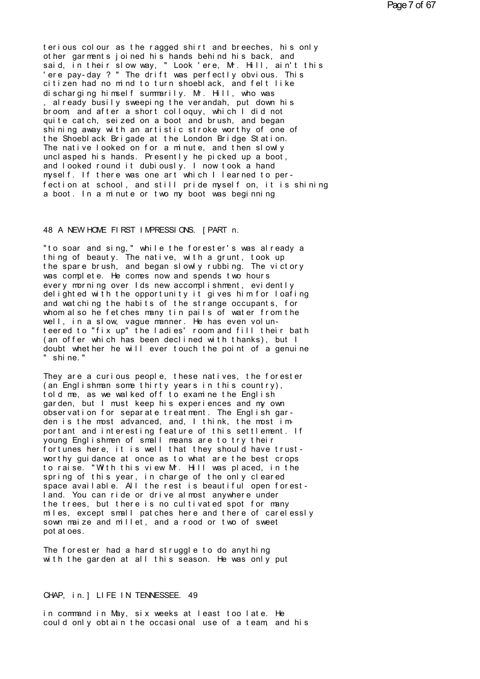terious colour as the ragged shirt and breeches, his only other garments joined his hands behind his back, and terious colour as the ragged shirt and breeches, his only<br>other garments joined his hands behind his back, and<br>said, in their slow way, "Look 'ere, Mr. Hill, ain't this<br>'ere nay-day ?" The drift was perfectly obvious. This terious colour as the ragged shirt and breeches, his only<br>other garments joined his hands behind his back, and<br>said, in their slow way, "Look 'ere, Mr. Hill, ain't this<br>'ere pay-day ?" The drift was perfectly obvious. This terious colour as the ragged shirt and breeches, his only<br>other garments joined his hands behind his back, and<br>said, in their slow way, "Look 'ere, Mr. Hill, ain't this<br>'ere pay-day ?" The drift was perfectly obvious. This terious colour as the ragged shirt and breeches, his only<br>other garments joined his hands behind his back, and<br>said, in their slow way, "Look 'ere, Mr. Hill, ain't this<br>'ere pay-day ?" The drift was perfectly obvious. This terious colour as the ragged shirt and breeches, his of<br>other garments joined his hands behind his back, and<br>said, in their slow way, "Look 'ere, Mr. Hill, ain't<br>'ere pay-day ?" The drift was perfectly obvious. This<br>citize other garments joined his hands behind his back, and<br>said, in their slow way, "Look 'ere, Mr. Hill, ain't this<br>'ere pay-day ?" The drift was perfectly obvious. This<br>citizen had no mind to turn shoeblack, and felt like<br>disc said, in their slow way, "Look 'ere, Mr. Hill, ain't this<br>'ere pay-day ?" The drift was perfectly obvious. This<br>citizen had no mind to turn shoeblack, and felt like<br>discharging himself summarily. Mr. Hill, who was<br>, alread 'ere pay-day ?" The drift was perfectly obvious. This<br>citizen had no mind to turn shoeblack, and felt like<br>discharging himself summarily. Mr. Hill, who was<br>, already busily sweeping the verandah, put down his<br>broom, and af citizen had no mind to turn shoeblack, and felt like<br>discharging himself summarily. M. Hill, who was<br>, already busily sweeping the verandah, put down his<br>broom, and after a short colloquy, which I did not<br>quite catch, seiz discharging himself summarily. Mr. Hill, who was<br>, already busily sweeping the verandah, put down his<br>broom, and after a short colloquy, which I did not<br>quite catch, seized on a boot and brush, and began<br>shining away with , already busily sweeping the verandah, put down his<br>broom, and after a short colloquy, which I did not<br>quite catch, seized on a boot and brush, and began<br>shining away with an artistic stroke worthy of one of<br>the Shoeblack broom, and after a short colloquy, which I did not<br>quite catch, seized on a boot and brush, and began<br>shining away with an artistic stroke worthy of one of<br>the Shoeblack Brigade at the London Bridge Station.<br>The native loo shining away with an artistic stroke worthy of one of<br>the Shoeblack Brigade at the London Bridge Station.<br>The native looked on for a minute, and then slowly<br>unclasped his hands. Presently he picked up a boot,<br>and looked ro shining away with an artistic stroke worthy of one of<br>the Shoeblack Brigade at the London Bridge Station.<br>The native looked on for a minute, and then slowly<br>unclasped his hands. Presently he picked up a boot,<br>and looked ro the Shoeblack Brigade at the London Bridge Station.<br>The native looked on for a minute, and then slowly<br>unclasped his hands. Presently he picked up a boot,<br>and looked round it dubiously. I now took a hand<br>myself. If there w The native looked on for a minute, and then slowly<br>unclasped his hands. Presently he picked up a boot,<br>and looked round it dubiously. I now took a hand<br>myself. If there was one art which I learned to per-<br>fection at school a boot. In a minute or two my boot was beginning<br>48 A NEW HOME FIRST IMPRESSIONS. [PART n.<br>"to soar and sing," while the forester's was already a

48 A NEW HONE FIRST IMPRESSIONS. [PART n.<br>"to soar and sing," while the forester's was already a<br>thing of beauty. The native, with a grunt, took up<br>the spare brush, and began slowly rubbing. The victory 48 A NEW HONE FIRST IMPRESSIONS. [PART n.<br>"to soar and sing," while the forester's was already a<br>thing of beauty. The native, with a grunt, took up<br>the spare brush, and began slowly rubbing. The victory<br>was complete. He co 48 A NEW HOME FIRST IMPRESSIONS. [PART n.<br>"to soar and sing," while the forester's was already a<br>thing of beauty. The native, with a grunt, took up<br>the spare brush, and began slowly rubbing. The victory<br>was complete. He co 48 ANEWHONE FIRSITMPRESSIONS. [PARIN.<br>"to soar and sing," while the forester's was already a<br>thing of beauty. The native, with a grunt, took up<br>the spare brush, and began slowly rubbing. The victory<br>was complete. He comes "to soar and sing," while the forester's was already a<br>thing of beauty. The native, with a grunt, took up<br>the spare brush, and began slowly rubbing. The victory<br>was complete. He comes now and spends two hours<br>every morning "to soar and sing," while the forester's was already a<br>thing of beauty. The native, with a grunt, took up<br>the spare brush, and began slowly rubbing. The victory<br>was complete. He comes now and spends two hours<br>every morning thing of beauty. The native, with a grunt, took up<br>the spare brush, and began slowly rubbing. The victory<br>was complete. He comes now and spends two hours<br>every morning over Ids new accomplishment, evidently<br>delighted with the spare brush, and began slowly rubbing. The victory<br>was complete. He comes now and spends two hours<br>every morning over Ids new accomplishment, evidently<br>delighted with the opportunity it gives him for loafing<br>and watchi was complete. He comes now and spends two hours<br>every morning over Ids new accomplishment, evidently<br>delighted with the opportunity it gives him for loafing<br>and watching the habits of the strange occupants, for<br>whom also h every morning over Ids new accomplishment, evidently<br>delighted with the opportunity it gives him for loafing<br>and watching the habits of the strange occupants, for<br>whom also he fetches many tin pails of water from the<br>well, delighted with the opportunity it gives him for loafing<br>and watching the habits of the strange occupants, for<br>whom also he fetches many tin pails of water from the<br>well, in a slow, vague manner. He has even volun-<br>teered t and watching the habits of the strange occupants, for<br>whom also he fetches many tin pails of water from the<br>well, in a slow, vague manner. He has even volun-<br>teered to "fix up" the ladies' room and fill their bath<br>(an offe whom also he fetches n<br>well, in a slow, vague<br>teered to "fix up" the<br>(an offer which has be<br>doubt whether he will<br>"shine."<br>They are a surious peop (an offer which has been declined with thanks), but I<br>doubt whether he will ever touch the point of a genui<br>"shine."<br>They are a curious people, these natives, the foreste<br>(an Englishman some thirty years in this country),<br>

doubt whether he will ever touch the point of a genuine<br>"shine."<br>They are a curious people, these natives, the forester<br>(an Englishman some thirty years in this country),<br>told me, as we walked off to examine the English<br>ga doubt whether he will ever touch the point of a genuine<br>"shine."<br>They are a curious people, these natives, the forester<br>(an Englishman some thirty years in this country),<br>told me, as we walked off to examine the English<br>ga " shine."<br>They are a curious people, these natives, the forester<br>(an Englishman some thirty years in this country),<br>told me, as we walked off to examine the English<br>garden, but I must keep his experiences and my own<br>observ They are a curious people, these natives, the forester (an Englishman some thirty years in this country),<br>told me, as we walked off to examine the English<br>garden, but I must keep his experiences and my own<br>observation for observation for separate treatment. The English garden is the most advanced, and, I think, the most important and interesting feature of this settlement. It young Englishmen of small means are to try their fortunes here, i garden, but I must keep his experiences and my own<br>observation for separate treatment. The English gar-<br>den is the most advanced, and, I think, the most im-<br>portant and interesting feature of this settlement. If<br>young Engl portant and interesting feature of this settlement. If<br>young Englishmen of small means are to try their<br>fortunes here, it is well that they should have trust-<br>worthy guidance at once as to what are the best crops<br>to raise. portant and interesting feature of this settlement. If<br>young Englishmen of small means are to try their<br>fortunes here, it is well that they should have trust-<br>worthy guidance at once as to what are the best crops<br>to raise. young Englishmen of small means are to try their<br>fortunes here, it is well that they should have trust-<br>worthy guidance at once as to what are the best crops<br>to raise. "With this view Mr. Hill was placed, in the<br>spring of rortunes here, it is well that they should have trust-<br>worthy guidance at once as to what are the best crops<br>to raise. "With this view Mr. Hill was placed, in the<br>spring of this year, in charge of the only cleared<br>space av worthy guidance at once as to what are the best crops<br>to raise. "With this view Mr. Hill was placed, in the<br>spring of this year, in charge of the only cleared<br>space available. All the rest is beautiful open forest-<br>land. Y to raise. "With this view Mr. Hill was placed, in the<br>spring of this year, in charge of the only cleared<br>space available. All the rest is beautiful open forest-<br>land. You can ride or drive almost anywhere under<br>the trees, spring of this year, in charge of the only cleared<br>space available. All the rest is beautiful open forest-<br>land. You can ride or drive almost anywhere under<br>the trees, but there is no cultivated spot for many<br>miles, except land. You can ride or drive almost anywhere under<br>the trees, but there is no cultivated spot for many<br>miles, except small patches here and there of carelessly<br>sown maize and millet, and a rood or two of sweet<br>potatoes.<br>The the trees, but there is no cultivated spot for many<br>miles, except small patches here and there of carelessly<br>sown maize and millet, and a rood or two of sweet<br>potatoes.<br>The forester had a hard struggle to do anything<br>with m les, except small patches here and there of carelessly<br>sown maize and millet, and a rood or two of sweet<br>potatoes.<br>The forester had a hard struggle to do anything<br>with the garden at all this season. He was only put

The forester had a hard struggle to do anyt<br>with the garden at all this season. He was<br>CHAP, in.] LIFE IN TENNESSEE. 49<br>in commend in May, six weeks at least too I

CHAP, in.] LIFE IN TENNESSEE. 49<br>in command in May, six weeks at least too late. He<br>could only obtain the occasional use of a team, and his CHAP, in.] LIFE IN TENNESSEE. 49<br>in command in May, six weeks at least too late. He<br>could only obtain the occasional use of a team, and his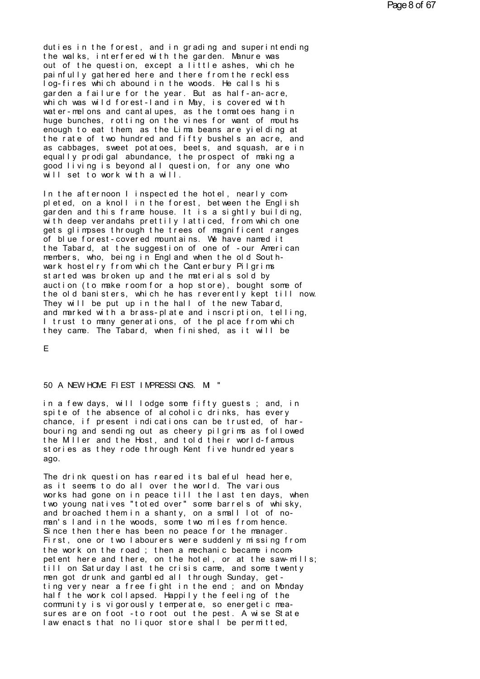duties in the forest, and in grading and superintending<br>the walks, interfered with the garden. Manure was<br>out of the question, except a little ashes, which he duties in the forest, and in grading and superintending<br>the walks, interfered with the garden. Manure was<br>out of the question, except a little ashes, which he duties in the forest, and in grading and superintending<br>the walks, interfered with the garden. Manure was<br>out of the question, except a little ashes, which he<br>painfully gathered here and there from the reckless<br>log-fires w duties in the forest, and in grading and superintending<br>the walks, interfered with the garden. Manure was<br>out of the question, except a little ashes, which he<br>painfully gathered here and there from the reckless<br>log-fires w duties in the forest, and in grading and superintending<br>the walks, interfered with the garden. Manure was<br>out of the question, except a little ashes, which he<br>painfully gathered here and there from the reckless<br>log-fires w duties in the forest, and in grading and superintending<br>the walks, interfered with the garden. Manure was<br>out of the question, except a little ashes, which he<br>painfully gathered here and there from the reckless<br>log-fires w log-fires which abound in the woods. He calls his<br>garden a failure for the year. But as half-an-acre,<br>which was wild forest-land in May, is covered with<br>water-melons and cantalupes, as the tomatoes hang in out of the question, except a little ashes, which he<br>painfully gathered here and there from the reckless<br>log-fires which abound in the woods. He calls his<br>garden a failure for the year. But as half-an-acre,<br>which was wild paintully gathered here and there from the reckless<br>log-fires which abound in the woods. He calls his<br>garden a failure for the year. But as half-an-acre,<br>which was wild forest-land in May, is covered with<br>water-melons and log-fires which abound in the woods. He calls his<br>garden a failure for the year. But as half-an-acre,<br>which was wild forest-land in May, is covered with<br>water-melons and cantalupes, as the tomatoes hang in<br>huge bunches, ro garden a failure for the year. But as half-an-acre,<br>which was wild forest-land in May, is covered with<br>water-melons and cantalupes, as the tomatoes hang in<br>huge bunches, rotting on the vines for want of mouths<br>enough to ea which was wild forest-land in May, is covered with<br>water-melons and cantalupes, as the tomatoes hang in<br>huge bunches, rotting on the vines for want of mouths<br>enough to eat them, as the Lima beans are yielding at<br>the rate o water-melons and cantalupes, as the tomatoes hang in<br>huge bunches, rotting on the vines for want of mouths<br>enough to eat them, as the Lima beans are yielding at<br>the rate of two hundred and fifty bushels an acre, and<br>as cab huge bunches, rotting on the vines for want of mouths<br>enough to eat them, as the Lima beans are yielding at<br>the rate of two hundred and fifty bushels an acre, and<br>as cabbages, sweet potatoes, beets, and squash, are in<br>equa enough to eat them, as the Lima beans are<br>the rate of two hundred and fifty bushels<br>as cabbages, sweet potatoes, beets, and sq<br>equally prodigal abundance, the prospect of<br>good living is beyond all question, for an<br>will set as cabbages, sweet potatoes, beets, and squash, are in<br>equally prodigal abundance, the prospect of making a<br>good living is beyond all question, for any one who<br>will set to work with a will.<br>In the afternoon I inspected the

good living is beyond all question, for any one who<br>will set to work with a will.<br>In the afternoon I inspected the hotel, nearly com-<br>pleted, on a knoll in the forest, between the English<br>garden and this frame house. It is will set to work with a will.<br>In the afternoon I inspected the hotel, nearly com-<br>pleted, on a knoll in the forest, between the English-<br>garden and this frame house. It is a sightly building,<br>with deep verandahs prettily l In the afternoon I inspected the hotel, nearly com-<br>pleted, on a knoll in the forest, between the English-<br>garden and this frame house. It is a sightly building,<br>with deep verandahs prettily latticed, from which one-<br>gets In the afternoon I inspected the hotel, nearly com-<br>pleted, on a knoll in the forest, between the English-<br>garden and this frame house. It is a sightly building,<br>with deep verandahs prettily latticed, from which one-<br>gets pleted, on a knoll in the forest, between the English<br>garden and this frame house. It is a sightly building,<br>with deep verandahs prettily latticed, from which one<br>gets glimpses through the trees of magnificent ranges<br>of bl garden and this frame house. It is a sightly building,<br>with deep verandahs prettily latticed, from which one<br>gets glimpses through the trees of magnificent ranges<br>of blue forest-covered mountains. We have named it<br>the Taba gets glimpses through the trees of magnificent ranges<br>of blue forest-covered mountains. We have named it<br>the Tabard, at the suggestion of one of -our American<br>members, who, being in England when the old South-<br>wark hostelr of blue forest-covered mountains. We have named it<br>the Tabard, at the suggestion of one of -our American<br>members, who, being in England when the old South-<br>wark hostelry from which the Canterbury Pilgrims<br>started was broke the labard, at the suggestion of one of -our American<br>members, who, being in England when the old South-<br>wark hostelry from which the Canterbury Pilgrims<br>started was broken up and the materials sold by<br>auction (to make roo members, who, being in England when the old South-<br>wark hostelry from which the Canterbury Pilgrims<br>started was broken up and the materials sold by<br>auction (to make room for a hop store), bought some of<br>the old banisters, wark hostelry from which the Canterbury Pilgrims<br>started was broken up and the materials sold by<br>auction (to make room for a hop store), bought some of<br>the old banisters, which he has reverently kept till now.<br>They will be started was broken up and the materials sold by<br>auction (to make room for a hop store), bought some of<br>the old banisters, which he has reverently kept till now.<br>They will be put up in the hall of the new Tabard,<br>and marked auction (to make room for a hop store), bought some of<br>the old banisters, which he has reverently kept till now.<br>They will be put up in the hall of the new Tabard,<br>and marked with a brass-plate and inscription, telling,<br>I

E

# E<br>50 A NEW HOME FIEST IMPRESSIONS. MI<br>in a few days, will lodge some fifty quests : and

50 A NEW HONE FIEST IMPRESSIONS. M<br>in a few days, will lodge some fifty guests ; and, in<br>spite of the absence of alcoholic drinks, has every<br>chance, if present indications can be trusted, of har-50 A NEW HONE FIEST INPRESSIONS. M "<br>in a few days, will lodge some fifty guests ; and, in<br>spite of the absence of alcoholic drinks, has every<br>chance, if present indications can be trusted, of har-<br>bouring and sending out 50 A NEW HONE FIEST IMPRESSIONS. M<br>in a few days, will lodge some fifty guests ; and, in<br>spite of the absence of alcoholic drinks, has every<br>chance, if present indications can be trusted, of har-<br>bouring and sending out as in a few days, will lodge some fifty guests; and, in<br>spite of the absence of alcoholic drinks, has every<br>chance, if present indications can be trusted, of har-<br>bouring and sending out as cheery pilgrims as followed<br>the Mil in a few days, will lodge some fifty guests; and, in<br>spite of the absence of alcoholic drinks, has every<br>chance, if present indications can be trusted, of har-<br>bouring and sending out as cheery pilgrims as followed<br>the Mil ago. the Miler and the Host, and told their world-famous<br>stories as they rode through Kent five hundred years<br>ago.<br>The drink question has reared its baleful head here,<br>as it seems to do all over the world. The various<br>works had st ories as they rode through Kent five hundred years

stories as they rode through Kent five hundred years<br>ago.<br>The drink question has reared its baleful head here,<br>as it seems to do all over the world. The various<br>works had gone on in peace till the last ten days, when<br>two y ago.<br>The drink question has reared its baleful head here,<br>as it seems to do all over the world. The various<br>works had gone on in peace till the last ten days, when<br>two young natives "toted over" some barrels of whisky,<br>and The drink question has reared its baleful head here,<br>as it seems to do all over the world. The various<br>works had gone on in peace till the last ten days, when<br>two young natives "toted over" some barrels of whisky,<br>and broa as it seems to do all over the world. The various<br>works had gone on in peace till the last ten days, when<br>two young natives "toted over" some barrels of whisky,<br>and broached them in a shanty, on a small lot of no-<br>man's la works had gone on in peace till the last ten days, when<br>two young natives "toted over" some barrels of whisky,<br>and broached them in a shanty, on a small lot of no-<br>man's land in the woods, some two miles from hence.<br>Since t wo young natives "toted over" some barrels of whisky,<br>and broached them in a shanty, on a small lot of no-<br>man's land in the woods, some two miles from hence.<br>Since then there has been no peace for the manager.<br>First, on man's land in the woods, some two miles from hence.<br>Since then there has been no peace for the manager.<br>First, one or two labourers were suddenly missing from<br>the work on the road ; then a mechanic became incom-<br>petent her Since then there has been no peace for the manager.<br>First, one or two labourers were suddenly missing from<br>the work on the road ; then a mechanic became incom-<br>petent here and there, on the hotel, or at the saw-mills;<br>till First, one or two labourers were suddenly missing from<br>the work on the road; then a mechanic became incom-<br>petent here and there, on the hotel, or at the saw-mills;<br>till on Saturday last the crisis came, and some twenty<br>me the work on the road; then a mechanic became incom-<br>petent here and there, on the hotel, or at the saw-mills;<br>till on Saturday last the crisis came, and some twenty<br>men got drunk and gambled all through Sunday, get-<br>ting v petent here and there, on the hotel, or at the saw-mills;<br>till on Saturday last the crisis came, and some twenty<br>men got drunk and gambled all through Sunday, get-<br>ting very near a free fight in the end; and on Monday<br>half men got drunk and gambled all through Sunday, get-<br>ting very near a free fight in the end; and on Monday<br>half the work collapsed. Happily the feeling of the<br>community is vigorously temperate, so energetic mea-<br>sures are on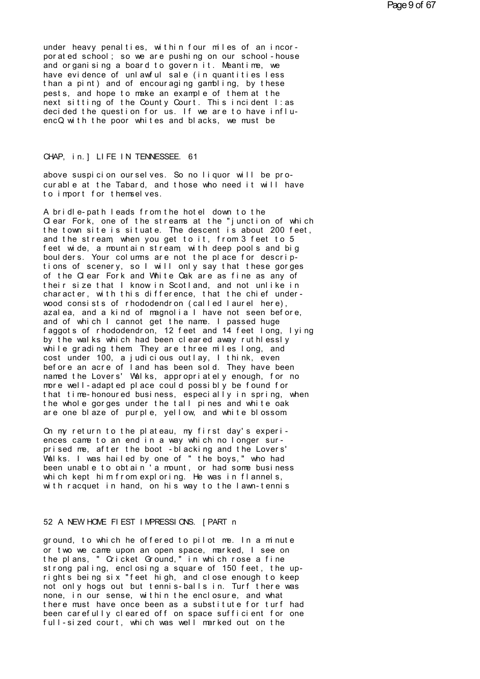under heavy penalties, within four miles of an incorpor at ed school; so we are pushing on our school-house and organising a board to govern it. Meantime, we have evidence of unlawful sale (in quantities less than a pint) and of encouraging gambling, by these pests, and hope to make an example of them at the next sitting of the County Court. This incident I as decided the question for us. If we are to have influencQ with the poor whites and blacks, we must be

## CHAP, in.] LIFE IN TENNESSEE. 61

above suspicion ourselves. So no liquor will be procurable at the Tabard, and those who need it will have to import for themselves.

A bridle-path leads from the hotel down to the Clear Fork, one of the streams at the "junction of which the town site is situate. The descent is about 200 feet, and the stream when you get to it, from 3 feet to 5<br>feet wide, a mountain stream with deep pools and big<br>boulders. Your columns are not the place for descriptions of scenery, so I will only say that these gorges of the Clear Fork and White Cak are as fine as any of their size that I know in Scotland, and not unlike in character, with this difference, that the chief underwood consists of rhododendron (called laurel here), azal ea, and a kind of magnolia I have not seen before, and of which I cannot get the name. I passed huge faggots of rhododendron, 12 feet and 14 feet long, lying by the walks which had been cleared away ruthlessly while grading them They are three miles long, and cost under 100, a judicious outlay, I think, even before an acre of land has been sold. They have been named the Lovers' Walks, appropriately enough, for no more well-adapted place could possibly be found for that time-honoured business, especially in spring, when the whole gorges under the tall pines and white oak are one blaze of purple, yellow, and white blossom

On my return to the plateau, my first day's experiences came to an end in a way which no longer surprised me, after the boot - blacking and the Lovers' Walks. I was hailed by one of " the boys," who had been unable to obtain'a mount, or had some business which kept him from exploring. He was in flannels, with racquet in hand, on his way to the lawn-tennis

### 52 A NEW HOME FIEST IMPRESSIONS. [PART n

ground, to which he offered to pilot me. In a minute or two we came upon an open space, marked, I see on the plans, " Cricket Ground," in which rose a fine strong paling, enclosing a square of 150 feet, the uprights being six "feet high, and close enough to keep not only hogs out but tennis-balls in. Turf there was none. in our sense, within the enclosure, and what there must have once been as a substitute for turf had been carefully cleared off on space sufficient for one full-sized court, which was well marked out on the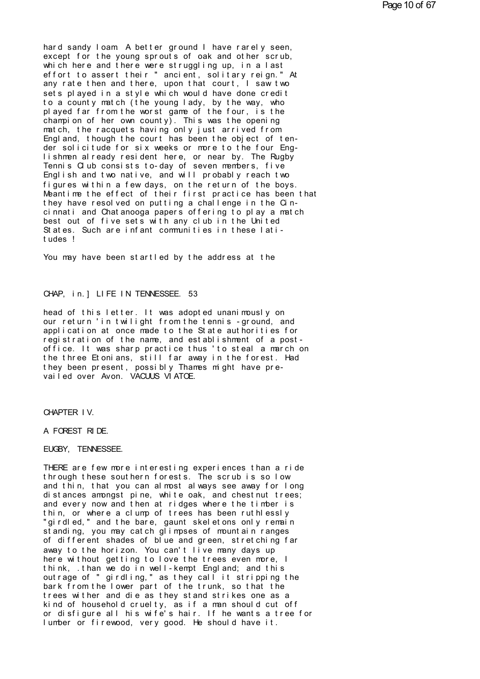hard sandy loam. A better ground I have rarely seen,<br>except for the young sprouts of oak and other scrub,<br>which here and there were struggling up in a last hard sandy loam. A better ground I have rarely seen,<br>except for the young sprouts of oak and other scrub,<br>which here and there were struggling up, in a last<br>effort to assert their," ancient, solitary reign," Af except for the young sprouts of oak and other scrub,<br>which here and there were struggling up, in a last<br>effort to assert their "ancient, solitary reign." At hard sandy loam. A better ground I have rarely seen,<br>except for the young sprouts of oak and other scrub,<br>which here and there were struggling up, in a last<br>effort to assert their "ancient, solitary reign." At<br>any rate the hard sandy loam. A better ground I have rarely seen,<br>except for the young sprouts of oak and other scrub,<br>which here and there were struggling up, in a last<br>effort to assert their "ancient, solitary reign." At<br>any rate the hard sandy loam. A better ground I have rarely seen,<br>except for the young sprouts of oak and other scrub,<br>which here and there were struggling up, in a last<br>effort to assert their "ancient, solitary reign." At<br>any rate the except for the young sprouts of oak and other scrub,<br>which here and there were struggling up, in a last<br>effort to assert their "ancient, so litary reign." At<br>any rate then and there, upon that court, I saw two<br>sets played which here and there were struggling up, in a last<br>effort to assert their "ancient, solitary reign." At<br>any rate then and there, upon that court, I saw two<br>sets played in a style which would have done credit<br>to a county ma effort to assert their "ancient, solitary reign." At<br>any rate then and there, upon that court, I saw two<br>sets played in a style which would have done credit<br>to a county match (the young lady, by the way, who<br>played far fro sets played in a style which would have done credit<br>to a county match (the young lady, by the way, who<br>played far from the worst game of the four, is the<br>champion of her own county). This was the opening<br>match, the racquet sets played in a style which would have done credit<br>to a county match (the young lady, by the way, who<br>played far from the worst game of the four, is the<br>champion of her own county). This was the opening<br>match, the racquet played far from the worst game of the four, is the<br>champion of her own county). This was the opening<br>match, the racquets having only just arrived from<br>England, though the court has been the object of ten-<br>der solicitude fo champion of her own county). This was the opening<br>match, the racquets having only just arrived from<br>England, though the court has been the object of ten-<br>der solicitude for six weeks or more to the four Eng-<br>lishmen alread match, the racquets having only just arrived from<br>England, though the court has been the object of ten-<br>der solicitude for six weeks or more to the four Eng-<br>lishmen already resident here, or near by. The Rugby<br>Tennis Club England, though the court has been the object of ten-<br>der solicitude for six weeks or more to the four Eng-<br>lishmen already resident here, or near by. The Rugby<br>Tennis Club consists to-day of seven members, five<br>English an der solicitude for six weeks or more to the four Eng-<br>lishmen already resident here, or near by. The Rugby<br>Tennis Club consists to-day of seven members, five<br>English and two native, and will probably reach two<br>figures with They have resolved the compare on the Rugby<br>Tennis Club consists to-day of seven members, five<br>English and two native, and will probably reach two<br>figures within a few days, on the return of the boys.<br>Meantime the effect o English and two native, and will probably reach two<br>figures within a few days, on the return of the boys.<br>Meantime the effect of their first practice has been that<br>they have resolved on putting a challenge in the Cin-<br>cinn figures within a few days, on the return of the boys.<br>Meantime the effect of their first practice has been that<br>they have resolved on putting a challenge in the Cin-<br>cinnati and Chatanooga papers offering to play a match<br>b Meantime the efference they have resoled in and Chapters of Five States. Such an<br>States. Such and Chapters of Five States. Such and the States. In and Chapters of the States of Theorem is a state of the States of Theorem i cinnati and Chatanooga papers offering to play a match<br>best out of five sets with any club in the United<br>States. Such are infant communities in these lati-<br>tudes !<br>You may have been startled by the address at the

You may have been startled by the address at the<br>CHAP, in.] LIFE IN TENNESSEE. 53

CHAP, in.] LIFE IN TENNESSEE. 53<br>head of this letter. It was adopted unanimously on<br>our return 'in twilight from the tennis -ground, and<br>application at once made to the State authorities for CHAP, in.] LIFE IN TENNESSEE. 53<br>head of this letter. It was adopted unanimously on<br>our return 'in twilight from the tennis - ground, and<br>application at once made to the State authorities for<br>registration of the name, and our return 'in twilight from the tennis -ground, and application at once made to the State authorities for registration of the name, and establishment of a post-office. It was sharp practice thus 'to steal a march on CHAP, in.] LIFE IN TENNESSEE. 53<br>head of this letter. It was adopted unanimously on<br>our return 'in twilight from the tennis-ground, and<br>application at once made to the State authorities for<br>registration of the name, and es he ad of this letter. It was adopted unanimously on<br>our return 'in twilight from the tennis-ground, and<br>application at once made to the State authorities for<br>registration of the name, and establishment of a post-<br>office. I our return 'in twilight from the tennis-ground, and application at once made to the State authorities for registration of the name, and establishment of a post-office. It was sharp practice thus 'to steal a march on the th they been present, poss<br>vailed over Avon. VACUL<br>CHAPTER IV.<br>A FOREST RIDE

CHAPTER IV.<br>A FOREST RI DE.<br>FLIGBY TENNESSEE

# CHAPTER IV.<br>A FOREST RIDE.<br>EUGBY, TENNESSEE.<br>THEPE are few more i

A FOREST RIDE.<br>EUGBY, TENNESSEE.<br>THERE are few more interesting experiences than a ride<br>through these southern forests. The scrub is so low<br>and thin, that you can almost always see away for long A FOREST RIDE.<br>EUGBY, TENNESSEE.<br>THERE are few more interesting experiences than a ride<br>through these southern forests. The scrub is so low<br>and thin, that you can almost always see away for long<br>distances ammonest pine, wh EUGBY, TENNESSEE.<br>THERE are few more interesting experiences than a ride<br>through these southern forests. The scrub is so low<br>and thin, that you can almost always see away for long<br>distances amongst pine, white oak, and che EUGBY, IENNESSEE.<br>THERE are few more interesting experiences than a ride<br>through these southern forests. The scrub is so low<br>and thin, that you can almost always see away for long<br>distances amongst pine, white oak, and che THERE are few more interesting experiences than a ride<br>through these southern forests. The scrub is so low<br>and thin, that you can almost always see away for long<br>distances amongst pine, white oak, and chestnut trees;<br>and e THERE are few more interesting experiences than a ride<br>through these southern forests. The scrub is so low<br>and thin, that you can almost always see away for long<br>distances amongst pine, white oak, and chestnut trees;<br>and e through these southern forests. The scrub is so low<br>and thin, that you can almost always see away for long<br>distances amongst pine, white oak, and chestnut trees;<br>and every now and then at ridges where the timber is<br>thin, o and thin, that you can almost always see away for long distances amongst pine, white oak, and chestnut trees; and every now and then at ridges where the timber is thin, or where a clump of trees has been ruthlessly "girdle distances amongst pine, white oak, and chestnut trees;<br>and every now and then at ridges where the timber is<br>thin, or where a clump of trees has been ruthlessly<br>"girdled," and the bare, gaunt skeletons only remain<br>standing, and every now and then at ridges where the timber is<br>thin, or where a clump of trees has been ruthlessly<br>"girdled," and the bare, gaunt skeletons only remain<br>standing, you may catch glimpses of mountain ranges<br>of different thin, or where a clump of trees has been ruthlessly<br>"girdled," and the bare, gaunt skeletons only remain<br>standing, you may catch glimpses of mountain ranges<br>of different shades of blue and green, stretching far<br>away to the "girdled," and the bare, gaunt skeletons only remain<br>standing, you may catch glimyses of mountain ranges<br>of different shades of blue and green, stretching far<br>away to the horizon. You can't live many days up<br>here without g standing, you may catch glimpses of mountain ranges<br>of different shades of blue and green, stretching far<br>away to the horizon. You can't live many days up<br>here without getting to love the trees even more, I<br>think, than we of different shades of blue and green, stretching far<br>away to the horizon. You can't live many days up<br>here without getting to love the trees even more, I<br>think, than we do in well-kempt England; and this<br>outrage of "girdl away to the horizon. You can't live many days up<br>here without getting to love the trees even more, I<br>think, .than we do in well-kempt England; and this<br>outrage of "girdling," as they call it stripping the<br>bark from the low here without getting to love the trees even more, I<br>think, .than we do in well-kempt England; and this<br>outrage of "girdling," as they call it stripping the<br>bark from the lower part of the trunk, so that the<br>trees wither an think, than we do in well-kempt England; and this<br>outrage of "girdling," as they call it stripping the<br>bark from the lower part of the trunk, so that the<br>trees wither and die as they stand strikes one as a<br>kind of househol bark from the lower part of the trunk, so that the trees wither and die as they stand strikes one as a kind of household cruelty, as if a man should cut off or disfigure all his wife's hair. If he wants a tree for lumber o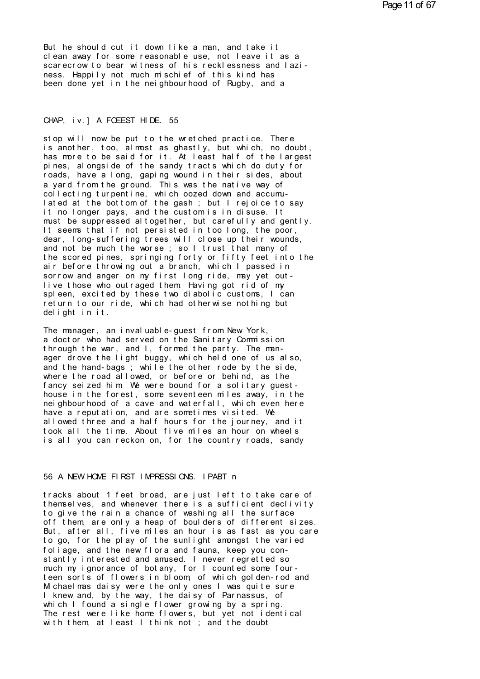But he should cut it down like a man, and take it clean away for some reasonable use, not leave it as a scarecrow to bear witness of his recklessness and laziness. Happily not much mischief of this kind has been done yet in the neighbour hood of Rugby, and a

## CHAP, iv. ] A FOEEST HIDE. 55

stop will now be put to the wretched practice. There is another, too, almost as ghastly, but which, no doubt, has more to be said for it. At least half of the largest pines, alongside of the sandy tracts which do duty for roads, have a long, gaping wound in their sides, about a yard from the ground. This was the native way of collecting turpentine, which oozed down and accumu-<br>lated at the bottom of the gash; but I rejoice to say it no longer pays, and the custom is in disuse. It must be suppressed altogether, but carefully and gently.<br>It seems that if not persisted in too long, the poor, dear, long-suffering trees will close up their wounds, and not be much the worse; so I trust that many of the scored pines, springing forty or fifty feet into the air before throwing out a branch, which I passed in sorrow and anger on my first long ride, may yet outlive those who outraged them Having got rid of my spleen, excited by these two diabolic customs, I can return to our ride, which had otherwise nothing but delight in it.

The manager, an invaluable-guest from New York, a doctor who had served on the Sanitary Commission through the war, and I, formed the party. The manager drove the light buggy, which held one of us also, and the hand-bags; while the other rode by the side, where the road allowed, or before or behind, as the fancy seized him We were bound for a solitary guesthouse in the forest, some seventeen miles away, in the nei ghbour hood of a cave and waterfall, which even here have a reputation, and are sometimes visited. We allowed three and a half hours for the journey, and it took all the time. About five miles an hour on wheels is all you can reckon on, for the country roads, sandy

### 56 A NEW HOME FIRST IMPRESSIONS. IPABT n

tracks about 1 feet broad, are just left to take care of themselves, and whenever there is a sufficient declivity to give the rain a chance of washing all the surface off them are only a heap of boulders of different sizes. But, after all, five miles an hour is as fast as you care to go, for the play of the sunlight amongst the varied foliage, and the new flora and fauna, keep you constantly interested and amised. I never regretted so much my ignorance of botany, for I counted some fourteen sorts of flowers in bloom of which golden-rod and M chael mas daisy were the only ones I was quite sure I knew and, by the way, the daisy of Parnassus, of which I found a single flower growing by a spring. The rest were like home flowers, but vet not identical with them at least I think not; and the doubt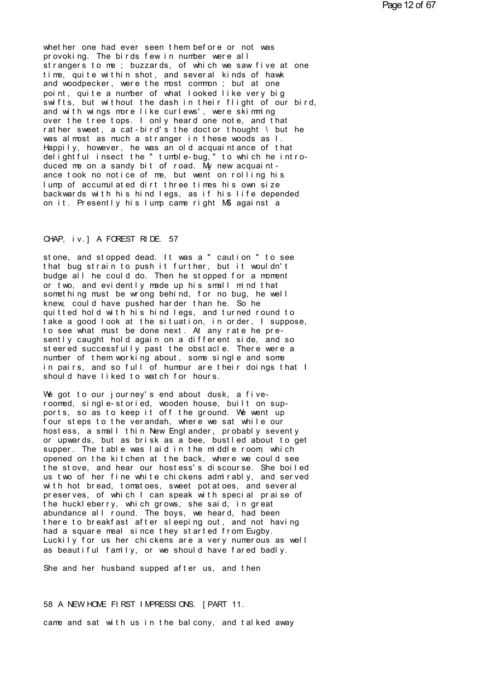whether one had ever seen them before or not was<br>provoking. The birds few in number were all<br>strangers to me : buzzards, of which we saw five at one whether one had ever seen them before or not was<br>provoking. The birds few in number were all<br>strangers to me ; buzzards, of which we saw five at one<br>time, quite within shot, and several kinds of hawk whether one had ever seen them before or not was<br>provoking. The birds few in number were all<br>strangers to me ; buzzards, of which we saw five at one<br>time, quite within shot, and several kinds of hawk<br>and wnodnecker, were t whether one had ever seen them before or not was<br>provoking. The birds few in number were all<br>strangers to me ; buzzards, of which we saw five at one<br>time, quite within shot, and several kinds of hawk<br>and woodpecker, were t whether one had ever seen them before or not was<br>provoking. The birds few in number were all<br>strangers to me ; buzzards, of which we saw five at one<br>time, quite within shot, and several kinds of hawk<br>and woodpecker, were t whether one had ever seen them betore or not was<br>provoking. The birds few in number were all<br>strangers to me ; buzzards, of which we saw five at one<br>time, quite within shot, and several kinds of hawk<br>and woodpecker, were t provoking. The birds few in number were all<br>strangers to me ; buzzards, of which we saw five at one<br>time, quite within shot, and several kinds of hawk<br>and woodpecker, were the most common ; but at one<br>point, quite a number strangers to me; buzzards, of which we saw five at one<br>time, quite within shot, and several kinds of hawk<br>and woodpecker, were the most common; but at one<br>point, quite a number of what looked like very big<br>swifts, but with time, quite within shot, and several kinds of hawk<br>and woodpecker, were the most common; but at one<br>point, quite a number of what looked like very big<br>swifts, but without the dash in their flight of our bird,<br>and with wing and woodpecker, were the most common; but at one<br>point, quite a number of what looked like very big<br>swifts, but without the dash in their flight of our bird,<br>and with wings more like curlews', were skimming<br>over the tree t point, quite a number of what looked like very big<br>swifts, but without the dash in their flight of our bird,<br>and with wings more like curlews', were skirming<br>over the tree tops. I only heard one note, and that<br>rather sweet swifts, but without the dash in their flight of our bird,<br>and with wings more like curlews', were skirming<br>over the tree tops. I only heard one note, and that<br>rather sweet, a cat-bird's the doctor thought \ but he<br>was almo and with wings more like curlews', were skirming<br>over the tree tops. I only heard one note, and that<br>rather sweet, a cat-bird's the doctor thought \ but he<br>was almost as much a stranger in these woods as I.<br>Happily, howeve was almost as much a stranger in these woods as I.<br>Happily, however, he was an old acquaintance of that<br>delightful insect the "tumble-bug," to which he intro-<br>duced me on a sandy bit of road. My new acquaint-<br>ance took no Happily, however, he was an old acquaintance of that<br>delightful insect the "tumble-bug," to which he intro-<br>duced me on a sandy bit of road. My new acquaint-<br>ance took no notice of me, but went on rolling his<br>lump of accum duced me on a sandy bit of road. My new acquaint-<br>ance took no notice of me, but went on rolling his<br>lump of accumulated dirt three times his own size<br>backwards with his hind legs, as if his life depended on it. Presently his lump came right M\$ against a<br>CHAP, iv.] A FOREST RIDE. 57

CHAP, iv.] A FOREST RIDE. 57<br>stone, and stopped dead. It was a " caution " to see<br>that bug strain to push it further, but it wouldn't<br>budge all be could do. Then be stopped for a momport CHAP, iv.] A FOREST RIDE. 57<br>stone, and stopped dead. It was a "caution "to see<br>that bug strain to push it further, but it wouldn't<br>budge all he could do. Then he stopped for a moment<br>or two, and evidently mode up his smal CHAP, iv.] A FOREST RIDE. 57<br>stone, and stopped dead. It was a "caution" to see<br>that bug strain to push it further, but it wouldn't<br>budge all he could do. Then he stopped for a moment<br>or two, and evidently made up his smal OHAP, IV.] A FOREST RIDE. 57<br>stone, and stopped dead. It was a "caution" to see<br>that bug strain to push it further, but it wouldn't<br>budge all he could do. Then he stopped for a moment<br>or two, and evidently made up his smal stone, and stopped dead. It was a "caution" to see<br>that bug strain to push it further, but it wouldn't<br>budge all he could do. Then he stopped for a moment<br>or two, and evidently made up his small mind that<br>something must be stone, and stopped dead. It was a "caution" to see<br>that bug strain to push it further, but it wouldn't<br>budge all he could do. Then he stopped for a moment<br>or two, and evidently made up his small mind that<br>something must be that bug strain to push it further, but it wouldn't<br>budge all he could do. Then he stopped for a moment<br>or two, and evidently made up his small mind that<br>something must be wrong behind, for no bug, he well<br>knew, could have budge all he could do. Then he stopped for a moment<br>or two, and evidently made up his small mind that<br>something must be wrong behind, for no bug, he well<br>knew, could have pushed harder than he. So he<br>quitted hold with his or two, and evidently made up his small mind that<br>something must be wrong behind, for no bug, he well<br>knew, could have pushed harder than he. So he<br>quitted hold with his hind legs, and turned round to<br>take a good look at t knew, could have pushed harder than he. So he<br>quitted hold with his hind legs, and turned round to<br>take a good look at the situation, in order, I suppose,<br>to see what must be done next. At any rate he pre-<br>sently caught ho quitted hold with his hind legs, and turned round to<br>take a good look at the situation, in order, I suppose,<br>to see what must be done next. At any rate he pre-<br>sently caught hold again on a different side, and so<br>steered s take a good look at the situation, in order, I suppose,<br>to see what must be done next. At any rate he pre-<br>sently caught hold again on a different side, and so<br>steered successfully past the obstacle. There were a<br>number of to see what must be done next. At any rate he presently caught hold again on a different side, and steered successfully past the obstacle. There were number of them working about, some single and some in pairs, and so full steered successfully past the obstacle. There were a<br>number of them working about, some single and some<br>in pairs, and so full of humour are their doings that I<br>should have liked to watch for hours.<br>We got to our journey's

r of them working about, some single and some<br>in pairs, and so full of humour are their doings that I<br>should have liked to watch for hours.<br>We got to our journey's end about dusk, a five-<br>roomed, single-storied, wooden hou should have liked to watch for hours.<br>We got to our journey's end about dusk, a five-<br>roomed, single-storied, wooden house, built on sup-<br>ports, so as to keep it off the ground. We went up<br>four steps to the verandah, where We got to our journey's end about dusk, a five-<br>roomed, single-storied, wooden house, built on sup-<br>ports, so as to keep it off the ground. We went up<br>four steps to the verandah, where we sat while our<br>hostess, a small thi We got to our journey's end about dusk, a tive-<br>roomed, single-storied, wooden house, built on sup-<br>ports, so as to keep it off the ground. We went up<br>four steps to the verandah, where we sat while our<br>hostess, a small thi roomed, single-storied, wooden house, built on sup-<br>ports, so as to keep it off the ground. We went up<br>four steps to the verandah, where we sat while our<br>hostess, a small thin New Englander, probably seventy<br>or upwards, bu ports, so as to keep it off the ground. We went up<br>four steps to the verandah, where we sat while our<br>hostess, a small thin New Englander, probably seventy<br>or upwards, but as brisk as a bee, bustled about to get<br>supper. Th four steps to the verandan, where we sat while our<br>hostess, a small thin New Englander, probably seventy<br>or upwards, but as brisk as a bee, bustled about to get<br>supper. The table was laid in the middle room, which<br>opened o no stess, a small thin New Englander, probably seventy<br>or upwards, but as brisk as a bee, bustled about to get<br>supper. The table was laid in the middle room, which<br>opened on the kitchen at the back, where we could see<br>the or upwards, but as brisk as a bee, bustled about to get<br>supper. The table was laid in the middle room, which<br>opened on the kitchen at the back, where we could see<br>the stove, and hear our hostess's discourse. She boiled<br>us supper. The table was laid in the middle room, which<br>opened on the kitchen at the back, where we could see<br>the stove, and hear our hostess's discourse. She boiled<br>us two of her fine white chickens admirably, and served<br>wit opened on the kitchen at the back, where we could see<br>the stove, and hear our hostess's discourse. She boiled<br>us two of her fine white chickens admirably, and served<br>with hot bread, tomatoes, sweet potatoes, and several<br>pr the stove, and hear our hostess's discourse. She boiled<br>us two of her fine white chickens admirably, and served<br>with hot bread, tomatoes, sweet potatoes, and several<br>preserves, of which I can speak with special praise of<br>t us two of her fine white chickens admirably, and served<br>with hot bread, tomatoes, sweet potatoes, and several<br>preserves, of which I can speak with special praise of<br>the huckleberry, which grows, she said, in great<br>abundanc with hot bread, tomatoes, sweet potatoes, and several<br>preserves, of which I can speak with special praise of<br>the huckleberry, which grows, she said, in great<br>abundance all round. The boys, we heard, had been<br>there to break preserves, of which I can speak with special praise of<br>the huckleberry, which grows, she said, in great<br>abundance all round. The boys, we heard, had been<br>there to breakfast after sleeping out, and not having<br>had a square m the nuckleberry, which grows, she said, in great<br>abundance all round. The boys, we heard, had been<br>there to breakfast after sleeping out, and not having<br>had a square meal since they started from Eugby.<br>Luckily for us her c as beautiful family, or we should have fared badly.

She and her husband supped after us, and then<br>58 A NEW HOME FIRST IMPRESSIONS. [PART 11.

## came and sat with us in the bal cony, and talked away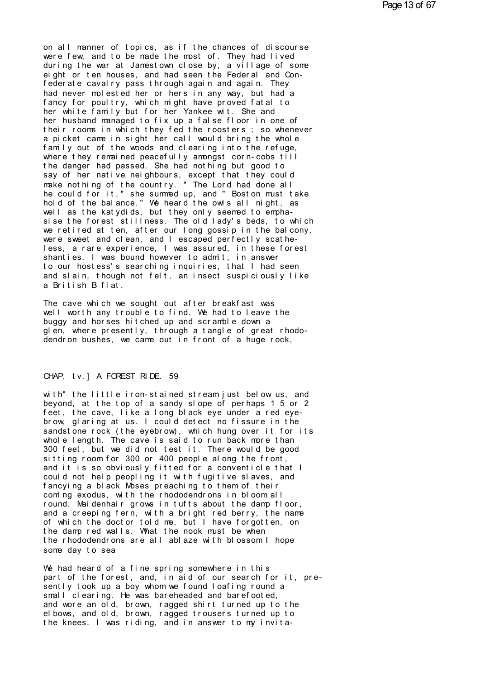on all manner of topics, as if the chances of discourse<br>were few, and to be made the most of. They had lived<br>during the wer at lampstown close by a village of some on all manner of topics, as if the chances of discourse<br>were few, and to be made the most of. They had lived<br>during the war at Jamestown close by, a village of some<br>eight or ten bouses, and bad seen the Eederal and Conon all manner of topics, as if the chances of discourse<br>were few, and to be made the most of. They had lived<br>during the war at Jamestown close by, a village of some<br>eight or ten houses, and had seen the Federal and Con-<br>fe eing and the matrice of the state of the chances of discourse<br>were few, and to be made the most of. They had lived<br>during the war at Jamestown close by, a village of some<br>eight or ten houses, and had seen the Federal and C on all manner of topics, as if the chances of discourse<br>were few, and to be made the most of. They had lived<br>during the war at Jamestown close by, a village of some<br>eight or ten houses, and had seen the Federal and Con-<br>fe on all manner of topics, as if the chances of discourse<br>were few, and to be made the most of. They had lived<br>during the war at Jamestown close by, a village of some<br>eight or ten houses, and had seen the Federal and Con-<br>fe were few, and to be made the most of. They had lived<br>during the war at Jamestown close by, a village of some<br>eight or ten houses, and had seen the Federal and Con-<br>federate cavalry pass through again and again. They<br>had ne eight or ten houses, and had seen the Federal and Confederate cavalry pass through again and again. They had never molested her or hers in any way, but had a fancy for poultry, which might have proved fatal to her white fa their rooms in which they fed the roosters; so whenever tederate cavalry pass through again and again. They<br>had never molested her or hers in any way, but had a<br>fancy for poultry, which might have proved fatal to<br>her white family but for her Yankee wit. She and<br>her husband mana had never molested her or hers in any way, but had a<br>fancy for poultry, which might have proved fatal to<br>her white family but for her Yankee wit. She and<br>her husband managed to fix up a false floor in one of<br>their rooms in fancy for poultry, which might have proved fatal to<br>her white family but for her Yankee wit. She and<br>her husband managed to fix up a false floor in one of<br>their rooms in which they fed the roosters; so whenever<br>a picket ca her white family but for her Yankee wit. She and<br>her husband managed to fix up a false floor in one of<br>their rooms in which they fed the roosters ; so whenever<br>a picket came in sight her call would bring the whole<br>family o her husband managed to fix up a false floor in one of<br>their rooms in which they fed the roosters; so whenever<br>a picket came in sight her call would bring the whole<br>family out of the woods and clearing into the refuge,<br>wher their rooms in which they fed the roosters; so whenever<br>a picket came in sight her call would bring the whole<br>family out of the woods and clearing into the refuge,<br>where they remained peacefully amongst corn-cobs till<br>the a picket came in sight her call would bring the whole<br>family out of the woods and clearing into the refuge,<br>where they remained peacefully amongst corn-cobs till<br>the danger had passed. She had nothing but good to<br>say of he family out of the woods and clearing into the retuge,<br>where they remained peacefully amongst corn-cobs till<br>the danger had passed. She had nothing but good to<br>say of her native neighbours, except that they could<br>make nothi where they remained peacefully amongst corn-cobs till<br>the danger had passed. She had nothing but good to<br>say of her native neighbours, except that they could<br>make nothing of the country. " The Lord had done all<br>he could fo the danger had passed. She had nothing but good to<br>say of her native neighbours, except that they could<br>make nothing of the country. "The Lord had done all<br>he could for it," she summed up, and "Boston must take<br>hold of the make nothing of the country. "The Lord had done all<br>he could for it," she summed up, and "Boston must take<br>hold of the balance." We heard the owls all night, as<br>well as the katydids, but they only seemed to empha-<br>sise the he could for it," she summed up, and "Boston must take<br>hold of the balance." We heard the owls all night, as<br>well as the katydids, but they only seemed to empha-<br>sise the forest stillness. The old lady's beds, to which<br>we hold of the balance." We heard the owis all night, as<br>well as the katydids, but they only seemed to empha-<br>sise the forest stillness. The old lady's beds, to which<br>we retired at ten, after our long gossip in the balcony,<br>w sise the forest stillness. The old lady's beds, to which<br>we retired at ten, after our long gossip in the balcony,<br>were sweet and clean, and I escaped perfectly scathe-<br>less, a rare experience, I was assured, in these fores we retired at ten, after our long gossip in the balcony, were sweet and clean, and I escaped perfectly scathe-<br>less, a rare experience, I was assured, in these forest shanties. I was bound however to admit, in answer<br>to ou we retired at ten, after our long gossip in the balcony,<br>were sweet and clean, and I escaped perfectly scathe-<br>less, a rare experience, I was assured, in these forest<br>shanties. I was bound however to admit, in answer<br>to ou were sweet and clean, and I es<br>less, a rare experience, I was<br>shanties. I was bound however<br>to our hostess's searching inq<br>and slain, though not felt, an<br>a British B flat.<br>The cave which we sought out a and slain, though not felt, an insect suspiciously like<br>a British B flat.<br>The cave which we sought out after breakfast was<br>well worth any trouble to find. We had to leave the

buggy and horses hitched up and scramble down a and slain, though not felt, an insect suspiciously like<br>a British B flat.<br>The cave which we sought out after breakfast was<br>well worth any trouble to find. We had to leave the<br>buggy and horses hitched up and scramble down a a British B flat.<br>The cave which we sought out after breakfast was<br>well worth any trouble to find. We had to leave the<br>buggy and horses hitched up and scramble down a<br>glen, where presently, through a tangle of great rhododendron bushes, we came out in front of a huge rock,<br>CHAP, tv.] A FOREST RIDE. 59<br>with" the little iron-stained stream just below us, and

CHAP, tv.] A FOREST RIDE. 59<br>with" the little iron-stained stream just below us, and<br>beyond, at the top of a sandy slope of perhaps 1.5 or 2<br>feet the cave like a long black evelupder a red eve-CHAP, tv.] A FOREST RIDE. 59<br>with" the little iron-stained stream just below us, and<br>beyond, at the top of a sandy slope of perhaps 1 5 or 2<br>feet, the cave, like a long black eye under a red eye-<br>brow glaring at us I could GHAP, tv.] A FOREST RIDE. 59<br>with" the little iron-stained stream just below us, and<br>beyond, at the top of a sandy slope of perhaps 1 5 or 2<br>feet, the cave, like a long black eye under a red eye-<br>brow, glaring at us. I cou with" the little iron-stained stream just below us, and<br>beyond, at the top of a sandy slope of perhaps 15 or 2<br>feet, the cave, like a long black eye under a red eye-<br>brow, glaring at us. I could detect no fissure in the<br>sa with" the little iron-stained stream just below us, and<br>beyond, at the top of a sandy slope of perhaps 15 or 2<br>feet, the cave, like a long black eye under a red eye-<br>brow, glaring at us. I could detect no fissure in the<br>sa beyond, at the top of a sandy slope of perhaps 15 or 2<br>feet, the cave, like a long black eye under a red eye-<br>brow, glaring at us. I could detect no fissure in the<br>sandstone rock (the eyebrow), which hung over it for its<br>w reet, the cave, like a long black eye under a red eye-<br>brow, glaring at us. I could detect no fissure in the<br>sandstone rock (the eyebrow), which hung over it for its<br>whole length. The cave is said to run back more than<br>300 brow, glaring at us. I could detect no fissure in the<br>sandstone rock (the eyebrow), which hung over it for its<br>whole length. The cave is said to run back more than<br>300 feet, but we did not test it. There would be good<br>sitt whole length. The cave is said to run back more than 300 feet, but we did not test it. There would be good sitting room for 300 or 400 people along the front, and it is so obviously fitted for a conventicle that could not 300 feet, but we did not test it. There would be good and it is so obviously fitted for a conventicle that I sitting room for 300 or 400 people along the front,<br>and it is so obviously fitted for a conventicle that I<br>could not help peopling it with fugitive slaves, and<br>fancying a black Moses preaching to them of their<br>coming exodu could not help peopling it with fugitive slaves, and fancying a black Moses preaching to them of their coming exodus, with the rhododendrons in bloom all round. Maidenhair grows in tufts about the damp floor and a creeping could not help peopling it with fugitive slaves, and<br>fancying a black Moses preaching to them of their<br>coming exodus, with the rhododendrons in bloom all<br>round. Maidenhair grows in tufts about the damp floor,<br>and a creepin round. Maidenhair grows in tufts about the damp floor, and a creeping fern, with a bright red berry, the name of which the doctor told me, but I have forgotten, on the damp red walls. What the nook must be when the rhodode coming exodus, with the rhododendrons in bloom all<br>round. Maidenhair grows in tufts about the damp floor,<br>and a creeping fern, with a bright red berry, the name<br>of which the doctor told me, but I have forgotten, on<br>the dam and a creeping fern, with a bright red berry, the name of which the doctor told me, but I have forgotten, on the damp red walls. What the nook must be when the rhododendrons are all ablaze with blossom I hope some day to s of which the doctor told me, but I have forgotten, on<br>the damp red walls. What the nook must be when<br>the rhododendrons are all ablaze with blossom I hope<br>some day to sea<br>We had heard of a fine spring somewhere in this<br>part

part of the f or est of the forest and the f orest of the f orest ores of the forest , and, in aid of our search for it , presently took up a boy whom we found loafing round a small clearing. He was bareheaded and barefoot some day to sea<br>We had heard of a fine spring somewhere in this<br>part of the forest, and, in aid of our search for it, pre-<br>sently took up a boy whom we found loafing round a<br>small clearing. He was bareheaded and barefooted We had heard of a fine spring somewhere in this<br>part of the forest, and, in aid of our search for it, pre-<br>sently took up a boy whom we found loafing round a<br>small clearing. He was bareheaded and barefooted,<br>and wore an ol We had heard of a fine spring somewhere in this<br>part of the forest, and, in aid of our search for it, pre-<br>sently took up a boy whom we found loafing round a<br>small clearing. He was bareheaded and barefooted,<br>and wore an ol part of the forest, and, in aid of our search for it, presently took up a boy whom we found loafing round a<br>small clearing. He was bareheaded and barefooted,<br>and wore an old, brown, ragged shirt turned up to the<br>elbows, an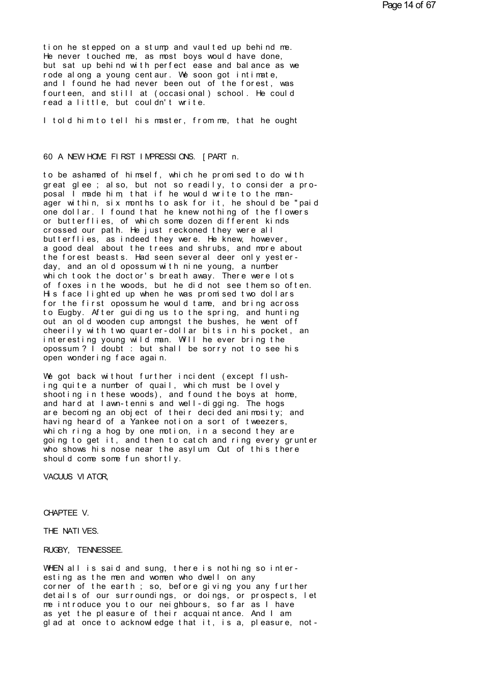tion he stepped on a stump and vaulted up behind me.<br>He never touched me, as most boys would have done, tion he stepped on a stump and vaulted up behind me.<br>He never touched me, as most boys would have done,<br>but sat up behind with perfect ease and balance as we<br>rode along a young centaur. We soon got intimate tion he stepped on a stump and vaulted up behind me.<br>He never touched me, as most boys would have done,<br>but sat up behind with perfect ease and bal ance as we<br>rode along a young centaur. We soon got intimate,<br>and I found b ration he stepped on a stump and vaulted up behind me.<br>He never touched me, as most boys would have done,<br>but sat up behind with perfect ease and balance as we<br>rode along a young centaur. We soon got intimate,<br>and I found tion he stepped on a stump and vaulted up behind me.<br>He never touched me, as most boys would have done,<br>but sat up behind with perfect ease and balance as we<br>rode along a young centaur. We soon got intimate,<br>and I found he from he stepped on a stump and vaulted up behind me.<br>He never touched me, as most boys would have done,<br>but sat up behind with perfect ease and balance as we<br>rode along a young centaur. We soon got intimate,<br>and I found he He never touched me, as most boys would have d<br>but sat up behind with perfect ease and balanc<br>rode along a young centaur. We soon got intima<br>and I found he had never been out of the fores<br>fourteen, and still at (occasional rode along a young centaur. We soon got intimate,<br>and I found he had never been out of the forest, was<br>fourteen, and still at (occasional) school. He could<br>read a little, but couldn't write.

I told him to tell his master, from me, that he ought<br>60 A NEW HOME FIRST IMPRESSIONS. [PART n.<br>to be ashamed of himself, which he promised to do with

to be ashamed of himself, which he promised to do with<br>to be ashamed of himself, which he promised to do with<br>great glee ; also, but not so readily, to consider a pro-<br>posal I made him, that if he would write to the man 60 A NEW HONE FIRST IMPRESSIONS. [PART n.<br>to be ashamed of himself, which he promised to do with<br>great glee ; also, but not so readily, to consider a pro-<br>posal I made him, that if he would write to the man-<br>ager within, s to be ashamed of himself, which he promised to do with<br>great glee ; also, but not so readily, to consider a pro-<br>posal I made him, that if he would write to the man-<br>ager within, six months to ask for it, he should be "pai to be ashamed of himself, which he promised to dow the<br>great glee; also, but not so readily, to consider a pro-<br>posal I made him, that if he would write to the man-<br>ager within, six months to ask for it, he should be "paid posal I made him, that if he would write to the man-<br>ager within, six months to ask for it, he should be "paid<br>one dollar. I found that he knew nothing of the flowers<br>or butterflies, of which some dozen different kinds<br>cro posal I made him, that it he would write to the manager within, six months to ask for it, he should be "paid<br>one dollar. I found that he knew nothing of the flowers<br>or butterflies, of which some dozen different kinds<br>cross ager within, six months to ask for it, he should be "paid<br>one dollar. I found that he knew nothing of the flowers<br>or butterflies, of which some dozen different kinds<br>crossed our path. He just reckoned they were all<br>butterf one dollar. I found that he knew nothing of the flowers<br>or butterflies, of which some dozen different kinds<br>crossed our path. He just reckoned they were all<br>butterflies, as indeed they were. He knew, however,<br>a good deal a crossed our path. He just reckoned they were all<br>butterflies, as indeed they were. He knew, however,<br>a good deal about the trees and shrubs, and more about<br>the forest beasts. Had seen several deer only yester-<br>day, and an butterflies, as indeed they were. He knew, however,<br>a good deal about the trees and shrubs, and more about<br>the forest beasts. Had seen several deer only yester-<br>day, and an old opossum with nine young, a number<br>which took a good deal about the trees and shrubs, and more about<br>the forest beasts. Had seen several deer only yester-<br>day, and an old opossum with nine young, a number<br>which took the doctor's breath away. There were lots<br>of foxes i the forest beasts. Had seen several deer only yester-<br>day, and an old opossum with nine young, a number<br>which took the doctor's breath away. There were lots<br>of foxes in the woods, but he did not see them so often.<br>His face day, and an old opossum with nine young, a number<br>which took the doctor's breath away. There were lots<br>of foxes in the woods, but he did not see them so often.<br>His face lighted up when he was promised two dollars<br>for the f which took the doctor's breath away. There were lots<br>of foxes in the woods, but he did not see them so often.<br>His face lighted up when he was promised two dollars<br>for the first opossum he would tame, and bring across<br>to Eu of foxes in the woods, but he did not see them so often.<br>His face lighted up when he was promised two dollars<br>for the first opossum he would tame, and bring across<br>to Eugby. After guiding us to the spring, and hunting<br>out His face lighted up when he was promised two dollars<br>for the first opossum he would tame, and bring across<br>to Eugby. After guiding us to the spring, and hunting<br>out an old wooden cup amongst the bushes, he went off<br>cheeril for the first opossum he would tame, and bring across<br>to Eugby. After guiding us to the spring, and hunting<br>out an old wooden cup amongst the bushes, he went off<br>cheerily with two quarter-dollar bits in his pocket, an<br>inte to Eugby. After guiding us to the spriout an old wooden cup amongst the bush<br>cheerily with two quarter-dollar bits<br>interesting young wild man. Will he ev<br>opossum ? I doubt : but shall be sorry<br>open wondering face again.<br>Wh cheerly with two quarter-dollar bits in his pocket, and interesting young wild man. Will he ever bring the opossum ? I doubt : but shall be sorry not to see his open wondering face again.<br>We got back without further incide

opossum? I doubt : but shall be sorry not to see his<br>open wondering face again.<br>We got back without further incident (except flush-<br>ing quite a number of quail, which must be lovely<br>shooting in these woods), and found the opossum ? I doubt : but shall be sorry not to see his<br>open wondering face again.<br>We got back without further incident (except flush-<br>ing quite a number of quail, which must be lovely<br>shooting in these woods), and found the open wondering face again.<br>We got back without further incident (except flushing quite a number of quail, which must be lovely<br>shooting in these woods), and found the boys at home,<br>and hard at lawn-tennis and well-digging. We got back without further incident (except flushing quite a number of quail, which must be lovely shooting in these woods), and found the boys at home, and hard at lawn-tennis and well-digging. The hogs are becoming an o We got back without further incident (except flush-<br>ing quite a number of quail, which must be lovely<br>shooting in these woods), and found the boys at home,<br>and hard at lawn-tennis and well-digging. The hogs<br>are becoming an ing quite a number of quail, which must be lovely<br>shooting in these woods), and found the boys at home,<br>and hard at lawn-tennis and well-digging. The hogs<br>are becoming an object of their decided animosity; and<br>having heard shooting in these woods), and found the boys at home,<br>and hard at lawn-tennis and well-digging. The hogs<br>are becoming an object of their decided animosity; and<br>having heard of a Yankee notion a sort of tweezers,<br>which ring and hard at lawn-tennis and well-digging. The hogs<br>are becoming an object of their decided animosity; and<br>having heard of a Yankee notion a sort of tweezers,<br>which ring a hog by one motion, in a second they are<br>going to ge are becoming an object of their decided a<br>having heard of a Yankee notion a sort of<br>which ring a hog by one motion, in a seco<br>going to get it, and then to catch and ri<br>who shows his nose near the asylum Out o<br>should come s Which ring a hog by one<br>going to get it, and the<br>who shows his nose near<br>should come some fun sh<br>VACUUS VIATOR,

CHAPTEE V.

CHAPTEE V.<br>THE NATI VES.<br>PLICRY TENNESSEE

CHAPTEE V.<br>THE NATIVES.<br>RUGBY, TENNESSEE.<br>WHEN all is said and

THE NATIVES.<br>RUGBY, TENNESSEE.<br>WHEN all is said and sung, there is nothing so inter-<br>esting as the men and women who dwell on any<br>corner of the earth ; so, before giving you any further RUGBY, TENNESSEE.<br>WHEN all is said and sung, there is nothing so inter-<br>esting as the men and women who dwell on any<br>corner of the earth ; so, before giving you any further<br>details of our surroundings, or doings, or prospe RUGBY, TENNESSEE.<br>WHEN all is said and sung, there is nothing so inter-<br>esting as the men and women who dwell on any<br>corner of the earth ; so, before giving you any further<br>details of our surroundings, or doings, or prospe WHEN all is said and sung, there is nothing so inter-<br>esting as the men and women who dwell on any<br>corner of the earth ; so, before giving you any further<br>details of our surroundings, or doings, or prospects, let<br>me introd WHEN all is said and sung, there is nothing so inter-<br>esting as the men and women who dwell on any<br>corner of the earth ; so, before giving you any further<br>details of our surroundings, or doings, or prospects, let<br>me introd esting as the men and women who dwell on any<br>corner of the earth ; so, before giving you any further<br>details of our surroundings, or doings, or prospects, let<br>me introduce you to our neighbours, so far as I have<br>as yet the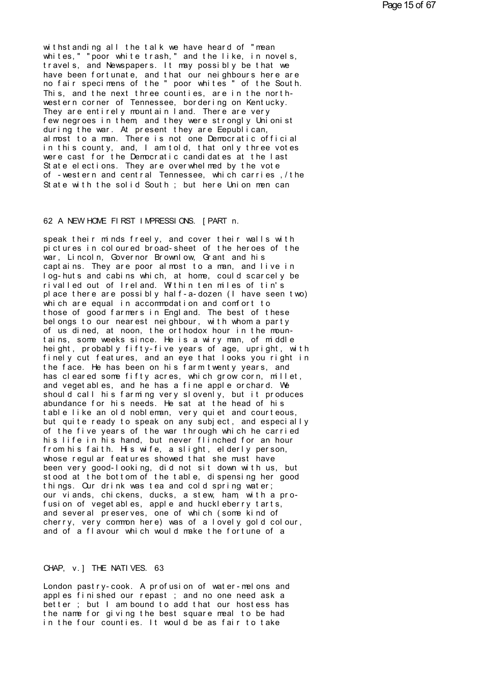withstanding all the talk we have heard of "mean<br>whites," "poor white trash," and the like, in novels,<br>travels, and Newspapers, It may possibly be that we withstanding all the talk we have heard of "mean<br>whites," "poor white trash," and the like, in novels,<br>travels, and Newspapers. It may possibly be that we<br>have been fortunate, and that our peighbours bere are withstanding all the talk we have heard of "mean<br>whites," "poor white trash," and the like, in novels,<br>travels, and Newspapers. It may possibly be that we<br>have been fortunate, and that our neighbours here are withstanding all the talk we have heard of "mean<br>whites," "poor white trash," and the like, in novels,<br>travels, and Newspapers. It may possibly be that we<br>have been fortunate, and that our neighbours here are<br>no fair speci withstanding all the talk we have heard of "mean<br>whites," "poor white trash," and the like, in novels,<br>travels, and Newspapers. It may possibly be that we<br>have been fortunate, and that our neighbours here are<br>no fair speci whites," "poor white trash," and the like, in novels,<br>travels, and Newspapers. It may possibly be that we<br>have been fortunate, and that our neighbours here are<br>no fair specinens of the "poor whites" of the South.<br>This, and travels, and Newspapers. It may possibly be that we<br>have been fortunate, and that our neighbours here are<br>no fair specimens of the "poor whites" of the South.<br>This, and the next three counties, are in the north-<br>western co have been fortunate, and that our neighbours here are<br>no fair specimens of the "poor whites" of the South.<br>This, and the next three counties, are in the north-<br>western corner of Tennessee, bordering on Kentucky.<br>They are e no fair specimens of the "poor whites" of the South.<br>This, and the next three counties, are in the north-<br>western corner of Tennessee, bordering on Kentucky.<br>They are entirely mountain land. There are very<br>few negroes in t This, and the next three counties, are in the north-<br>western corner of Tennessee, bordering on Kentucky.<br>They are entirely mountain land. There are very<br>few negroes in them, and they were strongly Unionist<br>during the war. western corner of Tennessee, bordering on Kentucky.<br>They are entirely mountain land. There are very<br>few negroes in them, and they were strongly Unionist<br>during the war. At present they are Eepublican,<br>almost to a man. Ther They are entirely mountain land. There are very<br>few negroes in them, and they were strongly Unionist<br>during the war. At present they are Eepublican,<br>almost to a man. There is not one Democratic official<br>in this county, and few negroes in them, and they were strongly Unionist<br>during the war. At present they are Eepublican,<br>almost to a man. There is not one Democratic official<br>in this county, and, I am told, that only three votes<br>were cast for during the war. At present they are Eepublican,<br>almost to a man. There is not one Democratic official<br>in this county, and, I am told, that only three votes<br>were cast for the Democratic candidates at the last<br>State election in this county, and, I am told, that only three votes were cast for the Democratic candidates at the last State elections. They are overwhelmed by the vote of -western and central Tennessee, which carries,/the State with the solid South ; but here Union men can<br>62 A NEW HOME FIRST IMPRESSIONS. [PART n.<br>speak their minds freely, and cover their walls with

62 A NEW HOWE FIRST IMPRESSIONS. [PART n.<br>speak their minds freely, and cover their walls with<br>pictures in coloured broad-sheet of the heroes of the<br>wer lincoln. Governor Brownlow, Grant and his 62 A NEW HONE FIRST IMPRESSIONS. [PART n.<br>speak their minds freely, and cover their walls with<br>pictures in coloured broad-sheet of the heroes of the<br>war, Lincoln, Governor Brownlow, Grant and his<br>cantains. They are poor al 62 A NEW HONE FIRST IMPRESSIONS. [PART n.<br>speak their minds freely, and cover their walls with<br>pictures in coloured broad-sheet of the heroes of the<br>war, Lincoln, Governor Brownlow, Grant and his<br>captains. They are poor al 62 A NEW HOWE FIRST IMPRESSIONS. [PART n.<br>speak their minds freely, and cover their walls with<br>pictures in coloured broad-sheet of the heroes of the<br>war, Lincoln, Governor Brownlow, Grant and his<br>captains. They are poor al war, Lincoln, Governor Brownlow, Grant and his<br>captains. They are poor almost to a man, and live in<br>log-huts and cabins which, at home, could scarcely be<br>rivalled out of Ireland. Within ten miles of tin's speak their minds treely, and cover their walls with<br>pictures in coloured broad-sheet of the heroes of the<br>war, Lincoln, Governor Brownlow, Grant and his<br>captains. They are poor almost to a man, and live in<br>log-huts and ca pletures in coloured broad-sheet of the heroes of the<br>war, Lincoln, Governor Brownlow, Grant and his<br>captains. They are poor almost to a man, and live in<br>log-huts and cabins which, at home, could scarcely be<br>rivalled out o war, Lincoln, Governor Brownlow, Grant and his<br>captains. They are poor almost to a man, and live in<br>log-huts and cabins which, at home, could scarcely be<br>rivalled out of Ireland. Within ten miles of tin's<br>place there are p captains. Iney are poor almost to a man, and live in<br>log-huts and cabins which, at home, could scarcely be<br>rivalled out of Ireland. Within ten miles of tin's<br>place there are possibly half-a-dozen (I have seen two)<br>which ar log-huts and cabins which, at home, could scarcely be<br>rivalled out of Ireland. Within ten miles of tin's<br>place there are possibly half-a-dozen (I have seen two)<br>which are equal in accommodation and comfort to<br>those of good rivalled out of Ireland. Within ten miles of tin's<br>place there are possibly half-a-dozen (I have seen two)<br>which are equal in accommodation and comfort to<br>those of good farmers in England. The best of these<br>belongs to our place there are possibly half-a-dozen (I have seen two)<br>which are equal in accommodation and comfort to<br>those of good farmers in England. The best of these<br>belongs to our nearest neighbour, with whom a party<br>of us dined, a which are equal in accommodation and confort to<br>those of good farmers in England. The best of these<br>belongs to our nearest neighbour, with whom a party<br>of us dined, at noon, the orthodox hour in the moun-<br>tains, some weeks those of good farmers in England. The best of these<br>belongs to our nearest neighbour, with whom a party<br>of us dined, at noon, the orthodox hour in the moun-<br>tains, some weeks since. He is a wiry man, of middle<br>height, prob belongs to our nearest neighbour, with whom a party<br>of us dined, at noon, the orthodox hour in the moun-<br>tains, some weeks since. He is a wiry man, of middle<br>height, probably fifty-five years of age, upright, with<br>finely c of us dined, at noon, the orthodox hour in the moun-<br>tains, some weeks since. He is a wiry man, of middle<br>height, probably fifty-five years of age, upright, with<br>finely cut features, and an eye that looks you right in<br>the height, probably fifty-five years of age, upright, with finely cut features, and an eye that looks you right in the face. He has been on his farm twenty years, and has cleared some fifty acres, which grow corn, millet, and helight, probably fifty-five years of age, upright, with<br>finely cut features, and an eye that looks you right in<br>the face. He has been on his farm twenty years, and<br>has cleared some fifty acres, which grow corn, millet,<br>an rinely cut reatures, and an eye that looks you right in<br>the face. He has been on his farm twenty years, and<br>has cleared some fifty acres, which grow corn, millet,<br>and vegetables, and he has a fine apple orchard. We<br>should the face. He has been on his farm twenty years, and<br>has cleared some fifty acres, which grow corn, millet,<br>and vegetables, and he has a fine apple orchard. We<br>should call his farming very slovenly, but it produces<br>abundanc has cleared some fifty acres, which grow corn, millet,<br>and vegetables, and he has a fine apple orchard. We<br>should call his farming very slovenly, but it produces<br>abundance for his needs. He sat at the head of his<br>table lik and vegetables, and he has a fine apple orchard. We<br>should call his farming very slovenly, but it produces<br>abundance for his needs. He sat at the head of his<br>table like an old nobleman, very quiet and courteous,<br>but quite should call his farming very slovenly, but it produces<br>abundance for his needs. He sat at the head of his<br>table like an old nobleman, very quiet and courteous,<br>but quite ready to speak on any subject, and especially<br>of the abundance for his needs. He sat at the head of his<br>table like an old nobleman, very quiet and courteous,<br>but quite ready to speak on any subject, and especially<br>of the five years of the war through which he carried<br>his lif table like an old nobleman, very quiet and courteous,<br>but quite ready to speak on any subject, and especially<br>of the five years of the war through which he carried<br>his life in his hand, but never flinched for an hour<br>from of the five years of the war through which he carried<br>his life in his hand, but never flinched for an hour<br>from his faith. His wife, a slight, elderly person,<br>whose regular features showed that she must have<br>been very good of the five years of the war through which he carried<br>his life in his hand, but never flinched for an hour<br>from his faith. His wife, a slight, elderly person,<br>whose regular features showed that she must have<br>been very good his life in his hand, but never flinched for an hour<br>from his faith. His wife, a slight, elderly person,<br>whose regular features showed that she must have<br>been very good-looking, did not sit down with us, but<br>stood at the b rrom nis faith. His wife, a slight, elderly person,<br>whose regular features showed that she must have<br>been very good-looking, did not sit down with us, but<br>stood at the bottom of the table, dispensing her good<br>things. Cur d whose regular features showed that she must have<br>been very good-looking, did not sit down with us, but<br>stood at the bottom of the table, dispensing her good<br>things. Our drink was tea and cold spring water;<br>our viands, chic stood at the bottom of the table, dispensing her good<br>things. Our drink was tea and cold spring water;<br>our viands, chickens, ducks, a stew, ham, with a pro-<br>fusion of vegetables, apple and huckleberry tarts,<br>and several pr stood at the bottom of the table, dispensing her good<br>things. Cur drink was tea and cold spring water;<br>our viands, chickens, ducks, a stew, ham, with a pro-<br>fusion of vegetables, apple and huckleberry tarts,<br>and several pr things. Our drink was tea and cold spring water;<br>our viands, chickens, ducks, a stew, ham, with a pro-<br>fusion of vegetables, apple and huckleberry tarts,<br>and several preserves, one of which (some kind of<br>cherry, very commo cherry, very common here) was of a land of a flavour which would make the<br>and of a flavour which would make the<br>CHAP, v.] THE NATIVES. 63<br>London pastry-cook. A profusion of w

CHAP, v.] THE NATIVES. 63<br>London past ry-cook. A profusion of wat er-melons and<br>apples finished our repast ; and no one need ask a<br>better : but I am bound to add that our bostess bas CHAP, v.] THE NATIVES. 63<br>London pastry-cook. A profusion of water-melons and<br>apples finished our repast ; and no one need ask a<br>better ; but I am bound to add that our hostess has<br>the name for giving the best square meal CHAP, v.] THE NATIVES. 63<br>London pastry-cook. A profusion of water-melons and<br>apples finished our repast ; and no one need ask a<br>better ; but I am bound to add that our hostess has<br>the name for giving the best square meal CHAP, v.] THE NATIVES. 63<br>London pastry-cook. A profusion of water-melons and<br>apples finished our repast ; and no one need ask a<br>better ; but I am bound to add that our hostess has<br>the name for giving the best square meal London pastry-cook. A profusion of water-melons and apples finished our repast ; and no one need ask a better ; but I am bound to add that our hostess has the name for giving the best square meal to be had in the four coun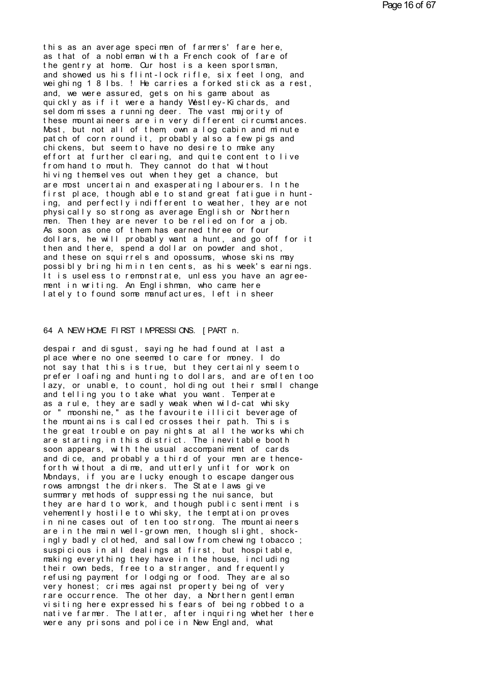this as an average specimen of farmers' fare here,<br>as that of a nobleman with a French cook of fare of<br>the gentry at home. Our host is a keep sportsmen this as an average specimen of farmers' fare here,<br>as that of a nobleman with a French cook of fare of<br>the gentry at home. Our host is a keen sportsman, and showed us his flint-lock rifle, six feet long, and this as an average specimen of farmers' fare here,<br>as that of a nobleman with a French cook of fare of<br>the gentry at home. Our host is a keen sportsman,<br>and showed us his flint-lock rifle, six feet long, and<br>weighing 18 lb this as an average specimen of farmers' fare here,<br>as that of a nobleman with a French cook of fare of<br>the gentry at home. Our host is a keen sportsman,<br>and showed us his flint-lock rifle, six feet long, and<br>weighing 1 8 I this as an average specimen of farmers' fare here,<br>as that of a nobleman with a French cook of fare of<br>the gentry at home. Our host is a keen sportsman,<br>and showed us his flint-lock rifle, six feet long, and<br>weighing 18 lb as that of a nobleman with a French cook of fare of<br>the gentry at home. Our host is a keen sportsman,<br>and showed us his flint-lock rifle, six feet long, and<br>weighing 18 lbs. ! He carries a forked stick as a rest,<br>and, we w the gentry at home. Cur host is a keen sportsman,<br>and showed us his flint-lock rifle, six feet long, and<br>weighing 18 lbs. ! He carries a forked stick as a rest,<br>and, we were assured, gets on his game about as<br>quickly as if and showed us his flint-lock rifle, six feet long, and<br>weighing 18 lbs. ! He carries a forked stick as a rest,<br>and, we were assured, gets on his game about as<br>quickly as if it were a handy Westley-Kichards, and<br>seldom miss weighing 1 8 Ibs. ! He carries a forked stick as a rest,<br>and, we were assured, gets on his game about as<br>quickly as if it were a handy Westley-Kichards, and<br>seldom misses a running deer. The vast majority of<br>these mountain and, we were assured, gets on his game about as<br>quickly as if it were a handy Westley-Kichards, and<br>seldom misses a running deer. The vast majority of<br>these mountaineers are in very different circumstances.<br>Most, but not a quickly as if it were a handy Westley-Kichards, and<br>seldom misses a running deer. The vast majority of<br>these mountaineers are in very different circumstances<br>Most, but not all of them, own a log cabin and minute<br>patch of c these mountaineers are in very different circumstances.<br>Most, but not all of them, own a log cabin and minute<br>patch of corn round it, probably also a few pigs and<br>chickens, but seem to have no desire to make any<br>effort at Most, but not all of them, own a log cabin and minute patch of corn round it, probably also a few pigs and chickens, but seem to have no desire to make any effort at further clearing, and quite content to live from hand to Most, but not all of them, own a log cabin and minute<br>patch of corn round it, probably also a few pigs and<br>chickens, but seem to have no desire to make any<br>effort at further clearing, and quite content to live<br>from hand to patch of corn round it, probably also a few pigs and<br>chickens, but seem to have no desire to make any<br>effort at further clearing, and quite content to live<br>from hand to mouth. They cannot do that without<br>hiving themselves chickens, but seem to have no desire to make any<br>effort at further clearing, and quite content to live<br>from hand to mouth. They cannot do that without<br>hiving themselves out when they get a chance, but<br>are most uncertain an effort at further clearing, and quite content to live<br>from hand to mouth. They cannot do that without<br>hiving themselves out when they get a chance, but<br>are most uncertain and exasperating labourers. In the<br>first place, tho from hand to mouth. They cannot do that without<br>hiving themselves out when they get a chance, but<br>are most uncertain and exasperating labourers. In the<br>first place, though able to stand great fatigue in hunt-<br>ing, and perf hiving themselves out when they get a chance, but<br>are most uncertain and exasperating labourers. In the<br>first place, though able to stand great fatigue in hunt-<br>ing, and perfectly indifferent to weather, they are not<br>physi are most uncertain and exasperating labourers. In the<br>first place, though able to stand great fatigue in hunt-<br>ing, and perfectly indifferent to weather, they are not<br>physically so strong as average English or Northern<br>men first place, though able to stand great fatigue in hunt-<br>ing, and perfectly indifferent to weather, they are not<br>physically so strong as average English or Northern<br>men. Then they are never to be relied on for a job.<br>As so ing, and perfectly indifferent to weather, they are not<br>physically so strong as average English or Northern<br>men. Then they are never to be relied on for a job.<br>As soon as one of them has earned three or four<br>dollars, he wi men. Then they are never to be relied on for a job.<br>As soon as one of them has earned three or four<br>dollars, he will probably want a hunt, and go off for it<br>then and there, spend a dollar on powder and shot,<br>and these on s men. Then they are never to be relied on for a job.<br>As soon as one of them has earned three or four<br>dollars, he will probably want a hunt, and go off for it<br>then and there, spend a dollar on powder and shot,<br>and these on s As soon as one of them has earned three or four<br>dollars, he will probably want a hunt, and go off for it<br>then and there, spend a dollar on powder and shot,<br>and these on squirrels and opossums, whose skins may<br>possibly brin It is useless to remonstrate, unless you have an agree-ment in writing. An Englishman, who came here lately to found some manufactures, left in sheer<br>64 A NEW HOME FIRST IMPRESSIONS. [PART n.

despair and disgust, saying he had found at last a<br>place where no one seemed to care for money. I do not say that this is true, but they certainly seem to prefer loafing and hunting to dollars, and are often too 64 A NEW HOWE FIRSITMPRESSIONS. [PARIN.<br>despair and disgust, saying he had found at last a<br>place where no one seemed to care for money. I do<br>not say that this is true, but they certainly seem to<br>prefer loafing and hunting despair and disgust, saying he had found at last a<br>place where no one seemed to care for money. I do<br>not say that this is true, but they certainly seem to<br>prefer loafing and hunting to dollars, and are often too<br>lazy, or u despair and disgust, saying he had found at last a<br>place where no one seemed to care for money. I do<br>not say that this is true, but they certainly seem to<br>prefer loafing and hunting to dollars, and are often too<br>lazy, or u place where no one seemed to care for money. I do<br>not say that this is true, but they certainly seem to<br>prefer loafing and hunting to dollars, and are often too<br>lazy, or unable, to count, holding out their small change<br>and not say that this is true, but they certainly seem to<br>prefer loafing and hunting to dollars, and are often too<br>lazy, or unable, to count, holding out their small change<br>and telling you to take what you want. Temperate<br>as a prefer loafing and hunting to dollars, and are often too<br>lazy, or unable, to count, holding out their small change<br>and telling you to take what you want. Temperate<br>as a rule, they are sadly weak when wild-cat whisky<br>or "mo lazy, or unable, to count, holding out their small change<br>and telling you to take what you want. Temperate<br>as a rule, they are sadly weak when wild-cat whisky<br>or "monshine," as the favourite illicit beverage of<br>the mountai and telling you to take what you want. Iemperate<br>as a rule, they are sadly weak when wild-cat whisky<br>or "monshine," as the favourite illicit beverage of<br>the mountains is called crosses their path. This is<br>the great trouble as a rule, they are sadly weak when wild-cat whisky<br>or "moonshine," as the favourite illicit beverage of<br>the mountains is called crosses their path. This is<br>the great trouble on pay nights at all the works which<br>are starti or "moonshine," as the favourite illicit beverage of<br>the mountains is called crosses their path. This is<br>the great trouble on pay nights at all the works which<br>are starting in this district. The inevitable booth<br>soon appea the mountains is called crosses their path. This is<br>the great trouble on pay nights at all the works which<br>are starting in this district. The inevitable booth<br>soon appears, with the usual accompaniment of cards<br>and dice, a the great trouble on pay nights at all the works which<br>are starting in this district. The inevitable booth<br>soon appears, with the usual accompaniment of cards<br>and dice, and probably a third of your men are thence-<br>forth wi are starting in this district. The inevitable booth<br>soon appears, with the usual accompaniment of cards<br>and dice, and probably a third of your men are thence-<br>forth without a dime, and utterly unfit for work on<br>Mondays, if soon appears, with the usual accompaniment of cards<br>and dice, and probably a third of your men are thence-<br>forth without a dime, and utterly unfit for work on<br>Mondays, if you are lucky enough to escape dangerous<br>rows among and dice, and probably a third of your men are thence-<br>forth without a dime, and utterly unfit for work on<br>Mondays, if you are lucky enough to escape dangerous<br>rows amongst the drinkers. The State laws give<br>summary methods for th without a dime, and utterly unfit for work on<br>Mondays, if you are lucky enough to escape dangerous<br>rows amongst the drinkers. The State laws give<br>summary methods of suppressing the nuisance, but<br>they are hard to wor Mondays, if you are lucky enough to escape dangerous<br>rows amongst the drinkers. The State laws give<br>summary methods of suppressing the nuisance, but<br>they are hard to work, and though public sentiment is<br>vehemently hostile rows amongst the drinkers. The State laws give<br>summary methods of suppressing the nuisance, but<br>they are hard to work, and though public sentiment is<br>vehemently hostile to whisky, the temptation proves<br>in nine cases out of summary methods of suppressing the nuisance, but<br>they are hard to work, and though public sentiment is<br>vehemently hostile to whisky, the temptation proves<br>in nine cases out of ten too strong. The mountaineers<br>are in the ma they are hard to work, and though public sentiment is<br>vehemently hostile to whisky, the temptation proves<br>in nine cases out of ten too strong. The mountaineers<br>are in the main well-grown men, though slight, shock-<br>ingly ba vehemently hostile to whisky, the temptation proves<br>in nine cases out of ten too strong. The mountaineers<br>are in the main well-grown men, though slight, shock-<br>ingly badly clothed, and sallow from chewing tobacco;<br>suspicio In nine cases out of ten too strong. The mountaineers<br>are in the main well-grown men, though slight, shock-<br>ingly badly clothed, and sallow from chewing tobacco;<br>suspicious in all dealings at first, but hospitable,<br>making are in the main well-grown men, though slight, shock-<br>ingly badly clothed, and sallow from chewing tobacco;<br>suspicious in all dealings at first, but hospitable,<br>making everything they have in the house, including<br>their own ingly badly clothed, and sallow from chewing tobacco;<br>suspicious in all dealings at first, but hospitable,<br>making everything they have in the house, including<br>their own beds, free to a stranger, and frequently<br>refusing pay suspicious in all dealings at first, but hospitable,<br>making everything they have in the house, including<br>their own beds, free to a stranger, and frequently<br>refusing payment for lodging or food. They are also<br>very honest; c making everything they have in the house, including<br>their own beds, free to a stranger, and frequently<br>refusing payment for lodging or food. They are also<br>very honest; crimes against property being of very<br>rare occurrence. their own beds, free to a stranger, and frequently<br>refusing payment for lodging or food. They are also<br>very honest; crimes against property being of very<br>rare occurrence. The other day, a Northern gentleman<br>visiting here e refusing payment for lodging or food. They are also<br>very honest; crimes against property being of very<br>rare occurrence. The other day, a Northern gentleman<br>visiting here expressed his fears of being robbed to a<br>native farm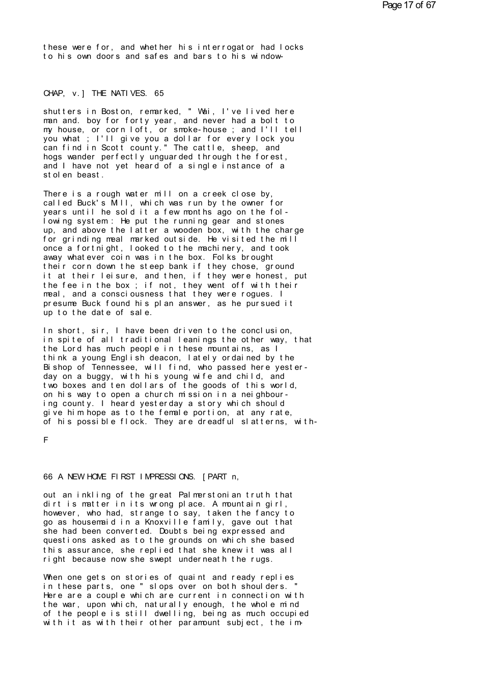these were for, and whether his interrogator had locks<br>to his own doors and safes and bars to his windowthese were for, and whether his interrogator had locks to his own doors and safes and bars to his window-<br>CHAP, v.] THE NATIVES. 65<br>shutters in Boston, remarked. "Wai, I've lived here

CHAP, v.] THE NATIVES. 65<br>shutters in Boston, remarked, "Wai, I've lived here<br>man and. boy for forty year, and never had a bolt to<br>my house, or corn loft, or smoke-bouse : and l'Il tell CHAP, v.] THE NATIVES. 65<br>shutters in Boston, remarked, "Wai, I've lived here<br>man and. boy for forty year, and never had a bolt to<br>my house, or corn loft, or smoke-house ; and I'll tell<br>you what : I'll give you a dollar fo CHAP, v.] THE NATIVES. 65<br>shutters in Boston, remarked, "Wai, I've lived here<br>man and. boy for forty year, and never had a bolt to<br>my house, or corn loft, or smoke-house ; and I'll tell<br>you what ; I'll give you a dollar fo CHAP, v.] THE NATIVES. 65<br>shutters in Boston, remarked, "Wai, I've lived here<br>man and. boy for forty year, and never had a bolt to<br>my house, or corn loft, or smoke-house ; and I'll tell<br>you what ; I'll give you a dollar fo shutters in Boston, remarked, "Wai, I've lived here<br>man and. boy for forty year, and never had a bolt to<br>my house, or corn loft, or smoke-house ; and I'll tell<br>you what ; I'll give you a dollar for every lock you<br>can find shutters in Boston, remarked, "Wai, I've lived here<br>man and. boy for forty year, and never had a bolt to<br>my house, or corn loft, or smoke-house ; and I'll tell<br>you what ; I'll give you a dollar for every lock you<br>can find man and. boy for forty year, and never had a bolt to my house, or corn loft, or smoke-house ; and l'Il tell you what ; l'Il give you a dollar for every lock you can find in Scott county." The cattle, sheep, and hogs wander my house, or corn loft, or<br>you what ; I'll give you a<br>can find in Scott county."<br>hogs wander perfectly ungu<br>and I have not yet heard o<br>stolen beast.<br>There is a rough water mil can find in Scott county." The cattle, sheep, and<br>hogs wander perfectly unguarded through the forest,<br>and I have not yet heard of a single instance of a<br>stolen beast.<br>There is a rough water mill on a creek close by,<br>called

hogs wander pertectly unguarded through the forest,<br>and I have not yet heard of a single instance of a<br>stolen beast.<br>There is a rough water mill on a creek close by,<br>called Buck's Mill, which was run by the owner for<br>years and I have not yet heard of a single instance of a<br>stolen beast.<br>There is a rough water mill on a creek close by,<br>called Buck's MII, which was run by the owner for<br>years until he sold it a few months ago on the fol-<br>lowing stolen beast.<br>There is a rough water mill on a creek close by,<br>called Buck's Mill, which was run by the owner for<br>years until he sold it a few months ago on the fol-<br>lowing system: He put the running gear and stones<br>up, an There is a rough water mill on a creek close by,<br>called Buck's Mill, which was run by the owner for<br>years until he sold it a few months ago on the fol-<br>lowing system: He put the running gear and stones<br>up, and above the la There is a rough water mill on a creek close by,<br>called Buck's Mill, which was run by the owner for<br>years until he sold it a few months ago on the fol-<br>lowing system: He put the running gear and stones<br>up, and above the la called Buck's MII, which was run by the owner for<br>years until he sold it a few months ago on the fol-<br>lowing system: He put the running gear and stones<br>up, and above the latter a wooden box, with the charge<br>for grinding me years until he sold it a few months ago on the fol-<br>lowing system: He put the running gear and stones<br>up, and above the latter a wooden box, with the charge<br>for grinding meal marked outside. He visited the mill<br>once a fort lowing system: He put the running gear and stones<br>up, and above the latter a wooden box, with the charge<br>for grinding meal marked outside. He visited the mill<br>once a fortnight, looked to the machinery, and took<br>away whatev up, and above the latter a wooden box, with the charge<br>for grinding meal marked outside. He visited the mill<br>once a fortnight, looked to the machinery, and took<br>away whatever coin was in the box. Folks brought<br>their corn d for grinding meal marked outside. He visited the mill<br>once a fortnight, looked to the machinery, and took<br>away whatever coin was in the box. Folks brought<br>their corn down the steep bank if they chose, ground<br>it at their le once a fortnight, looked to the machinery, and took<br>away whatever coin was in the box. Folks brought<br>their corn down the steep bank if they chose, ground<br>it at their leisure, and then, if they were honest, put<br>the fee in t away whatever coin was in the box. Folks brought<br>their corn down the steep bank if they chose, ground<br>it at their leisure, and then, if they were honest, put<br>the fee in the box; if not, they went off with their<br>meal, and a their corn down the steep bank it t<br>it at their leisure, and then, if t<br>the fee in the box ; if not, they w<br>meal, and a consciousness that they<br>presume Buck found his plan answer,<br>up to the date of sale.<br>In short sir I hav meal, and a consciousness that they were rogues. I<br>presume Buck found his plan answer, as he pursued it<br>up to the date of sale.<br>In short, sir, I have been driven to the conclusion,<br>in spite of all traditional leanings the

meal, and a consciousness that they were rogues. I<br>presume Buck found his plan answer, as he pursued it<br>up to the date of sale.<br>In short, sir, I have been driven to the conclusion,<br>in spite of all traditional leanings the presume Buck found his plan answer, as he pursued it<br>up to the date of sale.<br>In short, sir, I have been driven to the conclusion,<br>in spite of all traditional leanings the other way, that<br>the Lord has much people in these m up to the date of sale.<br>In short, sir, I have been driven to the conclusion,<br>in spite of all traditional leanings the other way, that<br>the Lord has much people in these mountains, as I<br>think a young English deacon, lately o In short, sir, I have been driven to the conclusion,<br>in spite of all traditional leanings the other way, that<br>the Lord has much people in these mountains, as I<br>think a young English deacon, lately ordained by the<br>Bishop of In spite of all traditional leanings the other way, that<br>the Lord has much people in these mountains, as l<br>think a young English deacon, lately ordained by the<br>Bishop of Tennessee, will find, who passed here yester-<br>day on the Lord has much people in these mountains, as it hink a young English deacon, lately ordained by the Bishop of Tennessee, will find, who passed here yesterday on a buggy, with his young wife and child, and two boxes and think a young English deacon, lately ordained by the<br>Bishop of Tennessee, will find, who passed here yester-<br>day on a buggy, with his young wife and child, and<br>two boxes and ten dollars of the goods of this world,<br>on his w day on a buggy, with his young wife and child, and<br>two boxes and ten dollars of the goods of this world,<br>on his way to open a church mission in a neighbour-<br>ing county. I heard yesterday a story which should<br>give him hope day on a buggy, with his young wite and child, and<br>two boxes and ten dollars of the goods of this world,<br>on his way to open a church mission in a neighbour-<br>ing county. I heard yesterday a story which should<br>give him hope

## 66 A NEW HOME FI RST I MPRESSI ONS. [ PART n,

out an inkling of the great Palmerstonian truth that<br>out an inkling of the great Palmerstonian truth that<br>dirt is matter in its wrong place. A mountain girl,<br>however, who had strange to say, taken the fancy to 66 A NEW HOME FIRST IMPRESSIONS. [PART n,<br>out an inkling of the great Palmerstonian truth that<br>dirt is matter in its wrong place. A mountain girl,<br>however, who had, strange to say, taken the fancy to<br>go as house-monid in a 66 A NEW HONE FIRST IMPRESSIONS. [PART n,<br>out an inkling of the great Palmerstonian truth that<br>dirt is matter in its wrong place. A mountain girl,<br>however, who had, strange to say, taken the fancy to<br>go as housemaid in a K 66 A NEW HOWE FIRST IMPRESSIONS. [PART n,<br>out an inkling of the great Palmerstonian truth that<br>dirt is matter in its wrong place. A mountain girl,<br>however, who had, strange to say, taken the fancy to<br>go as housemaid in a K out an inkling of the great Palmerstonian truth that<br>dirt is matter in its wrong place. A mountain girl,<br>however, who had, strange to say, taken the fancy to<br>go as housemaid in a Knoxville family, gave out that<br>she had bee out an inkling of the great Palmerstonian truth that<br>dirt is matter in its wrong place. A mountain girl,<br>however, who had, strange to say, taken the fancy to<br>go as housemaid in a Knoxville family, gave out that<br>she had bee dirt is matter in its wrong place. A mountain girl,<br>however, who had, strange to say, taken the fancy to<br>go as housemaid in a Knoxville family, gave out that<br>she had been converted. Doubts being expressed and<br>questions ask right because now she swept under neath the rugs.

When one gets on stories of quaint and ready replies<br>in these parts, one " slops over on both shoulders. " questions asked as to the grounds on which she based<br>this assurance, she replied that she knew it was all<br>right because now she swept underneath the rugs.<br>When one gets on stories of quaint and ready replies<br>in these parts this assurance, she replied that she knew it was all<br>right because now she swept underneath the rugs.<br>When one gets on stories of quaint and ready replies<br>in these parts, one "slops over on both shoulders."<br>Here are a coup right because now she swept underneath the rugs.<br>When one gets on stories of quaint and ready replies<br>in these parts, one "slops over on both shoulders."<br>Here are a couple which are current in connection with<br>the war, upon When one gets on stories of quaint and ready replies<br>in these parts, one "slops over on both shoulders."<br>Here are a couple which are current in connection with<br>the war, upon which, naturally enough, the whole mind<br>of the p When one gets on stories of quaint and ready replies<br>in these parts, one "slops over on both shoulders."<br>Here are a couple which are current in connection with<br>the war, upon which, naturally enough, the whole mind<br>of the p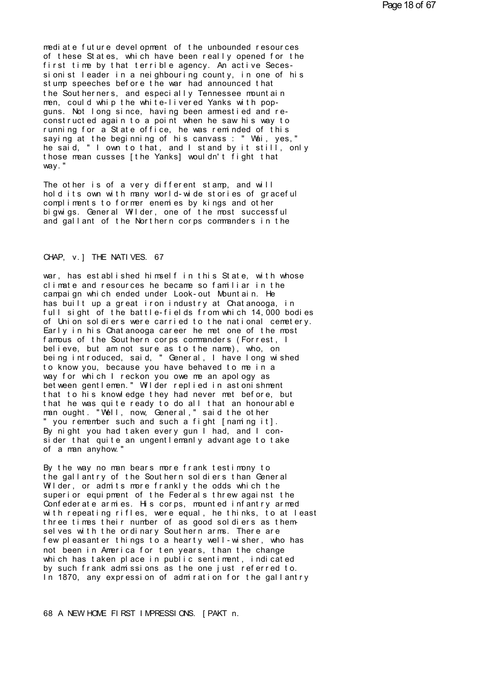mediate future development of the unbounded resources<br>of these States, which have been really opened for the<br>first time by that terrible agency. An active Secesmediate future development of the unbounded resources<br>of these States, which have been really opened for the<br>first time by that terrible agency. An active Seces-<br>sionist leader in a neighbouring county in one of his f i f i reduced that the states, which have been really opened for the first time by that terrible agency. An active Secessionist leader in a nei ghbouring county, in one of his stump speeches before the war had announced mediate future development of the unbounded resources<br>of these States, which have been really opened for the<br>first time by that terrible agency. An active Seces-<br>sionist leader in a neighbouring county, in one of his<br>stump mediate future development of the unbounded resources<br>of these States, which have been really opened for the<br>first time by that terrible agency. An active Seces-<br>sionist leader in a neighbouring county, in one of his<br>stump of these States, which have been really opened for the<br>first time by that terrible agency. An active Seces-<br>sionist leader in a neighbouring county, in one of his<br>stump speeches before the war had announced that<br>the Southe stump speeches before the war had announced that<br>the Southerners, and especially Tennessee mountain<br>men, could whip the white-livered Yanks with pop-<br>guns. Not long since, having been armestied and re-<br>constructed again to the Southerners, and especially Tennessee mountain<br>men, could whip the white-livered Yanks with pop-<br>guns. Not long since, having been armestied and re-<br>constructed again to a point when he saw his way to<br>running for a Sta men, could whip the white-livered Yanks with pop-<br>guns. Not long since, having been armestied and re-<br>constructed again to a point when he saw his way to<br>running for a State office, he was reminded of this<br>saying at the be guns. Not long since, having been armestied and reconstructed again to a point when he saw his way to running for a State office, he was reminded of this saying at the beginning of his canvass : "Wai, yes," he said, "I own constructed again<br>running for a Stat<br>saying at the begi<br>he said, "I own t<br>those mean cusses<br>way."<br>The other is of a saying at the beginning of his canvass: "Wai, yes,"<br>he said, "I own to that, and I stand by it still, only<br>those mean cusses [the Yanks] wouldn't fight that<br>way."<br>The other is of a very different stamp, and will<br>hold its o

he said, "I own to that, and I stand by it still, only<br>those mean cusses [the Yanks] wouldn't fight that<br>way."<br>The other is of a very different stamp, and will<br>hold its own with many world-wide stories of graceful<br>complime those mean cusses [the Yanks] wouldn't fight that<br>way."<br>The other is of a very different stamp, and will<br>hold its own with many world-wide stories of graceful<br>compliments to former enemies by kings and other<br>bigwigs. Gener way."<br>The other is of a very different stamp, and will<br>hold its own with many world-wide stories of graceful<br>compliments to former enemies by kings and other<br>bigwigs. General Wilder, one of the most successful<br>and gallant The other is of a very different stamp, and will<br>hold its own with many world-wide stories of graceful<br>compliments to former enemies by kings and other<br>bigwigs. General Wilder, one of the most successful<br>and gallant of the bigwigs. General Wilder, one of the most successful<br>and gallant of the Northern corps commanders in the<br>CHAP, v.] THE NATIVES. 67

CHAP, v.] THE NATIVES. 67<br>war, has est ablished himself in this State, with whose<br>climate and resources he became so familiar in the<br>cammaign which ended under look-out Mountain. He CHAP, v.] THE NATIVES. 67<br>war, has established himself in this State, with whose<br>climate and resources he became so familiar in the<br>campaign which ended under Look-out Mountain. He<br>has built un a great iron industry at Cha climate and resources he became so familiar in the<br>campaign which ended under Look-out Mountain. He<br>has built up a great iron industry at Chatanooga, in full sight of the battle-fields from which 14,000 bodies war, has established himself in this State, with whose<br>climate and resources he became so familiar in the<br>campaign which ended under Look-out Mountain. He<br>has built up a great iron industry at Chatanooga, in<br>full sight of war, has established himself in this State, with whose<br>climate and resources he became so familiar in the<br>campaign which ended under Look-out Mountain. He<br>has built up a great iron industry at Chatanooga, in<br>full sight of climate and resources he became so familiar in the<br>campaign which ended under Look-out Mountain. He<br>has built up a great iron industry at Chatanooga, in<br>full sight of the battle-fields from which 14,000 bodies<br>of Union sol campaign which ended under Look-out Mountain. He<br>has built up a great iron industry at Chatanooga, in<br>full sight of the battle-fields from which 14,000 bodies<br>of Union soldiers were carried to the national cemetery.<br>Early has built up a great iron industry at Chatanooga, in<br>full sight of the battle-fields from which 14,000 bodies<br>of Union soldiers were carried to the national cemetery.<br>Early in his Chatanooga career he met one of the most<br>f full sight of the battle-fields from which 14,000 bodies<br>of Union soldiers were carried to the national cemetery.<br>Early in his Chatanooga career he met one of the most<br>famous of the Southern corps commanders (Forrest, I<br>be of Union soldiers were carried to the national cemetery.<br>Early in his Chatanooga career he met one of the most<br>famous of the Southern corps commanders (Forrest, I<br>believe, but am not sure as to the name), who, on<br>being int Early in his Chatanooga career he met one of the most<br>famous of the Southern corps commanders (Forrest, I<br>believe, but am not sure as to the name), who, on<br>being introduced, said, "General, I have long wished<br>to know you, ramous of the Southern corps commanders (Forrest, I<br>believe, but am not sure as to the name), who, on<br>being introduced, said, "General, I have long wished<br>to know you, because you have behaved to me in a<br>way for which I re belleve, but am not sure as to the name), who, on<br>being introduced, said, "General, I have long wished<br>to know you, because you have behaved to me in a<br>way for which I reckon you owe me an apology as<br>between gentlemen." Wi being introduced, said, "General, I have long wished<br>to know you, because you have behaved to me in a<br>way for which I reckon you owe me an apology as<br>between gentlemen." Wilder replied in astonishment<br>that to his knowledge to know you, because you have behaved to me in a<br>way for which I reckon you owe me an apology as<br>between gentlemen." Wilder replied in astonishment<br>that to his knowledge they had never met before, but<br>that he was quite rea way for which I reckon you owe me an apology as<br>between gentlemen." Wilder replied in astonishment<br>that to his knowledge they had never met before, but<br>that he was quite ready to do all that an honourable<br>man ought. "Well, between gentlemen." Wilder replied in astonishment<br>that to his knowledge they had never met before, but<br>that he was quite ready to do all that an honourable<br>man ought. "Well, now, General," said the other<br>"you remember suc that he was quite ready to doman ought. "Well, now, General"<br>"you remember such and such a<br>By night you had taken every g<br>sider that quite an ungentlema<br>of a man anyhow."<br>"By the way no man bears more f "you remember such and such a fight [naming it].<br>By night you had taken every gun I had, and I consider that quite an ungentlemanly advantage to take<br>of a man anyhow."<br>By the way no man bears more frank testimony to<br>the ga

By night you had taken every gun I had, and I consider that quite an ungentlemanly advantage to take<br>of a man anyhow."<br>By the way no man bears more frank testimony to<br>the gallantry of the Southern soldiers than General<br>Wil sider that quite an ungentlemanly advantage to take<br>of a man anyhow."<br>By the way no man bears more frank testimony to<br>the gallantry of the Southern soldiers than General<br>Wilder, or admits more frankly the odds which the<br>su or a man any how."<br>By the way no man bears more frank testimony to<br>the gall antry of the Southern soldiers than General<br>Wilder, or admits more frankly the odds which the<br>superior equipment of the Federals threw against the By the way no man bears more frank testimony to<br>the gallantry of the Southern soldiers than General<br>Wilder, or admits more frankly the odds which the<br>superior equipment of the Federals threw against the<br>Confederate armies. By the way no man bears more frank testimony to<br>the gallantry of the Southern soldiers than General<br>Wilder, or admits more frankly the odds which the<br>superior equipment of the Federals threw against the<br>Confederate armies. the gall antry of the Southern soldiers than General<br>Wilder, or admits more frankly the odds which the<br>superior equipment of the Federals threw against the<br>Confederate armies. His corps, mounted infantry armed<br>with repeati superior equipment of the Federals threw against the<br>Confederate armies. His corps, mounted infantry armed<br>with repeating rifles, were equal, he thinks, to at least<br>three times their number of as good soldiers as them-<br>sel which has taken place in public sentiment, indicated by such frank admissions as the one just referred to. three times their number of as good soldiers as them<br>selves with the ordinary Southern arms. There are<br>few pleasanter things to a hearty well-wisher, who has<br>not been in America for ten years, than the change<br>which has tak selves with the ordinary Southern arms. There are<br>few pleasanter things to a hearty well-wisher, who has<br>not been in America for ten years, than the change<br>which has taken place in public sentiment, indicated<br>by such frank by such frank admissions as the one just referred in 1870, any expression of admiration for the ganger of  $\frac{1}{2}$ <br>68 A NEW HOME FIRST IMPRESSIONS. [PAKT n.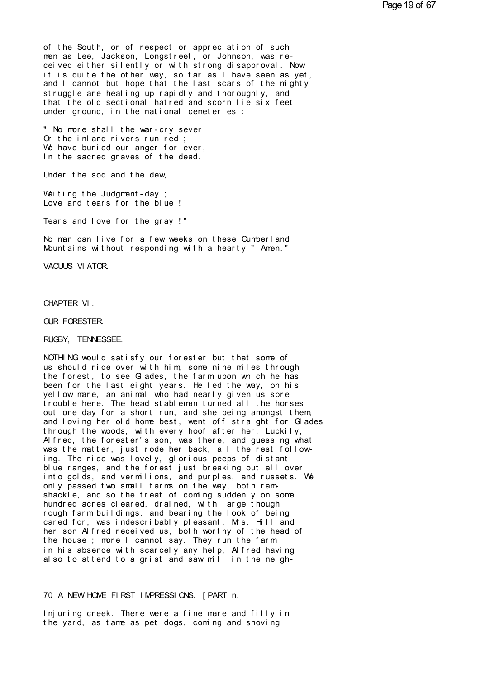of the South, or of respect or appreciation of such<br>men as Lee, Jackson, Longstreet, or Johnson, was re-<br>ceived either silently or with strong disapproval. Now of the South, or of respect or appreciation of such<br>men as Lee, Jackson, Longstreet, or Johnson, was re-<br>ceived either silently or with strong disapproval. Now<br>it is quite the other way, so far as I have seen as yet,<br>and I of the South, or of respect or appreciation of such<br>men as Lee, Jackson, Longstreet, or Johnson, was re-<br>ceived either silently or with strong disapproval. Now<br>it is quite the other way, so far as I have seen as yet,<br>and I of the South, or of respect or appreciation of such<br>men as Lee, Jackson, Longstreet, or Johnson, was re-<br>ceived either silently or with strong disapproval. Now<br>it is quite the other way, so far as I have seen as yet,<br>and I of the South, or of respect or appreciation of such<br>men as Lee, Jackson, Longstreet, or Johnson, was re-<br>ceived either silently or with strong disapproval. Now<br>it is quite the other way, so far as I have seen as yet,<br>and I men as Lee, Jackson, Longstreet, or Johnson, was received either silently or with strong disapproval. Now it is quite the other way, so far as I have seen as yet, and I cannot but hope that the last scars of the mighty str ceived either silently or with strong disapproval. Next is quite the other way, so far as I have seen as and I cannot but hope that the last scars of the might struggle are healing up rapidly and thoroughly, and that the o and I cannot but hope that the last scars of the mighty<br>struggle are healing up rapidly and thoroughly, and<br>that the old sectional hatred and scorn lie six feet<br>under ground, in the national cerreteries :<br>"No more shall th

struggle are healing up rapidly and thor<br>that the old sectional hatred and scorn<br>under ground, in the national cemeteries<br>"No more shall the war-cry sever,<br>Or the inland rivers run red ;<br>We have buried our anger for ever,<br> that the old sectional hatred and scorn lie six<br>under ground, in the national cemeteries :<br>"No more shall the war-cry sever,<br>Or the inland rivers run red ;<br>We have buried our anger for ever,<br>In the sacred graves of the dea " No more shall the war-cry sever,<br>Or the inland rivers run red;<br>We have buried our anger for ever,<br>In the sacred graves of the dead.<br>Under the sod and the dew, We have buried our anger for ever,<br>In the sacred graves of the dead.<br>Under the sod and the dew,<br>Waiting the Judgment-day ;

In the sacred graves of the dead.<br>Under the sod and the dew,<br>Waiting the Judgment-day ;<br>Love and tears for the blue ! In the sacred graves of the dead.<br>Under the sod and the dew,<br>Waiting the Judgment-day ;<br>Love and tears for the blue !<br>Tears and love for the grav !" Under the sod and the dew,<br>Waiting the Judgment-day ;<br>Love and tears for the blue !<br>Tears and love for the gray !"<br>No man can live for a few weeks on these O!

Waiting the Judgment-day ;<br>Love and tears for the blue !<br>Tears and love for the gray !"<br>No man can live for a few weeks on these Cumberland<br>Mountains without responding with a hearty "Amen." Love and tears for the blue !<br>Tears and love for the gray !"<br>No man can live for a few weeks on these Cumberland<br>Mountains without responding with a hearty " Amen."<br>VACILIS VIATOR Tears and love for the<br>No man can live for a f<br>Mountains without respo<br>VACUUS VIATOR

VACUUS VI ATOR.<br>CHAPTER VI .<br>OUR EOBESTER

OUR FORESTER.

# CHAPTER VI.<br>OUR FORESTER.<br>RUGBY, TENNESSEE.<br>NOTHLNG WOULD satisf

OUR FORESTER<br>RUGBY, TENNESSEE.<br>NOTHING would satisfy our forester but that some of<br>us should ride over with him, some nine miles through<br>the forest to see Glades, the farm upon which he has UUGBY, TENNESSEE.<br>NOTHING would satisfy our forester but that some of<br>us should ride over with him, some nine miles through<br>the forest, to see Glades, the farm upon which he has<br>been for the last eight years. He led the wa RUGBY, TENNESSEE.<br>NOTHING would satisfy our forester but that some of<br>us should ride over with him, some nine miles through<br>the forest, to see Glades, the farm upon which he has<br>been for the last eight years. He led the wa RUGBY, IENNESSEE.<br>NOTHING would satisfy our forester but that some of<br>us should ride over with him, some nine miles through<br>the forest, to see Glades, the farm upon which he has<br>been for the last eight years. He led the wa NOTHING would satisfy our forester but that some of<br>us should ride over with him, some nine miles through<br>the forest, to see Glades, the farm upon which he has<br>been for the last eight years. He led the way, on his<br>yellow m NOTHING would satisty our torester but that some of<br>us should ride over with him, some nine miles through<br>the forest, to see Glades, the farm upon which he has<br>been for the last eight years. He led the way, on his<br>yellow m us should ride over with him, some nine miles through<br>the forest, to see Glades, the farm upon which he has<br>been for the last eight years. He led the way, on his<br>yellow mare, an animal who had nearly given us sore<br>trouble the forest, to see Glades, the farm upon which he has<br>been for the last eight years. He led the way, on his<br>yellow mare, an animal who had nearly given us sore<br>trouble here. The head stableman turned all the horses<br>out one been for the last eight years. He led the way, on his<br>yellow mare, an animal who had nearly given us sore<br>trouble here. The head stableman turned all the horses<br>out one day for a short run, and she being amongst them,<br>and yellow mare, an animal who had nearly given us sore<br>trouble here. The head stableman turned all the horses<br>out one day for a short run, and she being amongst them,<br>and loving her old home best, went off straight for Glades trouble here. The head stableman turned all the horses<br>out one day for a short run, and she being amongst them,<br>and loving her old home best, went off straight for Glades<br>through the woods, with every hoof after her. Lucki out one day for a short run, and she being amongst them,<br>and loving her old home best, went off straight for Glades<br>through the woods, with every hoof after her. Luckily,<br>Alfred, the forester's son, was there, and guessing and loving her old home best, went off straight for Glades<br>through the woods, with every hoof after her. Luckily,<br>Alfred, the forester's son, was there, and guessing what<br>was the matter, just rode her back, all the rest fo through the woods, with every hoof after her. Luckily,<br>Alfred, the forester's son, was there, and guessing what<br>was the matter, just rode her back, all the rest follow-<br>ing. The ride was lovely, glorious peeps of distant<br>b was the matter, just rode her back, all the rest following. The ride was lovely, glorious peeps of distant blue ranges, and the forest just breaking out all over into golds, and vermilions, and purples, and russets. We onl ing. The ride was lovely, glorious peeps of distant<br>blue ranges, and the forest just breaking out all over<br>into golds, and vermilions, and purples, and russets. We<br>only passed two small farms on the way, both ram-<br>shackle, blue ranges, and the forest just breaking out all over<br>into golds, and vermilions, and purples, and russets. We<br>only passed two small farms on the way, both ram-<br>shackle, and so the treat of coming suddenly on some<br>hundred into golds, and vermilions, and purples, and russets. We<br>only passed two small farms on the way, both ram-<br>shackle, and so the treat of coming suddenly on some<br>hundred acres cleared, drained, with large though<br>rough farm b only passed two small farms on the way, both rams<br>shackle, and so the treat of coming suddenly on some<br>hundred acres cleared, drained, with large though<br>rough farm buildings, and bearing the look of being<br>cared for, was in shackle, and so the treat of coming suddenly on some<br>hundred acres cleared, drained, with large though<br>rough farm buildings, and bearing the look of being<br>cared for, was indescribably pleasant. Mrs. Hill and<br>her son Alfred hundred acres cleared, drained, with large though<br>rough farm buildings, and bearing the look of being<br>cared for, was indescribably pleasant. Mrs. Hill and<br>her son Alfred received us, both worthy of the head of<br>the house ; rough farm buildings, and bearing the look of being<br>cared for, was indescribably pleasant. Mrs. Hill and<br>her son Alfred received us, both worthy of the head of<br>the house ; more I cannot say. They run the farm<br>in his absenc in his absence with scarcely any help, Alfred having<br>also to attend to a grist and saw mill in the neigh-<br>70 A NEW HOME FIRST IMPRESSIONS. [PART n.<br>Iniuring creek. There were a fine mare and filly in

70 A NEW HOME FIRST IMPRESSIONS. [PART n.<br>Injuring creek. There were a fine mare and filly in<br>the yard, as tame as pet dogs, coming and shoving 70 A NEW HOME FIRST IMPRESSIONS. [PART n.<br>Injuring creek. There were a fine mare and filly in<br>the yard, as tame as pet dogs, coming and shoving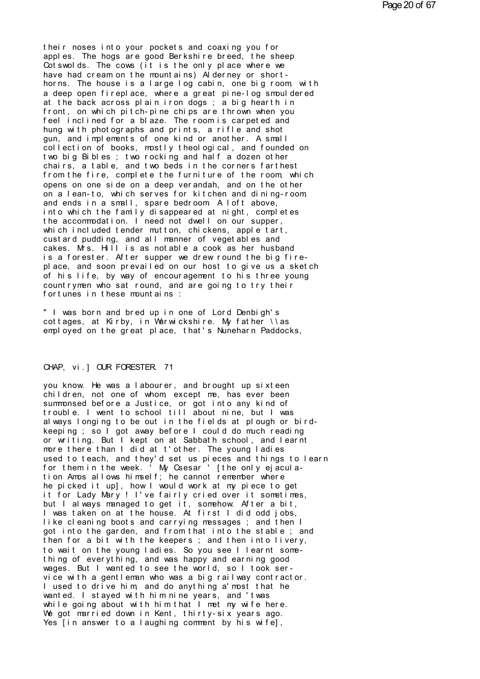their noses into your pockets and coaxing you for apples. The hogs are good Berkshire breed, the sheep Cot swolds. The cows (it is the only place where we have had cream on the mountains) A derney or shorttheir noses into your pockets and coaxing you for<br>apples. The hogs are good Berkshire breed, the sheep<br>Cotswolds. The cows (it is the only place where we<br>have had cream on the mountains) Alderney or short-<br>horns. The house horns. The house is a large log cabin, one big room, with a deep open fireplace, where a great pine-log smouldered at the back across plain iron dogs; a big hearth in apples. The hogs are good Berkshire breed, the sheep<br>Cotswolds. The cows (it is the only place where we<br>have had cream on the mountains) Alderney or short-<br>horns. The house is a large log cabin, one big room, with<br>a deep o Cotswolds. The cows (It is the only place where we<br>have had cream on the mountains) Alderney or short-<br>horns. The house is a large log cabin, one big room, with<br>a deep open fireplace, where a great pine-log smouldered<br>at t have had cream on the mountains) Alderney or short-<br>horns. The house is a large log cabin, one big room, with<br>a deep open fireplace, where a great pine-log smouldered<br>at the back across plain iron dogs; a big hearth in<br>fro horns. The house is a large log cabin, one big room, we<br>a deep open fireplace, where a great pine-log smoulder<br>at the back across plain iron dogs; a big hearth in<br>front, on which pitch-pine chips are thrown when you<br>feel i a deep open fireplace, where a great pine-log smouldered<br>at the back across plain iron dogs; a big hearth in<br>front, on which pitch-pine chips are thrown when you<br>feel inclined for a blaze. The room is carpeted and<br>hung wit at the back across plain iron dogs; a big hearth in<br>front, on which pitch-pine chips are thrown when you<br>feel inclined for a blaze. The room is carpeted and<br>hung with photographs and prints, a rifle and shot<br>gun, and imple feel inclined for a blaze. The room is carpeted and<br>hung with photographs and prints, a rifle and shot<br>gun, and implements of one kind or another. A small<br>collection of books, mostly theological, and founded on<br>two big Bib from the fire, complete the furniture of the room, which hung with photographs and prints, a rifle and shot<br>gun, and implements of one kind or another. A small<br>collection of books, mostly theological, and founded on<br>two big Bibles ; two rocking and half a dozen other<br>chairs, a t gun, and implements of one kind or another. A small<br>collection of books, mostly theological, and founded on<br>two big Bibles; two rocking and half a dozen other<br>chairs, a table, and two beds in the corners farthest<br>from the collection of books, mostly theological, and founded on<br>two big Bibles; two rocking and half a dozen other<br>chairs, a table, and two beds in the corners farthest<br>from the fire, complete the furniture of the room, which<br>open two big Bibles; two rocking and half a dozen other<br>chairs, a table, and two beds in the corners farthest<br>from the fire, complete the furniture of the room, which<br>opens on one side on a deep verandah, and on the other<br>on a chairs, a table, and two beds in the corners farthest<br>from the fire, complete the furniture of the room, which<br>opens on one side on a deep verandah, and on the other<br>on a lean-to, which serves for kitchen and dining-room,<br> from the fire, complete the furniture of the room, which<br>opens on one side on a deep verandah, and on the other<br>on a lean-to, which serves for kitchen and dining-room,<br>and ends in a small, spare bedroom. A loft above,<br>into opens on one side on a deep verandah, and on the other<br>on a lean-to, which serves for kitchen and dining-room,<br>and ends in a small, spare bedroom. A loft above,<br>into which the family disappeared at night, completes<br>the acc on a lean-to, which serves for kitchen and dining-room,<br>and ends in a small, spare bedroom. A loft above,<br>into which the family disappeared at night, completes<br>the accommodation. I need not dwell on our supper,<br>which inclu and ends in a small, spare bedroom Aloft above,<br>into which the family disappeared at night, completes<br>the accommodation. I need not dwell on our supper,<br>which included tender mutton, chickens, apple tart,<br>custard pudding, into which the family disappeared at night, completes<br>the accommodation. I need not dwell on our supper,<br>which included tender mutton, chickens, apple tart,<br>custard pudding, and all manner of vegetables and<br>cakes. Mrs. Hil which included tender mutton, chickens, apple tart,<br>custard pudding, and all manner of vegetables and<br>cakes. Mrs. Hill is as notable a cook as her husband<br>is a forester. After supper we drew round the big fire-<br>place, and custard pudding, and all manner of vegetables and<br>cakes. Mrs. Hill is as notable a cook as her husband<br>is a forester. After supper we drew round the big fire-<br>place, and soon prevailed on our host to give us a sketch<br>of hi is a forester. After supper we drew round the big fire-<br>place, and soon prevailed on our host to give us a sketch<br>of his life, by way of encouragement to his three young<br>countrymen who sat round, and are going to try their place, and soon prevailed on our host to give us a sketch<br>of his life, by way of encouragement to his three young<br>countrymen who sat round, and are going to try their<br>fortunes in these mountains :<br>"I was born and bred up i of his life, by way of encouragement to his three young<br>countrymen who sat round, and are going to try their<br>fortunes in these mountains :<br>"I was born and bred up in one of Lord Denbigh's<br>cottages, at Kirby, in Warwickshir

countrymen who sat round, and are going to try their<br>fortunes in these mountains :<br>"I was born and bred up in one of Lord Denbigh's<br>cottages, at Kirby, in Warwickshire. My father \\as<br>employed on the great place, that's Nu employed on the great place, that's Nuneharn Paddocks,<br>CHAP, vi.] OUR FORESTER 71

you know. He was a labourer, and brought up sixteen children, not one of whom except me, has ever been summonsed before a Justice, or got into any kind of trouble. I went to school till about nine, but I was al ways longing to be out in the fields at plough or birdyou know. He was a labourer, and brought up sixteen<br>children, not one of whom, except me, has ever been<br>summonsed before a Justice, or got into any kind of<br>trouble. I went to school till about nine, but I was<br>always longin children, not one of whom, except me, has ever been<br>summonsed before a Justice, or got into any kind of<br>trouble. I went to school till about nine, but I was<br>always longing to be out in the fields at plough or bird-<br>keeping summonsed before a Justice, or got into any kind of<br>trouble. I went to school till about nine, but I was<br>always longing to be out in the fields at plough or bird-<br>keeping ; so I got away before I could do much reading<br>or w trouble. I went to school till about nine, but I was<br>always longing to be out in the fields at plough or bird-<br>keeping ; so I got away before I could do much reading<br>or writing. But I kept on at Sabbath school, and learnt<br> always longing to be out in the fields at plough or bird-<br>keeping; so I got away before I could do much reading<br>or writing. But I kept on at Sabbath school, and learnt<br>more there than I did at t'other. The young ladies<br>use keeping; so I got away before I could do much reading<br>or writing. But I kept on at Sabbath school, and learnt<br>more there than I did at t'other. The young ladies<br>used to teach, and they'd set us pieces and things to learn<br>f more there than I did at t'other. The young ladies<br>used to teach, and they'd set us pieces and things to learn<br>for them in the week. 'My Csesar' [the only ejacula-<br>tion Amos allows himself; he cannot remember where<br>he pick more there than I did at t'other. The young ladies<br>used to teach, and they'd set us pieces and things to learn<br>for them in the week. 'My Csesar' [the only ejacula-<br>tion Amos allows himself; he cannot remember where<br>he pick used to teach, and they'd set us pieces and things to learn<br>for them in the week. 'My Csesar' [the only ejacula-<br>tion Amos allows himself; he cannot remember where<br>he picked it up], how I would work at my piece to get<br>it f for them in the week. 'My Csesar' [the only ejaculation Amos allows himself; he cannot remember where<br>he picked it up], how I would work at my piece to get<br>it for Lady Mary ! I've fairly cried over it sometimes,<br>but I alwa tion Amos allows himself; he cannot remember where<br>he picked it up], how I would work at my piece to get<br>it for Lady Mary ! I've fairly cried over it sometimes,<br>but I always managed to get it, somehow. After a bit,<br>I was t but I always managed to get it, somehow. After a bit,<br>I was taken on at the house. At first I did odd jobs,<br>Iike cleaning boots and carrying messages ; and then I<br>got into the garden, and from that into the stable ; and<br>th it for Lady Mary ! I've fairly cried over it sometimes,<br>but I always managed to get it, somehow. After a bit,<br>I was taken on at the house. At first I did odd jobs,<br>like cleaning boots and carrying messages ; and then I<br>got thing of everything, and was happy and earning good wages. But I wanted to see the world, so I took ser-I ike cleaning boots and carrying messages ; and then I<br>got into the garden, and from that into the stable ; and<br>then for a bit with the keepers ; and then into livery,<br>to wait on the young ladies. So you see I learnt some then for a bit with the keepers; and then into livery,<br>to wait on the young ladies. So you see I learnt some-<br>thing of everything, and was happy and earning good<br>wages. But I wanted to see the world, so I took ser-<br>vice wi to wait on the young ladies. So you see I learnt some-<br>thing of everything, and was happy and earning good<br>wages. But I wanted to see the world, so I took ser-<br>vice with a gentleman who was a big railway contractor.<br>I used thing of everything, and was happy and earning good<br>wages. But I wanted to see the world, so I took ser-<br>vice with a gentleman who was a big railway contractor.<br>I used to drive him, and do anything a'most that he<br>wanted. I wages. But I wanted to see the world, so I took ser-<br>vice with a gentleman who was a big railway contractor.<br>I used to drive him, and do anything a'most that he<br>wanted. I stayed with him nine years, and 'twas<br>while going a I used to drive him, and do anything a'most that he wanted. I stayed with him nine years, and 'twas while going about with him that I met my wife here.<br>We got married down in Kent, thirty-six years ago.<br>Yes [in answer to a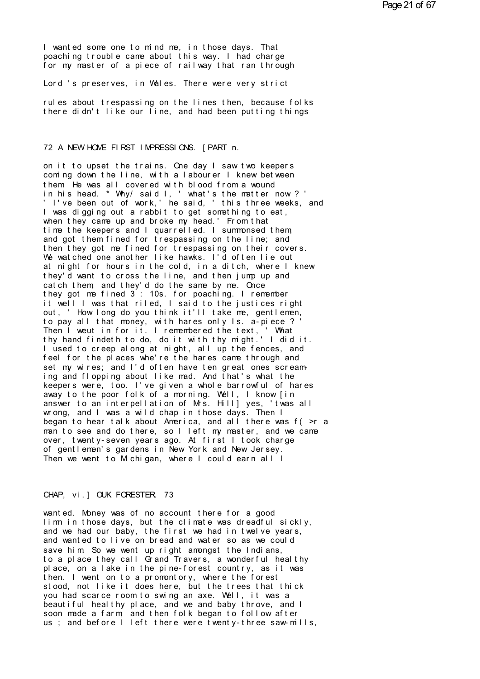I wanted some one to mind me, in those days. That poaching trouble came about this way. I had charge l wanted some one to mind me, in those days. That<br>poaching trouble came about this way. I had charge<br>for my master of a piece of railway that ran through f wanted some one to mind me, in those days. That<br>poaching trouble came about this way. I had charge<br>for my master of a piece of railway that ran through<br>lord's preserves in Weles. There were very strict I wanted some one to mind me, in those days. That<br>poaching trouble came about this way. I had charge<br>for my master of a piece of railway that ran through<br>Lord 's preserves, in Wales. There were very strict<br>rules about tres

poaching trouble came about this way. I had charge<br>for my master of a piece of railway that ran through<br>Lord 's preserves, in Wales. There were very strict<br>rules about trespassing on the lines then, because folks<br>there did for my master of a piece of railway that ran through<br>Lord 's preserves, in Wales. There were very strict<br>rules about trespassing on the lines then, because folks<br>there didn't like our line, and had been putting things there didn't like our line, and had been putting things<br>72 A NEW HOME FIRST IMPRESSIONS. [PART n.<br>on it to upset the trains. One day I saw two keepers

72 A NEW HOWE FIRST IMPRESSIONS. [PART n.<br>on it to upset the trains. One day I saw two keepers<br>coming down the line, with a labourer I knew between<br>them, He was all covered with blood from a wound 72 A NEW HOME FIRST IMPRESSIONS. [PART n.<br>on it to upset the trains. One day I saw two keepers<br>coming down the line, with a labourer I knew between<br>them He was all covered with blood from a wound<br>in his head, \* Why/said L, them. He was all covered with blood from a wound<br>in his head. \* Why/said I, 'what's the matter now ? ' 72 A NEW HOWE FIRSI IMPRESSIONS. [PARI n.<br>on it to upset the trains. One day I saw two keepers<br>coming down the line, with a labourer I knew between<br>them He was all covered with blood from a wound<br>in his head. \* Why/said I, on it to upset the trains. One day I saw two keepers<br>coming down the line, with a labourer I knew between<br>them He was all covered with blood from a wound<br>in his head. \* Why/said I, ' what's the matter now ? '<br>' I've been o on it to upset the trains. One day I saw two keepers<br>coming down the line, with a labourer I knew between<br>them He was all covered with blood from a wound<br>in his head. \* Why/said I, 'what's the matter now ? '<br>'I've been out coming down the line, with a labourer I knew between<br>them He was all covered with blood from a wound<br>in his head. \* Why/said I, 'what's the matter now ? '<br>'I've been out of work,' he said, 'this three weeks, and<br>I was digg them He was all covered with blood from a wound<br>in his head. \* Why/said I, 'what's the matter now ? '<br>'I've been out of work,' he said, 'this three weeks, and<br>I was digging out a rabbit to get something to eat,<br>when they c in his head. \*Why/said I, 'what's the matter now ?'<br>'I've been out of work,' he said, 'this three weeks, and<br>I was digging out a rabbit to get something to eat,<br>when they came up and broke my head.' From that<br>time the keep 'I've been out of work,' he said, 'this three weeks, and<br>I was digging out a rabbit to get something to eat,<br>when they came up and broke my head.' From that<br>time the keepers and I quarrelled. I summonsed them,<br>and got them I was digging out a rabbit to get something to eat,<br>when they came up and broke my head.' From that<br>time the keepers and I quarrelled. I summonsed them,<br>and got them fined for trespassing on the line; and<br>then they got me when they came up and broke my head.' From that<br>time the keepers and I quarrelled. I summonsed them,<br>and got them fined for trespassing on the Iine; and<br>then they got me fined for trespassing on their covers.<br>We watched on and got them fined for trespassing on the line; and<br>then they got me fined for trespassing on their covers.<br>We watched one another like hawks. I'd often lie out<br>at night for hours in the cold, in a ditch, where I knew<br>they and got them fined for trespassing on the line; and<br>then they got me fined for trespassing on their covers.<br>We watched one another like hawks. I'd often lie out<br>at night for hours in the cold, in a ditch, where I kne<br>they' then they got me fined for trespassing on their covers.<br>We watched one another like hawks. I'd often lie out<br>at night for hours in the cold, in a ditch, where I knew<br>they'd want to cross the line, and then jump up and<br>catc We watched one another like hawks. I'd often lie out<br>at night for hours in the cold, in a ditch, where I knew<br>they'd want to cross the line, and then jump up and<br>catch them, and they'd do the same by me. Once<br>they got me f at night for hours in the cold, in a ditch, where I knew<br>they'd want to cross the line, and then jump up and<br>catch them, and they'd do the same by me. Once<br>they got me fined 3:10s. for poaching. I remember<br>it well I was th they'd want to cross the line, and then jump up and<br>catch them, and they'd do the same by me. Once<br>they got me fined 3:10s. for poaching. I remember<br>it well I was that riled, I said to the justices right<br>out, 'How long do catch them, and they'd do the same by me. Once<br>they got me fined 3:10s. for poaching. I remember<br>it well I was that riled, I said to the justices right<br>out, 'How long do you think it'll take me, gentlemen,<br>to pay all that they got me fined 3:10s. for poaching. I remember<br>it well I was that riled, I said to the justices right<br>out, 'How long do you think it'll take me, gentlemen,<br>to pay all that money, with hares only Is. a-piece ?<br>Then I weu it well I was that riled, I said to the justices right<br>out, 'How long do you think it'll take me, gentlemen,<br>to pay all that money, with hares only Is. a-piece?'<br>Then I weut in for it. I remembered the text, 'What<br>thy hand out, 'How long do you think it'll take me, gentlemen,<br>to pay all that money, with hares only ls. a-piece?'<br>Then I weut in for it. I remembered the text, 'What<br>thy hand findeth to do, do it with thy might.'I did it.<br>I used to pay all that money, with hares only is. a-piece ?<br>Then I weut in for it. I remembered the text, 'What<br>thy hand findeth to do, do it with thy might.'I did it.<br>I used to creep along at night, all up the fences, and<br>feel f Then I weut in for it. I remembered the text, 'What<br>thy hand findeth to do, do it with thy might.'I did it.<br>I used to creep along at night, all up the fences, and<br>feel for the places whe're the hares came through and<br>set m thy hand findeth to do, do it with thy might. I did it.<br>I used to creep along at night, all up the fences, and<br>feel for the places whe're the hares came through and<br>set my wires; and I'd often have ten great ones scream-<br>i I used to creep along at night, all up the fences, and<br>feel for the places whe're the hares came through and<br>set my wires; and I'd often have ten great ones scream-<br>ing and flopping about like mad. And that's what the<br>keep reel for the places whe're the hares came through and<br>set my wires; and I'd often have ten great ones scream-<br>ing and flopping about like mad. And that's what the<br>keepers were, too. I've given a whole barrowful of hares<br>aw set my wires; and I'd often have ten great ones scream-<br>ing and flopping about like mad. And that's what the<br>keepers were, too. I've given a whole barrowful of hares<br>away to the poor folk of a morning. Well, I know [in<br>ans ing and flopping about like mad. And that's what the<br>keepers were, too. I've given a whole barrowful of hares<br>away to the poor folk of a morning. Well, I know [in<br>answer to an interpellation of Mrs. Hill] yes, 'twas all<br>wr keepers were, too. I've given a whole barrowtul of hares<br>away to the poor folk of a morning. Well, I know [in<br>answer to an interpellation of Mrs. Hill] yes, 'twas all<br>wrong, and I was a wild chap in those days. Then I<br>bega away to the poor folk of a morning. Well, I know [in<br>answer to an interpellation of Mrs. Hill] yes, 'twas all<br>wrong, and I was a wild chap in those days. Then I<br>began to hear talk about America, and all there was f( >r a<br>m answer to an interpellation of Mrs. Hill] yes, 'twas all wrong, and I was a wild chap in those days. Then I<br>began to hear talk about America, and all there was f( >r a<br>man to see and do there, so I left my master, and we c wrong, and I was a wild chap in those days. Ihen I<br>began to hear talk about America, and all there was f(>r a<br>man to see and do there, so I left my master, and we came<br>over, twenty-seven years ago. At first I took charge<br>o of gentlemen's gardens in New York and New Jersey.<br>Then we went to M chigan, where I could earn all I<br>CHAP, vi.] OUK FORESTER 73<br>wanted. Money was of no account there for a good

CHAP, vi.] OUK FORESTER 73<br>wanted. Money was of no account there for a good<br>limm in those days, but the climate was dreadful sickly<br>and we had our haby, the first we had in twelve years CHAP, vi.] CUK FORESTER 73<br>wanted. Money was of no account there for a good<br>limm in those days, but the climate was dreadful sickly,<br>and we had our baby, the first we had in twelve years,<br>and wented to live on bread and we CHAP, vi.] CUK FORESTER 73<br>wanted. Money was of no account there for a good<br>limm in those days, but the climate was dreadful sickly,<br>and we had our baby, the first we had in twelve years,<br>and wanted to live on bread and wa CHAP, vi.] CUK FORESIER 73<br>wanted. Money was of no account there for a good<br>limm in those days, but the climate was dreadful sickly,<br>and we had our baby, the first we had in twelve years,<br>and wanted to live on bread and wa wanted. Money was of no account there for a good<br>limm in those days, but the climate was dreadful sickly,<br>and we had our baby, the first we had in twelve years,<br>and wanted to live on bread and water so as we could<br>save him wanted. Money was of no account there for a good<br>limm in those days, but the climate was dreadful sickly,<br>and we had our baby, the first we had in twelve years,<br>and wanted to live on bread and water so as we could<br>save him lim in those days, but the climate was dreadful sickly,<br>and we had our baby, the first we had in twelve years,<br>and wanted to live on bread and water so as we could<br>save him. So we went up right amongst the Indians,<br>to a pl and we had our baby, the first we had in twelve years,<br>and wanted to live on bread and water so as we could<br>save him So we went up right amongst the Indians,<br>to a place they call Grand Travers, a wonderful healthy<br>place, o and wanted to live on bread and water so as we could<br>save him. So we went up right amongst the Indians,<br>to a place they call Grand Travers, a wonderful healthy<br>place, on a lake in the pine-forest country, as it was<br>then. I save him. So we went up right amongst the Indians,<br>to a place they call Grand Travers, a wonderful healthy<br>place, on a lake in the pine-forest country, as it was<br>then. I went on to a promontory, where the forest<br>stood, not to a place they call Grand Travers, a wonderful healthy<br>place, on a lake in the pine-forest country, as it was<br>then. I went on to a promontory, where the forest<br>stood, not like it does here, but the trees that thick<br>you ha place, on a lake in the pine-forest country, as it was<br>then. I went on to a promontory, where the forest<br>stood, not like it does here, but the trees that thick<br>you had scarce room to swing an axe. Well, it was a<br>beautiful then. I went on to a promontory, where the forest<br>stood, not like it does here, but the trees that thick<br>you had scarce room to swing an axe. Well, it was a<br>beautiful healthy place, and we and baby throve, and I<br>soon made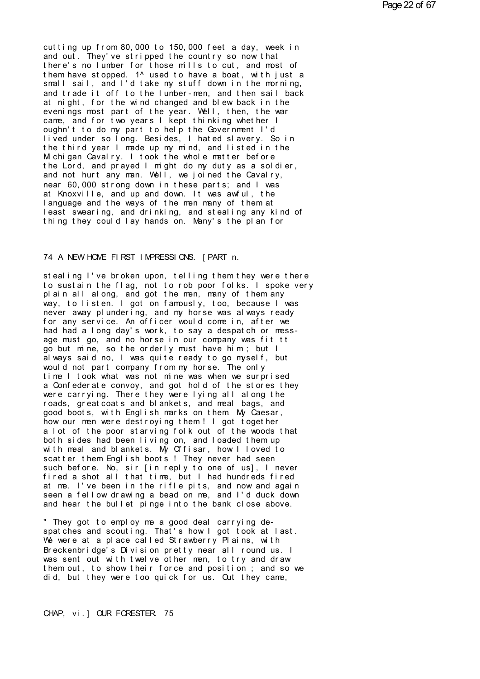cutting up from 80,000 to 150,000 feet a day, week in<br>and out. They've stripped the country so now that<br>there's no lumber for those mills to cut, and most of cutting up from 80,000 to 150,000 feet a day, week in and out. They've stripped the country so now that there's no lumber for those mills to cut, and most of cutting up from 80,000 to 150,000 feet a day, week in<br>and out. They've stripped the country so now that<br>there's no lumber for those mills to cut, and most of<br>them have stopped. 1^ used to have a boat, with just a<br>small sai cutting up from 80,000 to 150,000 feet a day, week in<br>and out. They've stripped the country so now that<br>there's no lumber for those mills to cut, and most of<br>them have stopped. 1^ used to have a boat, with just a<br>small sai small sail, and I'd take my stuff down in the morning, and trade it off to the lumber-men, and then sail back cutting up from 80,000 to 150,000 feet a day, week in<br>and out. They've stripped the country so now that<br>there's no lumber for those mills to cut, and most of<br>them have stopped. 1^ used to have a boat, with just a<br>small sai and out. They've stripped the country so now that<br>there's no lumber for those mills to cut, and most of<br>them have stopped. 1^ used to have a boat, with just a<br>small sail, and I'd take my stuff down in the morning,<br>and trad there's no lumber for those mills to cut, and most of<br>them have stopped. 1^ used to have a boat, with just a<br>small sail, and I'd take my stuff down in the morning,<br>and trade it off to the lumber-men, and then sail back<br>at them have stopped. 1^ used to have a boat, with just a<br>small sail, and I'd take my stuff down in the morning,<br>and trade it off to the lumber-men, and then sail back<br>at night, for the wind changed and blew back in the<br>eveni small sail, and I'd take my stuff down in the morning,<br>and trade it off to the lumber-men, and then sail back<br>at night, for the wind changed and blew back in the<br>evenings most part of the year. Well, then, the war<br>came, an and trade it off to the lumber-men, and then sail back<br>at night, for the wind changed and blew back in the<br>evenings most part of the year. Well, then, the war<br>came, and for two years I kept thinking whether I<br>oughn't to do evenings most part of the year. Well, then, the war<br>came, and for two years I kept thinking whether I<br>oughn't to do my part to help the Government I'd<br>lived under so long. Besides, I hated slavery. So in<br>the third year I m the Lord, and prayed I might do my duty as a soldier, came, and for two years I kept thinking whether I<br>oughn't to do my part to help the Government I'd<br>lived under so long. Besides, I hated slavery. So in<br>the third year I made up my mind, and listed in the<br>Michigan Cavalry. oughn't to do my part to help the Government I'd<br>lived under so long. Besides, I hated slavery. So in<br>the third year I made up my mind, and listed in the<br>Michigan Cavalry. I took the whole matter before<br>the Lord, and praye lived under so long. Besides, I hated slavery. So in<br>the third year I made up my mind, and listed in the<br>Michigan Cavalry. I took the whole matter before<br>the Lord, and prayed I might do my duty as a soldier,<br>and not hurt a the third year I made up my mind, and listed in the<br>Michigan Cavalry. I took the whole matter before<br>the Lord, and prayed I might do my duty as a soldier,<br>and not hurt any man. Well, we joined the Cavalry,<br>near 60,000 stro M chigan Cavairy. I took the whole matter betore<br>the Lord, and prayed I might do my duty as a soldier,<br>and not hurt any man. Well, we joined the Cavalry,<br>near 60,000 strong down in these parts; and I was<br>at Knoxville, and the Lord, and prayed I might do my duty as a soldier,<br>and not hurt any man. Well, we joined the Cavalry,<br>near 60,000 strong down in these parts; and I was<br>at Knoxville, and up and down. It was awful, the<br>language and the w near 60,000 strong down in these parts; and I was<br>at Knoxville, and up and down. It was awful, the<br>language and the ways of the men many of them at<br>least swearing, and drinking, and stealing any kind of thing they could lay hands on. Many's the plan for<br>74 A NEW HOME FIRST IMPRESSIONS. [PART n.<br>1997 - telling them they were there

to sustain the flag, not to rob poor folks. I spoke very T4 A NEW HOME FIRST IMPRESSIONS. [PART n.<br>stealing I've broken upon, telling them they were there<br>to sustain the flag, not to rob poor folks. I spoke very<br>plain all along, and got the men, many of them any<br>way, to listen, 74 A NEW HONE FIRST IMPRESSIONS. [PART n.<br>stealing I've broken upon, telling them they were there<br>to sustain the flag, not to rob poor folks. I spoke very<br>plain all along, and got the men, many of them any<br>way, to listen. /4 A NEW HOWE FIRSI IMPRESSIONS. [PARI n.<br>stealing I've broken upon, telling them they were there<br>to sustain the flag, not to rob poor folks. I spoke very<br>plain all along, and got the men, many of them any<br>way, to listen. stealing I've broken upon, telling them they were there<br>to sustain the flag, not to rob poor folks. I spoke very<br>plain all along, and got the men, many of them any<br>way, to listen. I got on famously, too, because I was<br>neve stealing I've broken upon, telling them they were there<br>to sustain the flag, not to rob poor folks. I spoke very<br>plain all along, and got the men, many of them any<br>way, to listen. I got on famously, too, because I was<br>neve to sustain the flag, not to rob poor folks. I spoke very<br>plain all along, and got the men, many of them any<br>way, to listen. I got on famously, too, because I was<br>never away plundering, and my horse was always ready<br>for any way, to listen. I got on famously, too, because I was never away plundering, and my horse was always ready for any service. An officer would come in, after we had had a long day's work, to say a despatch or message must go never away plundering, and my horse was always ready<br>for any service. An officer would come in, after we<br>had had a long day's work, to say a despatch or mess-<br>age must go, and no horse in our company was fit tt<br>go but mine for any service. An officer would come in, after we<br>had had a long day's work, to say a despatch or mess-<br>age must go, and no horse in our company was fit tt<br>go but mine, so the orderly must have him; but l<br>always said no, had had a long day's work, to say a despatch or mess-<br>age must go, and no horse in our company was fit tt<br>go but mine, so the orderly must have him; but I<br>always said no, I was quite ready to go myself, but<br>would not part age must go, and no horse in our company was fit it<br>go but mine, so the orderly must have him; but I<br>always said no, I was quite ready to go myself, but<br>would not part company from my horse. The only<br>time I took what was n go but mine, so the orderly must have him; but I<br>always said no, I was quite ready to go myself, but<br>would not part company from my horse. The only<br>time I took what was not mine was when we surprised<br>a Confederate convoy, always said no, I was quite ready to go myself, but<br>would not part company from my horse. The only<br>time I took what was not mine was when we surprised<br>a Confederate convoy, and got hold of the stores they<br>were carrying. Th would not part company from my horse. The only<br>time I took what was not mine was when we surprised<br>a Confederate convoy, and got hold of the stores they<br>were carrying. There they were lying all along the<br>roads, greatcoats time I took what was not mine was when we surprised<br>a Confederate convoy, and got hold of the stores they<br>were carrying. There they were lying all along the<br>roads, greatcoats and blankets, and meal bags, and<br>good boots, wi a Confederate convoy, and got hold of the stores they<br>were carrying. There they were lying all along the<br>roads, greatcoats and blankets, and meal bags, and<br>good boots, with English marks on them My Caesar,<br>how our men were were carrying. There they were lying all along the<br>roads, greatcoats and blankets, and meal bags, and<br>good boots, with English marks on them My Caesar,<br>how our men were destroying them ! I got together<br>a lot of the poor st roads, greatcoats and blankets, and meal bags, and<br>good boots, with English marks on them My Caesar,<br>how our men were destroying them ! I got together<br>a lot of the poor starving folk out of the woods that<br>both sides had be good boots, with English marks on them My Caesar,<br>how our men were destroying them ! I got together<br>a lot of the poor starving folk out of the woods that<br>both sides had been living on, and loaded them up<br>with meal and blan now our men were destroying them! I got together<br>a lot of the poor starving folk out of the woods that<br>both sides had been living on, and loaded them up<br>with meal and blankets. My Offisar, how I loved to<br>scatter them Engli a lot of the poor starving folk out of the woods that<br>both sides had been living on, and loaded them up<br>with meal and blankets. My Offisar, how I loved to<br>scatter them English boots ! They never had seen<br>such before. No, s both sides had been living on, and loaded them up<br>with meal and blankets. My Ciffisar, how I loved to<br>scatter them English boots ! They never had seen<br>such before. No, sir [in reply to one of us], I never<br>fired a shot all with meal and blankets. My Citisar, how I loved to<br>scatter them English boots ! They never had seen<br>such before. No, sir [in reply to one of us], I never<br>fired a shot all that time, but I had hundreds fired<br>at me. I've bee scatter them English boots! They never had seen<br>such before. No, sir [in reply to one of us], I never<br>fired a shot all that time, but I had hundreds fired<br>at me. I've been in the rifle pits, and now and again<br>seen a fellow fired a shot all that time, but I had hundreds fired<br>at me. I've been in the rifle pits, and now and again<br>seen a fellow drawing a bead on me, and I'd duck down<br>and hear the bullet pinge into the bank close above.<br>"They go

seen a fellow drawing a bead on me, and I'd duck down<br>and hear the bullet pinge into the bank close above.<br>"They got to employ me a good deal carrying de-<br>spatches and scouting. That's how I got took at last.<br>We were at a and hear the bullet pinge into the bank close above.<br>"They got to employ me a good deal carrying de-<br>spatches and scouting. That's how I got took at last.<br>We were at a place called Strawberry Plains, with<br>Breckenbridge's D " They got to employ me a good deal carrying de-<br>spatches and scouting. That's how I got took at last.<br>We were at a place called Strawberry Plains, with<br>Breckenbridge's Division pretty near all round us. I<br>was sent out wit " They got to employ me a good deal carrying de-<br>spatches and scouting. That's how I got took at last.<br>We were at a place called Strawberry Plains, with<br>Breckenbridge's Division pretty near all round us. I<br>was sent out wit spatches and scouting. Inat's how I got took at last.<br>We were at a place called Strawberry Plains, with<br>Breckenbridge's Division pretty near all round us. I<br>was sent out with twelve other men, to try and draw<br>them out, to did, but they were too quick for us. Out they came,<br>CHAP, vi.1 OUR FORESTER. 75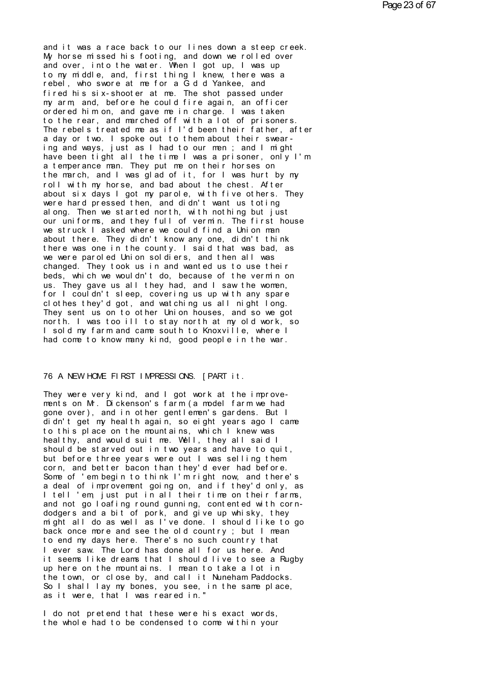and it was a race back to our lines down a steep creek.<br>My horse missed his footing, and down we rolled over<br>and over into the water When Loot up I was up and it was a race back to our lines down a steep creek.<br>My horse missed his footing, and down we rolled over<br>and over, into the water. When I got up, I was up<br>to my middle, and first thing I knew, there was a and it was a race back to our lines down a steep creek.<br>My horse missed his footing, and down we rolled over<br>and over, into the water. When I got up, I was up<br>to my middle, and, first thing I knew, there was a<br>rebel who sw and it was a race back to our lines down a steep creek.<br>My horse missed his footing, and down we rolled over<br>and over, into the water. When I got up, I was up<br>to my middle, and, first thing I knew, there was a<br>rebel, who s and it was a race back to our lines down a steep creek.<br>My horse missed his footing, and down we rolled over<br>and over, into the water. When I got up, I was up<br>to my middle, and, first thing I knew, there was a<br>rebel, who s and it was a race back to our lines down a steep creek<br>My horse missed his footing, and down we rolled over<br>and over, into the water. When I got up, I was up<br>to my middle, and, first thing I knew, there was a<br>rebel, who sw and over, into the water. When I got up, I was up<br>to my middle, and, first thing I knew, there was a<br>rebel, who swore at me for a G d d Yankee, and<br>fired his six-shooter at me. The shot passed under<br>my arm, and, before he and over, into the water. When I got up, I was up<br>to my middle, and, first thing I knew, there was a<br>rebel, who swore at me for a Gdd Yankee, and<br>fired his six-shooter at me. The shot passed under<br>my arm, and, before he co to my modle, and, first thing I knew, there was a<br>rebel, who swore at me for a God d Yankee, and<br>fired his six-shooter at me. The shot passed under<br>my arm, and, before he could fire again, an officer<br>ordered him on, and ga rebel, who swore at me for a Gdd Yankee, and<br>fired his six-shooter at me. The shot passed under<br>my arm, and, before he could fire again, an officer<br>ordered him on, and gave me in charge. I was taken<br>to the rear, and marche fired his six-shooter at me. The shot passed under<br>my arm, and, before he could fire again, an officer<br>ordered him on, and gave me in charge. I was taken<br>to the rear, and marched off with a lot of prisoners.<br>The rebels tre my arm, and, before he could fire again, an officer<br>ordered him on, and gave me in charge. I was taken<br>to the rear, and marched off with a lot of prisoners.<br>The rebels treated me as if I'd been their father, after<br>a day or ordered him on, and gave me in charge. I was taken<br>to the rear, and marched off with a lot of prisoners.<br>The rebels treated me as if I'd been their father, after<br>a day or two. I spoke out to them about their swear-<br>ing and The rebels treated me as if I'd been their father, after a day or two. I spoke out to them about their swearing and ways, just as I had to our men; and I might have been tight all the time I was a prisoner, only I'm a temp roll with my horse, and bad about the chest. After a day or two. I spoke out to them about their swear-<br>ing and ways, just as I had to our men; and I might<br>have been tight all the time I was a prisoner, only I'm<br>a temperance man. They put me on their horses on<br>the march, a ring and ways, just as I had to our men; and I might<br>have been tight all the time I was a prisoner, only I'm<br>a temperance man. They put me on their horses on<br>the march, and I was glad of it, for I was hurt by my<br>roll with have been tight all the time I was a prisoner, only I'm<br>a temperance man. They put me on their horses on<br>the march, and I was glad of it, for I was hurt by my<br>roll with my horse, and bad about the chest. After<br>about six da a temperance man. They put me on their horses on<br>the march, and I was glad of it, for I was hurt by my<br>roll with my horse, and bad about the chest. After<br>about six days I got my parole, with five others. They<br>were hard pre the march, and I was glad of it, for I was hurt by my<br>roll with my horse, and bad about the chest. After<br>about six days I got my parole, with five others. They<br>were hard pressed then, and didn't want us toting<br>along. Then roll with my horse, and bad about the chest. After<br>about six days I got my parole, with five others. They<br>were hard pressed then, and didn't want us toting<br>along. Then we started north, with nothing but just<br>our uniforms, about six days I got my parole, with five others. They<br>were hard pressed then, and didn't want us toting<br>along. Then we started north, with nothing but just<br>our uniforms, and they full of vermin. The first house<br>we struck were hard pressed then, and didn't want us toting<br>along. Then we started north, with nothing but just<br>our uniforms, and they full of vermin. The first house<br>we struck I asked where we could find a Union man<br>about there. Th along. Then we started north, with nothing but just<br>our uniforms, and they full of vermin. The first house<br>we struck I asked where we could find a Union man<br>about there. They didn't know any one, didn't think<br>there was one our uniforms, and they full of vermin. The first house<br>we struck I asked where we could find a Union man<br>about there. They didn't know any one, didn't think<br>there was one in the county. I said that was bad, as<br>we were paro we struck I asked where we could find a Union man<br>about there. They didn't know any one, didn't think<br>there was one in the county. I said that was bad, as<br>we were paroled Union soldiers, and then all was<br>changed. They took about there. They didn't know any one, didn't think<br>there was one in the county. I said that was bad, as<br>we were paroled Union soldiers, and then all was<br>changed. They took us in and wanted us to use their<br>beds, which we w there was one in the county. I said that was bad, as<br>we were paroled Union soldiers, and then all was<br>changed. They took us in and wanted us to use their<br>beds, which we wouldn't do, because of the vermin on<br>us. They gave u we were paroled Union soldiers, and then all was<br>changed. They took us in and wanted us to use their<br>beds, which we wouldn't do, because of the vermin on<br>us. They gave us all they had, and I saw the women,<br>for I couldn't s changed. Iney took us in and wanted us to use their<br>beds, which we wouldn't do, because of the vermin on<br>us. They gave us all they had, and I saw the women,<br>for I couldn't sleep, covering us up with any spare<br>clothes they' beds, which we wouldn't do, because of the vermin on<br>us. They gave us all they had, and I saw the women,<br>for I couldn't sleep, covering us up with any spare<br>clothes they'd got, and watching us all night long.<br>They sent us us. They gave us all they had, and I saw the women,<br>for I couldn't sleep, covering us up with any spare<br>clothes they'd got, and watching us all night long.<br>They sent us on to other Union houses, and so we got<br>north. I was for I couldn't sleep, covering us up with any spare<br>clothes they'd got, and watching us all night long.<br>They sent us on to other Union houses, and so we got<br>north. I was too ill to stay north at my old work, so<br>I sold my f 1 sold my farm and came south to Knoxville, where I<br>had come to know many kind, good people in the war.<br>76 A NEW HOME FIRST IMPRESSIONS. [PART it.<br>They were very kind, and I got work at the improve-

They were very kind, and I got work at the improve-<br>They were very kind, and I got work at the improve-<br>ments on Mr. Dickenson's farm (a model farm we had<br>gone over), and in other gentlemen's gardens. But I<br>didn't get my h 76 A NEW HONE FIRST IMPRESSIONS. [PART it.<br>They were very kind, and I got work at the improve-<br>ments on Mr. Dickenson's farm (a model farm we had<br>gone over), and in other gentlemen's gardens. But I<br>didn't get my health aga 76 ANEWHOWE FIRSI IMPRESSIONS. [PARI it.<br>They were very kind, and I got work at the improve-<br>ments on Mr. Dickenson's farm (a model farm we had<br>gone over), and in other gentlemen's gardens. But I<br>didn't get my health again They were very kind, and I got work at the improve-<br>ments on Mr. Dickenson's farm (a model farm we had<br>gone over), and in other gentlemen's gardens. But I<br>didn't get my health again, so eight years ago I came<br>to this place They were very kind, and I got work at the improve-<br>ments on M. Dickenson's farm (a model farm we had<br>gone over), and in other gentlemen's gardens. But I<br>didn't get my health again, so eight years ago I came<br>to this place ments on Mr. Dickenson's farm (a model farm we had<br>gone over), and in other gentlemen's gardens. But I<br>didn't get my health again, so eight years ago I came<br>to this place on the mountains, which I knew was<br>healthy, and wou gone over), and in other gentlemen's gardens. But I<br>didn't get my health again, so eight years ago I came<br>to this place on the mountains, which I knew was<br>healthy, and would suit me. Well, they all said I<br>should be starved didn't get my health again, so eight years ago I came<br>to this place on the mountains, which I knew was<br>healthy, and would suit me. Well, they all said I<br>should be starved out in two years and have to quit,<br>but before three to this place on the mountains, which I knew was<br>healthy, and would suit me. Well, they all said I<br>should be starved out in two years and have to quit,<br>but before three years were out I was selling them<br>corn, and better ba healthy, and would suit me. Well, they all said I<br>should be starved out in two years and have to quit,<br>but before three years were out I was selling them<br>corn, and better bacon than they'd ever had before.<br>Some of 'em begi should be starved out in two years and have to quit,<br>but before three years were out I was selling them<br>corn, and better bacon than they'd ever had before.<br>Some of 'em begin to think I'm right now, and there's<br>a deal of im but before three years were out I was selling them<br>corn, and better bacon than they'd ever had before.<br>Some of 'embegin to think I'm right now, and there's<br>a deal of improvement going on, and if they'd only, as<br>I tell 'em Some of 'embegin to think I'm right now, and there's<br>a deal of improvement going on, and if they'd only, as<br>I tell 'em just put in all their time on their farms,<br>and not go loafing round gunning, contented with corn-<br>dodge a deal of improvement going on, and if they'd only, as<br>I tell 'em, just put in all their time on their farms,<br>and not go loafing round gunning, contented with corn-<br>dodgers and a bit of pork, and give up whisky, they<br>might I tell 'em just put in all their time on their tarms,<br>and not go loafing round gunning, contented with corn-<br>dodgers and a bit of pork, and give up whisky, they<br>might all do as well as I've done. I should like to go<br>back o and not go loating round gunning, contented with corn-<br>dodgers and a bit of pork, and give up whisky, they<br>might all do as well as I've done. I should like to go<br>back once more and see the old country; but I mean<br>to end my dodgers and a bit of pork, and give up whisky, they<br>might all do as well as I've done. I should like to go<br>back once more and see the old country; but I mean<br>to end my days here. There's no such country that<br>I ever saw. Th back once more and see the old country; but I mean<br>to end my days here. There's no such country that<br>I ever saw. The Lord has done all for us here. And<br>it seems like dreams that I should live to see a Rugby<br>up here on the back once more and see the old country; but I mean<br>to end my days here. There's no such country that<br>I ever saw. The Lord has done all for us here. And<br>it seems like dreams that I should live to see a Rugby<br>up here on the to end my days here. Ihere's no such country that<br>I ever saw. The Lord has done all for us here. And<br>it seems like dreams that I should live to see a Rugby<br>up here on the mountains. I mean to take a lot in<br>the town, or clo I ever saw. The Lord has done all for us here.<br>it seems like dreams that I should live to see<br>up here on the mountains. I mean to take a lot<br>the town, or close by, and call it Nuneham Padd<br>So I shall lay my bones, you see, up here on the mountains. I mean to take a lot in<br>the town, or close by, and call it Nuneham Paddocks.<br>So I shall lay my bones, you see, in the same place,<br>as it were, that I was reared in."<br>I do not pretend that these wer the town, or close by, and call it Nuneham Paddocks.<br>So I shall lay my bones, you see, in the same place,<br>as it were, that I was reared in."<br>I do not pretend that these were his exact words,<br>the whole had to be condensed t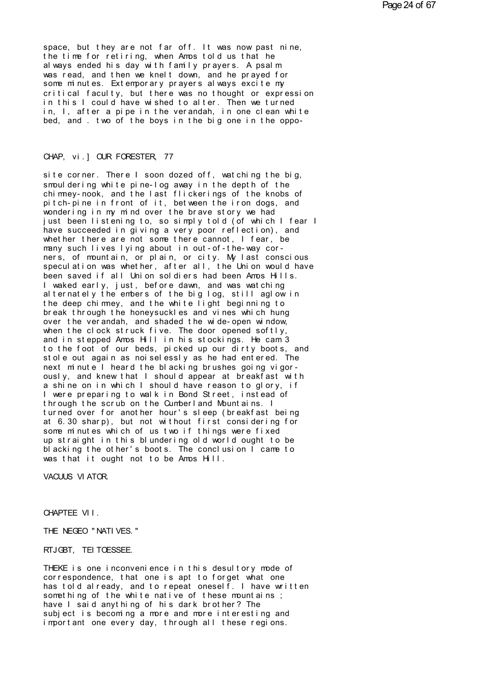space, but they are not far off. It was now past nine,<br>the time for retiring, when Amos told us that he<br>always ended his day with family prayers. A psalm space, but they are not far off. It was now past nine,<br>the time for retiring, when Amos told us that he<br>always ended his day with family prayers. A psalm<br>was read, and then we knelt down, and he prayed for space, but they are not far off. It was now past nine,<br>the time for retiring, when Amos told us that he<br>always ended his day with family prayers. A psalm<br>was read, and then we knelt down, and he prayed for<br>some minutes. Ex space, but they are not far off. It was now past nine,<br>the time for retiring, when Amos told us that he<br>always ended his day with family prayers. A psalm<br>was read, and then we knelt down, and he prayed for<br>some minutes. Ex space, but they are not far off. It was now past nine,<br>the time for retiring, when Amos told us that he<br>always ended his day with family prayers. A psalm<br>was read, and then we knelt down, and he prayed for<br>some minutes. Ex space, but they are not tar oft. It was now past nine,<br>the time for retiring, when Amostold us that he<br>always ended his day with family prayers. A psalm<br>was read, and then we knelt down, and he prayed for<br>some minutes. Ext the time for retiring, when Amostold us that he<br>always ended his day with family prayers. A psalm<br>was read, and then we knelt down, and he prayed for<br>some minutes. Extemporary prayers always excite my<br>critical faculty, but always ended his day with family prayers. A psaim<br>was read, and then we knelt down, and he prayed for<br>some minutes. Extemporary prayers always excite my<br>critical faculty, but there was no thought or expression<br>in this I co was read, and then we knelt down, and he prayed for<br>some minutes. Extemporary prayers always excite my<br>critical faculty, but there was no thought or expression<br>in this I could have wished to alter. Then we turned<br>in, I, af bed, and . two of the boys in the big one in the oppo-<br>CHAP, vi.] OUR FORESTER, 77<br>site corner. There I soon dozed off, watching the big,

CHAP, vi.] OUR FORESTER, 77<br>site corner. There I soon dozed off, wat ching the big,<br>smouldering white pine-log away in the depth of the<br>chimpey pook, and the last flickerings of the knobs of CHAP, vi.] OUR FORESTER, 77<br>site corner. There I soon dozed off, watching the big,<br>smouldering white pine-log away in the depth of the<br>chimney-nook, and the last flickerings of the knobs of<br>pitch-pine in front of it, betwe CHAP, vi.] CUR FORESTER, 77<br>site corner. There I soon dozed off, watching the big,<br>smouldering white pine-log away in the depth of the<br>chimney-nook, and the last flickerings of the knobs of<br>pitch-pine in front of it, betwe CHAP, VI.] CURFORESIER, //<br>site corner. There I soon dozed off, watching the big,<br>smouldering white pine-log away in the depth of the<br>chimmey-nook, and the last flickerings of the knobs of<br>pitch-pine in front of it, betwee site corner. There I soon dozed off, watching the big,<br>smouldering white pine-log away in the depth of the<br>chimmey-nook, and the last flickerings of the knobs of<br>pitch-pine in front of it, between the iron dogs, and<br>wonder site corner. There I soon dozed off, watching the big,<br>smouldering white pine-log away in the depth of the<br>chimmey-nook, and the last flickerings of the knobs of<br>pitch-pine in front of it, between the iron dogs, and<br>wonder smouldering white pine-log away in the depth of the<br>chimmey-nook, and the last flickerings of the knobs of<br>pitch-pine in front of it, between the iron dogs, and<br>wondering in my mind over the brave story we had<br>just been li chimmey-nook, and the last flickerings of the knobs of<br>pitch-pine in front of it, between the iron dogs, and<br>wondering in my mind over the brave story we had<br>just been listening to, so simply told (of which I fear I<br>have s pitch-pine in front of it, between the iron dogs, and<br>wondering in my mind over the brave story we had<br>just been listening to, so simply told (of which I fear I<br>have succeeded in giving a very poor reflection), and<br>whether just been listening to, so simply told (of which I fear I<br>have succeeded in giving a very poor reflection), and<br>whether there are not some there cannot, I fear, be<br>many such lives lying about in out-of-the-way cor-<br>ners, o have succeeded in giving a very poor reflection), and<br>whether there are not some there cannot, I fear, be<br>many such lives lying about in out-of-the-way cor-<br>ners, of mountain, or plain, or city. My last conscious<br>speculati Whether there are not some there cannot, I fear, beformany such lives lying about in out-of-the-way cor-<br>ners, of mountain, or plain, or city. My last conscious<br>speculation was whether, after all, the Union would have<br>been many such lives lying about in out-of-the-way cor-<br>ners, of mountain, or plain, or city. My last conscious<br>speculation was whether, after all, the Union would have<br>been saved if all Union soldiers had been Amos Hills.<br>I wa ners, of mountain, or plain, or city. My last conscious<br>speculation was whether, after all, the Union would have<br>been saved if all Union soldiers had been Amos Hills.<br>I waked early, just, before dawn, and was watching<br>alte been saved if all Union soldiers had been Amos Hills.<br>I waked early, just, before dawn, and was watching<br>alternately the embers of the big log, still aglow in<br>the deep chimney, and the white light beginning to<br>break throug been saved if all Union soldiers had been Amos Hills.<br>I waked early, just, before dawn, and was watching<br>alternately the embers of the big log, still aglow in<br>the deep chimney, and the white light beginning to<br>break throug I waked early, just, before dawn, and was watching<br>alternately the embers of the big log, still aglow in<br>the deep chimney, and the white light beginning to<br>break through the honeysuckles and vines which hung<br>over the veran alternately the embers of the big log, still aglow in<br>the deep chimney, and the white light beginning to<br>break through the honeysuckles and vines which hung<br>over the verandah, and shaded the wide-open window,<br>when the cloc the deep chimmey, and the white light beginning to<br>break through the honeysuckles and vines which hung<br>over the verandah, and shaded the wide-open window,<br>when the clock struck five. The door opened softly,<br>and in stepped break through the honeysuckles and vines which hung<br>over the verandah, and shaded the wide-open window,<br>when the clock struck five. The door opened softly,<br>and in stepped Armos Hill in his stockings. He cam 3<br>to the foot o over the verandah, and shaded the wide-open window,<br>when the clock struck five. The door opened softly,<br>and in stepped Armos Hill in his stockings. He cam 3<br>to the foot of our beds, picked up our dirty boots, and<br>stole out and in stepped Amos Hill in his stockings. He cam 3<br>to the foot of our beds, picked up our dirty boots, and<br>stole out again as noiselessly as he had entered. The<br>next minute I heard the blacking brushes going vigor-<br>ously, stole out again as noiselessly as he had entered. The next minute I heard the blacking brushes going vigor-ously, and knew that I should appear at breakfast with a shine on in which I should have reason to glory, if I were stole out again as noiselessly as he had entered. The<br>next minute I heard the blacking brushes going vigor-<br>ously, and knew that I should appear at breakfast with<br>a shine on in which I should have reason to glory, if<br>I wer next minute I heard the blacking brushes going vigor-<br>ously, and knew that I should appear at breakfast with<br>a shine on in which I should have reason to glory, if<br>I were preparing to walk in Bond Street, instead of<br>through ously, and knew that I should appear at breaktast with<br>a shine on in which I should have reason to glory, if<br>I were preparing to walk in Bond Street, instead of<br>through the scrub on the Cumberland Mountains. I<br>turned over a shine on in which I should have reason to glory, it<br>I were preparing to walk in Bond Street, instead of<br>through the scrub on the Cumberland Mountains. I<br>turned over for another hour's sleep (breakfast being<br>at 6.30 sharp I were preparing to walk in Bond Street, instead of<br>through the scrub on the Cumberland Mountains. I<br>turned over for another hour's sleep (breakfast being<br>at 6.30 sharp), but not without first considering for<br>some minutes through the scrub on the Cumberland Mountains. I<br>turned over for another hour's sleep (breakfast being<br>at 6.30 sharp), but not without first considering for<br>some minutes which of us two if things were fixed<br>up straight in turned over for another hour's sleep (breakfast belat 6.30 sharp), but not without first considering f<br>some minutes which of us two if things were fixed<br>up straight in this blundering old world ought to b<br>blacking the othe some minutes which of u<br>up straight in this blu<br>blacking the other's bo<br>was that it ought not t<br>VACUUS VIATOR

VACUUS VIATOR.<br>CHAPTEE VII.<br>THE NEGEO "NATIVES"

CHAPTEE VII.<br>THE NEGEO " NATI VES. "<br>PT LOPT TELITOESSEE CHAPTEE VII.<br>THE NEGEO "NATIVES."<br>RTJGBT, TEITOESSEE.<br>THEKE is one inconvenienc

THE NEGEO "NATIVES."<br>RTJGBT, TEITOESSEE.<br>THEKE is one inconvenience in this desultory mode of<br>correspondence, that one is apt to forget what one THE NEGEO "NATTVES."<br>RTJGBT, TEITOESSEE.<br>THEKE is one inconvenience in this desultory mode of<br>correspondence, that one is apt to forget what one<br>has told already, and to repeat oneself. I have written<br>something of the whit RTJGBT, TEITOESSEE.<br>THEKE is one inconvenience in this desultory mode of<br>correspondence, that one is apt to forget what one<br>has told already, and to repeat oneself. I have written<br>something of the white native of these mou RTJGBT, TEITOESSEE.<br>THEKE is one inconvenience in this desultory mode of<br>correspondence, that one is apt to forget what one<br>has told already, and to repeat oneself. I have written<br>something of the white native of these mou THEKE is one inconvenience in this desultory mode of<br>correspondence, that one is apt to forget what one<br>has told already, and to repeat oneself. I have writte<br>something of the white native of these mountains;<br>have I said a THEKE is one inconvenience in this desultory mode of<br>correspondence, that one is apt to forget what one<br>has told already, and to repeat oneself. I have written<br>something of the white native of these mountains;<br>have I said correspondence, that one is apt to forget what one has told already, and to repeat oneself. I have written something of the white native of these mountains; have I said anything of his dark brother? The subject is becoming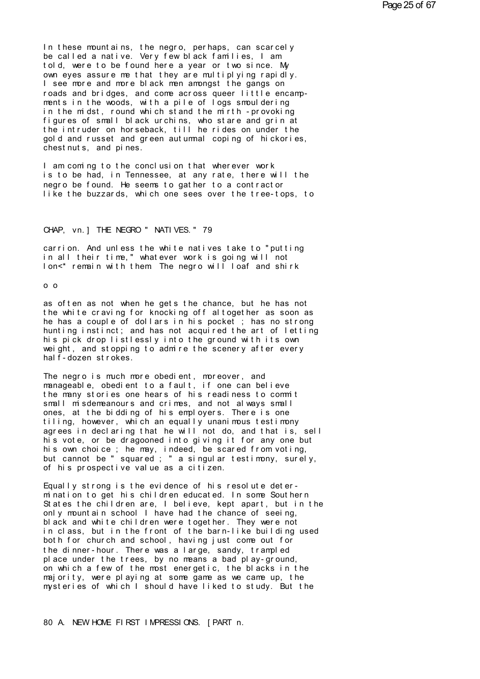In these mountains, the negro, perhaps, can scarcely be called a native. Very few black families, I am told, were to be found here a year or two since. My own eyes assure me that they are multiplying rapidly. I see more and more black men amongst the gangs on roads and bridges, and come across queer little encampments in the woods, with a pile of logs smouldering in the midst, round which stand the mirth - provoking figures of small black urchins, who stare and grin at the intruder on horseback, till he rides on under the gold and russet and green autumal coping of hickories, chest nut s, and pines.

I am coming to the conclusion that wherever work is to be had, in Tennessee, at any rate, there will the negro be found. He seems to gather to a contractor like the buzzards, which one sees over the tree-tops, to

## CHAP, vn. ] THE NEGRO " NATI VES. " 79

carrion. And unless the white natives take to "putting in all their time," whatever work is going will not lon<\* remain with them The negro will loaf and shirk

## $0<sub>o</sub>$

as often as not when he gets the chance, but he has not the white craving for knocking off altogether as soon as he has a couple of dollars in his pocket ; has no strong hunting instinct; and has not acquired the art of letting his pick drop listlessly into the ground with its own weight, and stopping to admire the scenery after every hal f-dozen strokes.

The negro is much more obedient, moreover, and manageable, obedient to a fault, if one can believe the many stories one hears of his readiness to commit small misdemeanours and crimes, and not always small ones, at the bidding of his employers. There is one tiling, however, which an equally unanimous testimony agrees in declaring that he will not do, and that is, sell his vote, or be dragooned into giving it for any one but his own choice; he may, indeed, be scared from voting,<br>but cannot be "squared; "a singular testimony, surely, of his prospective value as a citizen.

Equally strong is the evidence of his resolute determination to get his children educated. In some Southern States the children are, I believe, kept apart, but in the only mountain school I have had the chance of seeing, black and white children were together. They were not in class, but in the front of the barn-like building used both for church and school, having just come out for the dinner-hour. There was a large, sandy, trampled place under the trees, by no means a bad play-ground, on which a few of the most energetic, the blacks in the majority, were playing at some game as we came up, the mysteries of which I should have liked to study. But the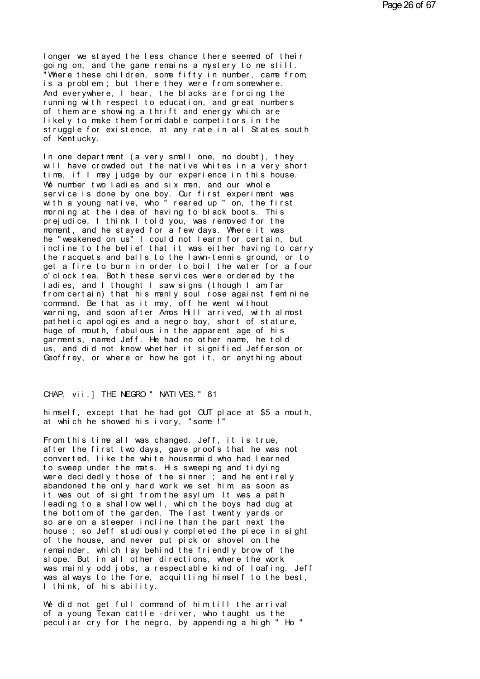longer we stayed the less chance there seemed of their<br>going on, and the game remains a mystery to me still.<br>"Where these children, some fifty in number, came from longer we stayed the less chance there seemed of their<br>going on, and the game remains a mystery to me still.<br>"Where these children, some fifty in number, came from,<br>is a problem : but there they were from somewhere. Ionger we stayed the less chance there seemed of their<br>going on, and the game remains a mystery to me still.<br>"Where these children, some fifty in number, came from,<br>is a problem; but there they were from somewhere.<br>And eve longer we stayed the less chance there seemed of their<br>going on, and the game remains a mystery to me still.<br>"Where these children, some fifty in number, came from<br>is a problem; but there they were from somewhere.<br>And ever longer we stayed the less chance there seemed of their<br>going on, and the game remains a mystery to me still.<br>"Where these children, some fifty in number, came from,<br>is a problem; but there they were from somewhere.<br>And eve ronger we stayed the less chance there seemed of their<br>going on, and the game remains a mystery to me still.<br>"Where these children, some fifty in number, came from,<br>is a problem; but there they were from somewhere.<br>And eve going on, and the game remains a mystery to me still.<br>"Where these children, some fifty in number, came from<br>is a problem; but there they were from somewhere.<br>And everywhere, I hear, the blacks are forcing the<br>running with "Where these children, some fifty in number, came from<br>is a problem; but there they were from somewhere.<br>And everywhere, I hear, the blacks are forcing the<br>running with respect to education, and great numbers<br>of them are s is a problem; but there they were from somewhere.<br>And everywhere, I hear, the blacks are forcing the<br>running with respect to education, and great numbers<br>of them are showing a thrift and energy which are<br>likely to make the And everywhere, I hea<br>running with respect<br>of them are showing a<br>likely to make them f<br>struggle for existenc<br>of Kentucky.<br>In one denartment (a of them are showing a thrift and energy which are<br>likely to make them formidable competitors in the<br>struggle for existence, at any rate in all States south<br>of Kentucky.<br>In one department (a very small one, no doubt), they<br>

likely to make them formidable competitors in the<br>struggle for existence, at any rate in all States south<br>of Kentucky.<br>In one department (a very small one, no doubt), they<br>will have crowded out the native whites in a very of Kentucky.<br>In one department (a very small one, no doubt), they<br>will have crowded out the native whites in a very short<br>time, if I may judge by our experience in this house.<br>We number two ladies and six men, and our whol of Kentucky.<br>In one department (a very small one, no doubt), they<br>will have crowded out the native whites in a very short<br>time, if I may judge by our experience in this house.<br>We number two ladies and six men, and our whol In one department (a very small one, no doubt), they<br>will have crowded out the native whites in a very short<br>time, if I may judge by our experience in this house.<br>We number two ladies and six men, and our whole<br>service is In one department (a very small one, no doubt), they<br>will have crowded out the native whites in a very short<br>time, if I may judge by our experience in this house.<br>We number two ladies and six men, and our whole<br>service is will have crowded out the native whites in a very short<br>time, if I may judge by our experience in this house.<br>We number two ladies and six men, and our whole<br>service is done by one boy. Our first experiment was<br>with a youn time, if I may judge by our experience in this house.<br>We number two ladies and six men, and our whole<br>service is done by one boy. Our first experiment was<br>with a young native, who "reared up "on, the first<br>morning at the i We number two ladies and six men, and our whole<br>service is done by one boy. Our first experiment was<br>with a young native, who "reared up "on, the first<br>morning at the idea of having to black boots. This<br>prejudice, I think service is done by one boy. Our first experiment was<br>with a young native, who "reared up" on, the first<br>morning at the idea of having to black boots. This<br>prejudice, I think I told you, was removed for the<br>moment, and he s with a young native, who "reared up" on, the first<br>morning at the idea of having to black boots. This<br>prejudice, I think I told you, was removed for the<br>moment, and he stayed for a few days. Where it was<br>he "weakened on us morning at the idea of having to black boots. This<br>prejudice, I think I told you, was removed for the<br>moment, and he stayed for a few days. Where it was<br>he "weakened on us" I could not learn for certain, but<br>incline to the prejudice, I think I told you, was removed for the<br>moment, and he stayed for a few days. Where it was<br>he "weakened on us" I could not learn for certain, but<br>incline to the belief that it was either having to carry<br>the racq moment, and he stayed for a few days. Where it was<br>he "weakened on us" I could not learn for certain, but<br>incline to the belief that it was either having to carry<br>the racquets and balls to the lawn-tennis ground, or to<br>get he "weakened on us" I could not learn for certain, but<br>incline to the belief that it was either having to carry<br>the racquets and balls to the lawn-tennis ground, or to<br>get a fire to burn in order to boil the water for a fo the racquets and balls to the lawn-tennis ground, or to get a fire to burn in order to boil the water for a four o'clock tea. Both these services were ordered by the ladies, and I thought I saw signs (though I am far from the racquets and balls to the lawn-tennis ground, or to<br>get a fire to burn in order to boil the water for a four<br>o'clock tea. Both these services were ordered by the<br>ladies, and I thought I saw signs (though I am far<br>from get a fire to burn in order to boil the water for a four<br>o'clock tea. Both these services were ordered by the<br>ladies, and I thought I saw signs (though I am far<br>from certain) that his manly soul rose against feminine<br>comma o'clock tea. Both these services were ordered by the<br>ladies, and I thought I saw signs (though I am far<br>from certain) that his manly soul rose against feminine<br>command. Be that as it may, off he went without<br>warning, and s ladies, and I thought I saw signs (though I am far<br>from certain) that his manly soul rose against feminine<br>command. Be that as it may, off he went without<br>warning, and soon after Amos Hill arrived, with almost<br>pathetic apo from certain) that his manly soul rose against feminine<br>command. Be that as it may, off he went without<br>warning, and soon after Amos Hill arrived, with almost<br>pathetic apologies and a negro boy, short of stature,<br>huge of m command. Be that as it may, off he went without<br>warning, and soon after Armos Hill arrived, with almost<br>pathetic apologies and a negro boy, short of stature,<br>huge of mouth, fabulous in the apparent age of his<br>garments, nam pathetic apologies and a negro boy, short of stature,<br>huge of mouth, fabulous in the apparent age of his<br>garments, named Jeff. He had no other name, he told<br>us, and did not know whether it signified Jefferson or Geoffrey, or where or how he got it, or anything about<br>CHAP, vii.] THE NEGRO "NATIVES." 81

CHAP, vii.] THE NEGRO "NATIVES." 81<br>himself, except that he had got OUT place at \$5 a mouth,<br>at which he showed his ivory, "some !" CHAP, vii.] THE NEGRO "NATIVES." 81<br>himself, except that he had got OUT place at \$5 a n<br>at which he showed his ivory, "some !"<br>From this time all was changed. leff, it is true

CHAP, vii.] IHE NEGRO "NAIIVES." 81<br>himself, except that he had got CUT place at \$5 a mouth,<br>at which he showed his ivory, "some !"<br>From this time all was changed. Jeff, it is true,<br>after the first two days, gave proofs th himself, except that he had got OUT place at \$5 a mouth,<br>at which he showed his ivory, "some !"<br>From this time all was changed. Jeff, it is true,<br>after the first two days, gave proofs that he was not<br>converted, like the wh himself, except that he had got OUI place at \$5 a mouth,<br>at which he showed his ivory, "some!"<br>From this time all was changed. Jeff, it is true,<br>after the first two days, gave proofs that he was not<br>converted, like the whi at which he showed his lvory, "some!"<br>From this time all was changed. Jeff, it is true,<br>after the first two days, gave proofs that he was not<br>converted, like the white housemaid who had learned<br>to sweep under the mats. His From this time all was changed. Jeff, it is true,<br>after the first two days, gave proofs that he was not<br>converted, like the white housemaid who had learned<br>to sweep under the mats. His sweeping and tidying<br>were decidedly t From this time all was changed. Jett, it is true,<br>after the first two days, gave proofs that he was not<br>converted, like the white housemaid who had learned<br>to sweep under the mats. His sweeping and tidying<br>were decidedly t arter the first two days, gave proofs that he was not<br>converted, like the white housemaid who had learned<br>to sweep under the mats. His sweeping and tidying<br>were decidedly those of the sinner ; and he entirely<br>abandoned the converted, like the white housemaid who had learned<br>to sweep under the mats. His sweeping and tidying<br>were decidedly those of the sinner ; and he entirely<br>abandoned the only hard work we set him, as soon as<br>it was out of s to sweep under the mats. His sweeping and tidying<br>were decidedly those of the sinner; and he entirely<br>abandoned the only hard work we set him, as soon as<br>it was out of sight from the asylum It was a path<br>leading to a shall were decidedly those of the sinner; and he entirely<br>abandoned the only hard work we set him, as soon as<br>it was out of sight from the asylum It was a path<br>leading to a shallow well, which the boys had dug at<br>the bottom of t abandoned the only hard work we set him, as soon as<br>it was out of sight from the asylum It was a path<br>leading to a shallow well, which the boys had dug at<br>the bottom of the garden. The last twenty yards or<br>so are on a stee it was out of sight from the asylum It was a path<br>leading to a shallow well, which the boys had dug at<br>the bottom of the garden. The last twenty yards or<br>so are on a steeper incline than the part next the<br>house : so Jeff s reading to a shallow well, which the boys had dug at<br>the bottom of the garden. The last twenty yards or<br>so are on a steeper incline than the part next the<br>house : so Jeff studiously completed the piece in sight<br>of the hous the bottom of the garden. The last twenty yards or<br>so are on a steeper incline than the part next the<br>house : so Jeff studiously completed the piece in sight<br>of the house, and never put pick or shovel on the<br>remainder, whi so are on a steeper incline than the part next the<br>house : so Jeff studiously completed the piece in sight<br>of the house, and never put pick or shovel on the<br>remainder, which lay behind the friendly brow of the<br>slope. But i house : so Jeff studiously completed the piece in sight<br>of the house, and never put pick or shovel on the<br>remainder, which lay behind the friendly brow of the<br>slope. But in all other directions, where the work<br>was mainly o of the house, and never put pick or shovel on the remainder, which lay behind the friendly brow of the slope. But in all other directions, where the work was mainly odd jobs, a respectable kind of loafing, was always to th slope. But in all other directions, where the work<br>was mainly odd jobs, a respectable kind of loafing, Jeff<br>was always to the fore, acquitting himself to the best,<br>I think, of his ability.<br>We did not get full command of hi was always to the fore, acquitting himself to the best,<br>I think, of his ability.<br>We did not get full command of him till the arrival<br>of a young Texan cattle -driver, who taught us the

peculiar cry for the negro, by appending a high " Ho "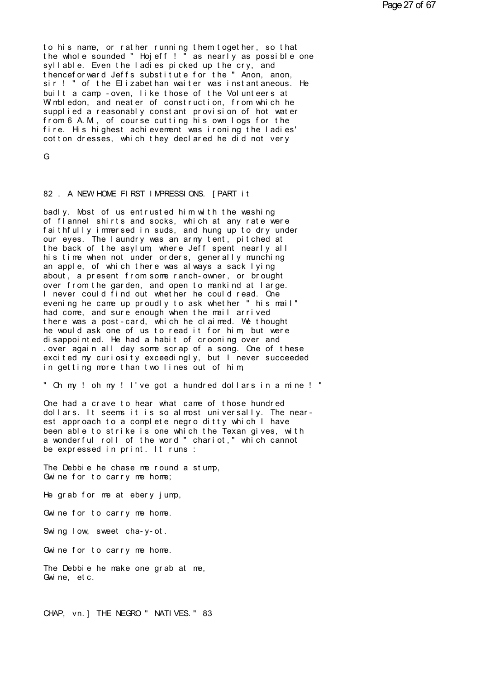to his name, or rather running them together, so that the whole sounded " Hojeff ! " as nearly as possible one syllable. Even the ladies picked up the cry, and thenceforward Jeffs substitute for the "Anon, anon, sir ! " of the Elizabethan waiter was instantaneous. He built a camp - oven, like those of the Volunteers at W mbl edon, and neater of construction, from which he supplied a reasonably constant provision of hot water from 6 A.M., of course cutting his own logs for the fire. His highest achievement was ironing the ladies' cotton dresses, which they declared he did not very

G

## 82. A NEW HOME FIRST IMPRESSIONS. [PART it

badly. Most of us entrusted him with the washing of flannel shirts and socks, which at any rate were<br>faithfully immersed in suds, and hung up to dry under our eyes. The laundry was an army tent, pitched at the back of the asylum, where Jeff spent nearly all his time when not under orders, generally munching an apple, of which there was always a sack lying about, a present from some ranch-owner, or brought over from the garden, and open to mankind at large. I never could find out whether he could read. One evening he came up proudly to ask whether " his mail" had come, and sure enough when the mail arrived there was a post-card, which he claimed. We thought he would ask one of us to read it for him but were di sappoi nt ed. He had a habit of crooning over and . over again all day some scrap of a song. One of these excited my curiosity exceedingly, but I never succeeded in getting more than two lines out of him

" Oh my ! oh my ! I've got a hundred dollars in a mine ! "

One had a crave to hear what came of those hundred dollars. It seems it is so almost universally. The nearest approach to a complete negro ditty which I have been able to strike is one which the Texan gives, with a wonderful roll of the word " chariot," which cannot be expressed in print. It runs :

The Debbie he chase me round a stump, Gwine for to carry me home;

He grab for me at ebery jump,

Gwine for to carry me home.

Swing I ow, sweet cha-y-ot.

Gwine for to carry me home.

The Debbie he make one grab at me, Gwine, etc.

CHAP, vn. ] THE NEGRO " NATI VES. " 83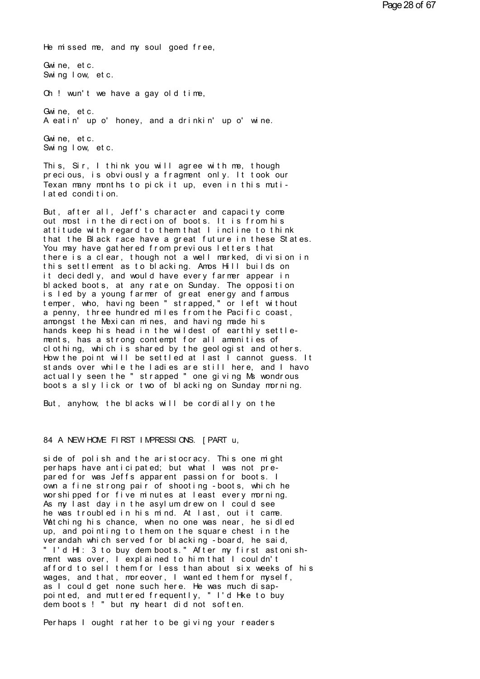He mi ssed me, and my soul goed f r ee,

He missed me, and my so<br>Gwine, etc.<br>Swing low, etc. He missed me, and my soul g<br>Gwine, etc.<br>Swing low, etc.<br>Ch I wun't we have a gave of

He m ssed me, and my soul goed free,<br>Gwine, etc.<br>Swing low, etc.<br>Ch ! wun't we have a gay old time,<br>Gwine, etc. Gwine, etc.<br>Swing low, etc.<br>Ch ! wun't we have a gay old time,<br>Gwine, etc.

Swing low, etc.<br>Ch ! wun't we have a gay old time,<br>Gwine, etc.<br>A eatin' up o' honey, and a drinkin' up o' wine.<br>Gwine, etc. Ch ! wun't we have a ga<br>Gwine, etc.<br>A eatin'up o'honey, a<br>Gwine, etc.<br>Swing low, etc. Gwine, etc.<br>A eatin'up o'honey, and a<br>Gwine, etc.<br>Swing low, etc.<br>This Sir I think you will

Gwine, etc.<br>Swing low, etc.<br>This, Sir, I think you will agree with me, though<br>precious, is obviously a fragment only. It took our Gwine, etc.<br>Swing low, etc.<br>This, Sir, I think you will agree with me, though<br>precious, is obviously a fragment only. It took our<br>Texan many months to pick it up, even in this muti-<br>Lated condition Gwnne, etc.<br>Swing low, etc.<br>This, Sir, I think you will agree with me, though<br>precious, is obviously a fragment only. It took our<br>Texan many months to pick it up, even in this muti-<br>lated condition. Swing low, etc.<br>This, Sir, I think you will<br>precious, is obviously a fr<br>Texan many months to pick i<br>lated condition.<br>Rut after all left's char This, Sir, I think you will agree with me, though<br>precious, is obviously a fragment only. It took our<br>Texan many months to pick it up, even in this muti-<br>lated condition.<br>But, after all, Jeff's character and capacity come<br>

precious, is obviously a tragment only. It took our<br>Texan many months to pick it up, even in this muti-<br>lated condition.<br>But, after all, Jeff's character and capacity come<br>out most in the direction of boots. It is from his Texan many months to pick it up, even in this muti-<br>lated condition.<br>But, after all, Jeff's character and capacity come<br>out most in the direction of boots. It is from his<br>attitude with regard to them that I incline to thin lated condition.<br>But, after all, Jeff's character and capacity come<br>out most in the direction of boots. It is from his<br>attitude with regard to them that I incline to think<br>that the Black race have a great future in these S But, after all, Jeff's character and capacity come<br>out most in the direction of boots. It is from his<br>attitude with regard to them that I incline to think<br>that the Black race have a great future in these States.<br>You may ha But, after all, Jeff's character and capacity come<br>out most in the direction of boots. It is from his<br>attitude with regard to them that I incline to think<br>that the Black race have a great future in these States.<br>You may ha out most in the direction of boots. It is from his<br>attitude with regard to them that I incline to think<br>that the Black race have a great future in these States.<br>You may have gathered from previous letters that<br>there is a c attitude with regard to them that I incline to think<br>that the Black race have a great future in these States.<br>You may have gathered from previous letters that<br>there is a clear, though not a well marked, division in<br>this se that the Black race have a great future in these States.<br>You may have gathered from previous letters that<br>there is a clear, though not a well marked, division in<br>this settlement as to blacking. Amos Hill builds on<br>it decid You may have gathered from previous letters that<br>there is a clear, though not a well marked, division in<br>this settlement as to blacking. Amos Hill builds on<br>it decidedly, and would have every farmer appear in<br>blacked boots there is a clear, though not a well marked, division in<br>this settlement as to blacking. Amos Hill builds on<br>it decidedly, and would have every farmer appear in<br>blacked boots, at any rate on Sunday. The opposition<br>is led by this settlement as to blacking. Amos Hill builds on<br>it decidedly, and would have every farmer appear in<br>blacked boots, at any rate on Sunday. The opposition<br>is led by a young farmer of great energy and famous<br>temper, who, it decidedly, and would have every farmer appear in<br>blacked boots, at any rate on Sunday. The opposition<br>is led by a young farmer of great energy and famous<br>temper, who, having been "strapped," or left without<br>a penny, thr blacked boots, at any rate on Sunday. The opposition<br>is led by a young farmer of great energy and famous<br>temper, who, having been "strapped," or left without<br>a penny, three hundred miles from the Pacific coast,<br>amongst the a penny, three hundred miles from the Pacific coast, amongst the Mexican mines, and having made his hands keep his head in the wildest of earthly settlements, has a strong contempt for all amenities of clothing, which is s a penny, three hundred miles from the Pacific coast,<br>amongst the Mexican mines, and having made his<br>hands keep his head in the wildest of earthly settle-<br>ments, has a strong contempt for all amenities of<br>clothing, which is amongst the Mexican mines, and having made his<br>hands keep his head in the wildest of earthly settle-<br>ments, has a strong contempt for all amenities of<br>clothing, which is shared by the geologist and others.<br>How the point wi hands keep his head in the wildest of earthly settlements, has a strong contempt for all amenities of clothing, which is shared by the geologist and others.<br>How the point will be settled at last I cannot guess. It stands o ments, has a strong contempt for all amenties of<br>clothing, which is shared by the geologist and others.<br>How the point will be settled at last I cannot guess. It<br>stands over while the ladies are still here, and I havo<br>actua How the point will be settled at last I cannot guess. It<br>stands over while the ladies are still here, and I havo<br>actually seen the "strapped "one giving Ms wondrous<br>boots a sly lick or two of blacking on Sunday morning.<br>Bu

But, anyhow, the blacks will be cordially on the<br>84 A NEW HOME FIRST IMPRESSIONS. [PART u,<br>side of polish and the aristocracy. This one might

84 A NEW HONE FIRST IMPRESSIONS. [PART u,<br>side of polish and the aristocracy. This one might<br>perhaps have anticipated; but what I was not pre-<br>pared for was leffs apparent passion for boots. 84 A NEW HONE FIRST INPRESSIONS. [PART u,<br>side of polish and the aristocracy. This one might<br>perhaps have anticipated; but what I was not pre-<br>pared for was Jeffs apparent passion for boots. I<br>own a fine strong pair of sho perhaps have anticipated; but what I was not pre-<br>pared for was Jeffs apparent passion for boots. I<br>own a fine strong pair of shooting -boots, which he<br>worshipped for five minutes at least every morning.<br>As my last day in side of polish and the aristocracy. This one might<br>perhaps have anticipated; but what I was not pre-<br>pared for was Jeffs apparent passion for boots. I<br>own a fine strong pair of shooting -boots, which he<br>worshipped for five side of polish and the aristocracy. This one might<br>perhaps have anticipated; but what I was not pre-<br>pared for was Jeffs apparent passion for boots. I<br>own a fine strong pair of shooting -boots, which he<br>worshipped for five perhaps have anticipated; but what I was not pre-<br>pared for was Jeffs apparent passion for boots. I<br>own a fine strong pair of shooting -boots, which he<br>worshipped for five minutes at least every morning.<br>As my last day in pared for was Jeffs apparent passion for boots. I<br>own a fine strong pair of shooting -boots, which he<br>worshipped for five minutes at least every morning.<br>As my last day in the asylum drew on I could see<br>he was troubled in own a fine strong pair of shooting -boots, which hem<br>worshipped for five minutes at least every morning.<br>As my last day in the asylum drew on I could see<br>he was troubled in his mind. At last, out it came.<br>Watching his chan worshipped for five minutes at least every morning.<br>As my last day in the asylum drew on I could see<br>he was troubled in his mind. At last, out it came.<br>Watching his chance, when no one was near, he sidled<br>up, and pointing As my last day in the asylum drew on I could see<br>he was troubled in his mind. At last, out it came.<br>Watching his chance, when no one was near, he sidled<br>up, and pointing to them on the square chest in the<br>verandah which se Watching his chance, when no one was near, he sidled<br>up, and pointing to them on the square chest in the<br>verandah which served for blacking -board, he said,<br>"I'd HI: 3 to buy dem boots." After my first astonish-<br>ment was o up, and pointing to them on the square chest in the<br>verandah which served for blacking -board, he said,<br>"I'd HI: 3 to buy dem boots." After my first astonish-<br>ment was over, I explained to him that I couldn't<br>afford to sel verandah which served for blacking -board, he said,<br>"I'd HI: 3 to buy dem boots." After my first astonish-<br>ment was over, I explained to him that I couldn't<br>afford to sell them for less than about six weeks of his<br>wages, a ment was over, I explained to him that I couldn't<br>afford to sell them for less than about six weeks of<br>wages, and that, moreover, I wanted them for myself,<br>as I could get none such here. He was much disap-<br>pointed, and mut wages, and that, moreover, I wanted them for myself, as I could get none such here. He was much disappointed, and muttered frequently, "I'd Hke to buy dem boots !" but my heart did not soften.<br>Perhaps I ought rather to be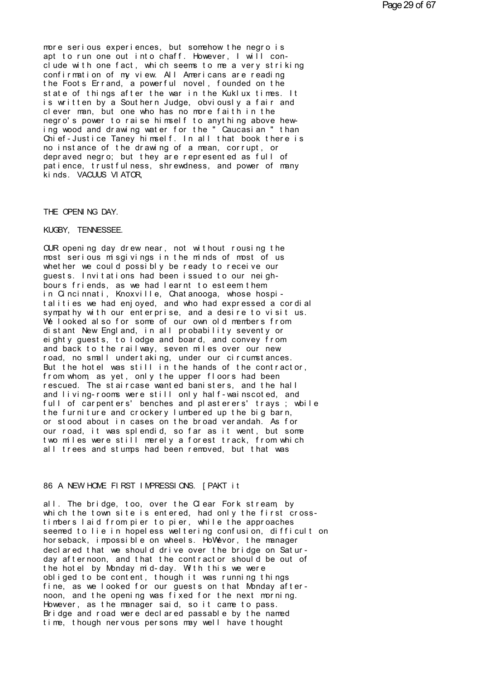more serious experiences, but somehow the negro is<br>apt to run one out into chaff. However, I will con-<br>clude with one fact, which seems to me a very striking more serious experiences, but somehow the negro is<br>apt to run one out into chaff. However, I will con-<br>clude with one fact, which seems to me a very striking<br>confirmation of my view. All Americans are reading<br>the Foots Frr more serious experiences, but somehow the negro is<br>apt to run one out into chaff. However, I will con-<br>clude with one fact, which seems to me a very striking<br>confirmation of my view. All Americans are reading<br>the Foots Err more serious experiences, but somehow the negro is<br>apt to run one out into chaff. However, I will con-<br>clude with one fact, which seems to me a very striking<br>confirmation of my view. All Americans are reading<br>the Foots Err more serious experiences, but somehow the negro is<br>apt to run one out into chaff. However, I will con-<br>clude with one fact, which seems to me a very striking<br>confirmation of my view. All Americans are reading<br>the Foots Err apt to run one out into chaft. However, I will con-<br>clude with one fact, which seems to me a very striking<br>confirmation of my view. All Americans are reading<br>the Foots Errand, a powerful novel, founded on the<br>state of thin confirmation of my view. All Americans are reading<br>the Foots Errand, a powerful novel, founded on the<br>state of things after the war in the Kuklux times. It<br>is written by a Southern Judge, obviously a fair and<br>clever man, b confirmation of my view. All Americans are reading<br>the Foots Errand, a powerful novel, founded on the<br>state of things after the war in the Kuklux times. It<br>is written by a Southern Judge, obviously a fair and<br>clever man, b the Foots Errand, a powerful novel, founded on the<br>state of things after the war in the Kuklux times. It<br>is written by a Southern Judge, obviously a fair and<br>clever man, but one who has no more faith in the<br>negro's power t state of things after the war in the Kuklux times. It<br>is written by a Southern Judge, obviously a fair and<br>clever man, but one who has no more faith in the<br>negro's power to raise himself to anything above hew-<br>ing wood and is written by a Southern Judge, obviously a fair and<br>clever man, but one who has no more faith in the<br>negro's power to raise himself to anything above hew-<br>ing wood and drawing water for the "Caucasian" than<br>Chief-Justice clever man, but one who has no more faith in the<br>negro's power to raise himself to anything above hew-<br>ing wood and drawing water for the "Caucasian" than<br>Chief-Justice Taney himself. In all that book there is<br>no instance negro's power to raise himself to anything above hew-<br>ing wood and drawing water for the "Caucasian" than<br>Chief-Justice Taney himself. In all that book there is<br>no instance of the drawing of a mean, corrupt, or<br>depraved ne Chief-Justice Taney himself. In all that book there is<br>no instance of the drawing of a mean, corrupt, or<br>depraved negro; but they are represented as full of<br>patience, trustfulness, shrewdness, and power of many kinds. VACUUS VIATOR,<br>THE OPENING DAY.<br>KUGBY, TENNESSEE.

# THE OPENING DAY.<br>KUGBY, TENNESSEE.<br>OUR opening day drew

THE OPENING DAY.<br>KUGBY, TENNESSEE.<br>OUR opening day drew near, not without rousing the<br>most serious misgivings in the minds of most of us<br>whether we could possibly be ready to receive our THE OPENING DAY.<br>KUGBY, TENNESSEE.<br>OUR opening day drew near, not without rousing the<br>most serious misgivings in the minds of most of us<br>whether we could possibly be ready to receive our<br>quests. Invitations bad been issued KUGBY, TENNESSEE.<br>CUR opening day drew near, not without rousing the<br>most serious misgivings in the minds of most of us<br>whether we could possibly be ready to receive our<br>guests. Invitations had been issued to our neigh-<br>bo KUGBY, IENNESSEE.<br>CUR opening day drew near, not without rousing the<br>most serious misgivings in the minds of most of us<br>whether we could possibly be ready to receive our<br>guests. Invitations had been issued to our neigh-<br>bo OUR opening day drew near, not without rousing the<br>most serious misgivings in the minds of most of us<br>whether we could possibly be ready to receive our<br>guests. Invitations had been issued to our neigh-<br>bours friends, as we most serious misgivings in the minds of most of us<br>whether we could possibly be ready to receive our<br>guests. Invitations had been issued to our neigh-<br>bours friends, as we had learnt to esteem them<br>in Cincinnati, Knoxville whether we could possibly be ready to receive our<br>guests. Invitations had been issued to our neigh-<br>bours friends, as we had learnt to esteem them<br>in Cincinnati, Knoxville, Chatanooga, whose hospi-<br>talities we had enjoyed, guests. Invitations had been issued to our neigh-<br>bours friends, as we had learnt to esteem them<br>in Cincinnati, Knoxville, Chatanooga, whose hospi-<br>talities we had enjoyed, and who had expressed a cordial<br>sympathy with our bours friends, as we had learnt to esteem them<br>in Cincinnati, Knoxville, Chatanooga, whose hospi-<br>talities we had enjoyed, and who had expressed a cordial<br>sympathy with our enterprise, and a desire to visit us.<br>We looked a in Cincinnati, Knoxville, Chatanooga, whose hospi-<br>talities we had enjoyed, and who had expressed a cordial<br>sympathy with our enterprise, and a desire to visit us.<br>We looked also for some of our own old members from<br>distan sympathy with our enterprise, and a desire to visit us.<br>We looked also for some of our own old members from<br>distant New England, in all probability seventy or<br>eighty guests, to lodge and board, and convey from<br>and back to sympathy with our enterprise, and a desire to visit us.<br>We looked also for some of our own old members from<br>distant New England, in all probability seventy or<br>eighty guests, to lodge and board, and convey from<br>and back to We looked also for some of our own old members from<br>distant New England, in all probability seventy or<br>eighty guests, to lodge and board, and convey from<br>and back to the railway, seven miles over our new<br>road, no small und distant New England, in all probability seventy or<br>eighty guests, to lodge and board, and convey from<br>and back to the railway, seven miles over our new<br>road, no small undertaking, under our circumstances.<br>But the hotel was road, no small undertaking, under our circumstances.<br>But the hotel was still in the hands of the contractor<br>from whom, as yet, only the upper floors had been<br>rescued. The staircase wanted banisters, and the hall<br>and living and back to the railway, seven miles over our new<br>road, no small undertaking, under our circumstances.<br>But the hotel was still in the hands of the contractor,<br>from whom, as yet, only the upper floors had been<br>rescued. The road, no small undertaking, under our circumstances.<br>But the hotel was still in the hands of the contractor,<br>from whom, as yet, only the upper floors had been<br>rescued. The staircase wanted banisters, and the hall<br>and livin But the hotel was still in the hands of the contractor,<br>from whom, as yet, only the upper floors had been<br>rescued. The staircase wanted banisters, and the hall<br>and living-rooms were still only half-wainscoted, and<br>full of the furniture and crockery lumbered up the big barn,<br>or stood about in cases on the broad verandah. As for<br>our road, it was splendid, so far as it went, but some rescued. The staircase wanted banisters, and the hall<br>and living-rooms were still only half-wainscoted, and<br>full of carpenters' benches and plasterers' trays; wbile<br>the furniture and crockery lumbered up the big barn,<br>or s and living-rooms were still only halt-wainscoted, and<br>full of carpenters' benches and plasterers' trays; wbile<br>the furniture and crockery lumbered up the big barn,<br>or stood about in cases on the broad verandah. As for<br>our full of carpenters' benches and plasterers' trays; wbile<br>the furniture and crockery lumbered up the big barn,<br>or stood about in cases on the broad verandah. As for<br>our road, it was splendid, so far as it went, but some<br>two all trees and stumps had been removed, but that was<br>86 A NEW HOME FIRST IMPRESSIONS. [PAKT it<br>all. The bridge, too, over the Clear Fork stream, by

86 A NEW HOWE FIRST IMPRESSIONS. [PAKT it<br>all. The bridge, too, over the Clear Fork stream, by<br>which the town site is entered, had only the first cross-<br>timbers laid from pier to pier, while the approaches 86 A NEW HONE FIRST IMPRESSIONS. [PAKT it<br>all. The bridge, too, over the Clear Fork stream, by<br>which the town site is entered, had only the first cross-<br>timbers laid from pier to pier, while the approaches<br>seemed to lie in 86 A NEW HONE FIRST IMPRESSIONS. [PAKT it<br>all. The bridge, too, over the Clear Fork stream, by<br>which the town site is entered, had only the first cross-<br>timbers laid from pier to pier, while the approaches<br>seemed to lie in 86 A NEW HOWE FIRST IMPRESSIONS. [PAKT it<br>all. The bridge, too, over the Clear Fork stream, by<br>which the town site is entered, had only the first cross-<br>timbers laid from pier to pier, while the approaches<br>seemed to lie in all. The bridge, too, over the Clear Fork stream, by<br>which the town site is entered, had only the first cross-<br>timbers laid from pier to pier, while the approaches<br>seemed to lie in hopeless weltering confusion, difficult<br>h all. The bridge, too, over the Clear Fork stream, by<br>which the town site is entered, had only the first cross-<br>timbers laid from pier to pier, while the approaches<br>seemed to lie in hopeless weltering confusion, difficult o timbers laid from pier to pier, while the approaches<br>seemed to lie in hopeless weltering confusion, difficult on<br>horseback, impossible on wheels. Ho Wevor, the manager<br>declared that we should drive over the bridge on Satur seemed to lie in hopeless weltering contusion, difficult on<br>horseback, impossible on wheels. Ho We vor, the manager<br>declared that we should drive over the bridge on Satur-<br>day afternoon, and that the contractor should be o flow the manager declared that we should drive over the bridge on Satur-<br>day afternoon, and that the contractor should be out of<br>the hotel by Monday mid-day. With this we were<br>obliged to be content, though it was running t day afternoon, and that the contractor should be out of<br>the hotel by Monday mid-day. With this we were<br>obliged to be content, though it was running things<br>fine, as we looked for our guests on that Monday after-<br>noon, and t the hotel by Monday mid-day. With this we were<br>obliged to be content, though it was running things<br>fine, as we looked for our guests on that Monday after-<br>noon, and the opening was fixed for the next morning.<br>However, as t obliged to be content, though it was running things<br>fine, as we looked for our guests on that Monday after-<br>noon, and the opening was fixed for the next morning.<br>However, as the manager said, so it came to pass.<br>Bridge and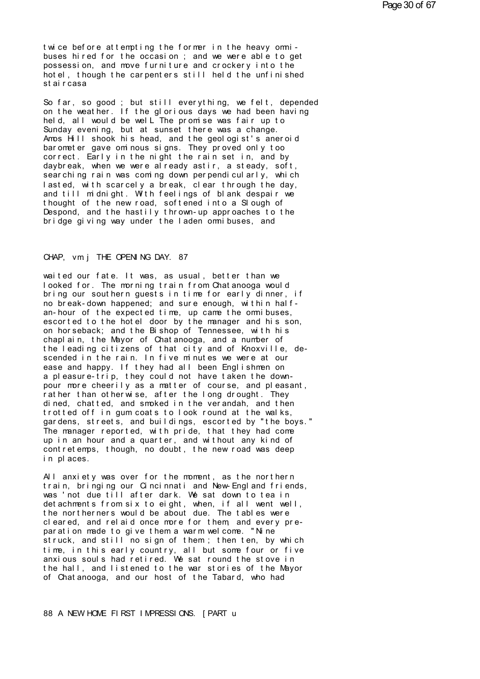t wice before at t empting the former in the heavy ommi-<br>buses hired for the occasion ; and we were able to get<br>possession, and move furniture and crockery into the<br>hotel though the carpenters still beld the unfinished twice before attempting the former in the heavy ommi-<br>buses hired for the occasion ; and we were able to get<br>possession, and move furniture and crockery into the<br>hotel, though the carpenters still held the unfinished<br>stair twice before attempting the former in the heavy ommi-<br>buses hired for the occasion ; and we were able to get<br>possession, and move furniture and crockery into the<br>hotel, though the carpenters still held the unfinished<br>stair twice before attemp<br>buses hired for the<br>possession, and mov<br>hotel, though the c<br>staircasa<br>So far, so good : h buses hired for the occasion; and we were able to get<br>possession, and move furniture and crockery into the<br>hotel, though the carpenters still held the unfinished<br>staircasa<br>So far, so good; but still everything, we felt, de

possession, and move furniture and crockery into the<br>hotel, though the carpenters still held the unfinished<br>staircasa<br>So far, so good ; but still everything, we felt, depended<br>on the weather. If the glorious days we had be hotel, though the carpenters still held the untinished<br>staircasa<br>So far, so good; but still everything, we felt, depended<br>on the weather. If the glorious days we had been having<br>held, all would be well. The promise was fai Staircasa<br>So far, so good; but still everything, we felt, dep<br>on the weather. If the glorious days we had been hav<br>held, all would be well. The promise was fair up to<br>Sunday evening, but at sunset there was a change.<br>Amos So far, so good; but still everything, we felt, depended<br>on the weather. If the glorious days we had been having<br>held, all would be well. The promise was fair up to<br>Sunday evening, but at sunset there was a change.<br>Amos Hi So far, so good; but still everything, we felt, depended<br>on the weather. If the glorious days we had been having<br>held, all would be well. The promise was fair up to<br>Sunday evening, but at sunset there was a change.<br>Amos Hi on the weather. If the glorious days we had been having<br>held, all would be well. The promise was fair up to<br>Sunday evening, but at sunset there was a change.<br>Amos Hill shook his head, and the geologist's aneroid<br>barometer held, all would be well. The promise was fair up to<br>Sunday evening, but at sunset there was a change.<br>Amos Hill shook his head, and the geologist's aneroid<br>barometer gave ominous signs. They proved only too<br>correct. Early Sunday evening, but at sunset there was a change.<br>Amos Hill shook his head, and the geologist's aneroid<br>barometer gave ominous signs. They proved only too<br>correct. Early in the night the rain set in, and by<br>daybreak, when Amos Hill shook his head, and the geologist's aneroid<br>barometer gave ominous signs. They proved only too<br>correct. Early in the night the rain set in, and by<br>daybreak, when we were already astir, a steady, soft,<br>searching r barometer gave om nous signs. They proved only too<br>correct. Early in the night the rain set in, and by<br>daybreak, when we were already astir, a steady, soft,<br>searching rain was coming down perpendicularly, which<br>lasted, wit correct. Early in the night the rain set in, and by<br>daybreak, when we were already astir, a steady, soft,<br>searching rain was coming down perpendicularly, which<br>lasted, with scarcely a break, clear through the day,<br>and till daybreak, when we were already astir, a steady, soft,<br>searching rain was coming down perpendicularly, which<br>lasted, with scarcely a break, clear through the day,<br>and till midnight. With feelings of blank despair we<br>thought searching rain was coming down perpendicularly, which<br>lasted, with scarcely a break, clear through the day,<br>and till midnight. With feelings of blank despair we<br>thought of the new road, softened into a Slough of<br>Despond, a bridge giving way under the laden om buses, and<br>CHAP, vm. j THE OPENING DAY. 87

waited our fate. It was, as usual, better than we<br>looked for. The morning train from Chatanooga would<br>bring our southern guests in time for early dinner, if CHAP, vm j THE OPENING DAY. 87<br>waited our fate. It was, as usual, better than we<br>looked for. The morning train from Chatanooga would<br>bring our southern guests in time for early dinner, if<br>no break-down bannened; and sure e CHAP, vm j THE OPENING DAY. 87<br>waited our fate. It was, as usual, better than we<br>looked for. The morning train from Chatanooga would<br>bring our southern guests in time for early dinner, if<br>no break-down happened; and sure e CHAP, vm j IHE CPENING DAY. 87<br>waited our fate. It was, as usual, better than we<br>looked for. The morning train from Chatanooga would<br>bring our southern guests in time for early dinner, if<br>no break-down happened; and sure e waited our fate. It was, as usual, better than we<br>looked for. The morning train from Chatanooga would<br>bring our southern guests in time for early dinner, if<br>no break-down happened; and sure enough, within half-<br>an-hour of looked for. The morning train from Chatanooga would<br>bring our southern guests in time for early dinner, if<br>no break-down happened; and sure enough, within half-<br>an-hour of the expected time, up came the omnibuses,<br>escorted bring our southern guests in time for early dinner, if<br>no break-down happened; and sure enough, within half-<br>an-hour of the expected time, up came the omnibuses,<br>escorted to the hotel door by the manager and his son,<br>on ho no break-down happened; and sure enough, within halt-<br>an-hour of the expected time, up came the omnibuses,<br>escorted to the hotel door by the manager and his son,<br>on horseback; and the Bishop of Tennessee, with his<br>chaplain escorted to the notel door by the manager and his son,<br>on horseback; and the Bishop of Tennessee, with his<br>chaplain, the Mayor of Chatanooga, and a number of<br>the leading citizens of that city and of Knoxville, de-<br>scended on horseback; and the Bishop of Tennessee, with his<br>chaplain, the Mayor of Chatanooga, and a number of<br>the leading citizens of that city and of Knoxville, de-<br>scended in the rain. In five minutes we were at our<br>ease and ha rhe leading citizens of that city and of Knoxville, descended in the rain. In five minutes we were at our ease and happy. If they had all been Englishmen on a pleasure-trip, they could not have taken the down-<br>pour more ch scended in the rain. In five minutes we were at our<br>ease and happy. If they had all been Englishmen on<br>a pleasure-trip, they could not have taken the down-<br>pour more cheerily as a matter of course, and pleasant,<br>rather tha ease and happy. If they had all been Englishmen on<br>a pleasure-trip, they could not have taken the down-<br>pour more cheerily as a matter of course, and pleasant,<br>rather than otherwise, after the long drought. They<br>dined, cha a pleasure-trip, they could not have taken the down-<br>pour more cheerily as a matter of course, and pleasant,<br>rather than otherwise, after the long drought. They<br>dined, chatted, and smoked in the verandah, and then<br>trotted pour more cheerily as a matter of course, and pleasant,<br>rather than otherwise, after the long drought. They<br>dined, chatted, and smoked in the verandah, and then<br>trotted off in gum coats to look round at the walks,<br>gardens, rather than otherwise, after the long drought. They<br>dined, chatted, and smoked in the verandah, and then<br>trotted off in gum coats to look round at the walks,<br>gardens, streets, and buildings, escorted by "the boys."<br>The man dined, chatted, and smoked in the verandah, and then<br>trotted off in gum coats to look round at the walks,<br>gardens, streets, and buildings, escorted by "the boys."<br>The manager reported, with pride, that they had come<br>up in trotted off in gum<br>gardens, streets, a<br>The manager reporte<br>up in an hour and a<br>contretemps, though<br>in places.<br>All anxiety was ove The manager reported, with pride, that they had come up in an hour and a quarter, and without any kind of contretemps, though, no doubt, the new road was deep in places.<br>All anxiety was over for the moment, as the northern cont ret emps, though, no doubt, the new road was deep

contretemps, though, no doubt, the new road was deep<br>in places.<br>All anxiety was over for the moment, as the northern<br>train, bringing our Cincinnati and New-England friends,<br>was 'not due till after dark. We sat down to tea in places.<br>All anxiety was over for the moment, as the northern<br>train, bringing our Cincinnati and New-England friends,<br>was 'not due till after dark. We sat down to tea in<br>detachments from six to eight, when, if all went w All anxiety was over for the moment, as the northern<br>train, bringing our Cincinnati and New-England friends,<br>was 'not due till after dark. We sat down to tea in<br>detachments from six to eight, when, if all went well,<br>the no All anxiety was over for the moment, as the northern<br>train, bringing our Cincinnati and New-England friends,<br>was 'not due till after dark. We sat down to tea in<br>detachments from six to eight, when, if all went well,<br>the no was 'not due till after dark. We sat down to tea in<br>detachments from six to eight, when, if all went well,<br>the northerners would be about due. The tables were<br>cleared, and relaid once more for them, and every pre-<br>paration detachments from six to eight, when, if all went well,<br>the northerners would be about due. The tables were<br>cleared, and relaid once more for them, and every pre-<br>paration made to give them a warm welcome. "Nine<br>struck, and the northerners would be about due. The tables were<br>cleared, and relaid once more for them, and every pre-<br>paration made to give them a warm welcome. "Nine<br>struck, and still no sign of them; then ten, by which<br>time, in thi cleared, and relaid once more for them, and every pre-<br>paration made to give them a warm welcome. "Nine<br>struck, and still no sign of them; then ten, by which<br>time, in this early country, all but some four or five<br>anxious s paration made to give them a warm welcome. "Nine<br>struck, and still no sign of them; then ten, by which<br>time, in this early country, all but some four or five<br>anxious souls had retired. We sat round the stove in<br>the hall, a the hall, and listened to the war stories of the Mayor<br>of Chatanooga, and our host of the Tabard, who had<br>88 A NEW HOME FIRST IMPRESSIONS. IPART u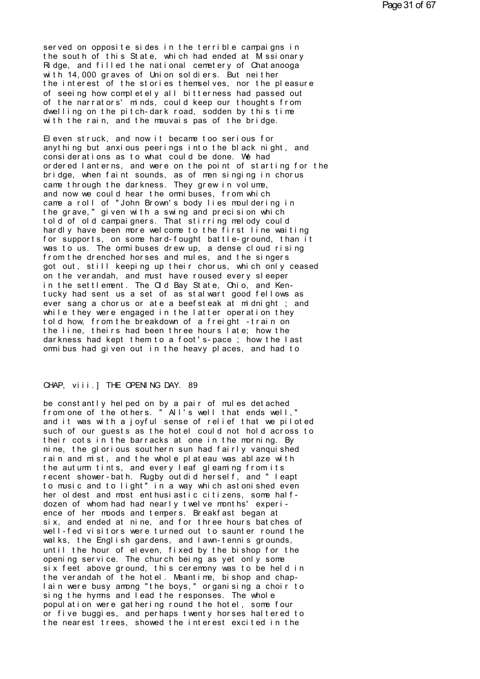served on opposite sides in the terrible campaigns in the south of this State, which had ended at M ssionary Ridge, and filled the national cemetery of Chatanooga with 14,000 graves of Union soldiers. But neither the interest of the stories themselves, nor the pleasure of seeing how completely all bitterness had passed out of the narrators' minds, could keep our thoughts from dwelling on the pitch-dark road, sodden by this time with the rain, and the mauvais pas of the bridge.

Eleven struck, and now it became too serious for anything but anxious peerings into the black night, and considerations as to what could be done. We had ordered lanterns, and were on the point of starting for the bridge, when faint sounds, as of men singing in chorus came through the darkness. They grew in volume, and now we could hear the omibuses, from which came a roll of "John Brown's body lies mouldering in the grave," given with a swing and precision which<br>told of old campaigners. That stirring melody could hardly have been more welcome to the first line waiting for supports, on some hard-fought battle-ground, than it was to us. The omnibuses drew up, a dense cloud rising from the drenched horses and mules, and the singers got out, still keeping up their chorus, which only ceased on the verandah, and must have roused every sleeper in the settlement. The Old Bay State, Ohio, and Kentucky had sent us a set of as stal wart good fellows as ever sang a chorus or ate a beef steak at midnight; and while they were engaged in the latter operation they told how, from the breakdown of a freight - train on the line, theirs had been three hours late; how the darkness had kept them to a foot's-pace; how the last omibus had given out in the heavy places, and had to

## CHAP, viii.] THE OPENING DAY. 89

be constantly helped on by a pair of mules detached from one of the others. "All's well that ends well, and it was with a joyful sense of relief that we piloted such of our guests as the hotel could not hold across to their cots in the barracks at one in the morning. By nine, the glorious southern sun had fairly vanquished rain and mist, and the whole plateau was ablaze with the autumn tints, and every leaf gleaming from its recent shower-bath. Rugby out did herself, and "I eapt to music and to light" in a way which astonished even her oldest and most enthusiastic citizens, some halfdozen of whom had had nearly twelve months' experience of her moods and tempers. Breakfast began at six, and ended at nine, and for three hours batches of well-fed visitors were turned out to saunter round the walks, the English gardens, and lawn-tennis grounds, until the hour of eleven. fixed by the bishop for the opening service. The church being as yet only some six feet above ground, this ceremony was to be held in the verandah of the hotel. Meantime, bishop and chaplain were busy among "the boys," organising a choir to sing the hyms and lead the responses. The whole population were gathering round the hotel, some four or five buggies, and perhaps twenty horses haltered to the nearest trees, showed the interest excited in the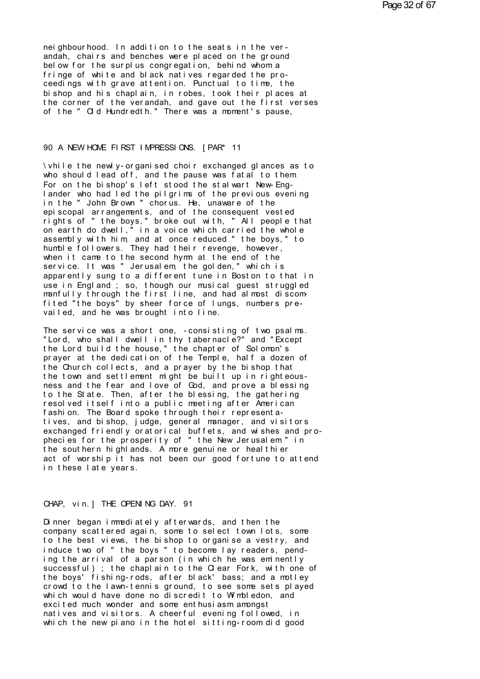nei ghbourhood. In addition to the seats in the ver-<br>andah, chairs and benches were placed on the ground<br>below for the surplus congregation, behind whom a<br>fringe of white and black natives regarded the proneighbourhood. In addition to the seats in the ver-<br>andah, chairs and benches were placed on the ground<br>below for the surplus congregation, behind whom a<br>fringe of white and black natives regarded the pro-<br>ceedings with gr f r i nge of whi to the seats in the ver-<br>andah, chairs and benches were placed on the ground<br>below for the surplus congregation, behind whom a<br>fringe of white and black natives regarded the pro-<br>ceedings with grave attent neighbourhood. In addition to the seats in the ver-<br>andah, chairs and benches were placed on the ground<br>below for the surplus congregation, behind whom a<br>fringe of white and black natives regarded the pro-<br>ceedings with gr andah, chairs and benches were placed on the ground<br>below for the surplus congregation, behind whom a<br>fringe of white and black natives regarded the pro-<br>ceedings with grave attention. Punctual to time, the<br>bishop and his below for the surplus congregation, behind whom a<br>fringe of white and black natives regarded the pro-<br>ceedings with grave attention. Punctual to time, the<br>bishop and his chaplain, in robes, took their places at<br>the corner of the " Old Hundredth." There was a moment's pause,<br>90 A NEW HOME FIRST IMPRESSIONS. [PAR\* 11

90 A NEW HONE FIRST IMPRESSIONS. [PAR\* 11<br>\vhile the newly-organised choir exchanged glances as to who should lead off, and the pause was fatal to them<br>For on the bishop's left stood the staluart New For 90 A NEW HOWE FIRST IMPRESSIONS. [PAR\* 11<br>\vhile the newly-organised choir exchanged glances as to<br>who should lead off, and the pause was fatal to them.<br>For on the bishop's left stood the stalwart New-Eng-<br>Lander who bad l 90 A NEW HOME FIRST IMPRESSIONS. [PAR\* 11<br>\vhile the newly-organised choir exchanged glances as to<br>who should lead off, and the pause was fatal to them<br>For on the bishop's left stood the stalwart New-Eng-<br>lander who had le 90 A NEW HOWE FIRSITMPRESSIONS. [PAR\* 11<br>\vhile the newly-organised choir exchanged glances as to<br>who should lead off, and the pause was fatal to them<br>For on the bishop's left stood the stalwart New-Eng-<br>lander who had led \vhile the newly-organised choir exchanged glances as to<br>who should lead off, and the pause was fatal to them<br>For on the bishop's left stood the stalwart New-Eng-<br>lander who had led the pilgrims of the previous evening<br>in Virtual ethe new y-organised choir exchanged glances as to who should lead off, and the pause was fatal to them<br>For on the bishop's left stood the stalwart New-Eng-<br>lander who had led the pilgrims of the previous evening<br>i who should lead off, and the pause was fatal to them<br>For on the bishop's left stood the stalwart New-Eng-<br>lander who had led the pilgrims of the previous evening<br>in the "John Brown" chorus. He, unaware of the<br>episcopal arr For on the bishop's left stood the stalwart New-Eng-<br>lander who had led the pilgrims of the previous evening<br>in the "John Brown" chorus. He, unaware of the<br>episcopal arrangements, and of the consequent vested<br>rights of "th lander who had led the pilgrims of the previous evening<br>in the "John Brown" chorus. He, unaware of the<br>episcopal arrangements, and of the consequent vested<br>rights of "the boys," broke out with, "All people that<br>on earth do in the "John Brown" chorus. He, unaware of the<br>episcopal arrangements, and of the consequent vested<br>rights of "the boys," broke out with, "All people that<br>on earth do dwell," in a voice which carried the whole<br>assembly wit episcopal arrangements, and of the consequent vested<br>rights of "the boys," broke out with, "All people that<br>on earth do dwell," in a voice which carried the whole<br>assembly with him, and at once reduced "the boys," to<br>humbl rights of "the boys," broke out with, "All people that<br>on earth do dwell," in a voice which carried the whole<br>assembly with him, and at once reduced "the boys," to<br>humble followers. They had their revenge, however,<br>when it on earth do dwell," in a voice which carried the whole<br>assembly with him, and at once reduced "the boys," to<br>humble followers. They had their revenge, however,<br>when it came to the second hymm at the end of the<br>service. It assembly with him, and at once reduced "the boys," to<br>humble followers. They had their revenge, however,<br>when it came to the second hymm at the end of the<br>service. It was "Jerusalem, the golden," which is<br>apparently sung t humble followers. They had their revenge, however,<br>when it came to the second hymn at the end of the<br>service. It was "Jerusalem, the golden," which is<br>apparently sung to a different tune in Boston to that in<br>use in England when it came to the second hymm at the end of the<br>service. It was "Jerusalem, the golden," which is<br>apparently sung to a different tune in Boston to that in<br>use in England; so, though our musical guest struggled<br>manfully t manfully through the first line, and had almost discom-<br>fited "the boys" by sheer force of lungs, numbers pre-<br>vailed, and he was brought into line.<br>The service was a short one, -consisting of two psalms.<br>"Lord, who shall

manfully through the first line, and had almost discom-<br>fited "the boys" by sheer force of lungs, numbers pre-<br>vailed, and he was brought into line.<br>The service was a short one, -consisting of two psalms.<br>"Lord, who shall fited "the boys" by sheer force of lungs, numbers pre-<br>vailed, and he was brought into line.<br>The service was a short one, -consisting of two psalms.<br>"Lord, who shall dwell in thy tabernacle?" and "Except<br>the Lord build the vailed, and he was brought into line.<br>The service was a short one, -consisting of two psalms.<br>"Lord, who shall dwell in thy tabernacle?" and "Except<br>the Lord build the house," the chapter of Solomon's<br>prayer at the dedicat The service was a short one, -consisting of two psalms.<br>"Lord, who shall dwell in thy tabernacle?" and "Except<br>the Lord build the house," the chapter of Solomon's<br>prayer at the dedication of the Temple, half a dozen of<br>the The service was a short one, -consisting of two psaims.<br>"Lord, who shall dwell in thy tabernacle?" and "Except<br>the Lord build the house," the chapter of Solomon's<br>prayer at the dedication of the Temple, half a dozen of<br>the the Lord build the house," the chapter of Solomon's<br>prayer at the dedication of the Temple, half a dozen of<br>the Church collects, and a prayer by the bishop that<br>the town and settlement might be built up in righteous-<br>ness prayer at the dedication of the lemple, half a dozen of<br>the Church collects, and a prayer by the bishop that<br>the town and settlement might be built up in righteous-<br>ness and the fear and love of God, and prove a blessing<br>t the Church collects, and a prayer by the bishop that<br>the town and settlement might be built up in righteous-<br>ness and the fear and love of God, and prove a blessing<br>to the State. Then, after the blessing, the gathering<br>res exchanged friendly oratorical buffets, and wishes and proness and the tear and love of God, and prove a blessing<br>to the State. Then, after the blessing, the gathering<br>resolved itself into a public meeting after American<br>fashion. The Board spoke through their representa-<br>tives, a resolved itself into a public meeting after American<br>fashion. The Board spoke through their representa-<br>tives, and bishop, judge, general manager, and visitors<br>exchanged friendly oratorical buffets, and wishes and pro-<br>phe rashi on. The Board spoke through their representa-<br>tives, and bishop, judge, general manager, and visitors<br>exchanged friendly oratorical buffets, and wishes and pro-<br>phecies for the prosperity of "the New Jerusalem" in<br>th tives, and bishop, judge, general exchanged friendly oratorical buphecies for the prosperity of "<br>the southern highlands. A more g<br>act of worship it has not been of<br>in these late years. act of worship it has not been our good for<br>in these late years.<br>CHAP, vin.] THE OPENING DAY. 91<br>Dinner began immediately afterwards, and t

CHAP, vin.] THE OPENING DAY. 91<br>Dinner began immediately afterwards, and then the<br>company scattered again, some to select town lots, some<br>to the best views, the bishop to organise a vestry and CHAP, vin.] THE OPENING DAY. 91<br>Dinner began immediately afterwards, and then the<br>company scattered again, some to select town lots, some<br>to the best views, the bishop to organise a vestry, and<br>induce tup of "the boys" to CHAP, vin.] THE OPENING DAY. 91<br>Dinner began immediately afterwards, and then the<br>company scattered again, some to select town lots, some<br>to the best views, the bishop to organise a vestry, and<br>induce two of "the boys "to CHAP, vin.] THE OPENING DAY. 91<br>Dinner began immediately afterwards, and then the<br>company scattered again, some to select town lots, some<br>to the best views, the bishop to organise a vestry, and<br>induce two of " the boys " t Dinner began immediately afterwards, and then the<br>company scattered again, some to select town lots, some<br>to the best views, the bishop to organise a vestry, and<br>induce two of "the boys "to become lay readers, pend-<br>ing th Dinner began immediately afterwards, and then the<br>company scattered again, some to select town lots, some<br>to the best views, the bishop to organise a vestry, and<br>induce two of "the boys" to become lay readers, pend-<br>ing th company scattered again, some to select town lots, some<br>to the best views, the bishop to organise a vestry, and<br>induce two of "the boys" to become lay readers, pend-<br>ing the arrival of a parson (in which he was eminently<br>s to the best views, the bishop to organise a vestry, and<br>induce two of "the boys" to become lay readers, pend-<br>ing the arrival of a parson (in which he was eminently<br>successful); the chaplain to the Clear Fork, with one of<br> induce two of "the boys" to become lay readers, pending the arrival of a parson (in which he was eminently successful); the chaplain to the Clear Fork, with one of the boys' fishing-rods, after black' bass; and a motley cr ing the arrival of a parson (in which he was emine<br>successful); the chaplain to the Clear Fork, with<br>the boys' fishing-rods, after black' bass; and a n<br>crowd to the lawn-tennis ground, to see some sets<br>which would have don successful); the chaplain to the Clear Fork, with one of<br>the boys' fishing-rods, after black' bass; and a motley<br>crowd to the lawn-tennis ground, to see some sets played<br>which would have done no discredit to Wimbledon, and the boys' fishing-rods, after black' bass; and a motley<br>crowd to the lawn-tennis ground, to see some sets played<br>which would have done no discredit to Wimbledon, and<br>excited much wonder and some enthusiasm amongst<br>natives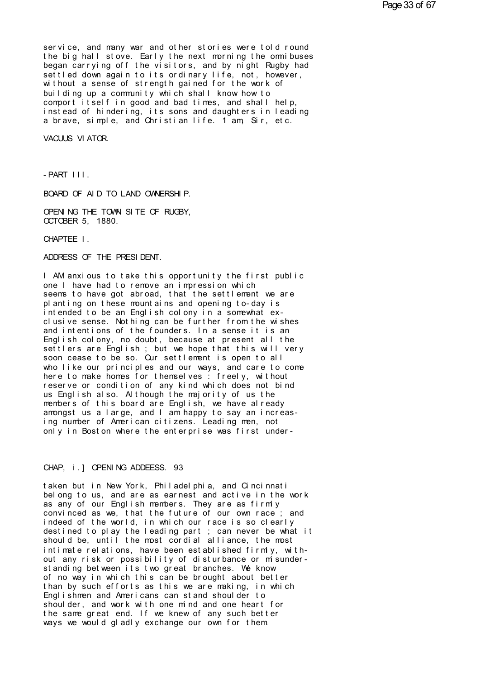ser vice, and many war and other stories were told round<br>the big hall stove. Early the next morning the omnibuses service, and many war and other stories were told round<br>the big hall stove. Early the next morning the omnibuses<br>began carrying off the visitors, and by night Rugby had<br>settled down again to its ordinary life, not, however service, and many war and other stories were told round<br>the big hall stove. Early the next morning the omnibuses<br>began carrying off the visitors, and by night Rugby had<br>settled down again to its ordinary life, not, however service, and many war and other stories were told round<br>the big hall stove. Early the next morning the omnibuses<br>began carrying off the visitors, and by night Rugby had<br>settled down again to its ordinary life, not, however service, and many war and other stories were told round<br>the big hall stove. Early the next morning the omnibuses<br>began carrying off the visitors, and by night Rugby had<br>settled down again to its ordinary life, not, however service, and many war and other stories were told round<br>the big hall stove. Early the next morning the omnibuses<br>began carrying off the visitors, and by night Rugby had<br>settled down again to its ordinary life, not, however the big hall stove. Early the next morning the omnibuses<br>began carrying off the visitors, and by night Rugby had<br>settled down again to its ordinary life, not, however,<br>without a sense of strength gained for the work of<br>bui began carrying off the visitors, and by night Rugby had<br>settled down again to its ordinary life, not, however,<br>without a sense of strength gained for the work of<br>building up a community which shall know how to<br>comport itse settled down again to its ordinary life, not, however,<br>without a sense of strength gained for the work of<br>building up a community which shall know how to<br>comport itself in good and bad times, and shall help,<br>instead of hin building up a community<br>comport itself in good<br>instead of hindering, i<br>a brave, simple, and Ch<br>VACUUS VIATOR

VACUUS VIATOR.<br>- PART III.<br>BOARD OF ALD TO LAND OV

- PART III.<br>BOARD OF AID TO LAND OWNERSHIP.<br>OPENLING THE TOWN SLITE OF BLOBY.

- PART III.<br>BOARD OF AID TO LAND OWNERSHIP.<br>OPENING THE TOWN SITE OF RUGBY,<br>OCTOBER 5, 1880. - PART III.<br>BOARD OF AID TO LAND OWNERSHIP.<br>OPENING THE TOWN SITE OF RUGBY,<br>OCTOBER 5, 1880.<br>CHAPTEE I. BOARD OF ALD TO LAND OV<br>OPENING THE TOWN SITE O<br>OCTOBER 5, 1880.<br>CHAPTEE I.<br>ADDRESS OF THE PRESIDEN OPENING THE TOWN SITE OF RUGBY,<br>OCTOBER 5, 1880.<br>CHAPTEE I.<br>ADDRESS OF THE PRESIDENT.

CHAPTEE I.<br>ADDRESS OF THE PRESIDENT.<br>I AM anxious to take this opportunity the first public<br>one I have had to remove an impression which<br>seems to have got abroad, that the settlement we are OHAPTEET.<br>ADDRESS OF THE PRESIDENT.<br>I AM anxious to take this opportunity the first public<br>one I have had to remove an impression which<br>seems to have got abroad, that the settlement we are<br>planting on these muuntains and o ADDRESS OF THE PRESIDENT.<br>I AM anxious to take this opportunity the first public<br>one I have had to remove an impression which<br>seems to have got abroad, that the settlement we are<br>planting on these mountains and opening to-ADDRESS OF THE PRESIDENT.<br>I AM anxious to take this opportunity the first public<br>one I have had to remove an impression which<br>seems to have got abroad, that the settlement we are<br>planting on these mountains and opening to-I AM anxious to take this opportunity the first public<br>one I have had to remove an impression which<br>seems to have got abroad, that the settlement we are<br>planting on these mountains and opening to-day is<br>intended to be an E one I have had to remove an impression which<br>seems to have got abroad, that the settlement we are<br>planting on these mountains and opening to-day is<br>intended to be an English colony in a somewhat ex-<br>clusive sense. Nothing seems to have got abroad, that the settlement we are<br>planting on these mountains and opening to-day is<br>intended to be an English colony in a somewhat ex-<br>clusive sense. Nothing can be further from the wishes<br>and intentions planting on these mountains and opening to-day is<br>intended to be an English colony in a somewhat ex-<br>clusive sense. Nothing can be further from the wishes<br>and intentions of the founders. In a sense it is an<br>English colony, intended to be an English colony in a somewhat ex-<br>clusive sense. Nothing can be further from the wishes<br>and intentions of the founders. In a sense it is an<br>English colony, no doubt, because at present all the<br>settlers are clusive sense. Nothing can be further from the wishes<br>and intentions of the founders. In a sense it is an<br>English colony, no doubt, because at present all the<br>settlers are English; but we hope that this will very<br>soon ceas and intentions of the founders. In a sense it is an<br>English colony, no doubt, because at present all the<br>settlers are English; but we hope that this will very<br>soon cease to be so. Our settlement is open to all<br>who like our English colony, no doubt, because at present all the<br>settlers are English; but we hope that this will very<br>soon cease to be so. Our settlement is open to all<br>who like our principles and our ways, and care to come<br>here to m settlers are English; but we hope that this will very<br>soon cease to be so. Cur settlement is open to all<br>who like our principles and our ways, and care to come<br>here to make homes for themselves : freely, without<br>reserve or soon cease to be so. Our settlement is open to all<br>who like our principles and our ways, and care to come<br>here to make homes for themselves : freely, without<br>reserve or condition of any kind which does not bind<br>us English who like our principles and our ways, and care to come<br>here to make homes for themselves : freely, without<br>reserve or condition of any kind which does not bind<br>us English also. Although the majority of us the<br>members of th here to make homes for themselves : freely, without<br>reserve or condition of any kind which does not bind<br>us English also. Although the majority of us the<br>members of this board are English, we have already<br>amongst us a larg reserve or condition of any kind which does not bind<br>us English also. Although the majority of us the<br>members of this board are English, we have already<br>amongst us a large, and I am happy to say an increas-<br>ing number of A ing number of American citizens. Leading men, not<br>only in Boston where the enterprise was first under-<br>CHAP, i.] OPENING ADDEESS. 93<br>taken but in New York, Philadelphia, and Cincinnati

CHAP, i.] OPENING ADDEESS. 93<br>taken but in New York, Philadelphia, and Cincinnati<br>belong to us, and are as earnest and active in the work<br>as any of our English members. They are as firmly CHAP, i.] OPENING ADDEESS. 93<br>taken but in New York, Philadelphia, and Cincinnati<br>belong to us, and are as earnest and active in the work<br>as any of our English members. They are as firmly<br>convinced as we that the future of CHAP, i.] OPENING ADDEESS. 93<br>taken but in New York, Philadelphia, and Cincinnati<br>belong to us, and are as earnest and active in the work<br>as any of our English members. They are as firmly<br>convinced as we, that the future o CHAP, i.] CPENING ADDEESS. 93<br>taken but in New York, Philadelphia, and Cincinnati<br>belong to us, and are as earnest and active in the work<br>as any of our English members. They are as firmly<br>convinced as we, that the future o taken but in New York, Philadelphia, and Cincinnati<br>belong to us, and are as earnest and active in the work<br>as any of our English members. They are as firmly<br>convinced as we, that the future of our own race ; and<br>indeed of taken but in New York, Philadelphia, and Cincinnati<br>belong to us, and are as earnest and active in the work<br>as any of our English members. They are as firmly<br>convinced as we, that the future of our own race; and<br>indeed of as any of our English members. They are as firmly<br>convinced as we, that the future of our own race; and<br>indeed of the world, in which our race is so clearly<br>destined to play the leading part ; can never be what it<br>should b as any of our English members. They are as firmly<br>convinced as we, that the future of our own race; and<br>indeed of the world, in which our race is so clearly<br>destined to play the leading part; can never be what it<br>should be destined to play the leading part ; can never be what it<br>should be, until the most cordial alliance, the most<br>intimate relations, have been established firmly, with-<br>out any risk or possibility of disturbance or misunder-<br> should be, until the most cordial alliance, the most<br>intimate relations, have been established firmly, with-<br>out any risk or possibility of disturbance or misunder-<br>standing between its two great branches. We know<br>of no wa intimate relations, have been established firmly, with-<br>out any risk or possibility of disturbance or misunder-<br>standing between its two great branches. We know<br>of no way in which this can be brought about better<br>than by s out any risk or possibility of disturbance or misunder-<br>standing between its two great branches. We know<br>of no way in which this can be brought about better<br>than by such efforts as this we are making, in which<br>Englishmen a standing between its two great branches. We know<br>of no way in which this can be brought about better<br>than by such efforts as this we are making, in which<br>Englishmen and Americans can stand shoulder to<br>shoulder, and work wi of no way in which this can be brought about better<br>than by such efforts as this we are making, in which<br>Englishmen and Americans can stand shoulder to<br>shoulder, and work with one mind and one heart for<br>the same great end.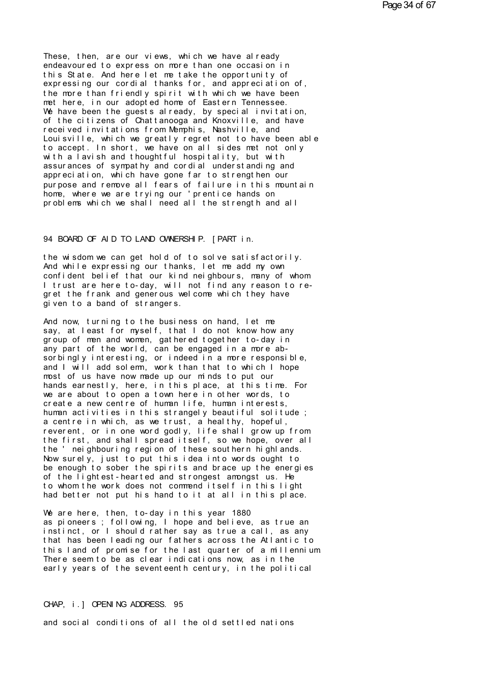These, then, are our views, which we have already endeavoured to express on more than one occasion in this State. And here let me take the opportunity of expressing our cordial thanks for, and appreciation of, These, then, are our views, which we have already<br>endeavoured to express on more than one occasion in<br>this State. And here let me take the opportunity of<br>expressing our cordial thanks for, and appreciation of,<br>the more tha These, then, are our views, which we have already<br>endeavoured to express on more than one occasion in<br>this State. And here let me take the opportunity of<br>expressing our cordial thanks for, and appreciation of,<br>the more tha These, then, are our views, which we have already<br>endeavoured to express on more than one occasion in<br>this State. And here let me take the opportunity of<br>expressing our cordial thanks for, and appreciation of<br>the more than endeavoured to express on more than one occasion in<br>this State. And here let me take the opportunity of<br>expressing our cordial thanks for, and appreciation of,<br>the more than friendly spirit with which we have been<br>met here this State. And here let me take the opportunity of<br>expressing our cordial thanks for, and appreciation of,<br>the more than friendly spirit with which we have been<br>met here, in our adopted home of Eastern Tennessee.<br>We have expressing our cordial thanks for, and appreciation of,<br>the more than friendly spirit with which we have been<br>met here, in our adopted home of Eastern Tennessee.<br>We have been the guests already, by special invitation,<br>of t the more than friendly spirit with which we have been<br>met here, in our adopted home of Eastern Tennessee.<br>We have been the guests already, by special invitation,<br>of the citizens of Chattanooga and Knoxville, and have<br>recei met here, in our adopted home of Eastern Tennessee.<br>We have been the guests already, by special invitation,<br>of the citizens of Chattanooga and Knoxville, and have<br>received invitations from Memphis, Nashville, and<br>Louisvill We have been the guests already, by special invitation,<br>of the citizens of Chattanooga and Knoxville, and have<br>received invitations from Memphis, Nashville, and<br>Louisville, which we greatly regret not to have been able<br>to of the citizens of Chattanooga and Knoxville, and have<br>received invitations from Memphis, Nashville, and<br>Louisville, which we greatly regret not to have been able<br>to accept. In short, we have on all sides met not only<br>with received invitations from Memphis, Nashville, and<br>Louisville, which we greatly regret not to have been able<br>to accept. In short, we have on all sides met not only<br>with a lavish and thoughtful hospitality, but with<br>assuranc Louisville, which we greatly regret not to have been able<br>to accept. In short, we have on all sides met not only<br>with a lavish and thoughtful hospitality, but with<br>assurances of sympathy and cordial understanding and<br>appre to accept. In short, we have on all sides met not only with a lavish and thoughtful hospitality, but with assurances of sympathy and cordial understanding and appreciation, which have gone far to strengthen our purpose and with a lavish and thoughtful hospitality, but with<br>assurances of sympathy and cordial understanding and<br>appreciation, which have gone far to strengthen our<br>purpose and remove all fears of failure in this mountain<br>home, whe home, where we are trying our 'prentice hands on<br>problems which we shall need all the strength and all<br>94 BOARD OF AID TO LAND OWNERSHIP. [PART in.<br>the wisdom we can get hold of to solve satisfactorily.

94 BOARD OF AID TO LAND OWNERSHIP. [PART in.<br>the wisdom we can get hold of to solve satisfactorily.<br>And while expressing our thanks, let me add my own<br>confident belief that our kind peichbours, many of whom And while expressing our thanks, let me add my own<br>confident belief that our kind neighbours, many of whom 94 BOARD OF AID TO LAND OWNERSHIP. [PART in.<br>the wisdom we can get hold of to solve satisfactorily.<br>And while expressing our thanks, let me add my own<br>confident belief that our kind neighbours, many of whom<br>I trust are her 94 BOARD OF AID TO LAND OWNERSHIP. [PARI in.<br>the wisdom we can get hold of to solve satisfactorily.<br>And while expressing our thanks, let me add my own<br>confident belief that our kind neighbours, many of whom<br>I trust are her the wisdom we can get hold of to solve sa<br>And while expressing our thanks, let me a<br>confident belief that our kind neighbours<br>I trust are here to-day, will not find an<br>gret the frank and generous welcome which<br>given to a b confident belief that our kind neighbours, many of whom<br>I trust are here to-day, will not find any reason to re-<br>gret the frank and generous welcome which they have<br>given to a band of strangers.<br>And now, turning to the bus

I trust are here to-day, will not find any reason to regret the frank and generous welcome which they have<br>given to a band of strangers.<br>And now, turning to the business on hand, let me<br>say, at least for myself, that I do gret the frank and generous welcome which they have<br>given to a band of strangers.<br>And now, turning to the business on hand, let me<br>say, at least for myself, that I do not know how any<br>group of men and women, gathered toget given to a band of strangers.<br>And now, turning to the business on hand, let me<br>say, at least for myself, that I do not know how any<br>group of men and women, gathered together to-day in<br>any part of the world, can be engaged And now, turning to the business on hand, let me<br>say, at least for myself, that I do not know how any<br>group of men and women, gathered together to-day in<br>any part of the world, can be engaged in a more ab-<br>sorbingly intere say, at least for myself, that I do not know how any<br>group of men and women, gathered together to-day in<br>any part of the world, can be engaged in a more ab-<br>sorbingly interesting, or indeed in a more responsible,<br>and I wil group of men and women, gathered together to-day in<br>any part of the world, can be engaged in a more ab-<br>sorbingly interesting, or indeed in a more responsible,<br>and I will add solemn, work than that to which I hope<br>most of any part of the world, can be engaged in a more ab-<br>sorbingly interesting, or indeed in a more responsible,<br>and I will add solem, work than that to which I hope<br>most of us have now made up our minds to put our<br>hands earnes sorbingly interesting, or indeed in a more responsible,<br>and I will add solemn, work than that to which I hope<br>most of us have now made up our minds to put our<br>hands earnestly, here, in this place, at this time. For<br>we are and I will add solemn, work than that to which I hope<br>most of us have now made up our minds to put our<br>hands earnestly, here, in this place, at this time. For<br>we are about to open a town here in other words, to<br>create a ne most of us have now made up our minds to put our<br>hands earnestly, here, in this place, at this time. For<br>we are about to open a town here in other words, to<br>create a new centre of human life, human interests,<br>human activit hands earnestly, here, in this place, at this time. For<br>we are about to open a town here in other words, to<br>create a new centre of human life, human interests,<br>human activities in this strangely beautiful solitude ;<br>a cent we are about to open a town here in other words, to<br>create a new centre of human life, human interests,<br>human activities in this strangely beautiful solitude ;<br>a centre in which, as we trust, a healthy, hopeful,<br>reverent, create a new centre of human life, human interests,<br>human activities in this strangely beautiful solitude ;<br>a centre in which, as we trust, a healthy, hopeful,<br>reverent, or in one word godly, life shall grow up from<br>the fi human activities in this strangely beautiful solitude;<br>a centre in which, as we trust, a healthy, hopeful,<br>reverent, or in one word godly, life shall grow up from<br>the first, and shall spread itself, so we hope, over all<br>th a centre in which, as we trust, a healthy, hopeful,<br>reverent, or in one word godly, life shall grow up from<br>the first, and shall spread itself, so we hope, over all<br>the 'neighbouring region of these southern highlands.<br>Now reverent, or in one word godly, life shall grow up from<br>the first, and shall spread itself, so we hope, over all<br>the 'neighbouring region of these southern highlands.<br>Now surely, just to put this idea into words ought to<br>b the first, and shall spread itself, so we hope, over all the 'neighbouring region of these southern highlands.<br>Now surely, just to put this idea into words ought to be enough to sober the spirits and brace up the energies<br> the 'neighbouring region of these southern highlands.<br>Now surely, just to put this idea into words ought to<br>be enough to sober the spirits and brace up the energies<br>of the lightest-hearted and strongest amongst us. He<br>to w of the lightest-hearted and strongest amongst us. He<br>to whom the work does not commend itself in this light<br>had better not put his hand to it at all in this place.<br>We are here, then, to-day in this year 1880<br>as pioneers ;

of the lightest-hearted and strongest amongst us. He<br>to whom the work does not commend itself in this light<br>had better not put his hand to it at all in this place.<br>We are here, then, to-day in this year 1880<br>as pioneers ; to whom the work does not commend itself in this light<br>had better not put his hand to it at all in this place.<br>We are here, then, to-day in this year 1880<br>as pioneers ; following, I hope and believe, as true an<br>instinct, o had better not put his hand to it at all in this place.<br>We are here, then, to-day in this year 1880<br>as pioneers; following, I hope and believe, as true an<br>instinct, or I should rather say as true a call, as any<br>that has be We are here, then, to-day in this year 1880<br>as pioneers ; following, I hope and believe, as true an<br>instinct, or I should rather say as true a call, as any<br>that has been leading our fathers across the Atlantic to<br>this land We are here, then, to-day in this year 1880<br>as pioneers; following, I hope and believe, as true an<br>instinct, or I should rather say as true a call, as any<br>that has been leading our fathers across the Atlantic to<br>this land as pioneers; following, I hope and believe, as true an<br>instinct, or I should rather say as true a call, as any<br>that has been leading our fathers across the Atlantic to<br>this land of promise for the last quarter of a millenn There seem to be as clear indications not<br>early years of the seventeenth century,<br>CHAP, i.] OPENING ADDRESS. 95<br>and social conditions of all the old set

CHAP, i.] OPENING ADDRESS. 95<br>and social conditions of all the old settled nations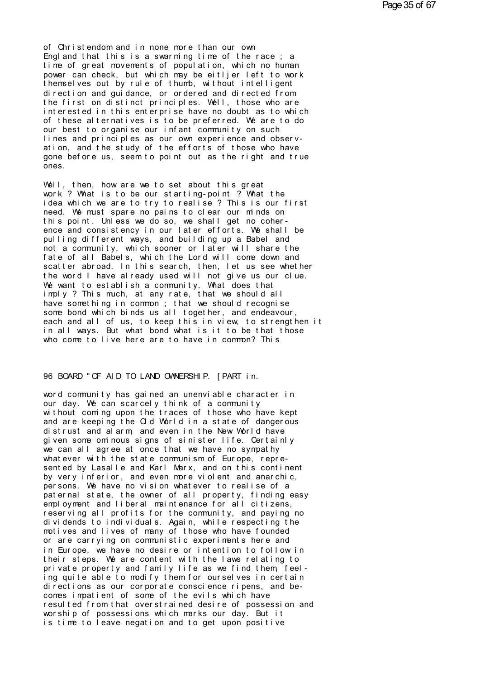of Christendom and in none more than our own England that this is a swarming time of the race; a time of great movements of population, which no human power can check, but which may be eitlier left to work themselves out by rule of thumb, without intelligent direction and quidance, or ordered and directed from the first on distinct principles. Well, those who are interested in this enterprise have no doubt as to which of these alternatives is to be preferred. We are to do our best to organise our infant community on such lines and principles as our own experience and observation, and the study of the efforts of those who have gone before us, seem to point out as the right and true **ODAS** 

Well, then, how are we to set about this great work ? What is to be our starting-point ? What the idea which we are to try to realise ? This is our first need. We must spare no pains to clear our minds on this point. Unless we do so, we shall get no coherence and consistency in our later efforts. We shall be pulling different ways, and building up a Babel and not a community, which sooner or later will share the fate of all Babels, which the Lord will come down and scatter abroad. In this search, then, let us see whether the word I have already used will not give us our clue. We want to establish a community. What does that imply ? This much, at any rate, that we should all have something in common; that we should recognise some bond which binds us all together, and endeavour, each and all of us, to keep this in view, to strengthen it in all ways. But what bond what is it to be that those who come to live here are to have in common? This

## 96 BOARD "OF AID TO LAND OWNERSHIP. [PART in.

word community has gained an unenviable character in our day. We can scarcely think of a community without coming upon the traces of those who have kept and are keeping the Old World in a state of dangerous distrust and alarm, and even in the New World have given some ominous signs of sinister life. Certainly we can all agree at once that we have no sympathy what ever with the state communism of Europe, represented by Lasalle and Karl Marx, and on this continent by very inferior, and even more violent and anarchic, persons. We have no vision what ever to realise of a paternal state, the owner of all property, finding easy employment and liberal maintenance for all citizens, reserving all profits for the community, and paying no dividends to individuals. Again, while respecting the motives and lives of many of those who have founded or are carrying on communistic experiments here and in Europe, we have no desire or intention to follow in their steps. We are content with the laws relating to private property and family life as we find them feeling quite able to modify them for ourselves in certain di rections as our corporate conscience ripens, and becomes impatient of some of the evils which have resulted from that overstrained desire of possession and worship of possessions which marks our day. But it is time to leave negation and to get upon positive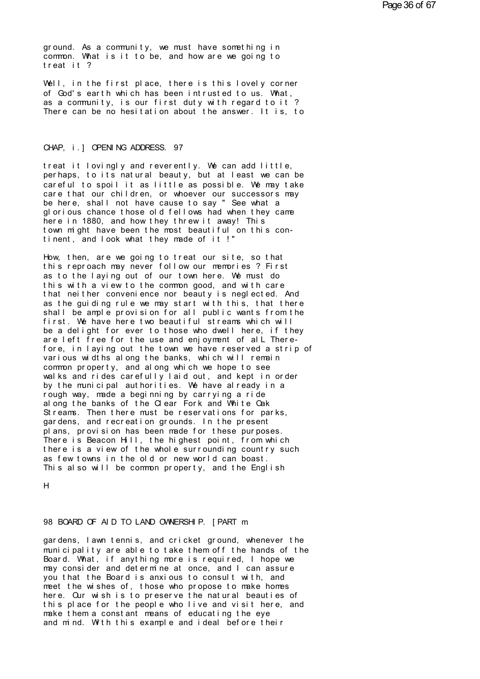ground. As a community, we must have something in<br>common. What is it to be, and how are we going to ground. As a community, we must have something in<br>common. What is it to be, and how are we going to<br>treat it ? ground. As a community<br>common. What is it to<br>treat it ?<br>Well in the first pla common. What is it to be, and how are we going to<br>treat it ?<br>Well, in the first place, there is this lovely corner<br>of God's earth which has been intrusted to us. What,

ground. As a community, we must have something in<br>common. What is it to be, and how are we going to<br>treat it?<br>Well, in the first place, there is this lovely corner<br>of God's earth which has been intrusted to us. What,<br>as a common. What is it to be, and how are we going to<br>treat it ?<br>Well, in the first place, there is this lovely corner<br>of God's earth which has been intrusted to us. What,<br>as a community, is our first duty with regard to it ?<br> treat it ?<br>Well, in the first place, there is this lovely corner<br>of God's earth which has been intrusted to us. What,<br>as a community, is our first duty with regard to it ?<br>There can be no hesitation about the answer. It is There can be no hesitation about the answer. It is, to<br>CHAP, i.] OPENING ADDRESS. 97<br>treat it lovingly and reverently. We can add little,

per haps, to its natural beauty, but at least we can be careful to spoil it as little as possible. We may take CHAP, i.] OPENING ADDRESS. 97<br>treat it lovingly and reverently. We can add little,<br>perhaps, to its natural beauty, but at least we can be<br>careful to spoil it as little as possible. We may take<br>care that our children, or wh CHAP, i.] CPENING ADDRESS. 97<br>treat it lovingly and reverently. We can add little,<br>perhaps, to its natural beauty, but at least we can be<br>careful to spoil it as little as possible. We may take<br>care that our children, or wh treat it lovingly and reverently. We can add little,<br>perhaps, to its natural beauty, but at least we can be<br>careful to spoil it as little as possible. We may take<br>care that our children, or whoever our successors may<br>be he treat it lovingly and reverently. We can add little,<br>perhaps, to its natural beauty, but at least we can be<br>careful to spoil it as little as possible. We may take<br>care that our children, or whoever our successors may<br>be he perhaps, to its natural beauty, but at least we can be<br>careful to spoil it as little as possible. We may take<br>care that our children, or whoever our successors may<br>be here, shall not have cause to say "See what a<br>glorious careful to spoil it as little as possible. We may take<br>care that our children, or whoever our successors may<br>be here, shall not have cause to say "See what a<br>glorious chance those old fellows had when they came<br>here in 188 care that our children, or whoever our successors may<br>be here, shall not have cause to say "See what a<br>glorious chance those old fellows had when they came<br>here in 1880, and how they threw it away! This<br>town might have bee glorious chance those old fellows had when they came<br>here in 1880, and how they threw it away! This<br>town might have been the most beautiful on this con-<br>tinent, and look what they made of it!"<br>How, then, are we going to tr

here in 1880, and how they threw it away! This<br>town might have been the most beautiful on this con-<br>tinent, and look what they made of it!"<br>How, then, are we going to treat our site, so that<br>this reproach may never follow tinent, and look what they made of it!"<br>How, then, are we going to treat our site, so that<br>this reproach may never follow our memories? First<br>as to the laying out of our town here. We must do<br>this with a view to the common tinent, and look what they made of it!"<br>How, then, are we going to treat our site, so that<br>this reproach may never follow our memories? First<br>as to the laying out of our town here. We must do<br>this with a view to the common that neither convenience nor beauty is neglected. And<br>as the guiding rule we may start with this, that there How, then, are we going to treat our site, so that<br>this reproach may never follow our memories? First<br>as to the laying out of our town here. We must do<br>this with a view to the common good, and with care<br>that neither conven this reproach may never follow our memories ? First<br>as to the laying out of our town here. We must do<br>this with a view to the common good, and with care<br>that neither convenience nor beauty is neglected. And<br>as the guiding as to the laying out of our town here. We must do<br>this with a view to the common good, and with care<br>that neither convenience nor beauty is neglected. And<br>as the guiding rule we may start with this, that there<br>shall be amp this with a view to the common good, and with care<br>that neither convenience nor beauty is neglected. And<br>as the guiding rule we may start with this, that there<br>shall be ample provision for all public wants from the<br>first. that neither convenience nor beauty is neglected. And<br>as the guiding rule we may start with this, that there<br>shall be ample provision for all public wants from the<br>first. We have here two beautiful streams which will<br>be a as the guiding rule we may start with this, that there<br>shall be ample provision for all public wants from the<br>first. We have here two beautiful streams which will<br>be a delight for ever to those who dwell here, if they<br>are shall be ample provision for all public wants from the<br>first. We have here two beautiful streams which will<br>be a delight for ever to those who dwell here, if they<br>are left free for the use and enjoyment of all. There-<br>fore first. We have here two beautiful streams which will<br>be a delight for ever to those who dwell here, if they<br>are left free for the use and enjoyment of all. There-<br>fore, in laying out the town we have reserved a strip of<br>va be a delight for ever to those who dwell here, if they<br>are left free for the use and enjoyment of all There-<br>fore, in laying out the town we have reserved a strip of<br>various widths along the banks, which will remain<br>common are left free for the use and enjoyment of all inere-<br>fore, in laying out the town we have reserved a strip of<br>various widths along the banks, which will remain<br>common property, and along which we hope to see<br>walks and rid rore, in laying out the town we have reserved a strip of<br>various widths along the banks, which will remain<br>common property, and along which we hope to see<br>walks and rides carefully laid out, and kept in order<br>by the munici various widths along the banks, which will remain<br>common property, and along which we hope to see<br>walks and rides carefully laid out, and kept in order<br>by the municipal authorities. We have already in a<br>rough way, made a b common property, and along which we hope to see<br>walks and rides carefully laid out, and kept in order<br>by the municipal authorities. We have already in a<br>rough way, made a beginning by carrying a ride<br>along the banks of the walks and rides carefully laid out, and kept in order<br>by the municipal authorities. We have already in a<br>rough way, made a beginning by carrying a ride<br>along the banks of the Clear Fork and White Oak<br>Streams. Then there mu by the municipal authorities. We have already in a<br>rough way, made a beginning by carrying a ride<br>along the banks of the Clear Fork and White Oak<br>Streams. Then there must be reservations for parks,<br>gardens, and recreation rough way, made a beginning by carrying a ride<br>along the banks of the Clear Fork and White Cak<br>Streams. Then there must be reservations for parks,<br>gardens, and recreation grounds. In the present<br>plans, provision has been m along the banks of the Clear Fork and White Cak<br>Streams. Then there must be reservations for parks,<br>gardens, and recreation grounds. In the present<br>plans, provision has been made for these purposes.<br>There is Beacon Hill, t Streams. Inen there must be reservations for parks,<br>gardens, and recreation grounds. In the present<br>plans, provision has been made for these purposes.<br>There is Beacon Hill, the highest point, from which<br>there is a view of gardens, and recreation grounds. In the present<br>plans, provision has been made for these purposes.<br>There is Beacon Hill, the highest point, from which<br>there is a view of the whole surrounding country such<br>as few towns in t

H

H<br>98 BOARD OF AID TO LAND OWNERSHIP. [PART m.<br>gardens, lawn tennis, and cricket ground, whenever the gar dens, lawn t ennis, and cricket ground, whenever the<br>gardens, lawn t ennis, and cricket ground, whenever the<br>municipality are able to take them off the hands of the<br>Poard, What if anything mare is required. I happ you 98 BOARD OF AID TO LAND OWNERSHIP. [PART m<br>gardens, lawn tennis, and cricket ground, whenever the<br>municipality are able to take them off the hands of the<br>Board. What, if anything more is required, I hope we<br>may consider an 98 BOARD OF AID TO LAND OWNERSHIP. [PART m<br>gardens, lawn tennis, and cricket ground, whenever the<br>municipality are able to take them off the hands of the<br>Board. What, if anything more is required, I hope we<br>may consider an 98 BOARD OF AID TO LAND OWNERSHIP. [PART m<br>gardens, lawn tennis, and cricket ground, whenever the<br>municipality are able to take them off the hands of the<br>Board. What, if anything more is required, I hope we<br>may consider an gardens, lawn tennis, and cricket ground, whenever the<br>municipality are able to take them off the hands of the<br>Board. What, if anything more is required, I hope we<br>may consider and determine at once, and I can assure<br>you t gardens, I awn tennis, and cricket ground, whenever the<br>municipality are able to take them off the hands of the<br>Board. What, if anything more is required, I hope we<br>may consider and determine at once, and I can assure<br>you municipality are able to take them off the hands of the<br>Board. What, if anything more is required, I hope we<br>may consider and determine at once, and I can assure<br>you that the Board is anxious to consult with, and<br>meet the Board. What, if anything more is required, I hope we<br>may consider and determine at once, and I can assure<br>you that the Board is anxious to consult with, and<br>meet the wishes of, those who propose to make homes<br>here. Cur wis may consider and determine at once, and I can assure<br>you that the Board is anxious to consult with, and<br>meet the wishes of, those who propose to make homes<br>here. Our wish is to preserve the natural beauties of<br>this place f you that the Board is anxious to consult with, and<br>meet the wishes of, those who propose to make homes<br>here. Our wish is to preserve the natural beauties of<br>this place for the people who live and visit here, and<br>make them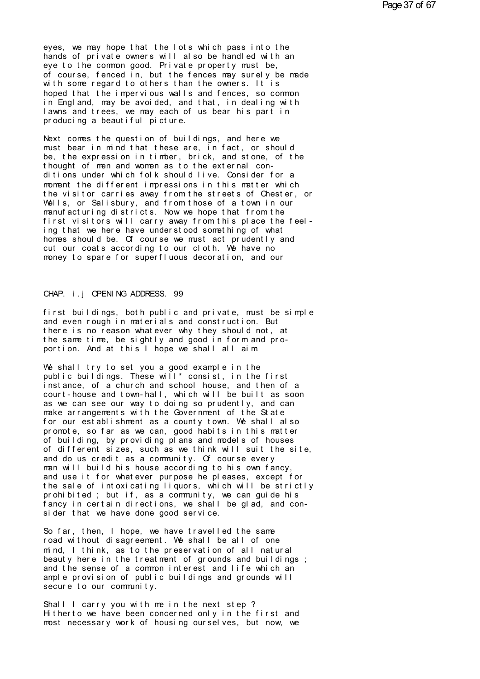eyes, we may hope that the lots which pass into the<br>hands of private owners will also be handled with an<br>eye to the common good. Private property must be eyes, we may hope that the lots which pass into the<br>hands of private owners will also be handled with an<br>eye to the common good. Private property must be,<br>of course, fenced in but the fences may surely be made eyes, we may hope that the lots which pass into the<br>hands of private owners will also be handled with an<br>eye to the common good. Private property must be,<br>of course, fenced in, but the fences may surely be made<br>with some r eyes, we may hope that the lots which pass into the<br>hands of private owners will also be handled with an<br>eye to the common good. Private property must be,<br>of course, fenced in, but the fences may surely be made<br>with some r eyes, we may hope that the lots which pass into the<br>hands of private owners will also be handled with an<br>eye to the common good. Private property must be,<br>of course, fenced in, but the fences may surely be made<br>with some r eyes, we may hope that the lots which pass into the<br>hands of private owners will also be handled with an<br>eye to the common good. Private property must be,<br>of course, fenced in, but the fences may surely be made<br>with some r hands of private owners will also be handled with an<br>eye to the common good. Private property must be,<br>of course, fenced in, but the fences may surely be made<br>with some regard to others than the owners. It is<br>hoped that th eye to the common good. Private property must be,<br>of course, fenced in, but the fences may surely be made<br>with some regard to others than the owners. It is<br>hoped that the impervious walls and fences, so common<br>in England, with some regard to others than the owners. It is<br>hoped that the impervious walls and fences, so common<br>in England, may be avoided, and that, in dealing with<br>lawns and trees, we may each of us bear his part in<br>producing a

must bear in mind that these are, in fact, or should in England, may be avoided, and that, in dealing with<br>lawns and trees, we may each of us bear his part in<br>producing a beautiful picture.<br>Next comes the question of buildings, and here we<br>must bear in mind that these are, i lawns and trees, we may each of us bear his part in<br>producing a beautiful picture.<br>Next comes the question of buildings, and here we<br>must bear in mind that these are, in fact, or should<br>be, the expression in timber, brick, producing a beautiful picture.<br>Next comes the question of buildings, and here we<br>must bear in mind that these are, in fact, or should<br>be, the expression in timber, brick, and stone, of the<br>thought of men and women as to th thought of men and women as to the external conditions under which folk should live. Consider for a moment the different impressions in this matter which the visitor carries away from the streets of Chester, or must bear in mind that these are, in fact, or should<br>be, the expression in timber, brick, and stone, of the<br>thought of men and women as to the external con-<br>ditions under which folk should live. Consider for a<br>moment the d be, the expression in timber, brick, and stone, of the<br>thought of men and women as to the external con-<br>ditions under which folk should live. Consider for a<br>moment the different impressions in this matter which<br>the visitor thought of men and women as to the external conditions under which folk should live. Consider for a<br>moment the different impressions in this matter which<br>the visitor carries away from the streets of Chester, or<br>Wells, or S ditions under which folk should live. Consider for a<br>moment the different impressions in this matter which<br>the visitor carries away from the streets of Chester, or<br>Wells, or Salisbury, and from those of a town in our<br>manuf moment the different impressions in this matter which<br>the visitor carries away from the streets of Chester, or<br>Wells, or Salisbury, and from those of a town in our<br>manufacturing districts. Now we hope that from the<br>first v the visitor carries away from the streets of Chester, or<br>Wells, or Salisbury, and from those of a town in our<br>manufacturing districts. Now we hope that from the<br>first visitors will carry away from this place the feel-<br>ing manufacturing districts. Now we hope that from the<br>first visitors will carry away from this place the feel-<br>ing that we here have understood something of what<br>homes should be. Of course we must act prudently and<br>cut our co homes should be. Of course we must act prudently and money to spare for superfluous decoration, and our<br>CHAP. i.j OPENING ADDRESS. 99

CHAP. i.j OPENING ADDRESS. 99<br>first buildings, both public and private, must be simple<br>and even rough in materials and construction. But<br>there is no reason whatever why they should not at CHAP. i.j OPENING ADDRESS. 99<br>first buildings, both public and private, must be simple<br>and even rough in materials and construction. But<br>there is no reason whatever why they should not, at<br>the same time, be sightly and goo CHAP. i.j OPENING ADDRESS. 99<br>first buildings, both public and private, must be simple<br>and even rough in materials and construction. But<br>there is no reason whatever why they should not, at<br>the same time, be sightly and goo CHAP. i.j OPENING ADDRESS. 99<br>first buildings, both public and private, must be simple<br>and even rough in materials and construction. But<br>there is no reason whatever why they should not, at<br>the same time, be sightly and goo and even rough in materials and construction. But<br>there is no reason whatever why they should not, at<br>the same time, be sightly and good in form and pro-<br>portion. And at this I hope we shall all aim<br>We shall try to set you

i nst ance, of a church and school house, and then of a the same time, be sightly and good in form and pro-<br>portion. And at this I hope we shall all aim<br>We shall try to set you a good example in the<br>public buildings. These will\* consist, in the first<br>instance, of a church and s portion. And at this I hope we shall all aim<br>We shall try to set you a good example in the<br>public buildings. These will\* consist, in the first<br>instance, of a church and school house, and then of a<br>court-house and town-hall We shall try to set you a good example in the<br>public buildings. These will\* consist, in the first<br>instance, of a church and school house, and then of a<br>court-house and town-hall, which will be built as soon<br>as we can see o We shall try to set you a good example in the<br>public buildings. These will\* consist, in the first<br>instance, of a church and school house, and then of a<br>court-house and town-hall, which will be built as soon<br>as we can see o public buildings. These will\* consist, in the first<br>instance, of a church and school house, and then of a<br>court-house and town-hall, which will be built as soon<br>as we can see our way to doing so prudently, and can<br>make arr instance, of a church and school house, and then of a<br>court-house and town-hall, which will be built as soon<br>as we can see our way to doing so prudently, and can<br>make arrangements with the Government of the State<br>for our e as we can see our way to doing so prudently, and can<br>make arrangements with the Government of the State<br>for our establishment as a county town. We shall also<br>promote, so far as we can, good habits in this matter<br>of buildin as we can see our way to doing so prudently, and can<br>make arrangements with the Government of the State<br>for our establishment as a county town. We shall also<br>promote, so far as we can, good habits in this matter<br>of buildin make arrangements with the Government of the State<br>for our establishment as a county town. We shall also<br>promote, so far as we can, good habits in this matter<br>of building, by providing plans and models of houses<br>of differe ror our establishment as a county town. We shall also<br>promote, so far as we can, good habits in this matter<br>of building, by providing plans and models of houses<br>of different sizes, such as we think will suit the site,<br>and of building, by providing plans and models of houses<br>of different sizes, such as we think will suit the site,<br>and do us credit as a community. Of course every<br>man will build his house according to his own fancy,<br>and use it of building, by providing plans and models of houses<br>of different sizes, such as we think will suit the site,<br>and do us credit as a community. Of course every<br>man will build his house according to his own fancy,<br>and use it of different sizes, such as we think will suit the site,<br>and do us credit as a community. Of course every<br>man will build his house according to his own fancy,<br>and use it for whatever purpose he pleases, except for<br>the sale and do us credit as a community. Of course every<br>man will build his house according to his own fancy,<br>and use it for whatever purpose he pleases, except for<br>the sale of intoxicating liquors, which will be strictly<br>prohibit the sale of intoxicating liquors, which will be strictly prohibited; but if, as a community, we can guide his fancy in certain directions, we shall be glad, and consider that we have done good service.<br>So far, then, I hope

prohibited; but it, as a community, we can guide his<br>fancy in certain directions, we shall be glad, and con-<br>sider that we have done good service.<br>So far, then, I hope, we have travelled the same<br>road without disagreement. rancy in certain directions, we shall be glad, and consider that we have done good service.<br>So far, then, I hope, we have travelled the same<br>road without disagreement. We shall be all of one<br>mind, I think, as to the preser sider that we have done good service.<br>So far, then, I hope, we have travelled the same<br>road without disagreement. We shall be all of one<br>mind, I think, as to the preservation of all natural<br>beauty here in the treatment of So far, then, I hope, we have travelled the same<br>road without disagreement. We shall be all of one<br>mind, I think, as to the preservation of all natural<br>beauty here in the treatment of grounds and buildings;<br>and the sense o So far, then, I hope, we have travelled the same<br>road without disagreement. We shall be all of one<br>mind, I think, as to the preservation of all natural<br>beauty here in the treatment of grounds and buildings;<br>and the sense o road without disagreement. We shall<br>mind, I think, as to the preservation<br>beauty here in the treatment of grout<br>and the sense of a common interest an<br>ample provision of public buildings<br>secure to our community.<br>Shall I car and the sense of a common interest and life which an ample provision of public buildings and grounds will secure to our community.<br>Shall I carry you with me in the next step ?<br>Hitherto we have been concerned only in the fi and the sense of a common interest and life which an<br>ample provision of public buildings and grounds will<br>secure to our community.<br>Shall I carry you with me in the next step ?<br>Hitherto we have been concerned only in the fi

ample provision of public buildings and grounds will<br>secure to our community.<br>Shall I carry you with me in the next step ?<br>Hitherto we have been concerned only in the first and<br>most necessary work of housing ourselves, but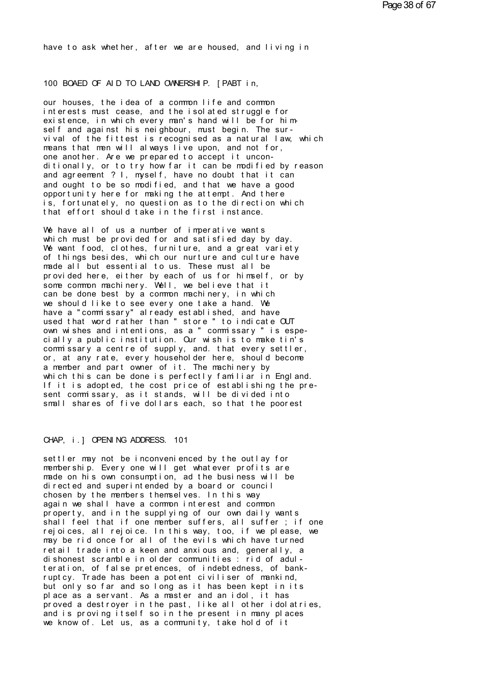have to ask whether, after we are housed, and living in have to ask whether, after we are housed, and living in<br>100 BOAED OF AID TO LAND OWNERSHIP. [PABT in,<br>our bouses, the idea of a common life and common

100 BOAED OF AID TO LAND OWNERSHIP. [PABT in,<br>our houses, the idea of a common life and common<br>interests must cease, and the isolated struggle for existence, in which every man's hand will be for him-<br>self and against his neighbour, must begin. The sur-100 BOAED OF AID TO LAND OWNERSHIP. [PABT in,<br>our houses, the idea of a common life and common<br>interests must cease, and the isolated struggle for<br>existence, in which every man's hand will be for him-<br>self and against his vival of the fittest is recognised as a natural law, which means that men will always live upon, and not for, one another. Are we prepared to accept it unconditionally, or to try how far it can be modified by reason interests must cease, and the isolated struggle for<br>existence, in which every man's hand will be for him-<br>self and against his neighbour, must begin. The sur-<br>vival of the fittest is recognised as a natural law, which<br>mean self and against his neighbour, must begin. The sur-<br>vival of the fittest is recognised as a natural law, which<br>means that men will always live upon, and not for,<br>one another. Are we prepared to accept it uncon-<br>ditionally vival of the fittest is recognised as a natural law, which<br>means that men will always live upon, and not for,<br>one another. Are we prepared to accept it uncon-<br>ditionally, or to try how far it can be modified by reason<br>and means that men will always live upon, and not for,<br>one another. Are we prepared to accept it uncon-<br>ditionally, or to try how far it can be modified by reason<br>and agreement ? I, myself, have no doubt that it can<br>and ought one another. Are we prepared to accept it uncon-<br>ditionally, or to try how far it can be modified by reason<br>and agreement ? I, myself, have no doubt that it can<br>and ought to be so modified, and that we have a good<br>opportun ditionally, or to try how far it can be modified by rea<br>and agreement ? I, myself, have no doubt that it can<br>and ought to be so modified, and that we have a good<br>opportunity here for making the attempt. And there<br>is, fortu and ought to be so modified, and that we have a good<br>opportunity here for making the attempt. And there<br>is, fortunately, no question as to the direction which<br>that effort should take in the first instance.<br>We have all of u

opportunity here for making the attempt. And there<br>is, fortunately, no question as to the direction which<br>that effort should take in the first instance.<br>We have all of us a number of imperative wants<br>which must be provided is, fortunately, no question as to the direction which<br>that effort should take in the first instance.<br>We have all of us a number of imperative wants<br>which must be provided for and satisfied day by day.<br>We want food, clothe that effort should take in the first instance.<br>We have all of us a number of imperative wants<br>which must be provided for and satisfied day by day.<br>We want food, clothes, furniture, and a great variety<br>of things besides, wh We have all of us a number of imperative wants<br>which must be provided for and satisfied day by day.<br>We want food, clothes, furniture, and a great variety<br>of things besides, which our nurture and culture have<br>made all but e We have all of us a number of imperative wants<br>which must be provided for and satisfied day by day.<br>We want food, clothes, furniture, and a great variety<br>of things besides, which our nurture and culture have<br>made all but e which must be provided for and satisfied day by day.<br>We want food, clothes, furniture, and a great variety<br>of things besides, which our nurture and culture have<br>made all but essential to us. These must all be<br>provided here of things besides, which our nurture and culture have<br>made all but essential to us. These must all be<br>provided here, either by each of us for himself, or by<br>some common machinery. Well, we believe that it<br>can be done best of things besides, which our nurture and culture have<br>made all but essential to us. These must all be<br>provided here, either by each of us for himself, or by<br>some common machinery. Well, we believe that it<br>can be done best made all but essential to us. Inese must all be<br>provided here, either by each of us for himself, or by<br>some common machinery. Well, we believe that it<br>can be done best by a common machinery, in which<br>we should like to see provided here, either by each of us for himself, or by<br>some common machinery. Well, we believe that it<br>can be done best by a common machinery, in which<br>we should like to see every one take a hand. We<br>have a "commissary" al some common machinery. Well, we believe that it<br>can be done best by a common machinery, in which<br>we should like to see every one take a hand. We<br>have a "commissary" already established, and have<br>used that word rather than we should like to see every one take a hand. We<br>have a "commissary" already established, and have<br>used that word rather than "store" to indicate CUT<br>own wishes and intentions, as a "commissary" is espe-<br>cially a public ins have a "commissary" already established, and have<br>used that word rather than "store" to indicate CUT<br>own wishes and intentions, as a "commissary" is espe-<br>cially a public institution. Our wish is to make tin's<br>commissary a used that word rather than "store" to indicate OOI<br>own wishes and intentions, as a "commissary" is espe-<br>cially a public institution. Our wish is to make tin's<br>commissary a centre of supply, and. that every settler,<br>or, at own wishes and intentions, as a "commissary" is especially a public institution. Our wish is to make tin's<br>commissary a centre of supply, and. that every settler,<br>or, at any rate, every householder here, should become<br>a me cially a public institution. Cur wish is to make tin's<br>commissary a centre of supply, and. that every settler,<br>or, at any rate, every householder here, should become<br>a member and part owner of it. The machinery by<br>which th or, at any rate, every householder here, should become<br>a member and part owner of it. The machinery by<br>which this can be done is perfectly familiar in England.<br>If it is adopted, the cost price of establishing the pre-<br>sent sent commissary, as it stands, will be domail shares of five dollars each, so the<br>CHAP, i.] OPENING ADDRESS. 101<br>settler may not be inconvenienced by the

CHAP, i.] OPENING ADDRESS. 101<br>settler may not be inconvenienced by the outlay for<br>membership. Every one will get whatever profits are<br>mede on bis own consumption, ad the business will be CHAP, i.] OPENING ADDRESS. 101<br>settler may not be inconvenienced by the outlay for<br>membership. Every one will get what ever profits are<br>made on his own consumption, ad the business will be<br>directed and superintended by a b CHAP, i.] OPENING ADDRESS. 101<br>settler may not be inconvenienced by the outlay for<br>membership. Every one will get whatever profits are<br>made on his own consumption, ad the business will be<br>directed and superintended by a bo CHAP, I.] CPENING ADDRESS. 101<br>settler may not be inconvenienced by the outlay for<br>membership. Every one will get whatever profits are<br>made on his own consumption, ad the business will be<br>directed and superintended by a bo settler may not be inconvenienced by the outlay for<br>member ship. Every one will get what ever profits are<br>made on his own consumption, ad the business will be<br>directed and superintended by a board or council<br>chosen by the settler may not be inconvenienced by the outlay for<br>membership. Every one will get whatever profits are<br>made on his own consumption, ad the business will be<br>directed and superintended by a board or council<br>chosen by the me membership. Every one will get whatever profits are<br>made on his own consumption, ad the business will be<br>directed and superintended by a board or council<br>chosen by the members themselves. In this way<br>again we shall have a made on his own consumption, ad the business will be<br>directed and superintended by a board or council<br>chosen by the members themselves. In this way<br>again we shall have a common interest and common<br>property, and in the supp directed and superintended by a board or council<br>chosen by the members themselves. In this way<br>again we shall have a common interest and common<br>property, and in the supplying of our own daily wants<br>shall feel that if one m chosen by the members themselves. In this way<br>again we shall have a common interest and common<br>property, and in the supplying of our own daily wants<br>shall feel that if one member suffers, all suffer ; if one<br>rejoices, all again we shall have a common interest and common<br>property, and in the supplying of our own daily wants<br>shall feel that if one member suffers, all suffer; if one<br>rejoices, all rejoice. In this way, too, if we please, we<br>may property, and in the supplying of our own daily wants<br>shall feel that if one member suffers, all suffer; if one<br>rejoices, all rejoice. In this way, too, if we please, we<br>may be rid once for all of the evils which have turn shall feel that if one member suffers, all suffer; if one<br>rejoices, all rejoice. In this way, too, if we please, we<br>may be rid once for all of the evils which have turned<br>retail trade into a keen and anxious and, generally rejoices, all rejoice. In this way, too, it we please, we<br>may be rid once for all of the evils which have turned<br>retail trade into a keen and anxious and, generally, a<br>dishonest scramble in older communities : rid of adulmay be rid once for all of the evils which have turned<br>retail trade into a keen and anxious and, generally, a<br>dishonest scramble in older communities : rid of adul-<br>teration, of false pretences, of indebtedness, of bank-<br>r retail trade into a keen and anxious and, generally, a<br>dishonest scramble in older communities : rid of adul-<br>teration, of false pretences, of indebtedness, of bank-<br>ruptcy. Trade has been a potent civiliser of mankind,<br>bu dishonest scramble in older communities: rid of adul-<br>teration, of false pretences, of indebtedness, of bank-<br>ruptcy. Trade has been a potent civiliser of mankind,<br>but only so far and so long as it has been kept in its<br>pla teration, of false pretences, of indebtedness, of bank-<br>ruptcy. Trade has been a potent civiliser of mankind,<br>but only so far and so long as it has been kept in its<br>place as a servant. As a master and an idol, it has<br>prove ruptcy. Trade has been a potent civiliser of mankind,<br>but only so far and so long as it has been kept in its<br>place as a servant. As a master and an idol, it has<br>proved a destroyer in the past, like all other idolatries,<br>an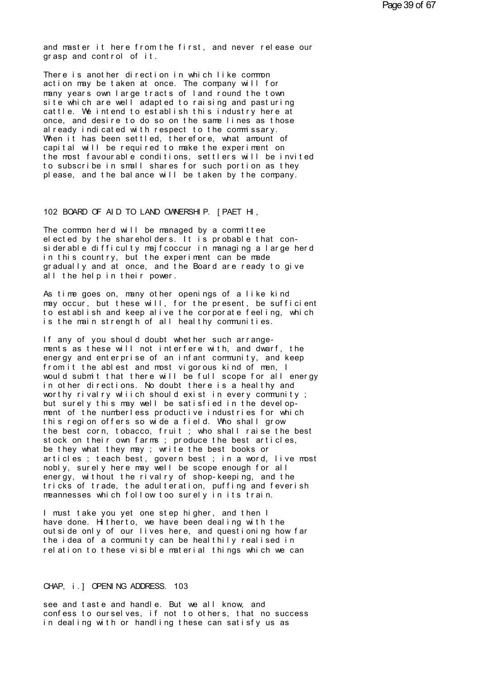and master it here from the first, and never release our<br>grasp and control of it. and master it here from the first, and<br>grasp and control of it.<br>There is another direction in which I

and master it here from the first, and never release correspond control of it.<br>There is another direction in which like common<br>action may be taken at once. The company will for<br>many years own large tracts of land round the and master it here from the first, and never release our<br>grasp and control of it.<br>There is another direction in which like common<br>action may be taken at once. The company will for<br>many years own large tracts of land round and master it here from the first, and never release our<br>grasp and control of it.<br>There is another direction in which like common<br>action may be taken at once. The company will for<br>many years own large tracts of land round grasp and control of It.<br>There is another direction in which like common<br>action may be taken at once. The company will for<br>many years own large tracts of land round the town<br>site which are well adapted to raising and pastu There is another direction in which like common<br>action may be taken at once. The company will for<br>many years own large tracts of land round the town<br>site which are well adapted to raising and pasturing<br>cattle. We intend to There is another direction in which like common<br>action may be taken at once. The company will for<br>many years own large tracts of land round the town<br>site which are well adapted to raising and pasturing<br>cattle. We intend to action may be taken at once. The company will for<br>many years own large tracts of land round the town<br>site which are well adapted to raising and pasturing<br>cattle. We intend to establish this industry here at<br>once, and desir many years own large tracts of land round the town<br>site which are well adapted to raising and pasturing<br>cattle. We intend to establish this industry here at<br>once, and desire to do so on the same lines as those<br>already indi site which are well adapted to raising and pasturing<br>cattle. We intend to establish this industry here at<br>once, and desire to do so on the same lines as those<br>already indicated with respect to the commissary.<br>When it has b cattle. We intend to establish this industry here at<br>once, and desire to do so on the same lines as those<br>already indicated with respect to the commissary.<br>When it has been settled, therefore, what amount of<br>capital will b once, and desire to do so on the same lines as those<br>already indicated with respect to the commissary.<br>When it has been settled, therefore, what amount of<br>capital will be required to make the experiment on<br>the most favoura al ready indicated with respect to the commissary.<br>When it has been settled, therefore, what amount of<br>capital will be required to make the experiment on<br>the most favourable conditions, settlers will be invited<br>to subscrib to subscribe in small shares for such portion as they<br>please, and the balance will be taken by the company.<br>102 BOARD OF AID TO LAND OWNERSHIP. [PAET HI,<br>The common berd will be managed by a committee.

The common herd will be managed by a committee elected by the shareholders. It is probable that conel ect ed by the shareholders. It is probable that con-<br>elected by the shareholders. It is probable that con-<br>siderable difficulty majfcoccur in managing a large herd<br>in this country, but the experiment can be made<br>gradual 102 BOARD OF AID TO LAND OWNERSHIP. [PAET HI,<br>The common herd will be managed by a committee<br>elected by the shareholders. It is probable that con-<br>siderable difficulty majfcoccur in managing a large he<br>in this country, but The common herd will be managed by a committee<br>elected by the shareholders. It is probable that con-<br>siderable difficulty majfcoccur in managing a large herd<br>in this country, but the experiment can be made<br>gradually and at The common herd will be managed by a commonleated by the shareholders. It is probably siderable difficulty majfcoccur in managing in this country, but the experiment can be gradually and at once, and the Board are all the siderable difficulty majfcoccur in managing a large herd<br>in this country, but the experiment can be made<br>gradually and at once, and the Board are ready to give<br>all the help in their power.<br>As time goes on, many other openi

in this country, but the experiment can be made<br>gradually and at once, and the Board are ready to give<br>all the help in their power.<br>As time goes on, many other openings of a like kind<br>may occur, but these will, for the pre gradually and at once, and the Board are ready to give<br>all the help in their power.<br>As time goes on, many other openings of a like kind<br>may occur, but these will, for the present, be sufficient<br>to establish and keep alive all the help in their power.<br>As time goes on, many other openings of a like kind<br>may occur, but these will, for the present, be sufficient<br>to establish and keep alive the corporate feeling, which<br>is the main strength of al As time goes on, many other openings of a like kind<br>may occur, but these will, for the present, be sufficient<br>to establish and keep alive the corporate feeling, which<br>is the main strength of all healthy communities.<br>If any

to establish and keep alive the corporate feeling, which<br>is the main strength of all healthy communities.<br>If any of you should doubt whether such arrange-<br>ments as these will not interfere with, and dwarf, the<br>energy and e is the main strength of all healthy communities.<br>If any of you should doubt whether such arrange-<br>ments as these will not interfere with, and dwarf, the<br>energy and enterprise of an infant community, and keep<br>from it the ab If any of you should doubt whether such arrange-<br>ments as these will not interfere with, and dwarf, the<br>energy and enterprise of an infant community, and keep<br>from it the ablest and most vigorous kind of men, I<br>would submi If any of you should doubt whether such arrange-<br>ments as these will not interfere with, and dwarf, the<br>energy and enterprise of an infant community, and keep<br>from it the ablest and most vigorous kind of men, I<br>would submi ments as these will not intertere with, and dwarf, the<br>energy and enterprise of an infant community, and keep<br>from it the ablest and most vigorous kind of men, I<br>would submit that there will be full scope for all energy<br>in energy and enterprise of an infant community, and keep<br>from it the ablest and most vigorous kind of men, I<br>would submit that there will be full scope for all energy<br>in other directions. No doubt there is a healthy and<br>wort would submit that there will be full scope for all energy<br>in other directions. No doubt there is a healthy and<br>worthy rivalry wiich should exist in every community;<br>but surely this may well be satisfied in the develop-<br>men in other directions. No doubt there is a healthy and<br>worthy rivalry wiich should exist in every community;<br>but surely this may well be satisfied in the develop-<br>ment of the numberless productive industries for which<br>this r worthy rivalry wiich should exist in every community;<br>but surely this may well be satisfied in the develop-<br>ment of the numberless productive industries for which<br>this region offers so wide a field. Who shall grow<br>the best but surely this may well be satisfied in the develop<br>ment of the numberless productive industries for whit<br>this region offers so wide a field. Who shall grow<br>the best corn, tobacco, fruit ; who shall raise the<br>stock on the ment of the numberless productive industries for which<br>this region offers so wide a field. Who shall grow<br>the best corn, tobacco, fruit ; who shall raise the best<br>stock on their own farms ; produce the best articles,<br>be th this region offers so wide a field. Who shall grow<br>the best corn, tobacco, fruit; who shall raise the best<br>stock on their own farms; produce the best articles,<br>be they what they may; write the best books or<br>articles; teach stock on their own farms; produce the best articles,<br>be they what they may; write the best books or<br>articles; teach best, govern best; in a word, live mos<br>nobly, surely here may well be scope enough for all<br>energy, without stock on their own farms; produce the best articles,<br>be they what they may; write the best books or<br>articles; teach best, govern best; in a word, live most<br>nobly, surely here may well be scope enough for all<br>energy, withou articles; teach best, govern best; in a word, live most<br>nobly, surely here may well be scope enough for all<br>energy, without the rivalry of shop-keeping, and the<br>tricks of trade, the adulteration, puffing and feverish<br>meann energy, without the rivalry of shop-keeping, and the<br>tricks of trade, the adulteration, puffing and feverish<br>meannesses which follow too surely in its train.<br>I must take you yet one step higher, and then I<br>have done. Hithe

energy, without the rivalry of shop-keeping, and the<br>tricks of trade, the adulteration, puffing and feverish<br>meannesses which follow too surely in its train.<br>I must take you yet one step higher, and then I<br>have done. Hithe tricks of trade, the adulteration, puffing and feverish<br>meannesses which follow too surely in its train.<br>I must take you yet one step higher, and then I<br>have done. Hitherto, we have been dealing with the<br>outside only of ou meannesses which follow too surely in its train.<br>I must take you yet one step higher, and then I<br>have done. Hitherto, we have been dealing with the<br>outside only of our lives here, and questioning how far<br>the idea of a comm I must take you yet one step higher, and then I<br>have done. Hitherto, we have been dealing with the<br>outside only of our lives here, and questioning how far<br>the idea of a community can be healthily realised in<br>relation to th the idea of a community can be healthily realised in<br>relation to these visible material things which we can<br>CHAP, i.] OPENING ADDRESS. 103<br>see and taste and handle. But we all know, and

CHAP, i.] OPENING ADDRESS. 103<br>see and taste and handle. But we all know, and<br>confess to ourselves, if not to others, that no success<br>in dealing with or handling these can satisfy us as CHAP, i.] OPENING ADDRESS. 103<br>see and taste and handle. But we all know, and<br>confess to ourselves, if not to others, that no success<br>in dealing with or handling these can satisfy us as CHAP, i.] OPENING ADDRESS. 103<br>see and taste and handle. But we all know, and<br>confess to ourselves, if not to others, that no success<br>in dealing with or handling these can satisfy us as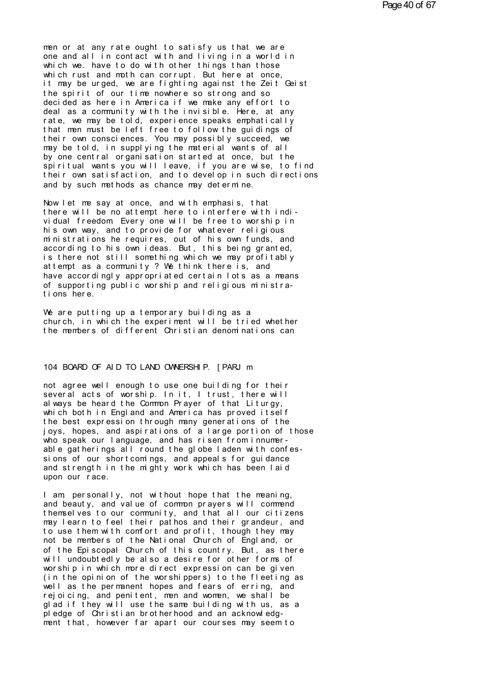men or at any rate ought to satisfy us that we are<br>one and all in contact with and living in a world in<br>which we have to do with other things than those men or at any rate ought to satisfy us that we are<br>one and all in contact with and living in a world in<br>which rust and moth can corrupt. But here at once men or at any rate ought to satisfy us that we are<br>one and all in contact with and living in a world in<br>which we. have to do with other things than those<br>which rust and moth can corrupt. But here at once, men or at any rate ought to satisfy us that we are<br>one and all in contact with and living in a world in<br>which we, have to do with other things than those<br>which rust and moth can corrupt. But here at once,<br>it may be urged, men or at any rate ought to satisfy us that we are<br>one and all in contact with and living in a world in<br>which we have to do with other things than those<br>which rust and moth can corrupt. But here at once,<br>it may be urged, w men or at any rate ought to satisty us that we are<br>one and all in contact with and living in a world in<br>which we have to do with other things than those<br>which rust and moth can corrupt. But here at once,<br>it may be urged, w one and all in contact with and living in a world in<br>which we have to do with other things than those<br>which rust and moth can corrupt. But here at once,<br>it may be urged, we are fighting against the Zeit Geist<br>the spirit of which we have to dow th other things than those<br>which rust and moth can corrupt. But here at once,<br>it may be urged, we are fighting against the Zeit Geist<br>the spirit of our time nowhere so strong and so<br>decided as here in which rust and moth can corrupt. But here at once,<br>it may be urged, we are fighting against the Zeit Geist<br>the spirit of our time nowhere so strong and so<br>decided as here in America if we make any effort to<br>deal as a commu It may be urged, we are fighting against the Zeit Geist<br>the spirit of our time nowhere so strong and so<br>decided as here in America if we make any effort to<br>deal as a community with the invisible. Here, at any<br>rate, we may the spirit of our time nowhere so strong and so<br>decided as here in America if we make any effort to<br>deal as a community with the invisible. Here, at any<br>rate, we may be told, experience speaks emphatically<br>that men must be decided as here in America if we make any effort to deal as a community with the invisible. Here, at any rate, we may be told, experience speaks emphatically that men must be left free to follow the guidings of their own c deal as a community with the invisible. Here, at any<br>rate, we may be told, experience speaks emphatically<br>that men must be left free to follow the guidings of<br>their own consciences. You may possibly succeed, we<br>may be told rate, we may be told, experience speaks emphatically<br>that men must be left free to follow the guidings of<br>their own consciences. You may possibly succeed, we<br>may be told, in supplying the material wants of all<br>by one centr that men must be left free to follow the guidings of<br>their own consciences. You may possibly succeed, we<br>may be told, in supplying the material wants of all<br>by one central organisation started at once, but the<br>spiritual wa their own consciences. You may possibly succeed, we<br>may be told, in supplying the material wants of all<br>by one central organisation started at once, but the<br>spiritual wants you will leave, if you are wise, to fin<br>their own by one central organisation started at once, but the<br>spiritual wants you will leave, if you are wise, to find<br>their own satisfaction, and to develop in such directions<br>and by such methods as chance may determine.<br>Now let m

spiritual wants you will leave, it you are wise, to find<br>their own satisfaction, and to develop in such directions<br>and by such methods as chance may determine.<br>Now let me say at once, and with emphasis, that<br>there will be and by such methods as chance may determine.<br>Now let me say at once, and with emphasis, that<br>there will be no attempt here to interfere with indi-<br>vidual freedom Every one will be free to worship in<br>his own way, and to pro Now let me say at once, and with emphasis, that<br>there will be no attempt here to interfere with indi-<br>vidual freedom Every one will be free to worship in<br>his own way, and to provide for whatever religious<br>ministrations he Now let me say at once, and with emphasis, that<br>there will be no attempt here to interfere with indi-<br>vidual freedom Every one will be free to worship in<br>his own way, and to provide for whatever religious<br>ministrations he there will be no attempt here to interfere with indi-<br>vidual freedom Every one will be free to worship in<br>his own way, and to provide for whatever religious<br>ministrations he requires, out of his own funds, and<br>according to vidual freedom Every one will be free to worship in<br>his own way, and to provide for whatever religious<br>ministrations he requires, out of his own funds, and<br>according to his own ideas. But, this being granted,<br>is there not his own way, and to provide for whatever religious<br>ministrations he requires, out of his own funds, and<br>according to his own ideas. But, this being granted,<br>is there not still something which we may profitably<br>at tempt as m nistrations he requires, out of his own funds, and according to his own ideas. But, this being granted, is there not still something which we may profitably attempt as a community? We think there is, and have accordingly is there not still something which we may profitably attempt as a community? We think there is, and have accordingly appropriated certain lots as a mean of supporting public worship and religious ministrations here.<br>We are have accordingly appropriated certain lots as a means have accordingly appropriated certain lots as a means<br>of supporting public worship and religious ministra-<br>tions here.<br>We are putting up a temporary building as a<br>church, in which the experiment will be tried whether<br>the m

church, in which the experiment will be tried whether the members of different Christian denominations can<br>104 BOARD OF AID TO LAND OWNERSHIP. [PARJ m

104 BOARD OF AID TO LAND OWNERSHIP. [PARJ m<br>not agree well enough to use one building for their<br>several acts of worship. In it, I trust, there will<br>always be beard the Common Prayer of that liturgy 104 BOARD OF AID TO LAND OWNERSHIP. [PARJ m<br>not agree well enough to use one building for their<br>several acts of worship. In it, I trust, there will<br>always be heard the Common Prayer of that Liturgy,<br>which both in England a 104 BOARD OF AID TO LAND OWNERSHIP. [PARJ m<br>not agree well enough to use one building for their<br>several acts of worship. In it, I trust, there will<br>always be heard the Common Prayer of that Liturgy,<br>which both in England a several acts of worship. In it, I trust, there will always be heard the Common Prayer of that Liturgy, which both in Engl and and America has proved itself the best expression through many generations of the not agree well enough to use one building for their<br>several acts of worship. In it, I trust, there will<br>always be heard the Common Prayer of that Liturgy,<br>which both in England and America has proved itself<br>the best expres not agree well enough to use one building for their<br>several acts of worship. In it, I trust, there will<br>always be heard the Common Prayer of that Liturgy,<br>which both in England and America has proved itself<br>the best expres several acts of worship. In it, I trust, there will<br>always be heard the Common Prayer of that Liturgy,<br>which both in England and America has proved itself<br>the best expression through many generations of the<br>joys, hopes, an the best expression through many generations of the<br>joys, hopes, and aspirations of a large portion of those<br>who speak our language, and has risen from innumer-<br>able gatherings all round the globe laden with confes-<br>sions who speak our language, and has risen from innumer-<br>able gatherings all round the globe laden with confes-<br>sions of our shortcomings, and appeals for guidance<br>and strength in the mighty work which has been laid<br>upon our ra able gatherings all round the globe laden with confessions of our shortcomings, and appeals for guidance<br>and strength in the mighty work which has been laid<br>upon our race.<br>I am, personally, not without hope that the meanin

sions of our shortcomings, and appeals for guidance<br>and strength in the mighty work which has been laid<br>upon our race.<br>I am personally, not without hope that the meaning,<br>and beauty, and value of common prayers will commen and strength in the mighty work which has been laid<br>upon our race.<br>I am, personally, not without hope that the meaning,<br>and beauty, and value of common prayers will commend<br>themselves to our community, and that all our cit upon our race.<br>I am, personally, not without hope that the meaning,<br>and beauty, and value of common prayers will commend<br>themselves to our community, and that all our citizens<br>may learn to feel their pathos and their grand I am personally, not without hope that the meaning,<br>and beauty, and value of common prayers will commend<br>themselves to our community, and that all our citizens<br>may learn to feel their pathos and their grandeur, and<br>to use I am, personally, not without hope that the meaning,<br>and beauty, and value of common prayers will commend<br>themselves to our community, and that all our citizens<br>may learn to feel their pathos and their grandeur, and<br>to use and beauty, and value of common prayers will commend<br>themselves to our community, and that all our citizens<br>may learn to feel their pathos and their grandeur, and<br>to use them with comfort and profit, though they may<br>not be themselves to our community, and that all our citizens<br>may learn to feel their pathos and their grandeur, and<br>to use them with comfort and profit, though they may<br>not be members of the National Church of England, or<br>of the may learn to feel their pathos and their grandeur, and<br>to use them with comfort and profit, though they may<br>not be members of the National Church of England, or<br>of the Episcopal Church of this country. But, as there<br>will u to use them with comfort and profit, though they may<br>not be members of the National Church of England, or<br>of the Episcopal Church of this country. But, as there<br>will undoubtedly be also a desire for other forms of<br>worship not be members of the National Church of England, or<br>of the Episcopal Church of this country. But, as there<br>will undoubtedly be also a desire for other forms of<br>worship in which more direct expression can be given<br>(in the of the Episcopal Church of this country. But, as there<br>will undoubtedly be also a desire for other forms of<br>worship in which more direct expression can be given<br>(in the opinion of the worshippers) to the fleeting as<br>well a will undoubtedly be also a desire for other forms of<br>worship in which more direct expression can be given<br>(in the opinion of the worshippers) to the fleeting as<br>well as the permanent hopes and fears of erring, and<br>rejoicin worship in which more direct expression can be given<br>(in the opinion of the worshippers) to the fleeting as<br>well as the permanent hopes and fears of erring, and<br>rejoicing, and penitent, men and women, we shall be<br>glad if t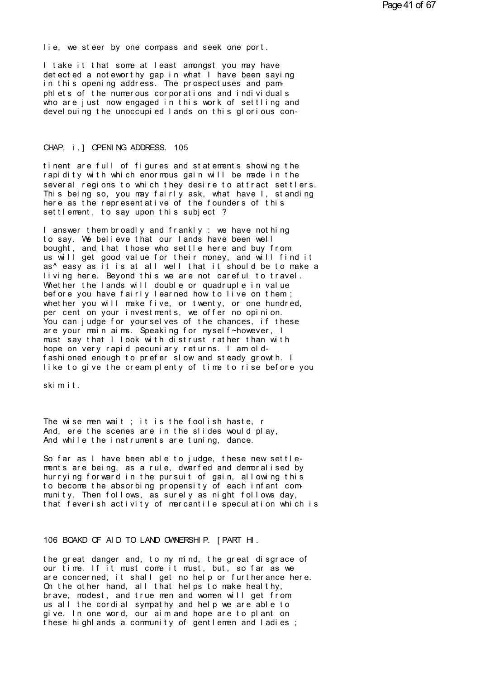lie, we steer by one compass and seek one port.

I take it that some at least amongst you may have detected a noteworthy gap in what I have been saying in this opening address. The prospectuses and pamphlets of the numerous corporations and individuals who are just now engaged in this work of settling and devel oui ng the unoccupied lands on this glorious con-

## CHAP, i.] OPENING ADDRESS. 105

tinent are full of figures and statements showing the rapidity with which enormous gain will be made in the several regions to which they desire to attract settlers. This being so, you may fairly ask, what have I, standing<br>here as the representative of the founders of this settlement, to say upon this subject?

I answer them broadly and frankly: we have nothing to say. We believe that our lands have been well bought, and that those who settle here and buy from<br>us will get good value for their money, and will find it as<sup>^</sup> easy as it is at all well that it should be to make a living here. Beyond this we are not careful to travel. Whether the lands will double or quadruple in value before you have fairly learned how to live on them; whet her you will make five, or twenty, or one hundred, per cent on your investments, we offer no opinion. You can judge for yourselves of the chances, if these are your main aims. Speaking for myself~however, I must say that I look with distrust rather than with hope on very rapid pecuniary returns. I am oldfashioned enough to prefer slow and steady growth. I like to give the cream plenty of time to rise before you

skimit

The wise men wait; it is the foolish haste, r And, ere the scenes are in the slides would play, And while the instruments are tuning, dance.

So far as I have been able to judge, these new settlements are being, as a rule, dwarfed and demoralised by hurrying forward in the pursuit of gain, allowing this to become the absorbing propensity of each infant community. Then follows, as surely as night follows day, that feverish activity of mercantile speculation which is

106 BOAKD OF AID TO LAND OWNERSHIP. [PART HI.

the great danger and, to my mind, the great disgrace of our time. If it must come it must, but, so far as we are concerned, it shall get no help or furtherance here. On the other hand, all that helps to make healthy, brave, modest, and true men and women will get from us all the cordial sympathy and help we are able to give. In one word, our aim and hope are to plant on these highlands a community of gentlemen and ladies;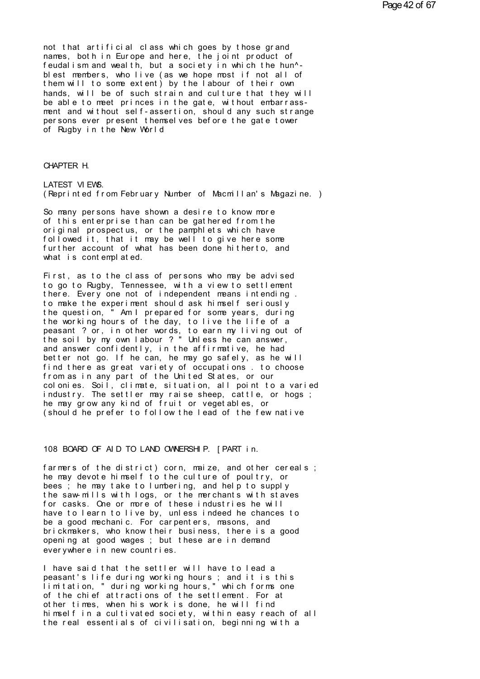not that artificial class which goes by those grand<br>names, both in Europe and here, the joint product of<br>feudalism and wealth, but a society in which the bun^not that artificial class which goes by those grand<br>names, both in Europe and here, the joint product of<br>feudalism and wealth, but a society in which the hun^-<br>blest members, who live (as we hope most if not all of f that artificial class which goes by those grand<br>names, both in Europe and here, the joint product of<br>feudalism and wealth, but a society in which the hun^-<br>blest members, who live (as we hope most if not all of<br>them will not that artificial class which goes by those grand<br>names, both in Europe and here, the joint product of<br>feudalism and wealth, but a society in which the hun^-<br>blest members, who live (as we hope most if not all of<br>them wi not that artiticial class which goes by those grand<br>names, both in Europe and here, the joint product of<br>feudalism and wealth, but a society in which the hun^-<br>blest members, who live (as we hope most if not all of<br>them wi he able is mand wealth, but a society in which the hun^-<br>blest members, who live (as we hope most if not all of<br>them will to some extent) by the labour of their own<br>hands, will be of such strain and culture that they will<br> blest members, who live (as we hope most if not all of<br>them will to some extent) by the labour of their own<br>hands, will be of such strain and culture that they will<br>be able to meet princes in the gate, without embarrass-<br>m them will to some extent) by the labout<br>hands, will be of such strain and cult<br>be able to meet princes in the gate, w<br>ment and without self-assertion, shoul<br>persons ever present themselves before<br>of Rugby in the New World

## CHAPTER H.

CHAPTER H.<br>LATEST VIEWS.<br>(Reprinted from Februar CHAPTER H.<br>LATEST VIEWS.<br>(Reprinted from February Number of Macmillan's Magazine. )<br>So many persons have shown a desire to know more

CHAPIER H.<br>LATEST VIEWS.<br>(Reprinted from February Number of Macmillan's Magazine.)<br>So many persons have shown a desire to know more<br>of this enterprise than can be gathered from the<br>original prospectus, or the namphlets whi LATEST VIEWS.<br>(Reprinted from February Number of Macmillan's Magazine.)<br>So many persons have shown a desire to know more<br>of this enterprise than can be gathered from the<br>original prospectus, or the pamphlets which have<br>fol LATEST VIEWS.<br>(Reprinted from February Number of Macmillan's Magazine<br>So many persons have shown a desire to know more<br>of this enterprise than can be gathered from the<br>original prospectus, or the pamphlets which have<br>follo (Reprinted from February Number of Macmillan's Magazine.)<br>So many persons have shown a desire to know more<br>of this enterprise than can be gathered from the<br>original prospectus, or the pamphlets which have<br>followed it, that So many persons have shown a desire to know more<br>of this enterprise than can be gathered from the<br>original prospectus, or the pamphlets which have<br>followed it, that it may be well to give here some<br>further account of what So many persons have shown a des<br>of this enterprise than can be g<br>original prospectus, or the pamp<br>followed it, that it may be well<br>further account of what has been<br>what is contemplated.<br>First as to the class of person followed it, that it may be well to give here some<br>further account of what has been done hitherto, and<br>what is contemplated.<br>First, as to the class of persons who may be advised<br>to go to Rugby, Tennessee, with a view to se

for lowed it, that it may be well to give here some<br>further account of what has been done hitherto, and<br>what is contemplated.<br>First, as to the class of persons who may be advised<br>to go to Rugby, Tennessee, with a view to s further account of what has been done hitherto, and<br>what is contemplated.<br>First, as to the class of persons who may be advised<br>to go to Rugby, Tennessee, with a view to settlement<br>there. Every one not of independent means what is contemplated.<br>First, as to the class of persons who may be advised<br>to go to Rugby, Tennessee, with a view to settlement<br>there. Every one not of independent means intending.<br>to make the experiment should ask himself First, as to the class of persons who may be advised<br>to go to Rugby, Tennessee, with a view to settlement<br>there. Every one not of independent means intending .<br>to make the experiment should ask himself seriously<br>the questi First, as to the class of persons who may be advised<br>to go to Rugby, Tennessee, with a view to settlement<br>there. Every one not of independent means intending .<br>to make the experiment should ask himself seriously<br>the questi to go to Rugby, Tennessee, with a view to settlement<br>there. Every one not of independent means intending .<br>to make the experiment should ask himself seriously<br>the question, "Am I prepared for some years, during<br>the working there. Every one not of independent means intending.<br>to make the experiment should ask himself seriously<br>the question, "Am I prepared for some years, during<br>the working hours of the day, to live the life of a<br>peasant ? or, to make the experiment should ask himself seriously<br>the question, "Am I prepared for some years, during<br>the working hours of the day, to live the life of a<br>peasant ? or, in other words, to earn my living out of<br>the soil by the question, "Am I prepared for some years, during<br>the working hours of the day, to live the life of a<br>peasant ? or, in other words, to earn my living out of<br>the soil by my own labour ? "Unless he can answer,<br>and answer c the working hours of the day, to live the life of a<br>peasant ? or, in other words, to earn my living out of<br>the soil by my own labour ? "Unless he can answer,<br>and answer confidently, in the affirmative, he had<br>better not go peasant ? or, in other words, to earn my living out of<br>the soil by my own labour ? "Unless he can answer,<br>and answer confidently, in the affirmative, he had<br>better not go. If he can, he may go safely, as he will<br>find there the soll by my own labour ? "Unless he can answer,<br>and answer confidently, in the affirmative, he had<br>better not go. If he can, he may go safely, as he will<br>find there as great variety of occupations . to choose<br>from as in and answer contidently, in the affirmative, he had<br>better not go. If he can, he may go safely, as he will<br>find there as great variety of occupations . to choose<br>from as in any part of the United States, or our<br>colonies. So better not go. If he can, he may go safely, as he will<br>find there as great variety of occupations . to choose<br>from as in any part of the United States, or our<br>colonies. Soil, climate, situation, all point to a varied<br>indus find there as great variety of occupations . to choose<br>from as in any part of the United States, or our<br>colonies. Soil, climate, situation, all point to a varied<br>industry. The settler may raise sheep, cattle, or hogs ;<br>he he may grow any kind of fruit or vegetables, or<br>(should he prefer to follow the lead of the few native<br>108 BOARD OF AID TO LAND OWNERSHIP. [PART in.

farmers of the district) corn, maize, and other cereals;<br>farmers of the district) corn, maize, and other cereals;<br>he may devote himself to the culture of poultry, or<br>hees : he may take to lumbering, and help to supply. he may devote himself of the district) corn, maize, and other cereals;<br>he may devote himself to the culture of poultry, or<br>bees; he may take to lumbering, and help to supply<br>the saw-mills with logs, or the merchants with s 108 BOARD OF AID TO LAND OWNERSHIP. [PART in.<br>farmers of the district) corn, maize, and other cereals;<br>he may devote himself to the culture of poultry, or<br>bees; he may take to lumbering, and help to supply<br>the saw-mills wi TOB BOARD OF ATD TO LAND OWNERSHIP. [PART IN.<br>farmers of the district) corn, maize, and other cereals;<br>he may devote himself to the culture of poultry, or<br>bees; he may take to lumbering, and help to supply<br>the saw-mills wi farmers of the district) corn, maize, and other cereals;<br>he may devote himself to the culture of poultry, or<br>bees; he may take to lumbering, and help to supply<br>the saw-mills with logs, or the merchants with staves<br>for cask farmers of the district) corn, maize, and other cereals;<br>he may devote himself to the culture of poultry, or<br>bees; he may take to lumbering, and help to supply<br>the saw-mills with logs, or the merchants with staves<br>for cask he may devote himself to the culture of poultry, or<br>bees; he may take to lumbering, and help to supply<br>the saw-mills with logs, or the merchants with staves<br>for casks. One or more of these industries he will<br>have to learn bees; he may take to lumbering, and help to supply<br>the saw-mills with logs, or the merchants with staves<br>for casks. One or more of these industries he will<br>have to learn to live by, unless indeed he chances to<br>be a good me the saw-mills with logs, or the merchants with staves<br>for casks. One or more of these industries he will<br>have to learn to live by, unless indeed he chances to<br>be a good mechanic. For carpenters, masons, and<br>brickmakers, wh have to learn to live by, unless indeed he chances to<br>be a good mechanic. For carpenters, masons, and<br>brickmakers, who know their business, there is a good<br>opening at good wages; but these are in demand<br>everywhere in new c be a good mechanic. For carpenters, masons, and<br>brickmakers, who know their business, there is a good<br>opening at good wages ; but these are in demand<br>everywhere in new countries.<br>I have said that the settler will have to l

perickmakers, who know their business, there is a good<br>opening at good wages ; but these are in demand<br>everywhere in new countries.<br>I have said that the settler will have to lead a<br>peasant's life during working hours ; and opening at good wages; but these are in demand<br>everywhere in new countries.<br>I have said that the settler will have to lead a<br>peasant's life during working hours; and it is this<br>limitation, " during working hours," which fo everywhere in new countries.<br>I have said that the settler will have to lead a<br>peasant's life during working hours ; and it is this<br>limitation, "during working hours," which forms one<br>of the chief attractions of the settlem I have said that the settler will have to lead a<br>peasant's life during working hours ; and it is this<br>limitation, "during working hours," which forms one<br>of the chief attractions of the settlement. For at<br>other times, when I have said that the settler will have to lead a<br>peasant's life during working hours ; and it is this<br>limitation, "during working hours," which forms one<br>of the chief attractions of the settlement. For at<br>other times, when peasant's life during working hours ; and it is this<br>limitation, "during working hours," which forms one<br>of the chief attractions of the settlement. For at<br>other times, when his work is done, he will find<br>himself in a cult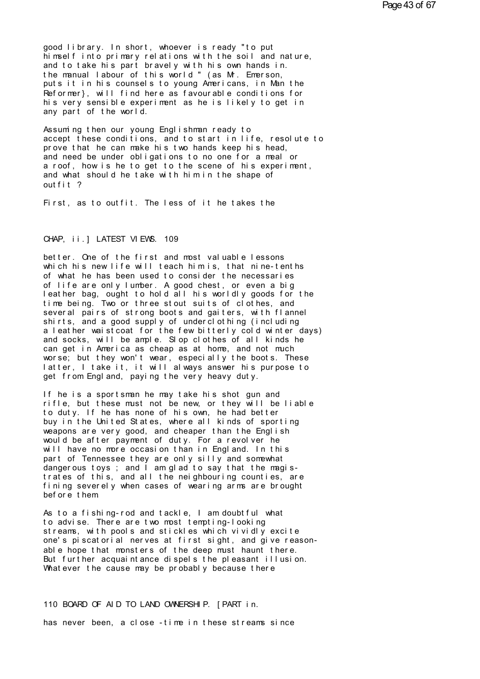good library. In short, whoever is ready "to put<br>himself into primary relations with the soil and nature,<br>and to take his part bravely with his own bands in good library. In short, whoever is ready "to put<br>himself into primary relations with the soil and nature,<br>and to take his part bravely with his own hands in.<br>the manual labour of this world," (as Mr. Emerson good library. In short, whoever is ready "to put<br>himself into primary relations with the soil and nature,<br>and to take his part bravely with his own hands in.<br>the manual labour of this world " (as Mr. Emerson,<br>puts it in hi good library. In short, whoever is ready "to put<br>himself into primary relations with the soil and nature,<br>and to take his part bravely with his own hands in.<br>the manual labour of this world " (as Mr. Emerson,<br>puts it in hi good library. In short, whoever is ready "to put<br>himself into primary relations with the soil and nature,<br>and to take his part bravely with his own hands in.<br>the manual labour of this world " (as Mr. Emerson,<br>puts it in hi good library. In short, whoever is ready "to put<br>himself into primary relations with the soil and nature,<br>and to take his part bravely with his own hands in.<br>the manual labour of this world " (as Mr. Emerson,<br>puts it in hi and to take his part bravely with his own hands in.<br>the manual labour of this world " (as Mr. Emerson,<br>puts it in his counsels to young Americans, in Man the<br>Reformer}, will find here as favourable conditions for<br>his very the manual labour of this world" (as Mr. Emerson, puts it in his counsels to young Americans, in Man Reformer}, will find here as favourable conditions his very sensible experiment as he is likely to ge any part of the wor puts it in his counsels to young Americans, in Man the<br>Reformer}, will find here as favourable conditions for<br>his very sensible experiment as he is likely to get in<br>any part of the world.<br>Assuming then our young Englishman

Reformer}, will find here as favourable conditions for<br>his very sensible experiment as he is likely to get in<br>any part of the world.<br>Assuming then our young Englishman ready to<br>accept these conditions, and to start in life his very sensible experiment as he is likely to get in<br>any part of the world.<br>Assuming then our young Englishman ready to<br>accept these conditions, and to start in life, resolute to<br>prove that he can make his two hands keep any part of the world.<br>Assuming then our young Englishman ready to<br>accept these conditions, and to start in life, resolute to<br>prove that he can make his two hands keep his head,<br>and need be under obligations to no one for Assuming then our young Englishman ready to<br>accept these conditions, and to start in life, resolute to<br>prove that he can make his two hands keep his head,<br>and need be under obligations to no one for a meal or<br>a roof, how i Assuming then our young Englishman ready to<br>accept these conditions, and to start in life, reso<br>prove that he can make his two hands keep his head,<br>and need be under obligations to no one for a meal<br>a roof, how is he to ge prove that he can make his two hands keep his head, and need be under obligations to no one for a meal or a roof, how is he to get to the scene of his experime and what should he take with him in the shape of outfit? a roof, how is he to get to the scene of his experiment,

First, as to outfit. The less of it he takes the<br>CHAP, ii.] LATEST VIEWS. 109<br>better. One of the first and most valuable lessons

CHAP, ii.] LATEST VIEWS. 109<br>better. One of the first and most valuable lessons<br>which his new life will teach him is, that nine-tenths<br>of what be has been used to consider the pecessaries CHAP, ii.] LATEST VIEWS. 109<br>better. One of the first and most valuable lessons<br>which his new life will teach him is, that nine-tenths<br>of what he has been used to consider the necessaries<br>of life are only lumber. A good sh of what he has been used to consider the necessaries<br>of life are only lumber. A good chest, or even a big OHAP, II.] LATEST VIEWS. 109<br>better. One of the first and most valuable lessons<br>which his new life will teach him is, that nine-tenths<br>of what he has been used to consider the necessaries<br>of life are only lumber. A good ch better. One of the first and most valuable lessons<br>which his new life will teach him is, that nine-tenths<br>of what he has been used to consider the necessaries<br>of life are only lumber. A good chest, or even a big<br>leather ba better. One of the first and most valuable lessons<br>which his new life will teach him is, that nine-tenths<br>of what he has been used to consider the necessaries<br>of life are only lumber. A good chest, or even a big<br>leather ba which his new life will teach him is, that hine-tenths<br>of what he has been used to consider the necessaries<br>of life are only lumber. A good chest, or even a big<br>leather bag, ought to hold all his worldly goods for the<br>time of What he has been used to consider the necessaries<br>of life are only lumber. A good chest, or even a big<br>leather bag, ought to hold all his worldly goods for the<br>time being. Two or three stout suits of clothes, and<br>severa of life are only lumber. A good chest, or even a big<br>leather bag, ought to hold all his worldly goods for the<br>time being. Two or three stout suits of clothes, and<br>several pairs of strong boots and gaiters, with flannel<br>shi leather bag, ought to hold all his worldly goods for the<br>time being. Two or three stout suits of clothes, and<br>several pairs of strong boots and gaiters, with flannel<br>shirts, and a good supply of underclothing (including<br>a time being. I wo or three stout suits of clothes, and<br>several pairs of strong boots and gaiters, with flannel<br>shirts, and a good supply of underclothing (including<br>a leather waistcoat for the few bitterly cold winter days) several pairs of strong boots and gaiters, with flannel<br>shirts, and a good supply of underclothing (including<br>a leather waistcoat for the few bitterly cold winter days)<br>and socks, will be ample. Slop clothes of all kinds h shirts, and a good supply of underclothing (including<br>a leather waistcoat for the few bitterly cold winter days)<br>and socks, will be ample. Slop clothes of all kinds he<br>can get in America as cheap as at home, and not much<br>w a leather waistcoat for the few bitterly cold winter days<br>and socks, will be ample. Slop clothes of all kinds he<br>can get in America as cheap as at home, and not much<br>worse; but they won't wear, especially the boots. These<br> can get in America as cheap as at home, and not much<br>worse; but they won't wear, especially the boots. These<br>latter, I take it, it will always answer his purpose to<br>get from England, paying the very heavy duty.<br>If he is a

responsive that it will always answer his purpose to get from England, paying the very heavy duty.<br>If he is a sportsman he may take his shot gun and rifle, but these must not be new, or they will be liable to duty. If he h latter, I take it, it will always answer his purpose to<br>get from England, paying the very heavy duty.<br>If he is a sportsman he may take his shot gun and<br>rifle, but these must not be new, or they will be liable<br>to duty. If h get from England, paying the very heavy duty.<br>If he is a sportsman he may take his shot gun and<br>rifle, but these must not be new, or they will be liable<br>to duty. If he has none of his own, he had better<br>buy in the United S If he is a sportsman he may take his shot gun and<br>rifle, but these must not be new, or they will be liable<br>to duty. If he has none of his own, he had better<br>buy in the United States, where all kinds of sporting<br>weapons are If he is a sportsman he may take his shot gun and<br>rifle, but these must not be new, or they will be liable<br>to duty. If he has none of his own, he had better<br>buy in the United States, where all kinds of sporting<br>weapons are buy in the United States, where all kinds of sporting weapons are very good, and cheaper than the English would be after payment of duty. For a revolver he will have no more occasion than in England. In this part of Tennes ro duty. It he has none of his own, he had better<br>buy in the United States, where all kinds of sporting<br>weapons are very good, and cheaper than the English<br>would be after payment of duty. For a revolver he<br>will have no mor buy in the United States, where all kinds of sporting<br>weapons are very good, and cheaper than the English<br>would be after payment of duty. For a revolver he<br>will have no more occasion than in England. In this<br>part of Tennes weapons are very good, and cheaper than the English<br>would be after payment of duty. For a revolver he<br>will have no more occasion than in England. In this<br>part of Tennessee they are only silly and somewhat<br>dangerous toys; a would be after payment of duty. For a revolver he<br>will have no more occasion than in England. In this<br>part of Tennessee they are only silly and somewhat<br>dangerous toys; and I am glad to say that the magis-<br>trates of this, will have no more occar<br>part of Tennessee they<br>dangerous toys ; and I<br>trates of this, and al<br>fining severely when c<br>before them.<br>As to a fishing-rod an trates of this, and all the neighbouring counties, are<br>fining severely when cases of wearing arms are brought<br>before them<br>As to a fishing-rod and tackle, I am doubt ful what<br>to advise. There are two most tempting-looking<br>s

fining severely when cases of wearing arms are brought<br>before them<br>As to a fishing-rod and tackle, I am doubtful what<br>to advise. There are two most tempting-looking<br>streams, with pools and stickles which vividly excite<br>one fining severely when cases of wearing arms are brought<br>before them<br>As to a fishing-rod and tackle, I am doubtful what<br>to advise. There are two most tempting-looking<br>streams, with pools and stickles which vividly excite<br>one betore them<br>As to a fishing-rod and tackle, I am doubtful what<br>to advise. There are two most tempting-looking<br>streams, with pools and stickles which vividly excite<br>one's piscatorial nerves at first sight, and give reason-<br> As to a fishing-rod and tackle, I am doubtful what<br>to advise. There are two most tempting-looking<br>streams, with pools and stickles which vividly excite<br>one's piscatorial nerves at first sight, and give reason-<br>able hope th able hope that monsters of the deep must haunt there.<br>But further acquaintance dispels the pleasant illusion. What ever the cause may be probably because there<br>110 BOARD OF AID TO LAND OWNERSHIP. [PART in.<br>has never been, a close - time in these streams since

110 BOARD OF AID TO LAND OWNERSHIP. [PART in.<br>has never been, a close - time in these streams since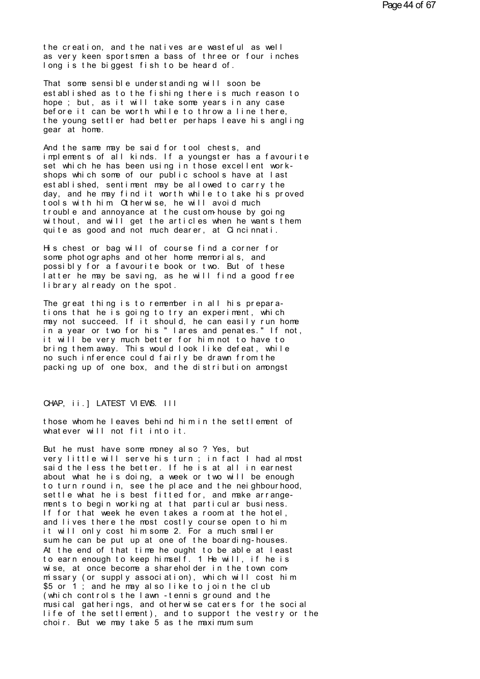the creation, and the natives are wasteful as well<br>as very keen sportsmen a bass of three or four inches<br>long is the biggest fish to be beard of the creation, and the natives are wasteful as well<br>as very keen sportsmen a bass of three or four inches<br>long is the biggest fish to be heard of. the creation, and the natives are wasteful as well<br>as very keen sportsmen a bass of three or four inches<br>long is the biggest fish to be heard of.<br>That some sensible understanding will soon be the creation, and the natives are wasteful as well<br>as very keen sportsmen a bass of three or four inches<br>long is the biggest fish to be heard of.<br>That some sensible understanding will soon be<br>established as to the fishing

the creation, and the natives are wasteful as well<br>as very keen sportsmen a bass of three or four inches<br>long is the biggest fish to be heard of.<br>That some sensible understanding will soon be<br>established as to the fishing as very keen sportsmen a bass of three or four inches<br>long is the biggest fish to be heard of.<br>That some sensible understanding will soon be<br>established as to the fishing there is much reason to<br>hope ; but, as it will take long is the biggest fish to be heard of.<br>That some sensible understanding will soon be<br>established as to the fishing there is much reason to<br>hope ; but, as it will take some years in any case<br>before it can be worth while t That some sensible understanding will soon be<br>established as to the fishing there is much reason to<br>hope ; but, as it will take some years in any case<br>before it can be worth while to throw a line there,<br>the young settler h That some sensible un<br>established as to the<br>hope ; but, as it will<br>before it can be wort<br>the young settler had<br>gear at home.<br>And the same may be s hope ; but, as it will take some years in any case<br>before it can be worth while to throw a line there,<br>the young settler had better perhaps leave his angling<br>gear at home.<br>And the same may be said for tool chests, and<br>impl

the young settler had better perhaps leave his angling<br>gear at home.<br>And the same may be said for tool chests, and<br>implements of all kinds. If a youngster has a favourite<br>set which he has been using in those excellent work the young settler had better perhaps leave his angling<br>gear at home.<br>And the same may be said for tool chests, and<br>implements of all kinds. If a youngster has a favourite<br>set which he has been using in those excellent work And the same may be said for tool chests, and<br>implements of all kinds. If a youngster has a favourite<br>set which he has been using in those excellent work-<br>shops which some of our public schools have at last<br>established, se And the same may be said for tool chests, and<br>implements of all kinds. If a youngster has a favourite<br>set which he has been using in those excellent work-<br>shops which some of our public schools have at last<br>established, se implements of all kinds. It a youngster has a favouriset which he has been using in those excellent work-<br>shops which some of our public schools have at last<br>established, sentiment may be allowed to carry the<br>day, and he m set which he has been using in those excellent work-<br>shops which some of our public schools have at last<br>established, sentiment may be allowed to carry the<br>day, and he may find it worth while to take his proved<br>tools with shops which some of our public schools have at last<br>established, sentiment may be allowed to carry the<br>day, and he may find it worth while to take his proved<br>tools with him. Otherwise, he will avoid much<br>trouble and annoya e stablished, sentiment may be allowed to carry the<br>day, and he may find it worth while to take his proved<br>tools with him. Otherwise, he will avoid much<br>trouble and annoyance at the custom-house by going<br>without, and will tools with him. Otherwise, he will avoid much<br>trouble and annoyance at the custom-house by going<br>without, and will get the articles when he wants them<br>quite as good and not much dearer, at Cincinnati.<br>His chest or bag will

trouble and annoyance at the custom-house by going<br>without, and will get the articles when he wants them<br>quite as good and not much dearer, at Cincinnati.<br>His chest or bag will of course find a corner for<br>some photographs quite as good and not much dearer, at Cincinnati.<br>His chest or bag will of course find a corner for<br>some photographs and other home memorials, and<br>possibly for a favourite book or two. But of these<br>latter he may be saving, latter he may be saving, as he will find a good free His chest or bag will of course find a corner for some photographs and other home memorials, and possibly for a favourite book or two. But of these latter he may be saving, as he will find a good fr library already on the some photographs and other home memorials, and<br>possibly for a favourite book or two. But of these<br>latter he may be saving, as he will find a good free<br>library already on the spot.<br>The great thing is to remember in all his

possibly for a favourite book or two. But of these<br>latter he may be saving, as he will find a good free<br>library already on the spot.<br>The great thing is to remember in all his prepara-<br>tions that he is going to try an exper latter he may be saving, as he will find a good free<br>library already on the spot.<br>The great thing is to remember in all his prepara-<br>tions that he is going to try an experiment, which<br>may not succeed. If it should, he can library already on the spot.<br>The great thing is to remember in all his prepara-<br>tions that he is going to try an experiment, which<br>may not succeed. If it should, he can easily run home<br>in a year or two for his "lares and p The great thing is to remember in all his prepara-<br>tions that he is going to try an experiment, which<br>may not succeed. If it should, he can easily run home<br>in a year or two for his "lares and penates." If not,<br>it will be v The great thing is to remember in all his preparations that he is going to try an experiment, which may not succeed. If it should, he can easily run home in a year or two for his "lares and penates." If not, it will be ver tions that he is going to try an experiment, which<br>may not succeed. If it should, he can easily run home<br>in a year or two for his "lares and penates." If not,<br>it will be very much better for him not to have to<br>bring them a in a year or two for his "lares and penates." If not,<br>it will be very much better for him not to have to<br>bring them away. This would look like defeat, while<br>no such inference could fairly be drawn from the packing up of one box, and the distribution amongst<br>CHAP, ii.1 LATEST VIEWS, III

CHAP, ii.] LATEST VIEWS. III<br>those whom he leaves behind him in the settlement of<br>whatever will not fit into it. those whom he leaves behind him in the settlement of what ever will not fit into it.<br>But he must have some money also ? Yes, but

CHAP, ii.] LATEST VIEWS. III<br>those whom he leaves behind him in the settlement of<br>whatever will not fit into it.<br>But he must have some money also ? Yes, but<br>very little will serve his turn ; in fact I had almos<br>said the le those whom he leaves behind him in the settlement of<br>whatever will not fit into it.<br>But he must have some money also ? Yes, but<br>very little will serve his turn ; in fact I had almost<br>said the less the better. If he is at a those whom he leaves behind him in the settlement of<br>whatever will not fit into it.<br>But he must have some money also ? Yes, but<br>very little will serve his turn ; in fact I had almost<br>said the less the better. If he is at a what ever will not fit into it.<br>But he must have some money also ? Yes, but<br>very little will serve his turn ; in fact I had almost<br>said the less the better. If he is at all in earnest<br>about what he is doing, a week or two But he must have some money also ? Yes, but<br>very little will serve his turn ; in fact I had almost<br>said the less the better. If he is at all in earnest<br>about what he is doing, a week or two will be enough<br>to turn round in, But he must have some money also ? Yes, but<br>very little will serve his turn ; in fact I had almost<br>said the less the better. If he is at all in earnest<br>about what he is doing, a week or two will be enough<br>to turn round in, said the less the better. It he is at all in earnest<br>about what he is doing, a week or two will be enough<br>to turn round in, see the place and the neighbourhood,<br>settle what he is best fitted for, and make arrange-<br>ments to about what he is doing, a week or two will be enough<br>to turn round in, see the place and the neighbourhood,<br>settle what he is best fitted for, and make arrange-<br>ments to begin working at that particular business.<br>If for th to turn round in, see the place and the neighbourhood,<br>settle what he is best fitted for, and make arrange-<br>ments to begin working at that particular business.<br>If for that week he even takes a room at the hotel,<br>and lives sum he can be put up at one of the boarding-houses.<br>At the end of that time he ought to be able at least<br>to earn enough to keep himself. 1 He will, if he is ments to begin working at that particular business.<br>If for that week he even takes a room at the hotel,<br>and lives there the most costly course open to him<br>it will only cost him some 2. For a much smaller<br>sum he can be put wise, at once become a shareholder in the town comand lives there the most costly course open to him<br>it will only cost him some 2. For a much smaller<br>sum he can be put up at one of the boarding-houses.<br>At the end of that time he ought to be able at least<br>to earn enough to missary (or supply association), which will cost him<br>\$5 or 1 ; and he may also like to join the club<br>(which controls the lawn -tennis ground and the At the end of that time he ought to be able at least<br>to earn enough to keep himself. 1 He will, if he is<br>wise, at once become a shareholder in the town com-<br>missary (or supply association), which will cost him<br>\$5 or 1 ; an to earn enough to keep himself. 1 He will, if he is<br>wise, at once become a shareholder in the town com-<br>missary (or supply association), which will cost him<br>\$5 or 1 ; and he may also like to join the club<br>(which controls t wise, at once become a shareholder in the town com-<br>missary (or supply association), which will cost him<br>\$5 or 1 ; and he may also like to join the club<br>(which controls the lawn - tennis ground and the<br>musical gatherings, missary (or supply association), which will cost him<br>\$5 or 1 ; and he may also like to join the club<br>(which controls the lawn - tennis ground and the<br>musical gatherings, and otherwise caters for the socia<br>life of the settl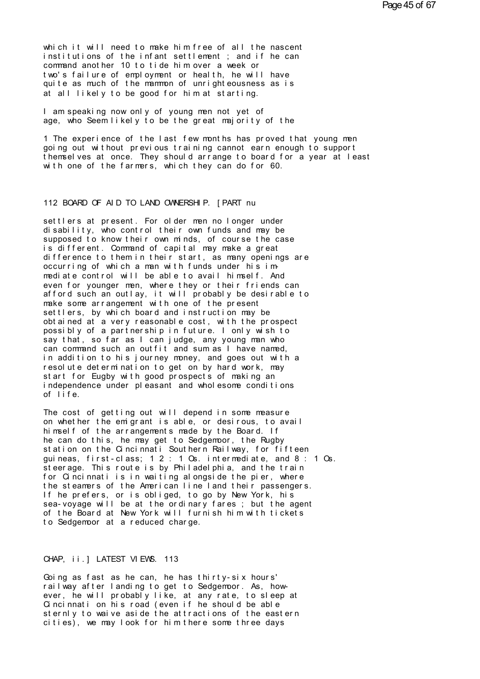which it will need to make him free of all the nascent<br>institutions of the infant settlement ; and if he can<br>commend another 10 to tide him over a week or which it will need to make him free of all the nascent<br>institutions of the infant settlement ; and if he can<br>command another 10 to tide him over a week or<br>two's failure of employment or health he will have institutions of the infant settlement ; and if he can<br>command another 10 to tide him over a week or<br>two's failure of employment or health, he will have which it will need to make him free of all the nascent<br>institutions of the infant settlement ; and if he can<br>command another 10 to tide him over a week or<br>two's failure of employment or health, he will have<br>quite as much o which it will need to make him free of all the nascent<br>institutions of the infant settlement ; and if he can<br>command another 10 to tide him over a week or<br>two's failure of employment or health, he will have<br>quite as much o which it will need to make him tree of all the nascent<br>institutions of the infant settlement; and if he can<br>command another 10 to tide him over a week or<br>two's failure of employment or health, he will have<br>quite as much of command another 10 to tide him over a week or<br>two's failure of employment or health, he will have<br>quite as much of the mammon of unrighteousness as is<br>at all likely to be good for him at starting.<br>I am speaking now only of two's failure of employment or health, he will have<br>quite as much of the mammon of unrighteousness as is<br>at all likely to be good for him at starting.<br>I am speaking now only of young men not yet of<br>age, who Seem likely to

1 am speaking now only of young men not yet of<br>1 am speaking now only of young men not yet of<br>age, who Seem likely to be the great majority of the<br>1 The experience of the last few months has proved that young men<br>going out I am speaking now only of young men not yet of<br>age, who Seem likely to be the great majority of the<br>1 The experience of the last few months has proved that young men<br>going out without previous training cannot earn enough t I am speaking now only of young men not yet of<br>age, who Seem likely to be the great majority of the<br>1 The experience of the last few months has proved that young men<br>going out without previous training cannot earn enough t age, who Seem likely to be the great majority of the<br>1 The experience of the last few months has proved that youn<br>going out without previous training cannot earn enough to su<br>themselves at once. They should arrange to boar with one of the farmers, which they can do for 60.<br>112 BOARD OF AID TO LAND OWNERSHIP. [PART nu<br>settlers at present. For older men no longer under

112 BOARD OF AID TO LAND OWNERSHIP. [PART nu<br>settlers at present. For older men no longer under<br>disability, who control their own funds and may be<br>supposed to know their own minds of course the case 112 BOARD OF AID TO LAND OWNERSHIP. [PART nu<br>settlers at present. For older men no longer under<br>disability, who control their own funds and may be<br>supposed to know their own minds, of course the case<br>is different. Command 112 BOARD OF AID TO LAND OWNERSHIP. [PART nu<br>settlers at present. For older men no longer under<br>disability, who control their own funds and may be<br>supposed to know their own minds, of course the case<br>is different. Command 112 BOARD OF AID TO LAND OWNERSHIP. [PART nu<br>settlers at present. For older men no longer under<br>disability, who control their own funds and may be<br>supposed to know their own minds, of course the case<br>is different. Command settlers at present. For older men no longer under<br>disability, who control their own funds and may be<br>supposed to know their own minds, of course the case<br>is different. Command of capital may make a great<br>difference to the settlers at present. For older men no longer under<br>disability, who control their own funds and may be<br>supposed to know their own minds, of course the case<br>is different. Command of capital may make a great<br>difference to the supposed to know their own minds, of course the case<br>is different. Command of capital may make a great<br>difference to them in their start, as many openings are<br>occurring of which a man with funds under his im-<br>mediate contr is different. Command of capital may make a great<br>difference to them in their start, as many openings are<br>occurring of which a man with funds under his im-<br>mediate control will be able to avail himself. And<br>even for younge difference to them in their start, as many openings are occurring of which a man with funds under his im-<br>mediate control will be able to avail himself. And<br>even for younger men, where they or their friends can<br>afford such occurring of which a man with funds under his im-<br>mediate control will be able to avail himself. And<br>even for younger men, where they or their friends can<br>afford such an outlay, it will probably be desirable t<br>make some ar mediate control will be able to avail himselt. And<br>even for younger men, where they or their friends can<br>afford such an outlay, it will probably be desirable to<br>make some arrangement with one of the present<br>settlers, by wh even for younger men, where they or their friends can<br>afford such an outlay, it will probably be desirable to<br>make some arrangement with one of the present<br>settlers, by which board and instruction may be<br>obtained at a very afford such an outlay, it will probably be desirable to<br>make some arrangement with one of the present<br>settlers, by which board and instruction may be<br>obtained at a very reasonable cost, with the prospect<br>possibly of a part make some arrangement with one of the present<br>settlers, by which board and instruction may be<br>obtained at a very reasonable cost, with the prospect<br>possibly of a partnership in future. I only wish to<br>say that, so far as I settlers, by which board and instruction may be<br>obtained at a very reasonable cost, with the prospect<br>possibly of a partnership in future. I only wish to<br>say that, so far as I can judge, any young man who<br>can command such obtained at a very reasonable cost, with the prospect<br>possibly of a partnership in future. I only wish to<br>say that, so far as I can judge, any young man who<br>can command such an outfit and sum as I have named,<br>in addition t possibly of a partnership in future. I only wish to<br>say that, so far as I can judge, any young man who<br>can command such an outfit and sum as I have named,<br>in addition to his journey money, and goes out with a<br>resolute dete say that, so far as I can judge, any young man who<br>can command such an outfit and sum as I have named,<br>in addition to his journey money, and goes out with a<br>resolute determination to get on by hard work, may<br>start for Eugb in addition to his journey money, and goes out with a<br>resolute determination to get on by hard work, may<br>start for Eugby with good prospects of making an<br>independence under pleasant and wholesome conditions<br>of life.<br>The co resolute determination to get on by hard work, may<br>start for Eugby with good prospects of making an<br>independence under pleasant and wholesome conditions<br>of life.<br>The cost of getting out will depend in some measure<br>on wheth

start for Eugby with good prospects of making an<br>independence under pleasant and wholesome conditions<br>of life.<br>The cost of getting out will depend in some measure<br>on whether the emigrant is able, or desirous, to avail<br>hims independence under pleasant and wholesome conditions<br>of life.<br>The cost of getting out will depend in some measure<br>on whether the emigrant is able, or desirous, to avail<br>himself of the arrangements made by the Board. If<br>he of life.<br>The cost of getting out will depend in some measure<br>on whether the emigrant is able, or desirous, to avail<br>himself of the arrangements made by the Board. If<br>he can do this, he may get to Sedgemoor, the Rugby<br>stati The cost of getting out will depend in some measure<br>on whether the emigrant is able, or desirous, to avail<br>himself of the arrangements made by the Board. If<br>he can do this, he may get to Sedgemoor, the Rugby<br>station on the The cost of getting out will depend in some measure<br>on whether the emigrant is able, or desirous, to avail<br>himself of the arrangements made by the Board. If<br>he can do this, he may get to Sedgemor, the Rugby<br>station on the on whether the emigrant is able, or desirous, to avail<br>himself of the arrangements made by the Board. If<br>he can do this, he may get to Sedgemoor, the Rugby<br>station on the Cincinnati Southern Railway, for fifteen<br>guineas, f himself of the arrangements made by the Board. If<br>he can do this, he may get to Sedgemoor, the Rugby<br>station on the Cincinnati Southern Railway, for fifteen<br>guineas, first-class; 1 2 : 1 Os. intermediate, and 8 : 1 Os.<br>ste he can do this, he may get to Sedgemoor, the Rugby<br>station on the Cincinnati Southern Railway, for fifteen<br>guineas, first-class; 1 2 : 1 Os. intermediate, and 8 : 1 Os.<br>steerage. This route is by Philadelphia, and the trai station on the Cincinnati Southern Railway, for fifteen<br>guineas, first-class; 1 2 : 1 Os. intermediate, and 8 : 1 Os.<br>steerage. This route is by Philadelphia, and the train<br>for Cincinnati is in waiting alongside the pier, guineas, first-class; 12:10s. intermediate, and 8:10s.<br>steerage. This route is by Philadelphia, and the train<br>for Cincinnati is in waiting alongside the pier, where<br>the steamers of the American line land their passengers.<br> steerage. This route is by Philadelphia, and the train<br>for Cincinnati is in waiting alongside the pier, where<br>the steamers of the American line land their passengers.<br>If he prefers, or is obliged, to go by New York, his<br>se for Cincinnati is in waiting alongside the pier, where<br>the steamers of the American line land their passengers.<br>If he prefers, or is obliged, to go by New York, his<br>sea-voyage will be at the ordinary fares; but the agent<br>o of the Board at New York will furnish<br>to Sedgemoor at a reduced charge.<br>CHAP, ii.] LATEST VIEWS. 113<br>Going as fast as be can, be bas thirty

GHAP, ii.] LATEST VIEWS. 113<br>Going as fast as he can, he has thirty-six hours'<br>railway after landing to get to Sedgemoor. As, how-CHAP, ii.] LATEST VIEWS. 113<br>Going as fast as he can, he has thirty-six hours'<br>railway after landing to get to Sedgemoor. As, how-<br>ever, he will probably like, at any rate, to sleep at<br>Cincinnation his road (even if he sho CHAP, ii.] LATEST VIEWS. 113<br>Going as fast as he can, he has thirty-six hours'<br>railway after landing to get to Sedgemoor. As, how-<br>ever, he will probably like, at any rate, to sleep at<br>Cincinnation his road (even if he sho Going as fast as he can, he has thirty-six hours'<br>railway after landing to get to Sedgemoor. As, how-<br>ever, he will probably like, at any rate, to sleep at<br>Cincinnation his road (even if he should be able<br>sternly to waive Going as fast as he can, he has thirty-six hours'<br>railway after landing to get to Sedgemoor. As, how-<br>ever, he will probably like, at any rate, to sleep at<br>Gincinnati on his road (even if he should be able<br>sternly to waive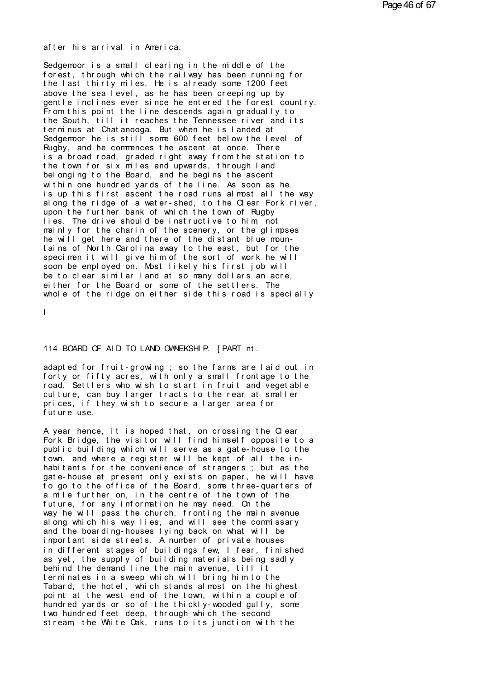after his arrival in America.<br>Sedgemor is a small clearing in the mid

after his arrival in America.<br>Sedgemoor is a small clearing in the middle of the<br>forest, through which the railway has been running for f and the state of the state of the state of the sedge moor is a small clearing in the middle of the forest, through which the railway has been running for the last thirty miles. He is already some 1200 feet above the seal the last thirty miles. He is already some 1200 feet<br>above the sea level, as he has been creeping up by atter his arrival in America.<br>Sedgemoor is a small clearing in the middle of the<br>forest, through which the railway has been running for<br>the last thirty miles. He is already some 1200 feet<br>above the sea level, as he has bee Sedgemoor is a small clearing in the middle of the<br>forest, through which the railway has been running for<br>the last thirty miles. He is already some 1200 feet<br>above the sea level, as he has been creeping up by<br>gentle inclin Sedgemoor is a small clearing in the middle of the<br>forest, through which the railway has been running for<br>the last thirty miles. He is already some 1200 feet<br>above the sea level, as he has been creeping up by<br>gentle inclin forest, through which the railway has been running for<br>the last thirty miles. He is already some 1200 feet<br>above the sea level, as he has been creeping up by<br>gentle inclines ever since he entered the forest country.<br>From t From this point the line descends again gradually to<br>the South, till it reaches the Tennessee river and its<br>terminus at Chatanooga. But when he is landed at<br>Sedgemor he is still some 600 feet below the level of<br>Rugby, and above the sea level, as he has been creeping up by<br>gentle inclines ever since he entered the forest country.<br>From this point the line descends again gradually to<br>the South, till it reaches the Tennessee river and its<br>termi gentle inclines ever since he entered the forest country.<br>From this point the line descends again gradually to<br>the South, till it reaches the Tennessee river and its<br>terminus at Chatanooga. But when he is landed at<br>Sedgemo From this point the line descends again gradually to<br>the South, till it reaches the Tennessee river and its<br>terminus at Chatanooga. But when he is landed at<br>Sedgemor he is still some 600 feet below the level of<br>Rugby, and the South, till it reaches the Tennessee river and its<br>terminus at Chatanooga. But when he is landed at<br>Sedgemor he is still some 600 feet below the level of<br>Rugby, and he commences the ascent at once. There<br>is a broad roa terminus at Chatanooga. But when he is landed at<br>Sedgemoor he is still some 600 feet below the level of<br>Rugby, and he commences the ascent at once. There<br>is a broad road, graded right away from the station t<br>the town for s Sedgemoor he is still some 600 teet below the level of<br>Rugby, and he commences the ascent at once. There<br>is a broad road, graded right away from the station to<br>the town for six miles and upwards, through land<br>belonging to Hugby, and he commences the ascent at once. There<br>is a broad road, graded right away from the station to<br>the town for six miles and upwards, through land<br>belonging to the Board, and he begins the ascent<br>within one hundred is a broad road, graded right away from the station to<br>the town for six miles and upwards, through land<br>belonging to the Board, and he begins the ascent<br>within one hundred yards of the line. As soon as he<br>is up this first the town for six miles and upwards, through land<br>belonging to the Board, and he begins the ascent<br>within one hundred yards of the line. As soon as he<br>is up this first ascent the road runs almost all the way<br>along the ridge belonging to the Board, and he begins the ascent<br>within one hundred yards of the line. As soon as he<br>is up this first ascent the road runs almost all the way<br>along the ridge of a water-shed, to the Clear Fork river,<br>upon t is up this first ascent the road runs almost all the way<br>along the ridge of a water-shed, to the Clear Fork river,<br>upon the further bank of which the town of Rugby<br>lies. The drive should be instructive to him, not<br>mainly f is up this first ascent the road runs almost all the way<br>along the ridge of a water-shed, to the Clear Fork river,<br>upon the further bank of which the town of Rugby<br>lies. The drive should be instructive to him, not<br>mainly f along the ridge of a water-shed, to the Clear Fork river,<br>upon the further bank of which the town of Rugby<br>lies. The drive should be instructive to him, not<br>mainly for the charin of the scenery, or the glimpses<br>he will get upon the further bank of which the town of Rugby<br>lies. The drive should be instructive to him, not<br>mainly for the charin of the scenery, or the glimpses<br>he will get here and there of the distant blue moun-<br>tains of North C lies. The drive should be instructive to him, not<br>mainly for the charin of the scenery, or the glimpses<br>he will get here and there of the distant blue moun-<br>tains of North Carolina away to the east, but for the<br>specimen it mainly for the charin of the scenery, or the glimpses<br>he will get here and there of the distant blue moun-<br>tains of North Carolina away to the east, but for the<br>specimen it will give him of the sort of work he will<br>soon be he will get here and there of the distant blue moun-<br>tains of North Carolina away to the east, but for the<br>specimen it will give him of the sort of work he will<br>soon be employed on. Most likely his first job will<br>be to cle tains of North Carolina away to the east, but for the<br>specimen it will give him of the sort of work he will<br>soon be employed on. Most likely his first job will<br>be to clear similar land at so many dollars an acre,<br>either fo

I

# 1<br>114 BOARD OF AID TO LAND OWNEKSHIP. [PART nt.<br>adapted for fruit growing : so the farms are laid out in

114 BOARD OF AID TO LAND OWNEKSHIP. [PART nt.<br>adapted for fruit-growing ; so the farms are laid out in<br>forty or fifty acres, with only a small frontage to the<br>road. Settlers who wish to start in fruit and vegetable f or the DTO LAND OWNEKSHIP. [PART nt.]<br>adapted for fruit-growing ; so the farms are laid out in<br>forty or fifty acres, with only a small frontage to the<br>road. Settlers who wish to start in fruit and vegetable<br>culture, can 114 BOARD OF AID TO LAND OWNEKSHIP. [PART nt.<br>adapted for fruit-growing ; so the farms are laid out in<br>forty or fifty acres, with only a small frontage to the<br>road. Settlers who wish to start in fruit and vegetable<br>culture 114 BOARD OF AID TO LAND OWNEKSHIP. [PARI nt.<br>adapted for fruit-growing ; so the farms are laid out in<br>forty or fifty acres, with only a small frontage to the<br>road. Settlers who wish to start in fruit and vegetable<br>culture adapted for fruit-growing; so the farms are laid out in<br>forty or fifty acres, with only a small frontage to the<br>road. Settlers who wish to start in fruit and vegetable<br>culture, can buy larger tracts to the rear at smaller<br> forty or fifty acres, with only a small frontage to the road. Settlers who wish to start in fruit and vegetable culture, can buy larger tracts to the rear at smaller prices, if they wish to secure a larger area for future road. Settlers who wish to start in fruit and vegetable<br>culture, can buy larger tracts to the rear at smaller<br>prices, if they wish to secure a larger area for<br>future use.<br>A year hence, it is hoped that, on crossing the Cle

culture, can buy larger tracts to the rear at smaller<br>prices, if they wish to secure a larger area for<br>future use.<br>A year hence, it is hoped that, on crossing the Clear<br>Fork Bridge, the visitor will find himself opposite t prices, if they wish to secure a larger area for<br>future use.<br>A year hence, it is hoped that, on crossing the Clear<br>Fork Bridge, the visitor will find himself opposite to a<br>public building which will serve as a gate-house t tuture use.<br>A year hence, it is hoped that, on crossing the Clear<br>Fork Bridge, the visitor will find himself opposite to a<br>public building which will serve as a gate-house to the<br>town, and where a register will be kept of Fork Bridge, the visitor will find himself opposite to a public building which will serve as a gate-house to the town, and where a register will be kept of all the in-habitants for the convenience of strangers; but as the public building which will serve as a gate-house to the town, and where a register will be kept of all the in-<br>habitants for the convenience of strangers; but as the gate-house at present only exists on paper, he will have public building which will serve as a gate-house to the<br>town, and where a register will be kept of all the in-<br>habitants for the convenience of strangers; but as the<br>gate-house at present only exists on paper, he will have fown, and where a register will be kept of all the in-<br>habitants for the convenience of strangers; but as the<br>gate-house at present only exists on paper, he will have<br>to go to the office of the Board, some three-quarters o gate-house at present only exists on paper, he will have<br>to go to the office of the Board, some three-quarters of<br>a mile further on, in the centre of the town of the<br>future, for any information he may need. On the<br>way he w to go to the office of the Board, some three-quarters of<br>a mile further on, in the centre of the town of the<br>future, for any information he may need. On the<br>way he will pass the church, fronting the main avenue<br>along which to go to the office of the Board, some three-quarters of<br>a mile further on, in the centre of the town of the<br>future, for any information he may need. On the<br>way he will pass the church, fronting the main avenue<br>along which a mile further on, in the centre of the town of the<br>future, for any information he may need. On the<br>way he will pass the church, fronting the main avenue<br>along which his way lies, and will see the commissary<br>and the boardi ruture, for any information ne may need. On the<br>way he will pass the church, fronting the main avenue<br>along which his way lies, and will see the commissary<br>and the boarding-houses lying back on what will be<br>important side way he will pass the church, fronting the main avenue<br>along which his way lies, and will see the commissary<br>and the boarding-houses lying back on what will be<br>important side streets. A number of private houses<br>in different along which his way lies, and will see the commissary<br>and the boarding-houses lying back on what will be<br>important side streets. A number of private houses<br>in different stages of buildings few, I fear, finished<br>as yet, the and the boarding-houses lying back on what will be<br>important side streets. A number of private houses<br>in different stages of buildings few, I fear, finished<br>as yet, the supply of building materials being sadly<br>behind the d Important side streets. A number of private houses<br>in different stages of buildings few, I fear, finished<br>as yet, the supply of building materials being sadly<br>behind the demand line the main avenue, till it<br>terminates in a in different stages of buildings few, I fear, finished<br>as yet, the supply of building materials being sadly<br>behind the demand line the main avenue, till it<br>terminates in a sweep which will bring him to the<br>Tabard, the hote as yet, the supply of building materials being sadly<br>behind the demand line the main avenue, till it<br>terminates in a sweep which will bring him to the<br>Tabard, the hotel, which stands almost on the highest<br>point at the west behind the demand line the main avenue, till it<br>terminates in a sweep which will bring him to the<br>Tabard, the hotel, which stands almost on the highest<br>point at the west end of the town, within a couple of<br>hundred yards or terminates in a sweep which will bring him to the<br>Tabard, the hotel, which stands almost on the highest<br>point at the west end of the town, within a couple of<br>hundred yards or so of the thickly-wooded gully, some<br>two hundre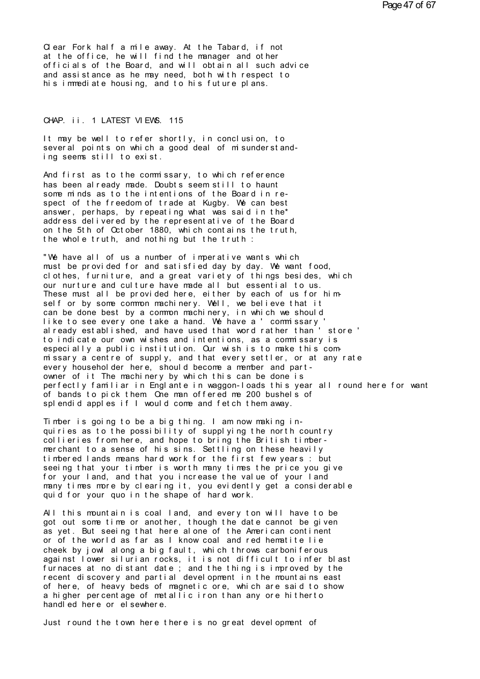Clear Fork half a mile away. At the Tabard, if not at the office, he will find the manager and other officials of the Board, and will obtain all such advice and assistance as he may need, both with respect to his immediate housing, and to his future plans.

## CHAP. ii. 1 LATEST VIEWS. 115

It may be well to refer shortly, in conclusion, to sever al points on which a good deal of misunder standing seems still to exist.

And first as to the commissary, to which reference has been already made. Doubts seem still to haunt some minds as to the intentions of the Board in respect of the freedom of trade at Kugby. We can best answer, perhaps, by repeating what was said in the\* address delivered by the representative of the Board on the 5th of October 1880, which contains the truth, the whole truth, and nothing but the truth:

"We have all of us a number of imperative wants which must be provided for and satisfied day by day. We want food, clothes, furniture, and a great variety of things besides, which our nurture and culture have made all but essential to us. These must all be provided here, either by each of us for himself or by some common machinery. Well, we believe that it<br>can be done best by a common machinery, in which we should like to see every one take a hand. We have a ' commissary al ready established, and have used that word rather than' store ' to indicate our own wishes and intentions, as a commissary is especially a public institution. Our wish is to make this commissary a centre of supply, and that every settler, or at any rate every householder here, should become a member and partowner of it The machinery by which this can be done is perfectly familiar in Englante in waggon-loads this year all round here for want of bands to pick them One man offered me 200 bushels of splendid apples if I would come and fetch them away.

Timber is going to be a big thing. I am now making inquiries as to the possibility of supplying the north country collieries from here, and hope to bring the British timbermer chant to a sense of his sins. Settling on these heavily timbered lands means hard work for the first few years : but seeing that your timber is worth many times the price you give for your land, and that you increase the value of your land many times more by clearing it, you evidently get a considerable quid for your quo in the shape of hard work.

All this mountain is coal land, and every ton will have to be got out some time or another, though the date cannot be given as yet. But seeing that here alone of the American continent or of the world as far as I know coal and red hematite lie cheek by jowl along a big fault, which throws carboniferous against lower silurian rocks, it is not difficult to infer blast furnaces at no distant date; and the thing is improved by the recent discovery and partial development in the mountains east of here, of heavy beds of magnetic ore, which are said to show a higher percentage of metallic iron than any ore hitherto handled here or el sewhere.

Just round the town here there is no great devel opment of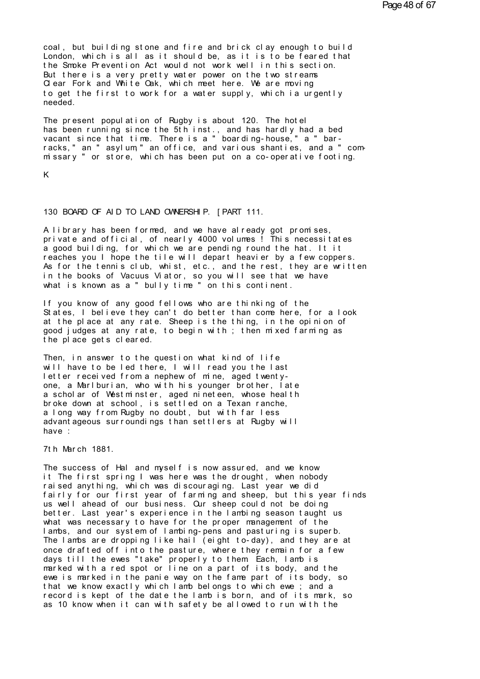coal, but building stone and fire and brick clay enough to build London, which is all as it should be, as it is to be feared that the Smoke Prevention Act would not work well in this section. But there is a very pretty water power on the two streams Clear Fork and White Oak, which meet here. We are moving to get the first to work for a water supply, which ia urgently needed.

The present popul at i on of Rugby is about 120. The hotel has been running since the 5th inst., and has hardly had a bed<br>vacant since that time. There is a "boarding-house," a "barracks," an " asylum," an office, and various shanties, and a " commissary " or store, which has been put on a co-operative footing.

K

## 130 BOARD OF AID TO LAND OWNERSHIP. [PART 111.

A library has been formed, and we have already got promises, private and official, of nearly 4000 volumes! This necessitates<br>a good building, for which we are pending round the hat. It it reaches you I hope the tile will depart heavier by a few coppers. As for the tennis club, whist, etc., and the rest, they are written<br>in the books of Vacuus Viator, so you will see that we have<br>what is known as a "bully time" on this continent.

If you know of any good fellows who are thinking of the States, I believe they can't do better than come here, for a look at the place at any rate. Sheep is the thing, in the opinion of good judges at any rate, to begin with; then mixed farming as the place gets cleared.

Then, in answer to the question what kind of life will have to be led there, I will read you the last letter received from a nephew of mine, aged twentyone, a Marlburian, who with his younger brother, late a schol ar of Westminster, aged nineteen, whose health broke down at school, is settled on a Texan ranche, a long way from Rugby no doubt, but with far less advant ageous surroundings than settlers at Rugby will have :

7th March 1881.

The success of Hal and myself is now assured, and we know it The first spring I was here was the drought, when nobody raised anything, which was discouraging. Last year we did fairly for our first year of farming and sheep, but this year finds us well ahead of our business. Our sheep could not be doing better. Last year's experience in the lambing season taught us what was necessary to have for the proper management of the lambs, and our system of lambing-pens and pasturing is superb. The lambs are dropping like hail (eight to-day), and they are at once drafted off into the pasture, where they remain for a few days till the ewes "take" properly to them Each, lamb is marked with a red spot or line on a part of its body, and the ewe is marked in the panie way on the fame part of its body, so that we know exactly which lamb belongs to which ewe; and a record is kept of the date the lamb is born, and of its mark, so as 10 know when it can with safety be allowed to run with the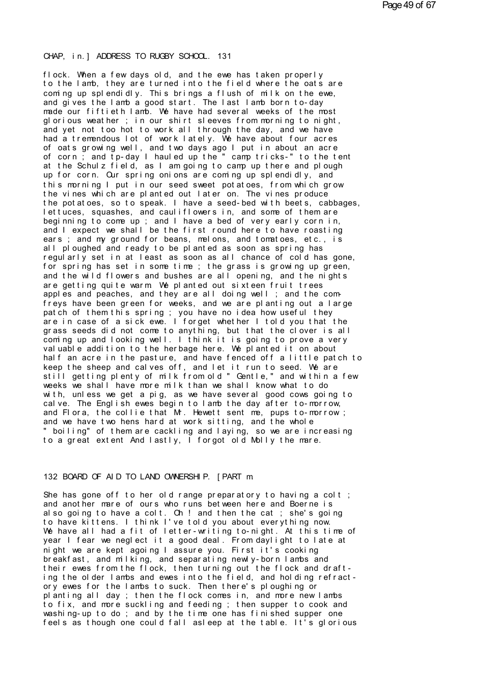# CHAP, in.] ADDRESS TO RUGBY SCHOOL. 131<br>flock When a few days old, and the eye has taken

CHAP, in.] ADDRESS TO RUGBY SCHOOL. 131<br>flock. When a few days old, and the ewe has taken properly<br>to the lamb, they are turned into the field where the oats are<br>coming up splendidly. This brings a flush of milk on the ewe CHAP, in.] ADDRESS TO RUGBY SCHOOL. 131<br>flock. When a few days old, and the ewe has taken properly<br>to the lamb, they are turned into the field where the oats are<br>coming up splendidly. This brings a flush of milk on the ewe CHAP, in.] ADDRESS TO RUGBY SCHOOL. 131<br>flock. When a few days old, and the ewe has taken properly<br>to the lamb, they are turned into the field where the oats are<br>coming up splendidly. This brings a flush of milk on the ewe CHAP, In.] ADDRESS TO RUGBY SCHOOL. 131<br>flock. When a few days old, and the ewe has taken properly<br>to the lamb, they are turned into the field where the oats are<br>coming up splendidly. This brings a flush of milk on the ewe flock. When a few days old, and the ewe has taken properly<br>to the lamb, they are turned into the field where the oats are<br>coming up splendidly. This brings a flush of milk on the ewe,<br>and gives the lamb a good start. The l flock. When a few days old, and the ewe has taken properly to the lamb, they are turned into the field where the oats are coming up splendidly. This brings a flush of milk on the ewe, and gives the lamb a good start. The l had a tremendous lot of work lately. We have about four acres coming up splendidly. This brings a flush of milk on the ewe,<br>and gives the lamb a good start. The last lamb born to-day<br>made our fiftieth lamb. We have had several weeks of the most<br>glorious weather ; in our shirt sleeves and gives the lamb a good start. The last lamb born to-day<br>made our fiftieth lamb. We have had several weeks of the most<br>glorious weather ; in our shirt sleeves from morning to night,<br>and yet not too hot to work all throug made our fiftieth lamb. We have had several weeks of the most<br>glorious weather ; in our shirt sleeves from morning to night,<br>and yet not too hot to work all through the day, and we have<br>had a tremendous lot of work lately. glorious weather ; in our shirt sleeves from morning to night,<br>and yet not too hot to work all through the day, and we have<br>had a tremendous lot of work lately. We have about four acres<br>of oats growing well, and two days a and yet not too hot to work all through the day, and we have<br>had a tremendous lot of work lately. We have about four acres<br>of oats growing well, and two days ago I put in about an acre<br>of corn; and tp-day I hauled up the " had a tremendous lot of work lately. We have about four acres<br>of oats growing well, and two days ago I put in about an acre<br>of corn; and tp-day I hauled up the "camp tricks-" to the tent<br>at the Schulz field, as I am going of corn; and tp-day I hauled up the "camp tricks-" to the tent<br>at the Schulz field, as I am going to camp up there and plough<br>up for corn. Our spring onions are coming up splendidly, and<br>this morning I put in our seed swee the vines which are planted out later on. The vines produce at the Schulz field, as I am going to camp up there and plough<br>up for corn. Our spring onions are coming up splendidly, and<br>this morning I put in our seed sweet potatoes, from which grow<br>the vines which are planted out lat up for corn. Our spring onions are coming up splendidly, and<br>this morning I put in our seed sweet potatoes, from which grow<br>the vines which are planted out later on. The vines produce<br>the potatoes, so to speak. I have a se this morning I put in our seed sweet potatoes, from which grow<br>the vines which are planted out later on. The vines produce<br>the potatoes, so to speak. I have a seed-bed with beets, cabbages,<br>lettuces, squashes, and cauliflo the vines which are planted out later on. The vines produce<br>the potatoes, so to speak. I have a seed-bed with beets, cabbages,<br>lettuces, squashes, and cauliflowers in, and some of them are<br>beginning to come up ; and I have the potatoes, so to speak. I have a seed-bed with beets, cabbages,<br>lettuces, squashes, and cauliflowers in, and some of them are<br>beginning to come up ; and I have a bed of very early corn in,<br>and I expect we shall be the f lettuces, squashes, and cauliflowers in, and some of them are<br>beginning to come up; and I have a bed of very early corn in,<br>and I expect we shall be the first round here to have roasting<br>ears; and my ground for beans, melo beginning to come up; and I have a bed of very early corn in,<br>and I expect we shall be the first round here to have roasting<br>ears; and my ground for beans, melons, and tomatoes, etc., is<br>all ploughed and ready to be plante and I expect we shall be the first round here to have roasting<br>ears; and my ground for beans, melons, and tomatoes, etc., is<br>all ploughed and ready to be planted as soon as spring has<br>regularly set in at least as soon as a ears; and my ground for beans, melons, and tomatoes, etc., is<br>all ploughed and ready to be planted as soon as spring has<br>regularly set in at least as soon as all chance of cold has gone,<br>for spring has set in some time; th all ploughed and ready to be planted as soon as spring has<br>regularly set in at least as soon as all chance of cold has gone,<br>for spring has set in some time; the grass is growing up green,<br>and the wild flowers and bushes a regularly set in at least as soon as all chance of cold has gone,<br>for spring has set in some time; the grass is growing up green,<br>and the wild flowers and bushes are all opening, and the nights<br>are getting quite warm. We p for spring has set in some time; the grass is growing up green,<br>and the wild flowers and bushes are all opening, and the nights<br>are getting quite warm. We planted out sixteen fruit trees<br>apples and peaches, and they are al and the wild flowers and bushes are all opening, and the nights<br>are getting quite warm. We planted out sixteen fruit trees<br>apples and peaches, and they are all doing well; and the com-<br>freys have been green for weeks, and are getting quite warm. We planted out sixteen fruit trees<br>apples and peaches, and they are all doing well; and the com-<br>freys have been green for weeks, and we are planting out a large<br>patch of them this spring; you have apples and peaches, and they are all doing well; and the com-<br>freys have been green for weeks, and we are planting out a large-<br>patch of them this spring; you have no idea how useful they<br>are in case of a sick ewe. I forge freys have been green for weeks, and we are planting out a large<br>patch of them this spring; you have no idea how useful they<br>are in case of a sick ewe. I forget whether I told you that the<br>grass seeds did not come to anyth patch of them this spring; you have no idea how useful they<br>are in case of a sick ewe. I forget whether I told you that the<br>grass seeds did not come to anything, but that the clover is all<br>coming up and looking well. I thi are in case of a sick ewe. I forget whether I told you that the<br>grass seeds did not come to anything, but that the clover is all<br>coming up and looking well. I think it is going to prove a very<br>valuable addition to the herb grass seeds did not come to anything, but that the clover is all<br>coming up and looking well. I think it is going to prove a very<br>valuable addition to the herbage here. We planted it on about<br>half an acre in the pasture, an coming up and looking well. It hink it is going to prove a very<br>valuable addition to the herbage here. We planted it on about<br>half an acre in the pasture, and have fenced off a little patch to<br>keep the sheep and calves off valuable addition to the herbage here. We planted it on about<br>half an acre in the pasture, and have fenced off a little patch to<br>keep the sheep and calves off, and let it run to seed. We are<br>still getting plenty of milk fr nait an acre in the pasture, and have fenced off a little patch to<br>keep the sheep and calves off, and let it run to seed. We are<br>still getting plenty of milk from old "Gentle," and within a few<br>weeks we shall have more mil keep the sheep and calves off, and let it run to seed. We are<br>still getting plenty of milk from old "Gentle," and within a few<br>weeks we shall have more milk than we shall know what to do<br>with, unless we get a pig, as we ha still getting plenty of milk from old "Gentle," and within a few<br>weeks we shall have more milk than we shall know what to do<br>with, unless we get a pig, as we have several good cows going to<br>calve. The English ewes begin to weeks we shall have more milk than we shall know what to do<br>with, unless we get a pig, as we have several good cows going to<br>calve. The English ewes begin to lamb the day after to-morrow,<br>and Flora, the collie that Mr. Hew calve. The English ewes begin to lamb the day after to-morrow, and Flora, the collie that Mr. Hewett sent me, pups to-morrow; and we have two hens hard at work sitting, and the whole "boiling" of them are cackling and layi to a great extent And lastly, I forgot old Molly the mare.<br>132 BOARD OF AID TO LAND OWNERSHIP. [PART m.

SHE HAD TO LAND ONNERSHIP. [PART m<br>She has gone of f to her old range preparatory to having a colt ;<br>and another mare of ours who runs between here and Boerne is<br>also going to have a colt. On Land than the cat : she's goin She has gone off to her old range preparatory to having a colt;<br>and another mare of ours who runs between here and Boerne is<br>also going to have a colt. Oh ! and then the cat; she's going to have kittens. I think I've told you about everything now. 132 BOARD OF AID TO LAND OWNERSHIP. [PART m<br>She has gone off to her old range preparatory to having a colt;<br>and another mare of ours who runs between here and Boerne is<br>also going to have a colt. On ! and then the cat; she She has gone off to her old range preparatory to having a colt;<br>and another mare of ours who runs between here and Boerne is<br>also going to have a colt. Oh! and then the cat; she's going<br>to have kittens. I think I've told y She has gone off to her old range preparatory to having a colt;<br>and another mare of ours who runs between here and Boerne is<br>also going to have a colt. Oh! and then the cat; she's going<br>to have kittens. I think I've told y and another mare of ours who runs between here and Boerne is<br>also going to have a colt. Oh! and then the cat; she's going<br>to have kittens. I think I've told you about everything now.<br>We have all had a fit of letter-writing also going to have a colt. On ! and then the cat; she's going<br>to have kittens. I think I've told you about everything now.<br>We have all had a fit of letter-writing to-night. At this time of<br>year I fear we neglect it a good to have kittens. I think I've told you about every thing now.<br>We have all had a fit of letter-writing to-night. At this time of<br>year I fear we neglect it a good deal. From daylight to late at<br>night we are kept agoing I ass We have all had a fit of letter-writing to-night. At this time of<br>year I fear we neglect it a good deal. From daylight to late at<br>night we are kept agoing I assure you. First it's cooking<br>breakfast, and milking, and separa night we are kept agoing I assure you. First it's cooking<br>breakfast, and milking, and separating new y-born lambs and<br>their ewes from the flock, then turning out the flock and draft-<br>ing the older lambs and ewes into the f breakfast, and milking, and separating newly-born lambs and<br>their ewes from the flock, then turning out the flock and draft-<br>ing the older lambs and ewes into the field, and holding refract-<br>ory ewes for the lambs to suck. ing the older lambs and ewes into the field, and holding refract-<br>ory ewes for the lambs to suck. Then there's ploughing or<br>planting all day ; then the flock comes in, and more new lambs<br>to fix, and more suckling and feedi to fix, and more suckling and feeding; then supper to cook and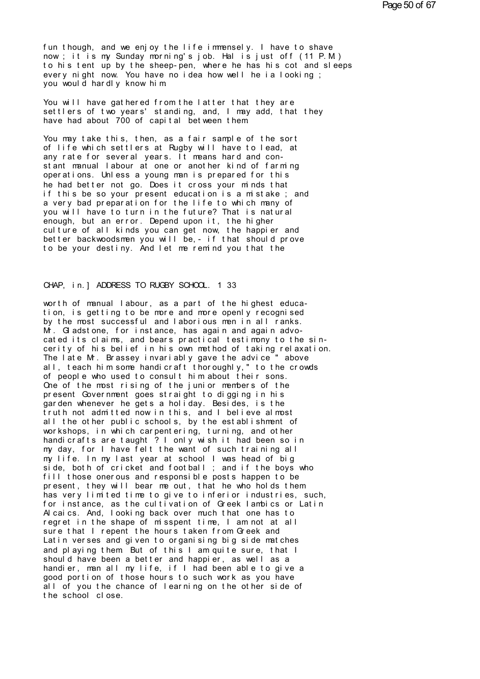fun though, and we enjoy the life immensely. I have to shave now; it is my Sunday morning's job. Hal is just off (11 P.M.) fun though, and we enjoy the life immensely. I have to shave<br>now ; it is my Sunday morning's job. Hal is just off (11 P.M.)<br>to his tent up by the sheep-pen, where he has his cot and sleeps<br>every night now. You have no idea fun though, and we enjoy the life immensely. I have to shave<br>now ; it is my Sunday morning's job. Hal is just off (11 P.M )<br>to his tent up by the sheep-pen, where he has his cot and sleeps<br>every night now. You have no idea fun though, and we enjoy the life immensely. I have to shave now; it is my Sunday morning's job. Hal is just off (11 P.M ) to his tent up by the sheep-pen, where he has his cot and sleeps every night now. You have no idea fun though, and we enjoy the life imme<br>now ; it is my Sunday morning's job. H<br>to his tent up by the sheep-pen, where<br>every night now. You have no idea how<br>you would hardly know him.<br>You will have gathered from the latter now; it is my Sunday morning's job. Hal is just off (11 P.M.)<br>to his tent up by the sheep-pen, where he has his cot and sleeps<br>every night now. You have no idea how well he ia looking;<br>you would hardly know him.<br>You will h to his tent up by the sheep-pen, where he has his cot and sleeps<br>every night now. You have no idea how well he ia looking;<br>you would hardly know him<br>You will have gathered from the latter that they are<br>settlers of two year

every night now. You have no idea how well he ia look<br>you would hardly know him.<br>You will have gathered from the latter that they are<br>settlers of two years' standing, and, I may add, that<br>have had about 700 of capital betw You will have gathered from the latter that they are<br>settlers of two years' standing, and, I may add, that they<br>have had about 700 of capital between them<br>You may take this, then, as a fair sample of the sort<br>of life which

You will have gathered from the latter that they are<br>settlers of two years' standing, and, I may add, that they<br>have had about 700 of capital between them<br>You may take this, then, as a fair sample of the sort<br>of life which settlers of two years' standing, and, I may add, that they<br>have had about 700 of capital between them<br>You may take this, then, as a fair sample of the sort<br>of life which settlers at Rugby will have to lead, at<br>any rate for You may take this, then, as a fair sample of the sort<br>of life which settlers at Rugby will have to lead, at<br>any rate for several years. It means hard and con-<br>stant manual labour at one or another kind of farming<br>operation You may take this, then, as a fair sample of the sort<br>of life which settlers at Rugby will have to lead, at<br>any rate for several years. It means hard and con-<br>stant manual labour at one or another kind of farming<br>operation of life which settlers at Rugby will have to lead, at<br>any rate for several years. It means hard and con-<br>stant manual labour at one or another kind of farming<br>operations. Unless a young man is prepared for this<br>he had bett any rate for several years. It means hard and constant manual labour at one or another kind of farming operations. Unless a young man is prepared for this he had better not go. Does it cross your minds that if this be so y stant manual labour at one or another kind of farming<br>operations. Unless a young man is prepared for this<br>he had better not go. Does it cross your minds that<br>if this be so your present education is a mistake; and<br>a very ba operations. Unless a young man is prepared for this<br>he had better not go. Does it cross your minds that<br>if this be so your present education is a mistake ; and<br>a very bad preparation for the life to which many of<br>you will he had better not go. Does it cross your minds that<br>if this be so your present education is a mistake; and<br>a very bad preparation for the life to which many of<br>you will have to turn in the future? That is natural<br>enough, b if this be so your present education is a mistake ; and<br>a very bad preparation for the life to which many of<br>you will have to turn in the future? That is natural<br>enough, but an error. Depend upon it, the higher<br>culture of a very bad preparation for the life to which many of<br>you will have to turn in the future? That is natural<br>enough, but an error. Depend upon it, the higher<br>culture of all kinds you can get now, the happier and<br>better backwo better backwoodsmen you will be, if that should prove<br>to be your destiny. And let me remind you that the<br>CHAP, in.] ADDRESS TO RUGBY SCHOOL. 1 33

CHAP, in.] ADDRESS TO RUGBY SCHOOL. 1 33<br>worth of manual labour, as a part of the highest educa-<br>tion, is getting to be more and more openly recognised<br>by the most successful and laborious men in all ranks CHAP, in.] ADDRESS TO RUGBY SCHOOL. 1 33<br>worth of manual labour, as a part of the highest educa-<br>tion, is getting to be more and more openly recognised<br>by the most successful and laborious men in all ranks.<br>Mr. Gladstone, CHAP, in.] ADDRESS TO RUGBY SCHOOL. 1 33<br>worth of manual labour, as a part of the highest educa-<br>tion, is getting to be more and more openly recognised<br>by the most successful and laborious men in all ranks.<br>Mr. Gladstone, CHAP, in.] ADDRESS TO RUGBY SCHOOL. 1 33<br>worth of manual labour, as a part of the highest educa-<br>tion, is getting to be more and more openly recognised<br>by the most successful and laborious men in all ranks.<br>Mr. Gladstone, tion, is getting to be more and more openly recognised<br>by the most successful and laborious men in all ranks.<br>Mr. Gladstone, for instance, has again and again advo-<br>cated its claims, and bears practical testimony to the si by the most successful and laborious men in all ranks.<br>Mr. Gladstone, for instance, has again and again advo-<br>cated its claims, and bears practical testimony to the sin-<br>cerity of his belief in his own method of taking rel Mr. Gladstone, for instance, has again and again advocated its claims, and bears practical testimony to the sincerity of his belief in his own method of taking relaxation The late Mr. Brassey invariably gave the advice "ab cated its claims, and bears practical testimony to the sincerity of his belief in his own method of taking relaxation.<br>The late Mr. Brassey invariably gave the advice "above<br>all, teach him some handicraft thoroughly," to t cerity of his belief in his own method of taking relaxation.<br>The late Mr. Brassey invariably gave the advice "above<br>all, teach him some handicraft thoroughly," to the crowds<br>of people who used to consult him about their so all, teach him some handicraft thoroughly," to the crowds<br>of people who used to consult him about their sons.<br>One of the most rising of the junior members of the<br>present Government goes straight to digging in his<br>garden wh all the other public schools, by the establishment of of people who used to consult him about their sons.<br>One of the most rising of the junior members of the<br>present Government goes straight to digging in his<br>garden whenever he gets a holiday. Besides, is the<br>truth not admitt One of the most rising of the junior members of the<br>present Government goes straight to digging in his<br>garden whenever he gets a holiday. Besides, is the<br>truth not admitted now in this, and I believe almost<br>all the other p present Government goes straight to digging in his<br>garden whenever he gets a holiday. Besides, is the<br>truth not admitted now in this, and I believe almost<br>all the other public schools, by the establishment of<br>workshops, in garden whenever he gets a holiday. Besides, is the<br>truth not admitted now in this, and I believe almost<br>all the other public schools, by the establishment of<br>workshops, in which carpentering, turning, and other<br>handicrafts truth not admitted now in this, and I believe almost<br>all the other public schools, by the establishment of<br>workshops, in which carpentering, turning, and other<br>handicrafts are taught ? I only wish it had been so in<br>my day, all the other public schools, by the establishment of<br>workshops, in which carpentering, turning, and other<br>handicrafts are taught ? I only wish it had been so in<br>my day, for I have felt the want of such training all<br>my lif handicrafts are taught ? I only wish it had been so in<br>my day, for I have felt the want of such training all<br>my life. In my last year at school I was head of big<br>side, both of cricket and football; and if the boys who<br>fill my life. In my last year at school I was head of big my day, for I have felt the want of such training all<br>my life. In my last year at school I was head of big<br>side, both of cricket and football; and if the boys who<br>fill those onerous and responsible posts happen to be<br>prese my life. In my last year at school I was head of big<br>side, both of cricket and football; and if the boys who<br>fill those onerous and responsible posts happen to be<br>present, they will bear me out, that he who holds them<br>has side, both of cricket and football; and if the boys who<br>fill those onerous and responsible posts happen to be<br>present, they will bear me out, that he who holds them<br>has very limited time to give to inferior industries, suc fill those onerous and responsible posts happen to be<br>present, they will bear me out, that he who holds them<br>has very limited time to give to inferior industries, such,<br>for instance, as the cultivation of Greek lambics or present, they will bear me out, that he who holds them<br>has very limited time to give to inferior industries, su<br>for instance, as the cultivation of Greek lambics or Lat<br>Alcaics. And, looking back over much that one has to<br> has very limited time to give to inferior industries, such,<br>for instance, as the cultivation of Greek lambics or Latin<br>Alcaics. And, looking back over much that one has to<br>regret in the shape of misspent time, I am not at for instance, as the cultivation of Greek lambics or Latin<br>Alcaics. And, looking back over much that one has to<br>regret in the shape of misspent time, I am not at all<br>sure that I repent the hours taken from Greek and<br>Latin A caics. And, looking back over much that one has to regret in the shape of misspent time, I am not at all sure that I repent the hours taken from Greek and Latin verses and given to organising big side matches and playing good portion of those hours to such work as you have sure that I repent the hours taken from Greek and<br>Latin verses and given to organising big side matches<br>and playing them But of this I am quite sure, that I<br>should have been a better and happier, as well as a<br>handier, man Latin verses and given to organising big side matches<br>and playing them But of this I am quite sure, that I<br>should have been a better and happier, as well as a<br>handier, man all my life, if I had been able to give a<br>good por and playing them But of the<br>should have been a better a<br>handier, man all my life, i<br>good portion of those hours<br>all of you the chance of le<br>the school close.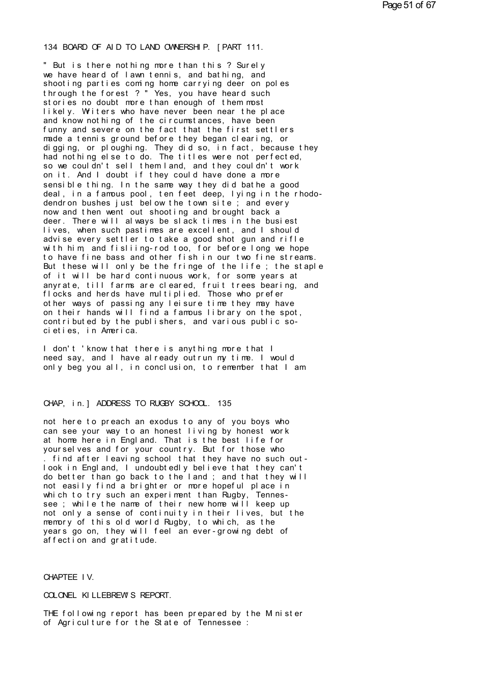134 BOARD OF AID TO LAND OWNERSHIP. [PART 111.<br>" But is there nothing more than this ? Surely

134 BOARD OF AID TO LAND OWNERSHIP. [PART 111.]<br>"But is there nothing more than this ? Surely<br>we have heard of lawn tennis, and bathing, and<br>shooting parties coming home carrying deer on poles we have heard of lawn tennis, and bathing, and shooting parties coming home carrying deer on poles 134 BOARD OF AID TO LAND OWNERSHIP. [PART 111.<br>"But is there nothing more than this ? Surely<br>we have heard of lawn tennis, and bathing, and<br>shooting parties coming home carrying deer on poles<br>through the forest ? "Yes, you 134 BOARD OF AID TO LAND OWNERSHIP. [PART 111.<br>"But is there nothing more than this ? Surely<br>we have heard of lawn tennis, and bathing, and<br>shooting parties coming home carrying deer on poles<br>through the forest ? "Yes, you " But is there nothing more than this ? Surely<br>we have heard of lawn tennis, and bathing, and<br>shooting parties coming home carrying deer on poles<br>through the forest ? "Yes, you have heard such<br>stories no doubt more than en "But is there nothing more than this ? Surely<br>we have heard of lawn tennis, and bathing, and<br>shooting parties coming home carrying deer on poles<br>through the forest ? "Yes, you have heard such<br>stories no doubt more than eno we have heard of lawn tennis, and bathing, and<br>shooting parties coming home carrying deer on poles<br>through the forest? "Yes, you have heard such<br>stories no doubt more than enough of them most<br>likely. Writers who have never shooting parties coming home carrying deer on poles<br>through the forest?" Yes, you have heard such<br>stories no doubt more than enough of them most<br>likely. Writers who have never been near the place<br>and know nothing of the ci stories no doubt more than enough of them most<br>likely. Writers who have never been near the place<br>and know nothing of the circumstances, have been<br>funny and severe on the fact that the first settlers<br>made a tennis ground b stories no doubt more than enough of them most<br>likely. Writers who have never been near the place<br>and know nothing of the circumstances, have been<br>funny and severe on the fact that the first settlers<br>made a tennis ground b likely. Writers who have never been near the place<br>and know nothing of the circumstances, have been<br>funny and severe on the fact that the first settlers<br>made a tennis ground before they began clearing, or<br>digging, or ploug and know nothing of the circumstances, have been<br>funny and severe on the fact that the first settlers<br>made a tennis ground before they began clearing, or<br>digging, or ploughing. They did so, in fact, because they<br>had nothin funny and severe on the fact that the first settlers<br>made a tennis ground before they began clearing, or<br>digging, or ploughing. They did so, in fact, because they<br>had nothing else to do. The titles were not perfected,<br>so w made a tennis ground before they began clearing, or<br>digging, or ploughing. They did so, in fact, because they<br>had nothing else to do. The titles were not perfected,<br>so we couldn't sell them land, and they couldn't work<br>on digging, or ploughing. They did so, in fact, because they<br>had nothing else to do. The titles were not perfected,<br>so we couldn't sell them land, and they couldn't work<br>on it. And I doubt if they could have done a more<br>sensi so we couldn't sell them land, and they couldn't work<br>on it. And I doubt if they could have done a more<br>sensible thing. In the same way they did bathe a good<br>deal, in a famous pool, ten feet deep, lying in the rhodo-<br>dendr on it. And I doubt if they could have done a more<br>sensible thing. In the same way they did bathe a good<br>deal, in a famous pool, ten feet deep, lying in the rhodo-<br>dendron bushes just below the town site; and every<br>now and sensible thing. In the same way they did bathe a good<br>deal, in a famous pool, ten feet deep, lying in the rhodo-<br>dendron bushes just below the town site ; and every<br>now and then went out shooting and brought back a<br>deer. T deal, in a famous pool, ten feet deep, lying in the rhodo-<br>dendron bushes just below the town site ; and every<br>now and then went out shooting and brought back a<br>deer. There will always be slack times in the busiest<br>lives, dendron bushes just below the town site ; and every<br>now and then went out shooting and brought back a<br>deer. There will always be slack times in the busiest<br>lives, when such pastimes are excellent, and I should<br>advise every now and then went out shooting and brought back a<br>deer. There will always be slack times in the busiest<br>lives, when such pastimes are excellent, and I should<br>advise every settler to take a good shot gun and rifle<br>with him, deer. There will always be slack times in the busiest<br>lives, when such pastimes are excellent, and I should<br>advise every settler to take a good shot gun and rifle<br>with him, and fisliing-rod too, for before long we hope<br>to lives, when such pastimes are excellent, and I should<br>advise every settler to take a good shot gun and rifle<br>with him, and fisliing-rod too, for before long we hope<br>to have fine bass and other fish in our two fine streams. with him, and fisliing-rod too, for before long we hope<br>to have fine bass and other fish in our two fine streams.<br>But these will only be the fringe of the life; the staple<br>of it will be hard continuous work, for some years with him, and fisiling-rod too, for before long we hope<br>foolave fine bass and other fish in our two fine streams.<br>But these will only be the fringe of the life; the staple<br>of it will be hard continuous work, for some years to have tine bass and other tish in our two tine streams.<br>But these will only be the fringe of the life ; the staple<br>of it will be hard continuous work, for some years at<br>anyrate, till farms are cleared, fruit trees bearin But these will only be the fringe of the life; the staple<br>of it will be hard continuous work, for some years at<br>anyrate, till farms are cleared, fruit trees bearing, and<br>flocks and herds have multiplied. Those who prefer<br>o of it will be hard continuous work, for some years at<br>anyrate, till farms are cleared, fruit trees bearing, and<br>flocks and herds have multiplied. Those who prefer<br>of her ways of passing any leisure time they may have<br>on th It on their hands will find a famous library on the spot,<br>
contributed by the publishers, and various public so-<br>
cieties, in America.<br>
I don't 'know that there is anything more that I contributed by the publishers, and various public so-

need say, and I have already outrun my time. I would only beg you all, in conclusion, to remember that I am<br>CHAP, in.1 ADDRESS TO RUGBY SCHOOL. 135

CHAP, in.] ADDRESS TO RUGBY SCHOOL. 135<br>not here to preach an exodus to any of you boys who<br>can see your way to an honest living by honest work<br>at home bere in England. That is the best life for CHAP, in.] ADDRESS TO RUGBY SCHOOL. 135<br>not here to preach an exodus to any of you boys who<br>can see your way to an honest living by honest work<br>at home here in England. That is the best life for<br>yourselves and for your cou CHAP, in.] ADDRESS TO RUGBY SCHOOL. 135<br>not here to preach an exodus to any of you boys who<br>can see your way to an honest living by honest work<br>at home here in England. That is the best life for<br>yourselves and for your cou CHAP, in.] ADDRESS TO RUGBY SCHOOL. 135<br>not here to preach an exodus to any of you boys who<br>can see your way to an honest living by honest work<br>at home here in England. That is the best life for<br>yourselves and for your cou not here to preach an exodus to any of you boys who<br>can see your way to an honest living by honest work<br>at home here in England. That is the best life for<br>yourselves and for your country. But for those who<br>. find after lea not here to preach an exodus to any of you boys who<br>can see your way to an honest living by honest work<br>at home here in England. That is the best life for<br>yourselves and for your country. But for those who<br>. find after lea can see your way to an nonest living by nonest work<br>at home here in England. That is the best life for<br>yourselves and for your country. But for those who<br>. find after leaving school that they have no such out-<br>look in Engl at home here in England. That is the best life for<br>yourselves and for your country. But for those who<br>. find after leaving school that they have no such out-<br>look in England, I undoubtedly believe that they can't<br>do better yourselves and for your country. But for those who<br>. find after leaving school that they have no such out-<br>look in England, I undoubtedly believe that they can't<br>do better than go back to the land; and that they will<br>not e look in England, I undoubtedly believe that they can't<br>do better than go back to the land; and that they will<br>not easily find a brighter or more hopeful place in<br>which to try such an experiment than Rugby, Tennes-<br>see; whi do better than go back to the land; and that they will<br>not easily find a brighter or more hopeful place in<br>which to try such an experiment than Rugby, Tennes-<br>see ; while the name of their new home will keep up<br>not only a not easily find a brighter or more hopeful place in which to try such an experiment than Rugby, Tennessee; while the name of their new home will keep up not only a sense of continuity in their lives, but the memory of this see ; while the name of their new home will keep up<br>not only a sense of continuity in their lives, but the<br>memory of this old world Rugby, to which, as the<br>years go on, they will feel an ever-growing debt of affection and gratitude.<br>CHAPTEE IV.<br>COLONEL KILLEBREW'S REPORT.

CHAPTEE IV.<br>COLONEL KILLEBREW'S REPORT.<br>THE following report bas been pr

CHAPTEE IV.<br>COLONEL KILLEBREW S REPORT.<br>THE following report has been prepared by the Minister<br>of Agriculture for the State of Tennessee : THE following report has been prepared by the M nister of Agriculture for the State of Tennessee :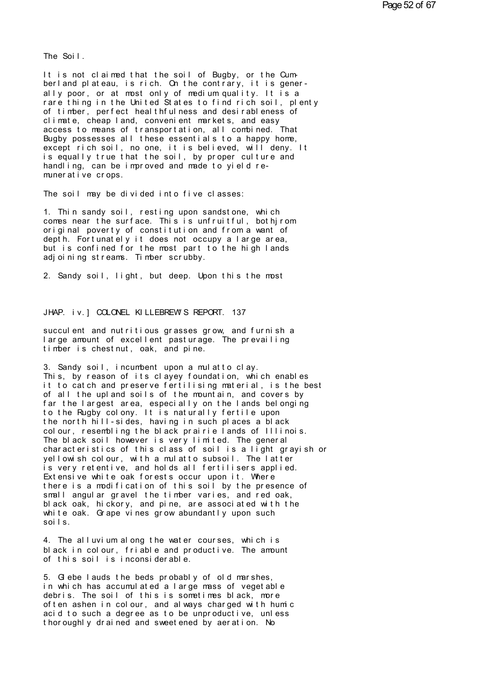The Soil.<br>It is not claimed that The Soil.<br>It is not claimed that the soil of Bugby, or the Cum-<br>berland plateau, is rich. On the contrary, it is gener-<br>ally poor, or at most only of medium quality. It is a<br>rare thing in the United States to find rich soi The Soil.<br>It is not claimed that the soil of Bugby, or the Cum-<br>berland plateau, is rich. On the contrary, it is gener-<br>ally poor, or at most only of medium quality. It is a<br>rare thing in the United States to find rich soi It is not claimed that the soil of Bugby, or the Cum-<br>berland plateau, is rich. On the contrary, it is gener-<br>ally poor, or at most only of medium quality. It is a<br>rare thing in the United States to find rich soil, plenty<br> It is not claimed that the soil of Bugby, or the Cum-<br>berland plateau, is rich. On the contrary, it is gener-<br>ally poor, or at most only of medium quality. It is a<br>rare thing in the United States to find rich soil, plen<br>of berland plateau, is rich. On the contrary, it is gener-<br>ally poor, or at most only of medium quality. It is a<br>rare thing in the United States to find rich soil, plenty<br>of timber, perfect healthfulness and desirableness of<br> ally poor, or at most only of medium quality. It is a<br>rare thing in the United States to find rich soil, plent<br>of timber, perfect healthfulness and desirableness of<br>climate, cheap land, convenient markets, and easy<br>access rare thing in the United States to find rich soil, plenty<br>of timber, perfect healthfulness and desirableness of<br>climate, cheap land, convenient markets, and easy<br>access to means of transportation, all combined. That<br>Bugby of timber, perfect healthfulness and desirableness of<br>climate, cheap land, convenient markets, and easy<br>access to means of transportation, all combined. That<br>Bugby possesses all these essentials to a happy home,<br>except ric climate, cheap land, convenient markets, and easy<br>access to means of transportation, all combined. That<br>Bugby possesses all these essentials to a happy home,<br>except rich soil, no one, it is believed, will deny. It<br>is equal except rich soil, no one, it is believed, will den<br>is equally true that the soil, by proper culture a<br>handling, can be improved and made to yield re-<br>munerative crops.<br>The soil may be divided into five classes:<br>1. Thin san

handling, can be improved and made to yield re-<br>munerative crops.<br>The soil may be divided into five classes:<br>1. Thin sandy soil, resting upon sandstone, which<br>comes near the surface. This is unfruitful, bothjrom<br>original p munerative crops.<br>The soil may be divided into five classes:<br>1. Thin sandy soil, resting upon sandstone, which<br>comes near the surface. This is unfruitful, bothjrom<br>original poverty of constitution and from a want of<br>denth. The soil may be divided into five classes:<br>1. Thin sandy soil, resting upon sandstone, which<br>comes near the surface. This is unfruitful, bothjrom<br>original poverty of constitution and from a want of<br>depth. Fortunately it do The soil may be divided into tive classes:<br>1. Thin sandy soil, resting upon sandstone, which<br>comes near the surface. This is unfruitful, bothjrom<br>original poverty of constitution and from a want of<br>depth. Fortunately it do 1. Thin sandy soil, resting upon sandstone, which<br>comes near the surface. This is unfruitful, bothjrom<br>original poverty of constitution and from a want of<br>depth. Fortunately it does not occupy a large area,<br>but is confined 1. Thin sandy soil, resting upon sandstone,<br>comes near the surface. This is unfruitful,<br>original poverty of constitution and from a<br>depth. Fortunately it does not occupy a lar<br>but is confined for the most part to the hi<br>ad original poverty of constitution and from a want of depth. Fortunately it does not occupy a large area, but is confined for the most part to the high lands adjoining streams. Timber scrubby.

2. Sandy soil, light, but deep. Upon this the most<br>JHAP. iv.] COLONEL KILLEBREW'S REPORT. 137

JHAP. iv.] COLONEL KILLEBREW'S REPORT. 137<br>succulent and nutritious grasses grow, and furnish a<br>large amount of excellent pasturage. The prevailing<br>timber is chestnut, oak, and pine JHAP. iv.] COLONEL KILLEBREW'S REPORT. 137<br>succulent and nutritious grasses grow, and furnish a<br>large amount of excellent pasturage. The prevailing<br>timber is chestnut, oak, and pine. JHAP. iv.] COLONEL KILLEBREWS REPORT. 137<br>succulent and nutritious grasses grow, and fu<br>large amount of excellent pasturage. The prev<br>timber is chestnut, oak, and pine.<br>3. Sandy soil, incumbent upon a mulatio clay. succulent and nutritious grasses grow, and furnish a<br>large amount of excellent pasturage. The prevailing<br>timber is chestnut, oak, and pine.<br>3. Sandy soil, incumbent upon a mulatto clay.<br>This, by reason of its clayey founda

succulent and nutritious grasses grow, and furnish a<br>large amount of excellent pasturage. The prevailing<br>timber is chestnut, oak, and pine.<br>3. Sandy soil, incumbent upon a mulatto clay.<br>This, by reason of its clayey founda i arge amount of excellent pasturage. The prevailing<br>timber is chestnut, oak, and pine.<br>3. Sandy soil, incumbent upon a mulatto clay.<br>This, by reason of its clayey foundation, which enables<br>it to catch and preserve fertili timber is chestnut, oak, and pine.<br>3. Sandy soil, incumbent upon a mulatto clay.<br>This, by reason of its clayey foundation, which enables<br>it to catch and preserve fertilising material, is the best<br>of all the upland soils of 3. Sandy soil, incumbent upon a mulatto clay.<br>This, by reason of its clayey foundation, which enables<br>it to catch and preserve fertilising material, is the best<br>of all the upland soils of the mountain, and covers by<br>far th 3. Sandy soil, incumbent upon a mulatto clay.<br>This, by reason of its clayey foundation, which enables<br>it to catch and preserve fertilising material, is the bes<br>of all the upland soils of the mountain, and covers by<br>far the This, by reason of its clayey foundation, which enables<br>it to catch and preserve fertilising material, is the best<br>of all the upland soils of the mountain, and covers by<br>far the largest area, especially on the lands belong it to catch and preserve fertilising material, is the best<br>of all the upland soils of the mountain, and covers by<br>far the largest area, especially on the lands belonging<br>to the Rugby colony. It is naturally fertile upon<br>th of all the upland soils of the mountain, and covers by<br>far the largest area, especially on the lands belonging<br>to the Rugby colony. It is naturally fertile upon<br>the north hill-sides, having in such places a black<br>colour, r far the largest area, especially on the lands belonging<br>to the Rugby colony. It is naturally fertile upon<br>the north hill-sides, having in such places a black<br>colour, resembling the black prairie lands of Illinois.<br>The blac to the Rugby colony. It is naturally fertile upon<br>the north hill-sides, having in such places a black<br>colour, resembling the black prairie lands of Illinois.<br>The black soil however is very limited. The general<br>characterist the north hill-sides, having in such places a black<br>colour, resembling the black prairie lands of Illinois.<br>The black soil however is very limited. The general<br>characteristics of this class of soil is a light grayish or<br>ye colour, resembling the black prairie lands of Illinois.<br>The black soil however is very limited. The general<br>characteristics of this class of soil is a light grayish or<br>yellowish colour, with a mulatto subsoil. The latter<br>i characteristics of this class of soil is a light grayish or yellowish colour, with a mulatto subsoil. The latter is very retentive, and holds all fertilisers applied.<br>Extensive white oak forests occur upon it. Where there is very retentive, and holds all fertilisers applied.<br>Extensive white oak forests occur upon it. Where<br>there is a modification of this soil by the presence<br>small angular gravel the timber varies, and red oak,<br>black oak, hi yellowish colour, with a mulatto subsoil. The latter<br>is very retentive, and holds all fertilisers applied.<br>Extensive white oak forests occur upon it. Where<br>there is a modification of this soil by the presence of<br>small angu is very retentive, and holds all tertilisers applied.<br>Extensive white oak forests occur upon it. Where<br>there is a modification of this soil by the presence of<br>small angular gravel the timber varies, and red oak,<br>black oak, Extensive white oathere is a modific<br>small angular grav<br>black oak, hickory<br>white oak. Grape v<br>soils.<br>4. The alluvium al small angular gravel the timber varies, and red oak,<br>black oak, hickory, and pine, are associated with the<br>white oak. Grape vines grow abundantly upon such<br>soils.<br>4. The alluvium along the water courses, which is<br>black in

soils.<br>4. The alluvium along the water courses, which is<br>black in colour, friable and productive. The amount<br>of this soil is inconsiderable. 4. The alluvium along the water courses, which is<br>black in colour, friable and productive. The amou<br>of this soil is inconsiderable.<br>5. Glebe lauds the beds probably of old marshes, 4. The alluvium along the water courses, which is<br>black in colour, friable and productive. The amount<br>of this soil is inconsiderable.<br>5. Glebe lauds the beds probably of old marshes,<br>in which has accumulated a large mass o

4. The alluvium along the water courses, which is<br>black in colour, friable and productive. The amount<br>of this soil is inconsiderable.<br>5. Glebe lauds the beds probably of old marshes,<br>in which has accumulated a large mass o black in colour, friable and productive. The amount<br>of this soil is inconsiderable.<br>5. Glebe lauds the beds probably of old marshes,<br>in which has accumulated a large mass of vegetable<br>debris. The soil of this is sometimes of this soil is inconsiderable.<br>5. Glebe lauds the beds probably of old marshes,<br>in which has accumulated a large mass of vegetable<br>debris. The soil of this is sometimes black, more<br>often ashen in colour, and always charge 5. Glebe lauds the beds probably of old marshes,<br>in which has accumulated a large mass of vegetable<br>debris. The soil of this is sometimes black, more<br>often ashen in colour, and always charged with humic<br>acid to such a degr 5. Glebe lauds the beds probably of old marshes,<br>in which has accumulated a large mass of vegetable<br>debris. The soil of this is sometimes black, more<br>often ashen in colour, and always charged with humic<br>acid to such a degr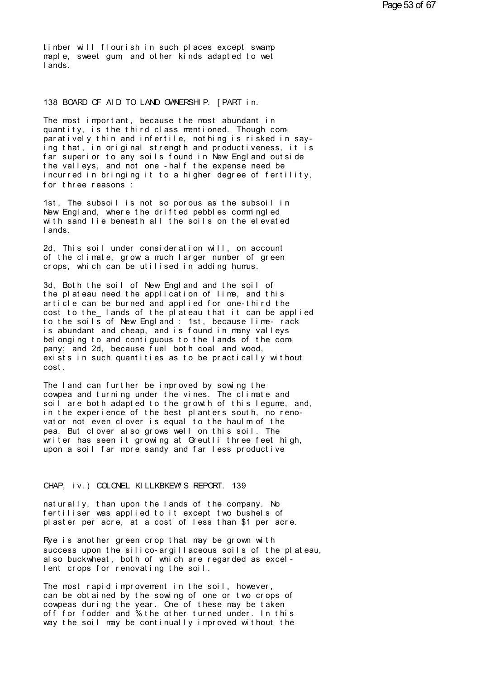timber will flourish in such places except swamp<br>maple, sweet gum, and other kinds adapted to wet timber will flourish in such places except swamp<br>maple, sweet gum, and other kinds adapted to wet<br>lands. timber will flo<br>maple, sweet gu<br>lands. maple, sweet gum, and other kinds adapted to wet<br>lands.<br>138 BOARD OF AID TO LAND OWNERSHIP. [PART in.<br>The most important, because the most abundant in.

138 BOARD OF AID TO LAND OWNERSHIP. [PART in.<br>The most important, because the most abundant in<br>quantity, is the third class mentioned. Though com-<br>paratively thin and infertile, nothing is risked in sayquant i t y, is the third of the most important, because the most abundant in quantity, is the third class mentioned. Though com-<br>paratively thin and infertile, nothing is risked in say-<br>ing that, in original strength and 138 BOARD OF AID TO LAND OWNERSHIP. [PART in.<br>The most important, because the most abundant in<br>quantity, is the third class mentioned. Though com-<br>paratively thin and infertile, nothing is risked in say-<br>ing that, in origi The most important, because the most abundant in<br>quantity, is the third class mentioned. Though com-<br>paratively thin and infertile, nothing is risked in say-<br>ing that, in original strength and productiveness, it is<br>far sup The most important, because the most abundant in<br>quantity, is the third class mentioned. Though com-<br>paratively thin and infertile, nothing is risked in say-<br>ing that, in original strength and productiveness, it is<br>far sup quantity, is the third class mentioned. Though com-<br>paratively thin and infertile, nothing is risked in say-<br>ing that, in original strength and productiveness, it is<br>far superior to any soils found in New England outside<br>t far superior to any soils found in New England outside<br>the valleys, and not one -half the expense need be<br>incurred in bringing it to a higher degree of fertility<br>for three reasons :<br>1st, The subsoil is not so porous as the far superior to any soils found in New England outside<br>the valleys, and not one -half the expense need be<br>incurred in bringing it to a higher degree of fertility,<br>for three reasons :<br>1st, The subsoil is not so porous as th

the valleys, and not one -half the expense need be<br>incurred in bringing it to a higher degree of fertility,<br>for three reasons :<br>1st, The subsoil is not so porous as the subsoil in<br>New England, where the drifted pebbles com incurred in bringing it to a higher degree of fertility,<br>for three reasons :<br>1st, The subsoil is not so porous as the subsoil in<br>New England, where the drifted pebbles commingled<br>with sand lie beneath all the soils on the for three reaso<br>1st, The subsoi<br>New England, wh<br>with sand lie b<br>lands.<br>2d This soil u 1st, The subsoil is not so porous as the subsoil in<br>New England, where the drifted pebbles commingled<br>with sand lie beneath all the soils on the elevated<br>lands.<br>2d, This soil under consideration will, on account<br>of the cli

New England, where the drifted pebbles commingled<br>with sand lie beneath all the soils on the elevated<br>lands.<br>2d, This soil under consideration will, on account<br>of the climate, grow a much larger number of green<br>crops, whic with sand lie beneath all the soils on the elevate<br>lands.<br>2d, This soil under consideration will, on account<br>of the climate, grow a much larger number of green<br>crops, which can be utilised in adding humus.<br>3d. Both the soi 2d, This soil under consideration will, on account<br>of the climate, grow a much larger number of green<br>crops, which can be utilised in adding humus.<br>3d, Both the soil of New England and the soil of<br>the plateau need the appl

of the climate, grow a much larger number of green<br>crops, which can be utilised in adding humus.<br>3d, Both the soil of New England and the soil of<br>the plateau need the application of lime, and this<br>article can be burned and of the climate, grow a much larger number of green<br>crops, which can be utilised in adding humus.<br>3d, Both the soil of New England and the soil of<br>the plateau need the application of lime, and this<br>article can be burned and crops, which can be utilised in adding humus.<br>3d, Both the soil of New England and the soil of<br>the plateau need the application of lime, and this<br>article can be burned and applied for one-third the<br>cost to the\_lands of the 3d, Both the soil of New England and the soil of<br>the plateau need the application of lime, and this<br>article can be burned and applied for one-third the<br>cost to the\_lands of the plateau that it can be applied<br>to the soils o 3d, Both the soil of New England and the soil of<br>the plateau need the application of lime, and this<br>article can be burned and applied for one-third the<br>cost to the lands of the plateau that it can be applied<br>to the soils o the plateau need the application of lime, and this<br>article can be burned and applied for one-third the<br>cost to the\_lands of the plateau that it can be applied<br>to the soils of New England : 1st, because lime-rack<br>is abundan to the soils of New England : 1st, because lime-rack<br>is abundant and cheap, and is found in many valleys<br>belonging to and contiguous to the lands of the com-<br>pany; and 2d, because fuel both coal and wood,<br>exists in such qu is abundant and cheap, and is found in many valleys<br>belonging to and contiguous to the lands of the com<br>pany; and 2d, because fuel both coal and wood,<br>exists in such quantities as to be practically with<br>cost.<br>The land can

cowpea and turning under the vines. The climate and pany; and 2d, because fuel both coal and wood,<br>exists in such quantities as to be practically without<br>cost.<br>The land can further be improved by sowing the<br>cowpea and turning under the vines. The climate and<br>soil are both a exists in such quantities as to be practically without<br>cost.<br>The land can further be improved by sowing the<br>cowpea and turning under the vines. The climate and<br>soil are both adapted to the growth of this legume, and,<br>in th cost.<br>The land can further be improved by sowing the<br>cowpea and turning under the vines. The climate and<br>soil are both adapted to the growth of this legume, and,<br>in the experience of the best planters south, no reno-<br>vator The land can further be improved by sowing the<br>cowpea and turning under the vines. The climate and<br>soil are both adapted to the growth of this legume, and,<br>in the experience of the best planters south, no reno-<br>vator not e cowpea and turning under the vines. The climate and<br>soil are both adapted to the growth of this legume, and,<br>in the experience of the best planters south, no reno-<br>vator not even clover is equal to the haulm of the<br>pea. Bu in the experience of the best planters south, no renovator not even clover is equal to the haulm of the pea. But clover also grows well on this soil. The writer has seen it growing at Greutli three feet high, upon a soil far more sandy and far less productive<br>CHAP, iv.) COLONEL KILLKBKEW'S REPORT. 139<br>naturally, than upon the lands of the company. No

CHAP, iv.) COLONEL KILLKBKEW'S REPORT. 139<br>naturally, than upon the lands of the company. No<br>fertiliser was applied to it except two bushels of<br>plaster per acre, at a cost of less than \$1 per acre CHAP, iv.) COLONEL KILLKBKEW'S REPORT. 139<br>naturally, than upon the lands of the company. No<br>fertiliser was applied to it except two bushels of<br>plaster per acre, at a cost of less than \$1 per acre. CHAP, iv.) COLONEL KILLKBKEWS REPORT. 139<br>naturally, than upon the lands of the company. No<br>fertiliser was applied to it except two bushels of<br>plaster per acre, at a cost of less than \$1 per acre.<br>Peoples appther green cro

fertiliser was applied to it except two bushels of<br>plaster per acre, at a cost of less than \$1 per acre.<br>Rye is another green crop that may be grown with<br>success upon the silico-argillaceous soils of the plateau. naturally, than upon the lands of the company. No<br>fertiliser was applied to it except two bushels of<br>plaster per acre, at a cost of less than \$1 per acre.<br>Rye is another green crop that may be grown with<br>success upon the s reftiliser was applied to it except two bushels of<br>plaster per acre, at a cost of less than \$1 per acre.<br>Rye is another green crop that may be grown with<br>success upon the silico-argillaceous soils of the platea<br>also buckwh plaster per acre, at a cost of less than \$1 per<br>Rye is another green crop that may be grown with<br>success upon the silico-argillaceous soils of th<br>also buckwheat, both of which are regarded as ex<br>lent crops for renovating t Hye is another green crop that may be grown with<br>success upon the silico-argillaceous soils of the plateau,<br>also buckwheat, both of which are regarded as excel-<br>lent crops for renovating the soil.<br>The most rapid improvemen

success upon the silico-argillaceous soils of the plateau,<br>also buckwheat, both of which are regarded as excel-<br>lent crops for renovating the soil.<br>The most rapid improvement in the soil, however,<br>can be obtained by the so also buckwheat, both of which are regarded as excel-<br>lent crops for renovating the soil.<br>The most rapid improvement in the soil, however,<br>can be obtained by the sowing of one or two crops of<br>cowpeas during the year. One of lent crops for renovating the soil.<br>The most rapid improvement in the soil, however,<br>can be obtained by the sowing of one or two crops of<br>cowpeas during the year. One of these may be taken<br>off for fodder and % the other tu The most rapid improvement in the soil, however,<br>can be obtained by the sowing of one or two crops of<br>cowpeas during the year. One of these may be taken<br>off for fodder and % the other turned under. In this<br>way the soil may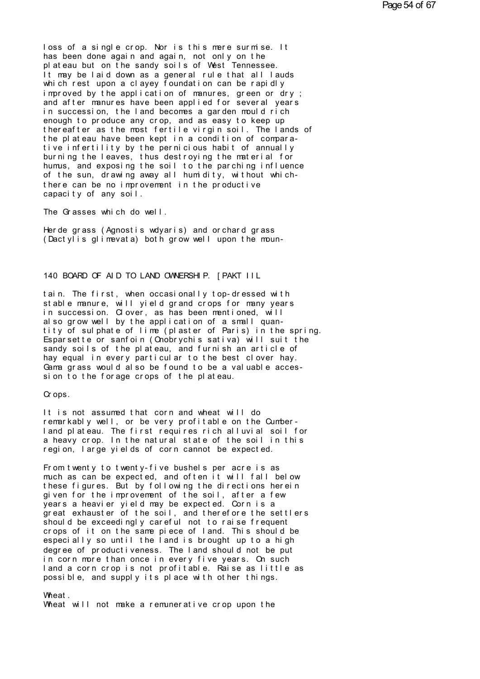loss of a single crop. Nor is this mere surmise. It has been done again and again, not only on the plateau but on the sandy soils of West Tennessee. It may be laid down as a general rule that all lauds which rest upon a clayey foundation can be rapidly improved by the application of manures, green or dry; and after manures have been applied for several years in succession, the land becomes a garden mould rich enough to produce any crop, and as easy to keep up thereafter as the most fertile virgin soil. The lands of the plateau have been kept in a condition of comparative infertility by the pernicious habit of annually burning the leaves, thus destroying the material for humus, and exposing the soil to the parching influence of the sun, drawing away all humidity, without whichthere can be no improvement in the productive capacity of any soil.

The Grasses which do well.

Herde grass (Agnostis wdyaris) and orchard grass (Dactylis glimevata) both grow well upon the moun-

## 140 BOARD OF AID TO LAND OWNERSHIP. [PAKT IIL

tain. The first, when occasionally top-dressed with stable manure, will yield grand crops for many years<br>in succession. Clover, as has been mentioned, will also grow well by the application of a small quantity of sulphate of lime (plaster of Paris) in the spring. Esparsette or sanfoin (Onobrychis sativa) will suit the sandy soils of the plateau, and furnish an article of hay equal in every particular to the best clover hay. Gama grass would also be found to be a valuable accession to the forage crops of the plateau.

## Crops.

It is not assumed that corn and wheat will do remarkably well, or be very profitable on the Cumberland plateau. The first requires rich alluvial soil for a heavy crop. In the natural state of the soil in this region, large yields of corn cannot be expected.

From twenty to twenty-five bushels per acre is as much as can be expected, and often it will fall below these figures. But by following the directions herein given for the improvement of the soil, after a few years a heavier yield may be expected. Corn is a great exhauster of the soil, and therefore the settlers should be exceedingly careful not to raise frequent crops of it on the same piece of land. This should be especially so until the land is brought up to a high dearee of productiveness. The land should not be put in corn more than once in every five years. On such land a corn crop is not profitable. Raise as little as possible, and supply its place with other things.

### Wheat

Wheat will not make a remunerative crop upon the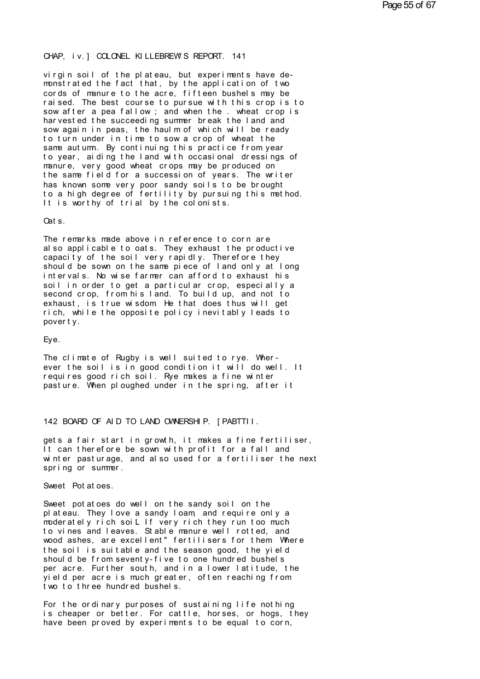CHAP, iv.] COLONEL KILLEBREW'S REPORT. 141<br>virgin soil of the plateau, but experiments have de-CHAP, iv.] COLONEL KILLEBREWS REPORT. 141<br>virgin soil of the plateau, but experiments have de-<br>monstrated the fact that, by the application of two<br>cords of manure to the acre, fifteen bushels may be<br>raised. The best course monstrated the fact that, by the application of two<br>cords of manure to the acre, fifteen bushels may be<br>raised. The best course to pursue with this crop is to sow after a pea fallow; and when the . wheat crop is virgin soil of the plateau, but experiments have demonstrated the fact that, by the application of two<br>cords of manure to the acre, fifteen bushels may be<br>raised. The best course to pursue with this crop is to<br>sow after a virgin soil of the plateau, but experiments have demonstrated the fact that, by the application of two<br>cords of manure to the acre, fifteen bushels may be<br>raised. The best course to pursue with this crop is to<br>sow after a monstrated the fact that, by the application of two<br>cords of manure to the acre, fifteen bushels may be<br>raised. The best course to pursue with this crop is to<br>sow after a pea fallow; and when the . wheat crop is<br>harvested cords of manure to the acre, fifteen bushels may be<br>raised. The best course to pursue with this crop is to<br>sow after a pea fallow; and when the . wheat crop is<br>harvested the succeeding summer break the land and<br>sow again i raised. The best course to pursue with this crop is to<br>sow after a pea fallow; and when the . wheat crop is<br>harvested the succeeding summer break the land and<br>sow again in peas, the haulm of which will be ready<br>to turn und sow after a pea fallow; and when the . wheat crop is<br>harvested the succeeding summer break the land and<br>sow again in peas, the haulm of which will be ready<br>to turn under in time to sow a crop of wheat the<br>same autum. By co sow again in peas, the haulm of which will be ready<br>to turn under in time to sow a crop of wheat the<br>same autum. By continuing this practice from year<br>to year, aiding the land with occasional dressings of<br>manure, very good sow again in peas, the haulm of which will be ready<br>to turn under in time to sow a crop of wheat the<br>same autum. By continuing this practice from year<br>to year, aiding the land with occasional dressings of<br>manure, very good to turn under in time to sow a crop of wheat the<br>same autum. By continuing this practice from year<br>to year, aiding the land with occasional dressings of<br>manure, very good wheat crops may be produced on<br>the same field for a same autum. By continuing this practice from year<br>to year, aiding the land with occasional dressings of<br>manure, very good wheat crops may be produced on<br>the same field for a succession of years. The writer<br>has known some v to year, aiding the land with occasional dressings<br>manure, very good wheat crops may be produced on<br>the same field for a succession of years. The write<br>has known some very poor sandy soils to be brought<br>to a high degree of the same field for<br>has known some ver<br>to a high degree<br>It is worthy of t<br>Oats.<br>The remerks meder

to a high degree of fertility by pursuing this method.<br>It is worthy of trial by the colonists.<br>Cats.<br>The remarks made above in reference to corn are<br>also applicable to oats. They exhaust the productive<br>canacity of the soil It is worthy of trial by the colonists.<br>Cats.<br>The remarks made above in reference to corn are<br>also applicable to oats. They exhaust the productive<br>capacity of the soil very rapidly. Therefore they<br>should be sown on the sam Cats.<br>The remarks made above in reference to corn are<br>also applicable to oats. They exhaust the productive<br>capacity of the soil very rapidly. Therefore they<br>should be sown on the same piece of land only at long<br>intervals. Chats.<br>The remarks made above in reference to corn are<br>also applicable to oats. They exhaust the productive<br>capacity of the soil very rapidly. Therefore they<br>should be sown on the same piece of land only at long<br>intervals. The remarks made above in reference to corn are<br>also applicable to oats. They exhaust the productive<br>capacity of the soil very rapidly. Therefore they<br>should be sown on the same piece of land only at long<br>intervals. No wis The remarks made above in reterence to corn are<br>also applicable to oats. They exhaust the productive<br>capacity of the soil very rapidly. Therefore they<br>should be sown on the same piece of land only at long<br>intervals. No wis also applicable to oats. They exhaust the productive<br>capacity of the soil very rapidly. Therefore they<br>should be sown on the same piece of land only at long<br>intervals. No wise farmer can afford to exhaust his<br>soil in order capacity of the soll very rapidly. Iherefore they<br>should be sown on the same piece of land only at long<br>intervals. No wise farmer can afford to exhaust his<br>soil in order to get a particular crop, especially a<br>second crop, should be sown on the same piece of land only at long<br>intervals. No wise farmer can afford to exhaust his<br>soil in order to get a particular crop, especially a<br>second crop, from his land. To build up, and not to<br>exhaust, is intervals. No wise f<br>soil in order to get<br>second crop, from hi<br>exhaust, is true wis<br>rich, while the oppo<br>poverty.<br>Five

### Eye.

rich, while the opposite policy inevitably leads to<br>poverty.<br>The climate of Rugby is well suited to rye. Wher-<br>ever the soil is in good condition it will do well. It<br>requires good rich soil. Rye makes a fine winter<br>nasture Eye.<br>The climate of Rugby is well suited to rye. Wher-<br>ever the soil is in good condition it will do well. It<br>requires good rich soil. Rye makes a fine winter<br>pasture. When ploughed under in the spring, after it Eye.<br>The climate of Rugby is well suited to rye. Wher-<br>ever the soil is in good condition it will do well. It<br>requires good rich soil. Rye makes a fine winter<br>pasture. When ploughed under in the spring, after it pasture. When ploughed under in the spring, after it<br>142 BOARD OF AID TO LAND OWNERSHIP. [PABTTII.

142 BOARD OF AID TO LAND OWNERSHIP. [PABTTII.<br>gets a fair start in growth, it makes a fine fertiliser,<br>It can therefore be sown with profit for a fall and<br>winter pasturage, and also used for a fertiliser the pext 142 BOARD OF AID TO LAND OWNERSHIP. [PABTTII.<br>gets a fair start in growth, it makes a fine fertiliser,<br>It can therefore be sown with profit for a fall and<br>winter pasturage, and also used for a fertiliser the next<br>spring or 142 BOARD OF AID TO LAND OWNERSHIP. [PABTTII.<br>gets a fair start in growth, it makes a fine fertiliser,<br>it can therefore be sown with profit for a fall and<br>winter pasturage, and also used for a fertiliser the next<br>spring or 142 BOARD OF AID IO LAND OWNER<br>gets a fair start in growth, if<br>it can therefore be sown with<br>winter pasturage, and also use<br>spring or summer.<br>Sweet Potatoes It can therefore be sown with profit for a fall and<br>winter pasturage, and also used for a fertiliser the next<br>spring or summer.<br>Sweet Potatoes.<br>Sweet potatoes do well on the sandy soil on the

winter pasturage, and also used for a fertiliser the next<br>spring or summer.<br>Sweet Potatoes.<br>Sweet potatoes do well on the sandy soil on the<br>plateau. They love a sandy loam, and require only a<br>moderately rich soil If yery r spring or summer.<br>Sweet Potatoes.<br>Sweet potatoes do well on the sandy soil on the<br>plateau. They love a sandy loam, and require only a<br>moderately rich soil. If very rich they run too much<br>to vines and leaves. Stable manure Sweet Potatoes.<br>Sweet potatoes do well on the sandy soil on the<br>plateau. They love a sandy loam, and require only a<br>moderately rich soil If very rich they run too much<br>to vines and leaves. Stable manure well rotted, and<br>wo Sweet Potatoes.<br>Sweet potatoes do well on the sandy soil on the<br>plateau. They love a sandy loam, and require only a<br>moderately rich soil if very rich they run too much<br>to vines and leaves. Stable manure well rotted, and<br>wo Sweet potatoes do well on the sandy soil on the<br>plateau. They love a sandy loam, and require only a<br>moderately rich soil If very rich they run too much<br>to vines and leaves. Stable manure well rotted, and<br>wood ashes, are ex Sweet potatoes do well on the sandy soll on the<br>plateau. They love a sandy loam, and require only a<br>moderately rich soil If very rich they run too much<br>to vines and leaves. Stable manure well rotted, and<br>wood ashes, are ex plateau. They love a sandy loam, and require only a<br>moderately rich soil If very rich they run too much<br>to vines and leaves. Stable manure well rotted, and<br>wood ashes, are excellent" fertilisers for them Where<br>the soil is moderately rich soil if very rich they run too much<br>to vines and leaves. Stable manure well rotted, and<br>wood ashes, are excellent" fertilisers for them Where<br>the soil is suitable and the season good, the yield<br>should be fr to vines and leaves. Stable manure well rotted, and<br>wood ashes, are excellent" fertilisers for them Where<br>the soil is suitable and the season good, the yield<br>should be from seventy-five to one hundred bushels<br>per acre. Fur the soil is suitable and the season good, the yield<br>should be from seventy-five to one hundred bushels<br>per acre. Further south, and in a lower latitude, the<br>yield per acre is much greater, often reaching from<br>two to three should be from seventy-five to one hundred bushels<br>per acre. Further south, and in a lower latitude, the<br>yield per acre is much greater, often reaching from<br>two to three hundred bushels.<br>For the ordinary purposes of sustai

per acre. Further south, and in a lower latitude, the<br>yield per acre is much greater, often reaching from<br>two to three hundred bushels.<br>For the ordinary purposes of sustaining life nothing<br>is cheaper or better. For cattle, yield per acre is much greater, often reaching from<br>two to three hundred bushels.<br>For the ordinary purposes of sustaining life nothing<br>is cheaper or better. For cattle, horses, or hogs, they<br>have been proved by experiments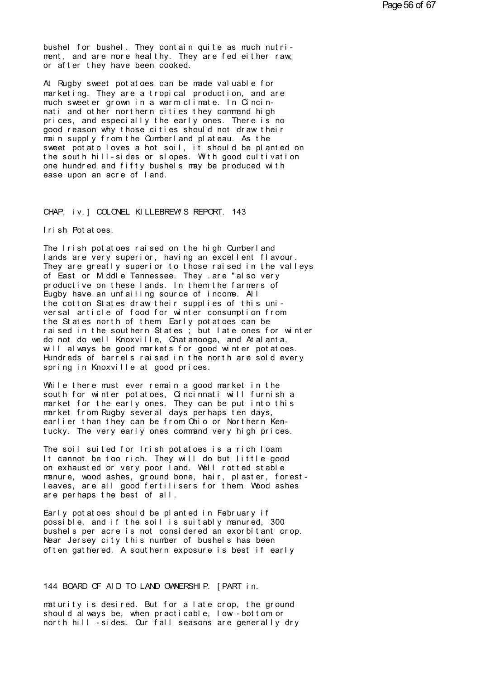bushel for bushel. They contain quite as much nutri-<br>ment, and are more healthy. They are fed either raw,<br>or after they have been cooked. bushel for bushel. They contain quent, and are more healthy. They a<br>or after they have been cooked.<br>At Rugby sweet potatoes can be med bushel for bushel. They contain quite as much nutri-<br>ment, and are more healthy. They are fed either raw,<br>or after they have been cooked.<br>At Rugby sweet potatoes can be made valuable for<br>marketing. They are a tropical prod

bushel for bushel. They contain quite as much nutri-<br>ment, and are more healthy. They are fed either raw,<br>or after they have been cooked.<br>At Rugby sweet potatoes can be made valuable for<br>marketing. They are a tropical prod ment, and are more healthy. They are fed either raw,<br>or after they have been cooked.<br>At Rugby sweet potatoes can be made valuable for<br>marketing. They are a tropical production, and are<br>much sweeter grown in a warm climate. At Rugby sweet potatoes can be made valuable for<br>marketing. They are a tropical production, and are<br>much sweeter grown in a warm climate. In Cincin-<br>natiand other northern cities they command high<br>prices, and especially th At Rugby sweet potatoes can be made valuable for<br>marketing. They are a tropical production, and are<br>much sweeter grown in a warm climate. In Cincin-<br>nati and other northern cities they command high<br>prices, and especially t marketing. They are a tropical production, and are<br>much sweeter grown in a warm climate. In Cincin-<br>nati and other northern cities they command high<br>prices, and especially the early ones. There is no<br>good reason why those much sweeter grown in a warm climate. In Cincin-<br>nati and other northern cities they command high<br>prices, and especially the early ones. There is no<br>good reason why those cities should not draw their<br>main supply from the C nati and other northern cities they command high<br>prices, and especially the early ones. There is no<br>good reason why those cities should not draw their<br>main supply from the Cumberland plateau. As the<br>sweet potato loves a ho prices, and especially the early ones. There is no<br>good reason why those cities should not draw their<br>main supply from the Cumberland plateau. As the<br>sweet potato loves a hot soil, it should be planted on<br>the south hill-si good reason why those cities should<br>main supply from the Cumberland plat<br>sweet potato loves a hot soil, it sh<br>the south hill-sides or slopes. With<br>one hundred and fifty bushels may be<br>ease upon an acre of land. one hundred and fifty bushels may be produced with<br>ease upon an acre of land.<br>CHAP, iv.] COLONEL KILLEBREW'S REPORT. 143<br>Irish Potatoes

# CHAP, iv.] COLONEL KILLEB<br>Irish Potatoes.<br>The Irish potatoes raised

I rish Potatoes.<br>The Irish potatoes raised on the high Cumberland<br>lands are very superior, having an excellent flavour. They are greatly superior to those raised in the valleys Irish Potatoes.<br>The Irish potatoes raised on the high Cumberland<br>lands are very superior, having an excellent flavour.<br>They are greatly superior to those raised in the valleys<br>of East or Middle Tennessee. They .are "also v Irish Potatoes.<br>The Irish potatoes raised on the high Cumberland<br>lands are very superior, having an excellent flavour.<br>They are greatly superior to those raised in the valleys<br>of East or Middle Tennessee. They .are "also v The Irish potatoes raised on the high Cumberland<br>lands are very superior, having an excellent flavour.<br>They are greatly superior to those raised in the valleys<br>of East or Middle Tennessee. They .are "also very<br>productive o The Irish potatoes raised on the high Cumberland<br>Lands are very superior, having an excellent flavour.<br>They are greatly superior to those raised in the valleys<br>of East or Middle Tennessee. They .are "also very<br>productive o they are very superior, having an excellent flavour.<br>They are greatly superior to those raised in the valleys<br>of East or Middle Tennessee. They .are "also very<br>productive on these lands. In them the farmers of<br>Eugby have a of East or Middle lennessee. They are "also very<br>productive on these lands. In them the farmers of<br>Eugby have an unfailing source of income. All<br>the cotton States draw their supplies of this uni-<br>versal article of food for productive on these lands. In them the farmers of<br>Eugby have an unfailing source of income. All<br>the cotton States draw their supplies of this uni-<br>versal article of food for winter consumption from<br>the States north of them Eugby have an unfailing source of income. All<br>the cotton States draw their supplies of this uni-<br>versal article of food for winter consumption from<br>the States north of them Early potatoes can be<br>raised in the southern Stat the cotton States draw their supplies of this uni-<br>versal article of food for winter consumption from<br>the States north of them Early potatoes can be<br>raised in the southern States ; but late ones for winter<br>do not do well K versal article of food for winter consumption from<br>the States north of them Early potatoes can be<br>raised in the southern States ; but late ones for winter<br>do not do well Knoxville, Chatanooga, and Atalanta,<br>will always be raised in the southern States; but late ones for winter<br>do not do well Knoxville, Chatanooga, and Atalanta,<br>will always be good markets for good winter potatoes.<br>Hundreds of barrels raised in the north are sold every<br>sprin do not do well Knoxville, Chatanooga, and Atalanta,<br>will always be good markets for good winter potatoes.<br>Hundreds of barrels raised in the north are sold every<br>spring in Knoxville at good prices.<br>While there must ever rem

Whili always be good markets for good winter potatoes.<br>Hundreds of barrels raised in the north are sold every<br>spring in Knoxville at good prices.<br>While there must ever remain a good market in the<br>south for winter potatoes, Hundreds of barrels raised in the north are sold every<br>spring in Knoxville at good prices.<br>While there must ever remain a good market in the<br>south for winter potatoes, Cincinnati will furnish a<br>market for the early ones. T spring in Knoxville at good prices.<br>While there must ever remain a good market in the<br>south for winter potatoes, Cincinnati will furnish a<br>market for the early ones. They can be put into this<br>market from Rugby several days While there must ever remain a good market in the south for winter potatoes, Cincinnati will furnish a market for the early ones. They can be put into this market from Rugby several days perhaps ten days, earlier than they While there must ever remain a good market in the<br>south for winter potatoes, Cincinnati will furnish a<br>market for the early ones. They can be put into this<br>market from Rugby several days perhaps ten days,<br>earlier than they market for the early ones. They can be put into this<br>market from Rugby several days perhaps ten days,<br>earlier than they can be from Chio or Northern Ken-<br>tucky. The very early ones command very high prices.<br>The soil suited

earlier than they can be from Chio or Northern Kentucky. The very early ones command very high prices.<br>The soil suited for Irish potatoes is a rich loam<br>It cannot be too rich. They will do but little good<br>on exhausted or v earlier than they can be from Ohio or Northern Kentucky. The very early ones command very high prices.<br>The soil suited for Irish potatoes is a rich loam<br>It cannot be too rich. They will do but little good<br>on exhausted or v tucky. The very early ones command very high prices.<br>The soil suited for Irish potatoes is a rich loam<br>It cannot be too rich. They will do but little good<br>on exhausted or very poor land. Well rotted stable<br>manure, wood ash The soil suited for Irish potatoes is a rich loam<br>It cannot be too rich. They will do but little good<br>on exhausted or very poor land. Well rotted stable<br>manure, wood ashes, ground bone, hair, plaster, forest-<br>leaves, are a It cannot be too rich. They will do but little good<br>on exhausted or very poor land. Well rotted stable<br>manure, wood ashes, ground bone, hair, plaster, for<br>leaves, are all good fertilisers for them Wood ashe<br>are perhaps the on exhausted or very poor land. Well rotted stable<br>manure, wood ashes, ground bone, hair, plaster, forest-<br>leaves, are all good fertilisers for them Wood ashes<br>are perhaps the best of all.<br>Early potatoes should be planted

leaves, are all good fertilisers for them Wood ashes<br>are perhaps the best of all.<br>Early potatoes should be planted in February if<br>possible, and if the soil is suitably manured, 300<br>bushels per acre is not considered an exo leaves, are all good fertilisers for them Wood ashes<br>are perhaps the best of all.<br>Early potatoes should be planted in February if<br>possible, and if the soil is suitably manured, 300<br>bushels per acre is not considered an exo are perhaps the best of all.<br>Early potatoes should be planted in February if<br>possible, and if the soil is suitably manured, 300<br>bushels per acre is not considered an exorbitant crop.<br>Near Jersey city this number of bushels Early potatoes should be planted in February if<br>possible, and if the soil is suitably manured, 300<br>bushels per acre is not considered an exorbitant crop.<br>Near Jersey city this number of bushels has been<br>often gathered. A s Near Jersey city this number of bushels has been<br>often gathered. A southern exposure is best if early<br>144 BOARD OF AID TO LAND OWNERSHIP. [PART in.<br>meturity is desired. But for a late crop, the ground

144 BOARD OF AID TO LAND OWNERSHIP. [PART in.<br>maturity is desired. But for a late crop, the ground<br>should always be, when practicable, low - bottom or<br>porth bill sides. Our fall seasons are generally dry 144 BOARD OF AID TO LAND OWNERSHIP. [PART in.<br>maturity is desired. But for a late crop, the ground<br>should always be, when practicable, low - bottom or<br>north hill -sides. Our fall seasons are generally dry 144 BOARD OF AID TO LAND OWNERSHIP. [PART in.<br>maturity is desired. But for a late crop, the ground<br>should always be, when practicable, low -bottom or<br>north hill -sides. Our fall seasons are generally dry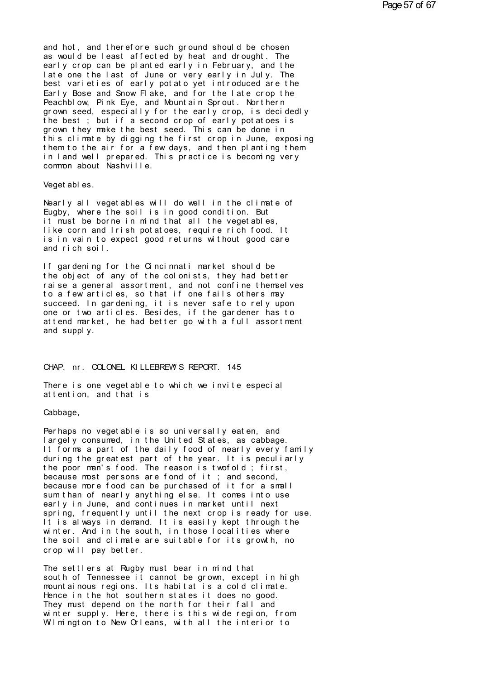and hot, and therefore such ground should be chosen as would be least affected by heat and drought. The and hot, and therefore such ground should be chosen<br>as would be least affected by heat and drought. The<br>early crop can be planted early in February, and the<br>late one the last of lune or very early in July. The and hot, and therefore such ground should be chosen<br>as would be least affected by heat and drought. The<br>early crop can be planted early in February, and the<br>late one the last of June or very early in July. The<br>hest varieti and hot, and therefore such ground should be chosen<br>as would be least affected by heat and drought. The<br>early crop can be planted early in February, and the<br>late one the last of June or very early in July. The<br>best varieti and hot, and therefore such ground should be chosen<br>as would be least affected by heat and drought. The<br>early crop can be planted early in February, and the<br>late one the last of June or very early in July. The<br>best varieti and hot, and therefore such ground should be chosen<br>as would be least affected by heat and drought. The<br>early crop can be planted early in February, and the<br>late one the last of June or very early in July. The<br>best varieti as would be least affected by heat and drought. The<br>early crop can be planted early in February, and the<br>late one the last of June or very early in July. The<br>best varieties of early potato yet introduced are the<br>Early Bose early crop can be planted early in February, and the<br>late one the last of June or very early in July. The<br>best varieties of early potato yet introduced are the<br>Early Bose and Snow Flake, and for the late crop the<br>Peachblow late one the last of June or very early in July. The<br>best varieties of early potato yet introduced are the<br>Early Bose and Snow Flake, and for the late crop the<br>Peachblow, Pink Eye, and Mountain Sprout. Northern<br>grown seed, best varieties of early potato yet introduced are the<br>Early Bose and Snow Flake, and for the late crop the<br>Peachblow, Pink Eye, and Mountain Sprout. Northern<br>grown seed, especially for the early crop, is decidedly<br>the best Early Bose and Snow Flake, and for the late crop the<br>Peachblow, Pink Eye, and Mountain Sprout. Northern<br>grown seed, especially for the early crop, is decidedly<br>the best ; but if a second crop of early potatoes is<br>grown the Peachblow, Pink Eye, and Mountain Sprout. Northern<br>grown seed, especially for the early crop, is decidedly<br>the best ; but if a second crop of early potatoes is<br>grown they make the best seed. This can be done in<br>this climat grown seed, especially for the early crop, is decidedly<br>the best ; but if a second crop of early potatoes is<br>grown they make the best seed. This can be done in<br>this climate by digging the first crop in June, exposing<br>them the best ; but if a second crop of<br>grown they make the best seed. This<br>this climate by digging the first c<br>them to the air for a few days, and<br>in land well prepared. This practic<br>common about Nashville.<br>Vegetables this climate by diggin<br>them to the air for a<br>in land well prepared.<br>common about Nashville<br>Vegetables.<br>Nearly all yegetables

In land well prepared. This practice is becoming very<br>common about Nashville.<br>Veget ables.<br>Nearly all veget ables will do well in the climate of<br>Eugby, where the soil is in good condition. But<br>it must be borne in mind that common about Nashville.<br>Vegetables.<br>Nearly all vegetables will do well in the climate of<br>Eugby, where the soil is in good condition. But<br>it must be borne in mind that all the vegetables,<br>like corn and Irish potatoes, requi Veget ables.<br>Nearly all veget ables will do well in the climate of<br>Eugby, where the soil is in good condition. But<br>it must be borne in mind that all the veget ables,<br>like corn and Irish potatoes, require rich food. It<br>is i Vegetables.<br>Nearly all vegetables will do well in the climate of<br>Eugby, where the soil is in good condition. But<br>it must be borne in mind that all the vegetables,<br>like corn and Irish potatoes, require rich food. It<br>is in v Nearly all vegetables will do well in the climate of Eugby, where the soil is in good condition. But<br>it must be borne in mind that all the vegetables,<br>like corn and Irish potatoes, require rich food. It<br>is in vain to expec Nearly all vegetables will<br>Eugby, where the soil is in<br>it must be borne in mind th<br>like corn and Irish potatoe<br>is in vain to expect good r<br>and rich soil.<br>If gardening for the Cincin It must be borne in mind that all the vegetables,<br>Iike corn and Irish potatoes, require rich food. It<br>is in vain to expect good returns without good care<br>and rich soil.<br>If gardening for the Cincinnati market should be<br>the

I ike corn and Irish potatoes, require rich food. It<br>is in vain to expect good returns without good care<br>and rich soil.<br>If gardening for the Cincinnati market should be<br>the object of any of the colonists, they had better<br>r r and rich soil.<br>If gardening for the Cincinnationarket should be<br>the object of any of the colonists, they had better<br>raise a general assortment, and not confine themselves<br>to a few articles, so that if one fails others ma and rich soil.<br>If gardening for the Cincinnati market should be<br>the object of any of the colonists, they had better<br>raise a general assortment, and not confine themselves<br>to a few articles, so that if one fails others may<br> If gardening for the Cincinnationarket should be<br>the object of any of the colonists, they had better<br>raise a general assortment, and not confine themselves<br>to a few articles, so that if one fails others may<br>succeed. In gar It gardening for the Cincinnationarket should be<br>the object of any of the colonists, they had better<br>raise a general assortment, and not confine themselves<br>to a few articles, so that if one fails others may<br>succeed. In gar the object of any of the colonists, they had better<br>raise a general assortment, and not confine themselves<br>to a few articles, so that if one fails others may<br>succeed. In gardening, it is never safe to rely upon<br>one or two raise a general assortm<br>to a few articles, so t<br>succeed. In gardening,<br>one or two articles. Be<br>attend market, he had b<br>and supply. attend market, he had better go with a full assorth<br>and supply.<br>CHAP. nr. COLONEL KILLEBREW'S REPORT. 145<br>There is one vegetable to which we invite especial

CHAP. nr. COLONEL KILLEBREW'S REPORT. 145<br>There is one vegetable to which we invite especial<br>attention, and that is CHAP. nr. COLONEL KILLEBREW'S REPORT. 145<br>There is one vegetable to which we invite especial<br>attention, and that is

## Cabbage,

Per haps no veget able is so univer sally eat en, and largely consumed, in the United States, as cabbage. attention, and that is<br>Cabbage,<br>Perhaps no vegetable is so universally eaten, and<br>largely consumed, in the United States, as cabbage.<br>It forms a part of the daily food of nearly every fami<br>during the greatest part of the y Cabbage,<br>Perhaps no vegetable is so universally eaten, and<br>largely consumed, in the United States, as cabbage.<br>It forms a part of the daily food of nearly every family<br>during the greatest part of the year. It is peculiarly Cabbage,<br>Perhaps no veget able is so universally eat en, and<br>largely consumed, in the United States, as cabbage.<br>It forms a part of the daily food of nearly every family<br>during the greatest part of the year. It is peculiar Perhaps no veget able is so universally eaten, and<br>largely consumed, in the United States, as cabbage.<br>It forms a part of the daily food of nearly every family<br>during the greatest part of the year. It is peculiarly<br>the poo Pernaps no vegetable is so universally eaten, and<br>largely consumed, in the United States, as cabbage.<br>It forms a part of the daily food of nearly every fa<br>during the greatest part of the year. It is peculiar<br>the poor man's largely consumed, in the United States, as cabbage.<br>It forms a part of the daily food of nearly every family<br>during the greatest part of the year. It is peculiarly<br>the poor man's food. The reason is twofold ; first,<br>becaus during the greatest part of the year. It is peculiarly<br>the poor man's food. The reason is twofold; first,<br>because most persons are fond of it; and second,<br>because more food can be purchased of it for a small<br>sum than of ne during the greatest part of the year. It is peculiarly<br>the poor man's food. The reason is twofold; first,<br>because more food can be purchased of it for a small<br>sum than of nearly anything else. It comes into use<br>early in Ju the poor man's food. The reason is twofold; first,<br>because most persons are fond of it; and second,<br>because more food can be purchased of it for a small<br>sum than of nearly anything else. It comes into use<br>early in June, an because most persons are fond of it; and second,<br>because more food can be purchased of it for a small<br>sum than of nearly anything else. It comes into use<br>early in June, and continues in market until next<br>spring, frequently because more food can be purchased of it for a small<br>sum than of nearly anything else. It comes into use<br>early in June, and continues in market until next<br>spring, frequently until the next crop is ready for use.<br>It is alwa sum than of nearly anything else. It comes into use<br>early in June, and continues in market until next<br>spring, frequently until the next crop is ready for use.<br>It is always in demand. It is easily kept through the<br>winter. A early in June, and continues in ma<br>spring, frequently until the next<br>It is always in demand. It is easi<br>winter. And in the south, in those<br>the soil and climate are suitable<br>crop will pay better.<br>The settlers at Puchy must It is always in demand. It is easily kept through the<br>winter. And in the south, in those localities where<br>the soil and climate are suitable for its growth, no<br>crop will pay better.<br>The settlers at Rugby must bear in mind t

whiter. And in the south, in those localities where<br>the soil and climate are suitable for its growth, no<br>crop will pay better.<br>The settlers at Rugby must bear in mind that<br>south of Tennessee it cannot be grown, except in h the soul and climate are suitable for its growth, no<br>crop will pay better.<br>The settlers at Rugby must bear in mind that<br>south of Tennessee it cannot be grown, except in high<br>mountainous regions. Its habitat is a cold clima Crop will pay better.<br>The settlers at Rugby must bear in mind that<br>south of Tennessee it cannot be grown, except in hig<br>mountainous regions. Its habitat is a cold climate.<br>Hence in the hot southern states it does no good.<br> The settlers at Rugby must bear in mind that<br>south of Tennessee it cannot be grown, except in high<br>mountainous regions. Its habitat is a cold climate.<br>Hence in the hot southern states it does no good.<br>They must depend on t The settlers at Rugby must bear in mind that<br>south of Tennessee it cannot be grown, except in high<br>mountainous regions. Its habitat is a cold climate.<br>Hence in the hot southern states it does no good.<br>They must depend on t mountainous regions. Its habitat is a cold climate.<br>Hence in the hot southern states it does no good.<br>They must depend on the north for their fall and<br>winter supply. Here, there is this wide region, from<br>Wilmington to New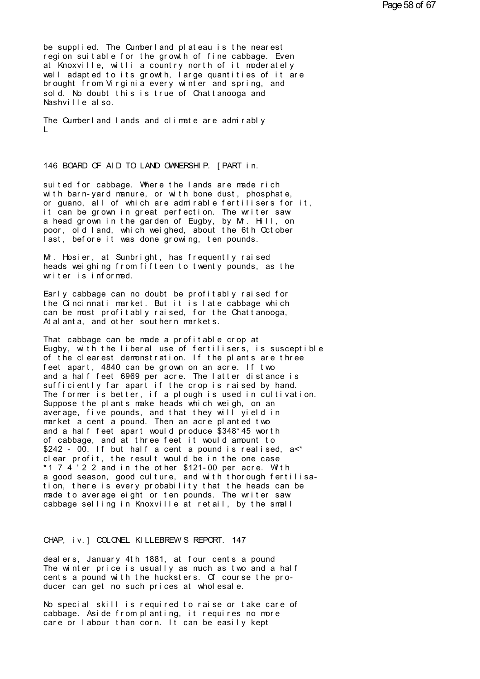be supplied. The Cumberland plateau is the nearest<br>region suitable for the growth of fine cabbage. Even<br>at Knoxyille, withing country porth of it moderately be supplied. The Cumberland plateau is the nearest<br>region suitable for the growth of fine cabbage. Even<br>at Knoxville, witli a country north of it moderately<br>well adapted to its growth. Large quantities of it are be supplied. The Cumberland plateau is the nearest<br>region suitable for the growth of fine cabbage. Even<br>at Knoxville, witli a country north of it moderately<br>well adapted to its growth, large quantities of it are<br>brought fr be supplied. The Cumberland plateau is the nearest<br>region suitable for the growth of fine cabbage. Even<br>at Knoxville, witli a country north of it moderately<br>well adapted to its growth, large quantities of it are<br>brought fr be supplied. The Cumberland plateau is the nearest<br>region suitable for the growth of fine cabbage. Even<br>at Knoxville, witli a country north of it moderately<br>well adapted to its growth, large quantities of it are<br>brought fr be supplied. The Cumberland plateau is the nearest<br>region suitable for the growth of fine cabbage. Even<br>at Knoxville, witli a country north of it moderately<br>well adapted to its growth, large quantities of it an<br>brought fro region suitable for the grat Knoxville, witli a coun<br>well adapted to its growth<br>brought from Virginia ever<br>sold. No doubt this is tru<br>Nashville also.<br>The Cumberland lands and c brought from Virginia every winter and spring, and sold. No doubt this is true of Chattanooga and Nashville also.<br>The Cumberland lands and climate are admirably

L The Cumberland lands and climate are admirably<br>L<br>146 BOARD OF AID TO LAND OWNERSHIP. [PART in.<br>suited for cabbage. Where the lands are mode rich

146 BOARD OF AID TO LAND OWNERSHIP. [PART in.<br>suited for cabbage. Where the lands are made rich<br>with barn-yard manure, or with bone dust, phosphate,<br>or guano, all of which are admirable fertilisers for it, 146 BOARD OF AID TO LAND OWNERSHIP. [PART in.<br>suited for cabbage. Where the lands are made rich<br>with barn-yard manure, or with bone dust, phosphate,<br>or guano, all of which are admirable fertilisers for it,<br>it can be grown 146 BOARD OF AID TO LAND OWNERSHIP. [PART in.<br>suited for cabbage. Where the lands are made rich<br>with barn-yard manure, or with bone dust, phosphate,<br>or guano, all of which are admirable fertilisers for it,<br>it can be grown 146 BOARD OF AID IO LAND OWNERSHIP. [PARI in.<br>suited for cabbage. Where the lands are made rich<br>with barn-yard manure, or with bone dust, phosphate,<br>or guano, all of which are admirable fertilisers for it,<br>it can be grown suited for cabbage. Where the lands are made rich<br>with barn-yard manure, or with bone dust, phosphate,<br>or guano, all of which are admirable fertilisers for it,<br>it can be grown in great perfection. The writer saw<br>a head gro suited for cabbage. Where the lands are made rich<br>with barn-yard manure, or with bone dust, phosphate,<br>or guano, all of which are admirable fertilisers for it,<br>it can be grown in great perfection. The writer saw<br>a head gro with barn-yard manure, or with bone dust, phospha<br>or guano, all of which are admirable fertilisers<br>it can be grown in great perfection. The writer s<br>a head grown in the garden of Eugby, by Mr. Hill,<br>poor, old land, which w it can be grown in great perfection. The writer saw<br>a head grown in the garden of Eugby, by Mr. Hill, on<br>poor, old land, which weighed, about the 6th October<br>last, before it was done growing, ten pounds.<br>Mr. Hosier, at Sun a head grown in the garden of Eugby, by Mr. Hill, on<br>poor, old land, which weighed, about the 6th October<br>last, before it was done growing, ten pounds.<br>Mr. Hosier, at Sunbright, has frequently raised<br>heads weighing from fi

poor, old land, which weighed<br>last, before it was done grow<br>Mr. Hosier, at Sunbright, has<br>heads weighing from fifteen t<br>writer is informed.<br>Farly cabbage can no doubt he Mr. Hosier, at Sunbright, has frequently raised<br>heads weighing from fifteen to twenty pounds, as the<br>writer is informed.<br>Early cabbage can no doubt be profitably raised for<br>the Cincinnati market. But it is late cabbage whi

Mr. Hosier, at Sunbright, has frequently raised<br>heads weighing from fifteen to twenty pounds, as the<br>writer is informed.<br>Early cabbage can no doubt be profitably raised for<br>the Cincinnati market. But it is late cabbage whi neads weighing from fifteen to twenty pounds, as the<br>writer is informed.<br>Early cabbage can no doubt be profitably raised for<br>the Cincinnati market. But it is late cabbage which<br>can be most profitably raised, for the Chatta writer is informed.<br>Early cabbage can no doubt be profitably raised f<br>the Cincinnati market. But it is late cabbage whi<br>can be most profitably raised, for the Chattanoog<br>Atalanta, and other southern markets.<br>That cabbage c Early cabbage can no doubt be profitably raised for<br>the Cincinnati market. But it is late cabbage which<br>can be most profitably raised, for the Chattanooga,<br>Atalanta, and other southern markets.<br>That cabbage can be made a p

the Cincinnationarket. But it is late cabbage which<br>can be most profitably raised, for the Chattanooga,<br>Atalanta, and other southern markets.<br>That cabbage can be made a profitable crop at<br>Eugby, with the liberal use of fer can be most profitably raised, for the Chattanooga,<br>Atalanta, and other southern markets.<br>That cabbage can be made a profitable crop at<br>Eugby, with the liberal use of fertilisers, is susceptible<br>of the clearest demonstrati Atalanta, and other southern markets.<br>That cabbage can be made a profitable crop at<br>Eugby, with the liberal use of fertilisers, is susceptible<br>of the clearest demonstration. If the plants are three<br>feet apart, 4840 can be That cabbage can be made a profitable crop at<br>Eugby, with the liberal use of fertilisers, is susceptible<br>of the clearest demonstration. If the plants are three<br>feet apart, 4840 can be grown on an acre. If two<br>and a half fe That cabbage can be made a profitable crop at<br>Eugby, with the liberal use of fertilisers, is susceptib<br>of the clearest demonstration. If the plants are three<br>feet apart, 4840 can be grown on an acre. If two<br>and a half feet Eugby, with the Fiberal use of fertifisers, is susceptible<br>of the clearest demonstration. If the plants are three<br>feet apart, 4840 can be grown on an acre. If two<br>and a half feet 6969 per acre. The latter distance is<br>suffi or the clearest demonstration. It the plants are three<br>feet apart, 4840 can be grown on an acre. If two<br>and a half feet 6969 per acre. The latter distance is<br>sufficiently far apart if the crop is raised by hand.<br>The former feet apart, 4840 can be grown on an acre. If two<br>and a half feet 6969 per acre. The latter distance is<br>sufficiently far apart if the crop is raised by hand.<br>The former is better, if a plough is used in cultivation.<br>Suppose and a half feet 6969 per acre. The latter distance is<br>sufficiently far apart if the crop is raised by hand.<br>The former is better, if a plough is used in cultivation.<br>Suppose the plants make heads which weigh, on an<br>average sufficiently far apart if the crop is raised by hand.<br>The former is better, if a plough is used in cultivation.<br>Suppose the plants make heads which weigh, on an<br>average, five pounds, and that they will yield in<br>market a ce The former is better, if a plough is used in cultivation.<br>Suppose the plants make heads which weigh, on an<br>average, five pounds, and that they will yield in<br>market a cent a pound. Then an acre planted two<br>and a half feet a Suppose the plants make heads which weigh, on an<br>average, five pounds, and that they will yield in<br>market a cent a pound. Then an acre planted two<br>and a half feet apart would produce \$348\*45 worth<br>of cabbage, and at three average, five pounds, and that they will yield in<br>market a cent a pound. Then an acre planted two<br>and a half feet apart would produce \$348\*45 worth<br>of cabbage, and at three feet it would amount to<br>\$242 - 00. If but half a market a cent a pound. Then an acre planted two<br>and a half feet apart would produce \$348\*45 worth<br>of cabbage, and at three feet it would amount to<br>\$242 - 00. If but half a cent a pound is realised, a<\*<br>clear profit, the re and a half feet apart would produce \$348^45 worth<br>of cabbage, and at three feet it would amount to<br>\$242 - 00. If but half a cent a pound is realised, a<\*<br>clear profit, the result would be in the one case<br>\*1 7 4 '2 2 and in of cabbage, and at three feet it would amount to<br>\$242 - 00. If but half a cent a pound is realised, a<\*<br>clear profit, the result would be in the one case<br>\*1 7 4 '2 2 and in the other \$121-00 per acre. With<br>a good season, g \$242 - 00. If but half a cent a pound is realised, a<^<br>clear profit, the result would be in the one case<br>\*1 7 4 '2 2 and in the other \$121-00 per acre. With<br>a good season, good culture, and with thorough fertilisa-<br>tion, t clear profit, the result would be in the one case<br>\*1 7 4 '2 2 and in the other \$121-00 per acre. With<br>a good season, good culture, and with thorough fertilisa-<br>tion, there is every probability that the heads can be<br>made to made to average eight or ten pounds. The writer saw<br>cabbage selling in Knoxville at retail, by the small<br>CHAP, iv.] COLONEL KILLEBREW S REPORT. 147<br>dealers, January 4th 1881, at four cents a pound

The winter price is usually as much as two and a half CHAP, iv.] COLONEL KILLEBREWS REPORT. 147<br>dealers, January 4th 1881, at four cents a pound<br>The winter price is usually as much as two and a half<br>cents a pound with the hucksters. Of course the pro-<br>ducer cap get no such pr CHAP, iv.] COLONEL KILLEBREWS REPORT. 147<br>dealers, January 4th 1881, at four cents a pound<br>The winter price is usually as much as two and a half<br>cents a pound with the hucksters. Of course the pro-<br>ducer can get no such pr dealers, January 4th 1881, at four cents a pound<br>The winter price is usually as much as two and a half<br>cents a pound with the hucksters. Of course the pro-<br>ducer can get no such prices at wholesale.<br>No special skill is req

The winter price is usually as much as two and a half<br>cents a pound with the hucksters. Of course the pro-<br>ducer can get no such prices at wholesale.<br>No special skill is required to raise or take care of<br>cabbage. Aside fro ducer can get no such prices at wholesale.<br>No special skill is required to raise or take care of<br>cabbage. Aside from planting, it requires no more<br>care or labour than corn. It can be easily kept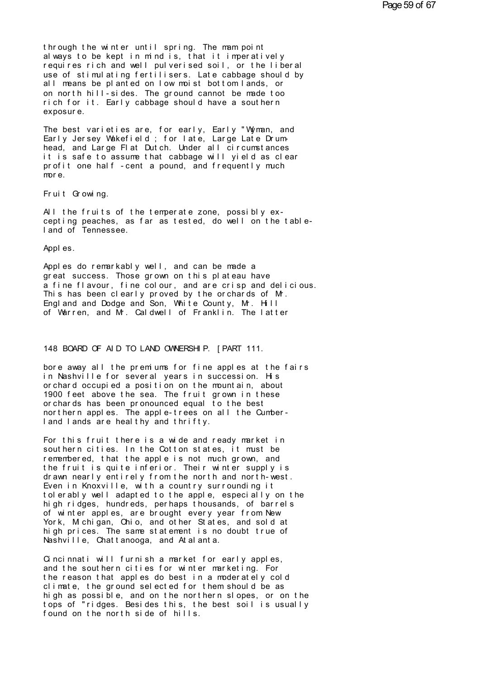through the winter until spring. The mam point<br>always to be kept in mind is, that it imperatively requires rich and well pulverised soil, or the liberal through the winter until spring. The mam point<br>always to be kept in mind is, that it imperatively<br>requires rich and well pulverised soil, or the liberal<br>use of stimulating fertilisers. Late cabbage should by<br>all means be p through the winter until spring. The mam point<br>always to be kept in mind is, that it imperatively<br>requires rich and well pulverised soil, or the liberal<br>use of stimulating fertilisers. Late cabbage should by<br>all means be p through the winter until spring. The mam point<br>always to be kept in mind is, that it imperatively<br>requires rich and well pulverised soil, or the liberal<br>use of stimulating fertilisers. Late cabbage should by<br>all means be p through the winter until spring. The mam point<br>always to be kept in mind is, that it imperatively<br>requires rich and well pulverised soil, or the liberal<br>use of stimulating fertilisers. Late cabbage should by<br>all means be p always to be kept in mind is, that it imperatively<br>requires rich and well pulverised soil, or the liberal<br>use of stimulating fertilisers. Late cabbage should by<br>all means be planted on low moist bottom lands, or<br>on north h all means be planted on low moist bottom lands, or<br>on north hill-sides. The ground cannot be made too<br>rich for it. Early cabbage should have a southern<br>exposure.<br>The best varieties are, for early, Early "Wyman, and all means be planted on low moist bottom lands, or<br>on north hill-sides. The ground cannot be made too<br>rich for it. Early cabbage should have a southern<br>exposure.<br>The best varieties are, for early, Early " Wyman, and<br>Early

on north hill-sides. The ground cannot be made too<br>rich for it. Early cabbage should have a southern<br>exposure.<br>The best varieties are, for early, Early "Wyman, and<br>Early Jersey Wakefield ; for late, Large Late Drum-<br>head, exposure.<br>The best varieties are, for early, Early "Wyman, and<br>Early Jersey Wakefield ; for late, Large Late Drum-<br>head, and Large Flat Dutch. Under all circumstances<br>it is safe to assume that cabbage will yield as clear<br>p The best varieties are, for early, Early "Wyman, and Early Jersey Wakefield; for late, Large Late Drum-<br>head, and Large Flat Dutch. Under all circumstances<br>it is safe to assume that cabbage will yield as clear<br>profit one h The best varietie<br>Early Jersey Wake<br>head, and Large F<br>it is safe to ass<br>profit one half-<br>more.<br>Fruit Crowing it is safe to assume that cabbage will yield as clear<br>profit one half-cent a pound, and frequently much<br>more.<br>Fruit Growing.<br>All the fruits of the temperate zone, possibly ex-

profit one half-cent a pound, and frequently much<br>more.<br>Fruit Growing.<br>All the fruits of the temperate zone, possibly ex-<br>cepting peaches, as far as tested, do well on the table-<br>land of Tennessee. Fruit Growing.<br>All the fruits of the<br>cepting peaches, as fland of Tennessee.<br>Annles All the fruits of<br>cepting peaches, a<br>land of Tennessee.<br>Apples.<br>Annles do remerkab

cepting peaches, as far as tested, do well on the t<br>land of Tennessee.<br>Apples.<br>Apples do remarkably well, and can be made a<br>great success. Those grown on this plateau have<br>a fine flavour fine colour, and are crisp and deli land of lennessee.<br>Apples.<br>Apples do remarkably well, and can be made a<br>great success. Those grown on this plateau have<br>a fine flavour, fine colour, and are crisp and delicid<br>This has been clearly proved by the orchards of Apples.<br>Apples do remarkably well, and can be made a<br>great success. Those grown on this plateau have<br>a fine flavour, fine colour, and are crisp and delicious.<br>This has been clearly proved by the orchards of Mr.<br>England and Apples.<br>Apples do remarkably well, and can be made a<br>great success. Those grown on this plateau have<br>a fine flavour, fine colour, and are crisp and delicious.<br>This has been clearly proved by the orchards of Mr.<br>England and Apples do remarkably well, and can be made a<br>great success. Those grown on this plateau have<br>a fine flavour, fine colour, and are crisp and delicious.<br>This has been clearly proved by the orchards of Mr.<br>England and Dodge a Apples do remarkably well, and can be made a<br>great success. Those grown on this plateau have<br>a fine flavour, fine colour, and are crisp and delicious.<br>This has been clearly proved by the orchards of Mr.<br>England and Dodge a England and Dodge and Son, White County, Mr. Hill<br>of Warren, and Mr. Caldwell of Franklin. The latter<br>148 BOARD OF AID TO LAND OWNERSHIP. [PART 111.<br>bore away all the premiums for fine apples at the f

148 BOARD OF AID TO LAND OWNERSHIP. [PART 111.<br>bore away all the premiums for fine apples at the fairs<br>in Nashville for several years in succession. His<br>orchard occupied a position on the mountain, about 148 BOARD OF AID TO LAND OWNERSHIP. [PART 111.<br>bore away all the premiums for fine apples at the fairs<br>in Nashville for several years in succession. His<br>orchard occupied a position on the mountain, about<br>1900 feet above th 148 BOARD OF AID TO LAND OWNERSHIP. [PART 111.<br>bore away all the premiums for fine apples at the fairs<br>in Nashville for several years in succession. His<br>orchard occupied a position on the mountain, about<br>1900 feet above th 148 BOARD OF AID TO LAND OWNERSHIP. [PARI 111.<br>bore away all the premiums for fine apples at the fairs<br>in Nashville for several years in succession. His<br>orchard occupied a position on the mountain, about<br>1900 feet above th bore away all the premiums for fine apples at the failth Nashville for several years in succession. His orchard occupied a position on the mountain, about 1900 feet above the sea. The fruit grown in these orchards has been bore away all the premiums for fine apples at the fairs<br>in Nashville for several years in succession. His<br>orchard occupied a position on the mountain, about<br>1900 feet above the sea. The fruit grown in these<br>orchards has be in Nashville for several years in succession. For chard occupied a position on the mountain, ab<br>1900 feet above the sea. The fruit grown in the<br>orchards has been pronounced equal to the best<br>northern apples. The apple-tree 1900 feet above the sea. The fruit grown in these<br>orchards has been pronounced equal to the best<br>northern apples. The apple-trees on all the Cumber-<br>land lands are healthy and thrifty.<br>For this fruit there is a wide and re

or chards has been pronounced equal to the best<br>northern apples. The apple-trees on all the Cumber-<br>land lands are healthy and thrifty.<br>For this fruit there is a wide and ready market in<br>southern cities. In the Cotton stat northern apples. The apple-trees on all the Cumber-<br>land lands are healthy and thrifty.<br>For this fruit there is a wide and ready market in<br>southern cities. In the Cotton states, it must be<br>remembered, that the apple is not For this fruit there is a wide and ready market in<br>southern cities. In the Cotton states, it must be<br>remembered, that the apple is not much grown, and<br>the fruit is quite inferior. Their winter supply is<br>drawn nearly entire For this fruit there is a wide and ready market in<br>southern cities. In the Cotton states, it must be<br>remembered, that the apple is not much grown, and<br>the fruit is quite inferior. Their winter supply is<br>drawn nearly entire southern cities. In the Cotton states, it must be<br>remembered, that the apple is not much grown, and<br>the fruit is quite inferior. Their winter supply is<br>drawn nearly entirely from the north and north-west.<br>Even in Knoxville southern cities. In the Cotton states, it must be<br>remembered, that the apple is not much grown, and<br>the fruit is quite inferior. Their winter supply is<br>drawn nearly entirely from the north and north-west.<br>Even in Knoxville remembered, that the apple is not much grown, and<br>the fruit is quite inferior. Their winter supply is<br>drawn nearly entirely from the north and north-west.<br>Even in Knoxville, with a country surrounding it<br>tolerably well ada the fruit is quite interior. Their winter supply is<br>drawn nearly entirely from the north and north-west.<br>Even in Knoxville, with a country surrounding it<br>tolerably well adapted to the apple, especially on the<br>high ridges, drawn nearly entirely from the north and north-west.<br>Even in Knoxville, with a country surrounding it<br>tolerably well adapted to the apple, especially on the<br>high ridges, hundreds, perhaps thousands, of barrels<br>of winter ap Even in Knoxville, with a country surrounding it<br>tolerably well adapted to the apple, especially on the<br>high ridges, hundreds, perhaps thousands, of barrels<br>of winter apples, are brought every year from New<br>York, Michigan, tolerably well adapted to the apple, especially on high ridges, hundreds, perhaps thousands, of barr of winter apples, are brought every year from New York, Michigan, Ohio, and other States, and sold high prices. The same of winter apples, are brought every year from New<br>York, Michigan, Chio, and other States, and sold at<br>high prices. The same statement is no doubt true of<br>Nashville, Chattanooga, and Atalanta.<br>Cincinnati will furnish a mark

York, Michigan, Chio, and other States, and sold at<br>high prices. The same statement is no doubt true of<br>Nashville, Chattanooga, and Atalanta.<br>Cincinnati will furnish a market for early apples,<br>and the southern cities for w Nashville, Chattanooga, and Atalanta.<br>Cincinnati will furnish a market for early apples,<br>and the southern cities for winter marketing. For<br>the reason that apples do best in a moderately cold Nashville, Chattanooga, and Atalanta.<br>Cincinnati will furnish a market for early apples,<br>and the southern cities for winter marketing. For<br>the reason that apples do best in a moderately cold<br>climate, the ground selected fo Gincinnati will furnish a market for early apples,<br>and the southern cities for winter marketing. For<br>the reason that apples do best in a moderately cold<br>climate, the ground selected for them should be as<br>high as possible, Cincinnati will furnish a market for early apples,<br>and the southern cities for winter marketing. For<br>the reason that apples do best in a moderately cold<br>climate, the ground selected for them should be as<br>high as possible, climate, the ground selected for them should be as<br>high as possible, and on the northern slopes, or on the<br>tops of "ridges. Besides this, the best soil is usually<br>found on the north side of hills.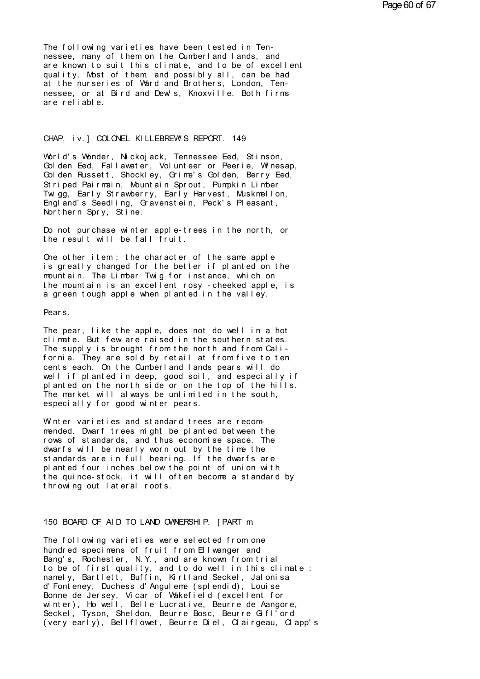The following varieties have been tested in Ten-<br>nessee, many of them on the Cumberland lands, and<br>are known to suit this climate, and to be of excellent<br>quality Most of them, and possibly all, can be had The following varieties have been tested in Ten-<br>nessee, many of them on the Cumberland lands, and<br>are known to suit this climate, and to be of excellent<br>quality. Most of them, and possibly all, can be had<br>at the nurseries The following varieties have been tested in Ten-<br>nessee, many of them on the Cumberland lands, and<br>are known to suit this climate, and to be of excellent<br>quality. Most of them, and possibly all, can be had<br>at the nurseries The following varieties have been tested in Ten-<br>nessee, many of them on the Cumberland lands, and<br>are known to suit this climate, and to be of excellent<br>quality. Most of them, and possibly all, can be had<br>at the nurseries nessee, many of them on t<br>are known to suit this cl<br>quality. Most of them, an<br>at the nurseries of Ward<br>nessee, or at Bird and De<br>are reliable. nessee, or at Bird and Dew's, Knoxville. Both firms<br>are reliable.<br>CHAP, iv.] COLONEL KILLEBREW'S REPORT. 149<br>World's Wonder, Nickojack, Tennessee Eed, Stinson,

CHAP, iv.] COLONEL KILLEBREW'S REPORT. 149<br>World's Wonder, Nickojack, Tennessee Eed, Stinson,<br>Golden Eed, Fallawater, Volunteer or Peerie, Winesap,<br>Golden Russett, Shockley, Grime's Golden, Berry Eed, CHAP, iv.] COLONEL KILLEBREW'S REPORT. 149<br>World's Wonder, Nickojack, Tennessee Eed, Stinson,<br>Golden Eed, Fallawater, Volunteer or Peerie, Winesap,<br>Golden Russett, Shockley, Grime's Golden, Berry Eed,<br>Strined Pairmain, Mou CHAP, iv.] COLONEL KILLEBREW'S REPORT. 149<br>World's Wonder, Nickojack, Tennessee Eed, Stinson,<br>Golden Eed, Fallawater, Volunteer or Peerie, Winesap,<br>Golden Russett, Shockley, Grime's Golden, Berry Eed,<br>Striped Pairmain, Mou CHAP, IV.] COLONEL KILLEBREW'S REPORI. 149<br>World's Wonder, Nickojack, Tennessee Eed, Stinson,<br>Golden Eed, Fallawater, Volunteer or Peerie, Winesap,<br>Golden Russett, Shockley, Grime's Golden, Berry Eed,<br>Striped Pairmain, Mou World's Wonder, Nickojack, Tennessee Eed, Stinson,<br>Golden Eed, Fallawater, Volunteer or Peerie, Winesap,<br>Golden Russett, Shockley, Grime's Golden, Berry Eed,<br>Striped Pairmain, Mountain Sprout, Pumpkin Limber<br>Twigg, Early S World's Wonder, Nickojack, lennessee Eed, Stinson,<br>Golden Eed, Fallawater, Volunteer or Peerie, Winesap,<br>Golden Russett, Shockley, Grime's Golden, Berry Eed,<br>Striped Pairmain, Mountain Sprout, Pumpkin Limber<br>Twigg, Early S Golden Russett, Shockley, Grime's Golden, Berry Eed,<br>Striped Pairmain, Mountain Sprout, Pumpkin Limber<br>Twigg, Early Strawberry, Early Harvest, Muskmellon,<br>England's Seedling, Gravenstein, Peck's Pleasant,<br>Northern Spry, St Twigg, Early Strawberry, Early Harvest, Muskmellon,<br>England's Seedling, Gravenstein, Peck's Pleasant,<br>Northern Spry, Stine.<br>Do not purchase winter apple-trees in the north, or<br>the result will be fall fruit. England's Seedling, Gravenstein, Peck's Pleasant,<br>Northern Spry, Stine.<br>Do not purchase winter apple-trees in the north,<br>the result will be fall fruit.<br>One other item; the character of the same apple

Northern Spry, Stine.<br>Do not purchase winter apple-trees in the north, or<br>the result will be fall fruit.<br>One other item ; the character of the same apple<br>is greatly changed for the better if planted on the<br>mountain. The li Do not purchase winter apple-trees in the north, or<br>the result will be fall fruit.<br>One other item; the character of the same apple<br>is greatly changed for the better if planted on the<br>mountain. The Limber Twig for instance, Do not purchase winter apple-trees in the north, or<br>the result will be fall fruit.<br>One other item; the character of the same apple<br>is greatly changed for the better if planted on the<br>mountain. The Limber Twig for instance, the result will be fall fruit.<br>One other item; the character of the same apple<br>is greatly changed for the better if planted on the<br>mountain. The Limber Twig for instance, which on<br>the mountain is an excellent rosy - cheeke One other item; the character of the same apple<br>is greatly changed for the better if planted on the<br>mountain. The Limber Twig for instance, which on<br>the mountain is an excellent rosy-cheeked apple, is<br>a green tough apple w is greatly changed<br>mountain. The Limb<br>the mountain is an<br>a green tough appl<br>Pears.<br>The pear like the

the mountain is an excellent rosy-cheeked apple, is<br>a green tough apple when planted in the valley.<br>Pears.<br>The pear, like the apple, does not do well in a hot<br>climate. But few are raised in the southern states.<br>The supply a green tough apple when planted in the valley.<br>Pears.<br>The pear, like the apple, does not do well in a hot<br>climate. But few are raised in the southern states.<br>The supply is brought from the north and from Cali-<br>fornia. The Pears.<br>The pear, like the apple, does not do well in a hot<br>climate. But few are raised in the southern states.<br>The supply is brought from the north and from Cali-<br>fornia. They are sold by retail at from five to ten<br>cents e Pears.<br>The pear, like the apple, does not do well in a hot<br>climate. But few are raised in the southern states.<br>The supply is brought from the north and from Cali-<br>fornia. They are sold by retail at from five to ten<br>cents e The pear, like the apple, does not do well in a hot<br>climate. But few are raised in the southern states.<br>The supply is brought from the north and from Cali-<br>fornia. They are sold by retail at from five to ten<br>cents each. On The pear, like the apple, does not do well in a hot<br>climate. But few are raised in the southern states.<br>The supply is brought from the north and from Cali-<br>fornia. They are sold by retail at from five to ten<br>cents each. On climate. But few are raised in the southern states.<br>The supply is brought from the north and from Cali-<br>fornia. They are sold by retail at from five to ten<br>cents each. On the Cumberland lands pears will do<br>well if planted The supply is brought from the north and from Call-<br>fornia. They are sold by retail at from five to ten<br>cents each. On the Cumberland lands pears will do<br>well if planted in deep, good soil, and especially if<br>planted on the formia. They are sold by retail at from five<br>cents each. On the Cumberland lands pears will<br>well if planted in deep, good soil, and espec<br>planted on the north side or on the top of th<br>The market will always be unlimited in Well if planted in deep, good soil, and especially if<br>planted on the north side or on the top of the hills.<br>The market will always be unlimited in the south,<br>especially for good winter pears.<br>Winter varieties and standard

The market will always be unlimited in the south,<br>especially for good winter pears.<br>Winter varieties and standard trees are recom-<br>mended. Dwarf trees might be planted between the<br>rows of standards, and thus economise spac especially for good winter pears.<br>Winter varieties and standard trees are recommended. Dwarf trees might be planted between the<br>rows of standards, and thus economise space. The<br>dwarfs will be nearly worn out by the time th Winter varieties and standard trees are recommended. Dwarf trees might be planted between the<br>rows of standards, and thus economise space. The<br>dwarfs will be nearly worn out by the time the<br>standards are in full bearing. I Winter varieties and standard trees are recommended. Dwarf trees might be planted between the<br>rows of standards, and thus economise space. The<br>dwarfs will be nearly worn out by the time the<br>standards are in full bearing. I mended. LWarf trees might be planted between the<br>rows of standards, and thus economise space. The<br>dwarfs will be nearly worn out by the time the<br>standards are in full bearing. If the dwarfs are<br>planted four inches below th dwarfs will be nearly worn out by the time the<br>standards are in full bearing. If the dwarfs are<br>planted four inches below the point of union with<br>the quince-stock, it will often become a standard by<br>throwing out lateral ro

## 150 BOARD OF AID TO LAND OWNERSHIP. [PART m.]<br>The following varieties were selected from one

The following varieties were selected from one<br>The following varieties were selected from one<br>hundred specimens of fruit from Ellwanger and<br>Pape's Pechester N.Y. and are known from trial hundred specimens of fruit from Ellwanger and<br>Bang's, Rochester, N.Y., and are known from trial 150 BOARD OF AID TO LAND OWNERSHIP. [PART m<br>The following varieties were selected from one<br>hundred specimens of fruit from Ellwanger and<br>Bang's, Rochester, N.Y., and are known from trial<br>to be of first quality, and to do w 150 BOARD OF AID IO LAND OWNERSHIP. [PARI m<br>The following varieties were selected from one<br>hundred specimens of fruit from Ellwanger and<br>Bang's, Rochester, N.Y., and are known from trial<br>to be of first quality, and to do w The following varieties were selected from one<br>hundred specimens of fruit from Ellwanger and<br>Bang's, Rochester, N.Y., and are known from trial<br>to be of first quality, and to do well in this climate :<br>namely, Bartlett, Buff The following varieties were selected from one<br>hundred specimens of fruit from Ellwanger and<br>Bang's, Rochester, N.Y., and are known from trial<br>to be of first quality, and to do well in this climate :<br>namely, Bartlett, Buff hundred specimens of fruit from Ellwanger and<br>Bang's, Rochester, N.Y., and are known from trial<br>to be of first quality, and to do well in this climate :<br>namely, Bartlett, Buffin, Kirtland Seckel, Jalonisa<br>d'Fonteney, Duche Bang's, Rochester, N.Y., and are known from trial<br>to be of first quality, and to do well in this climate :<br>namely, Bartlett, Buffin, Kirtland Seckel, Jalonisa<br>d'Fonteney, Duchess d'Anguleme (splendid), Louise<br>Bonne de Jers to be of first quality, and to do well in this climate :<br>namely, Bartlett, Buffin, Kirtland Seckel, Jalonisa<br>d'Fonteney, Duchess d'Anguleme (splendid), Louise<br>Bonne de Jersey, Vicar of Wakefield (excellent for<br>winter), Ho namely, Bartlett, Buffin, Kirtland Seckel, Jalonisa<br>d'Fonteney, Duchess d'Anguleme (splendid), Louise<br>Bonne de Jersey, Vicar of Wakefield (excellent for<br>winter), Howell, Belle Lucrative, Beurre de Aangore,<br>Seckel, Tyson, S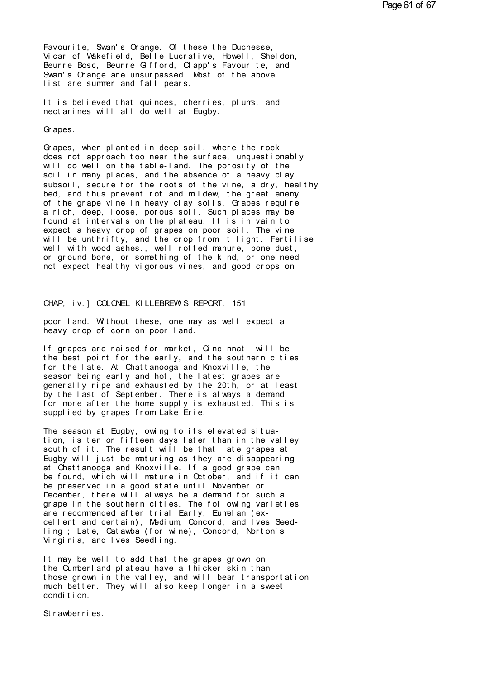Favourite, Swan's Orange. Of these the Duchesse,<br>Vicar of Wakefield, Belle Lucrative, Howell, Sheldo<br>Beurre Bosc, Beurre Gifford, Clapp's Eavourite, and Favourite, Swan's Crange. Of these the Duchesse,<br>Vicar of Wakefield, Belle Lucrative, Howell, Sheldon,<br>Beurre Bosc, Beurre Gifford, Clapp's Favourite, and<br>Swan's Crange are unsurpassed. Most of the above Favourite, Swan's Crange. Of these the Duchesse,<br>Vicar of Wakefield, Belle Lucrative, Howell, Sheldon,<br>Beurre Bosc, Beurre Gifford, Clapp's Favourite, and<br>Swan's Crange are unsurpassed. Most of the above<br>List are summer an Favourite, Swan's Orange. Of these the Duchesse,<br>Vicar of Wakefield, Belle Lucrative, Howell, Sheldon,<br>Beurre Bosc, Beurre Gifford, Clapp's Favourite, and<br>Swan's Orange are unsurpassed. Most of the above<br>list are summer an Favourite, Swan's Crange. Of these the Duch<br>Vicar of Wakefield, Belle Lucrative, Howell<br>Beurre Bosc, Beurre Gifford, Clapp's Favour<br>Swan's Crange are unsurpassed. Most of the<br>list are summer and fall pears.<br>It is believed Vicar of Wakefield, Belle Lucrative, Howell, Sheldon,<br>Beurre Bosc, Beurre Gifford, Clapp's Favourite, and<br>Swan's Crange are unsurpassed. Most of the above<br>list are summer and fall pears.<br>It is believed that quinces, cherri Swan's Orange are unsurpassed. Most of the above<br>list are summer and fall pears.<br>It is believed that quinces, cherries, plums, and<br>nectarines will all do well at Eugby.<br>Grapes.

nectarines will all do well at Eugby.<br>Grapes.<br>Grapes, when planted in deep soil, where the rock

does not approach too near the surface, unquestionably nectarines will all do well at Eugby.<br>Grapes.<br>Grapes, when planted in deep soil, where the rock<br>does not approach too near the surface, unquestionably<br>will do well on the table-land. The porosity of the<br>soil in many places Grapes.<br>Grapes, when planted in deep soil, where the rock<br>does not approach too near the surface, unquestionably<br>will do well on the table-land. The porosity of the<br>soil in many places, and the absence of a heavy clay<br>subs soil in many places, and the absence of a heavy clay<br>subsoil, secure for the roots of the vine, a dry, healthy Grapes, when planted in deep soil, where the rock<br>does not approach too near the surface, unquestionably<br>will do well on the table-land. The porosity of the<br>soil in many places, and the absence of a heavy clay<br>subsoil, sec Grapes, when planted in deep soil, where the rock<br>does not approach too near the surface, unquestionably<br>will do well on the table-land. The porosity of the<br>soil in many places, and the absence of a heavy clay<br>subsoil, sec does not approach too near the surface, unquestionably<br>will do well on the table-land. The porosity of the<br>soil in many places, and the absence of a heavy clay<br>subsoil, secure for the roots of the vine, a dry, healthy<br>bed, will do well on the table-land. The porosity of the<br>soil in many places, and the absence of a heavy clay<br>subsoil, secure for the roots of the vine, a dry, healthy<br>bed, and thus prevent rot and mildew, the great enemy<br>of th soll in many places, and the absence of a heavy clay<br>subsoil, secure for the roots of the vine, a dry, healthy<br>bed, and thus prevent rot and mildew, the great enemy<br>of the grape vine in heavy clay soils. Grapes require<br>a r subsoil, secure for the roots of the vine, a dry, healthy<br>bed, and thus prevent rot and mildew, the great enemy<br>of the grape vine in heavy clay soils. Grapes require<br>a rich, deep, loose, porous soil. Such places may be<br>fou bed, and thus prevent rot and mildew, the great enemy<br>of the grape vine in heavy clay soils. Grapes require<br>a rich, deep, loose, porous soil. Such places may be<br>found at intervals on the plateau. It is in vain to<br>expect a of the grape vine in heavy clay soils. Grapes require<br>a rich, deep, loose, porous soil. Such places may be<br>found at intervals on the plateau. It is in vain to<br>expect a heavy crop of grapes on poor soil. The vine<br>will be un a rich, deep, loose, porous soil. Such places may be<br>found at intervals on the plateau. It is in vain to<br>expect a heavy crop of grapes on poor soil. The vine<br>will be unthrifty, and the crop from it light. Fertilise<br>well wi found at intervals on the plateau. It is in vain to<br>expect a heavy crop of grapes on poor soil. The vine<br>will be unthrifty, and the crop from it light. Fertilise<br>well with wood ashes., well rotted manure, bone dust,<br>or gro or ground bone, or something of the kind, or one need not expect healthy vigorous vines, and good crops on

poor land. Without these, one may as well expect a heavy crop of corn on poor land. CHAP, iv.] COLONEL KILLEBREW'S REPORT. 151<br>poor land. Without these, one may as well expect a<br>heavy crop of corn on poor land.<br>If grapes are raised for market, Cincinnati will be

CHAP, iv.] COLONEL KILLEBREWS REPORI. 151<br>poor land. Without these, one may as well expect a<br>heavy crop of corn on poor land.<br>If grapes are raised for market, Cincinnati will be<br>the best point for the early, and the southe poor land. Without these, one may as well expect a<br>heavy crop of corn on poor land.<br>If grapes are raised for market, Cincinnati will be<br>the best point for the early, and the southern cities<br>for the late. At Chattanooga and poor land. Without these, one may as well expect a<br>heavy crop of corn on poor land.<br>If grapes are raised for market, Cincinnati will be<br>the best point for the early, and the southern cities<br>for the late. At Chattanooga and heavy crop of corn on poor land.<br>If grapes are raised for market, Cincinnati will be<br>the best point for the early, and the southern cities<br>for the late. At Chattanooga and Knoxville, the<br>season being early and hot, the lat If grapes are raised for market, Cincinnati will be<br>the best point for the early, and the southern cities<br>for the late. At Chattanooga and Knoxville, the<br>season being early and hot, the latest grapes are<br>generally ripe and If grapes are raised for market, Cincinnati will be<br>the best point for the early, and the southern cities<br>for the late. At Chattanooga and Knoxville, the<br>season being early and hot, the latest grapes are<br>generally ripe and the best point for the early, and the southern cities<br>for the late. At Chattanooga and Knoxville, the<br>season being early and hot, the latest grapes are<br>generally ripe and exhausted by the 20th, or at least<br>by the last of S for the late. At Chattanooga and Knoxville, the season being early and hot, the latest grapes generally ripe and exhausted by the 20th, or a by the last of September. There is always a deformore after the home supply is ex generally ripe and exhausted by the 20th, or at least<br>by the last of September. There is always a demand<br>for more after the home supply is exhausted. This is<br>supplied by grapes from Lake Erie.<br>The season at Eugby, owing to

by the last of September. There is always a demand<br>for more after the home supply is exhausted. This is<br>supplied by grapes from Lake Erie.<br>The season at Eugby, owing to its elevated situa-<br>tion, is ten or fifteen days late for more after the home supply is exhausted. This is<br>supplied by grapes from Lake Erie.<br>The season at Eugby, owing to its elevated situa-<br>tion, is ten or fifteen days later than in the valley<br>south of it. The result will b supplied by grapes from Lake Erie.<br>The season at Eugby, owing to its elevated situa-<br>tion, is ten or fifteen days later than in the valley<br>south of it. The result will be that late grapes at<br>Eugby will just be maturing as The season at Eugby, owing to its elevated situation, is ten or fifteen days later than in the valley south of it. The result will be that late grapes at Eugby will just be maturing as they are disappearing at Chattanooga The season at Eugby, owing to its elevated situation, is ten or fifteen days later than in the valley<br>south of it. The result will be that late grapes at<br>Eugby will just be maturing as they are disappearing<br>at Chattanooga tion, is ten or fifteen days later than in the valley<br>south of it. The result will be that late grapes at<br>Eugby will just be maturing as they are disappearing<br>at Chattanooga and Knoxville. If a good grape can<br>be found, whi south of it. The result will be that late grapes at<br>Eugby will just be maturing as they are disappearing<br>at Chattanooga and Knoxville. If a good grape can<br>be found, which will mature in October, and if it can<br>be preserved Eugby will just be maturing as they are disappearing<br>at Chattanooga and Knoxville. If a good grape can<br>be found, which will mature in October, and if it can<br>be preserved in a good state until November or<br>December, there wi art Chattanooga and Knoxville. It a good grape can<br>be found, which will mature in October, and if it can<br>be preserved in a good state until November or<br>December, there will always be a demand for such a<br>grape in the southe be preserved in a good state until November or<br>December, there will always be a demand for such a<br>grape in the southern cities. The following varieties<br>are recommended after trial Early, Eumelan (ex-<br>cellent and certain), December, there will always be a demand<br>grape in the southern cities. The follo<br>are recommended after trial Early, Eume<br>cellent and certain), Medium, Concord,<br>ling; Late, Catawba (for wine), Concor<br>Virginia, and Ives Seedl are recommended after trial Early, Eumelan (ex-<br>cellent and certain), Medium, Concord, and Ives Seed-<br>ling ; Late, Catawba (for wine), Concord, Norton's<br>Virginia, and Ives Seedling.<br>It may be well to add that the grapes gr

cellent and certain), Medium, Concord, and Ives Seed-<br>ling; Late, Catawba (for wine), Concord, Norton's<br>Virginia, and Ives Seedling.<br>It may be well to add that the grapes grown on<br>the Cumberland plateau have a thicker skin Iing; Late, Catawba (for wine), Concord, Norton's<br>Virginia, and Ives Seedling.<br>It may be well to add that the grapes grown on<br>the Cumberland plateau have a thicker skin than<br>those grown in the valley, and will bear transpo Virginia, and Ives Seedling.<br>It may be well to add that the grapes grown on<br>the Cumberland plateau have a thicker skin than<br>those grown in the valley, and will bear transportation<br>much better. They will also keep longer in It may be well to add that the grapes grown on<br>the Cumberland plateau have a thicker skin than<br>those grown in the valley, and will bear transpo<br>much better. They will also keep longer in a swo<br>condition.<br>Strawberries. much better. They will also keep longer in a sweet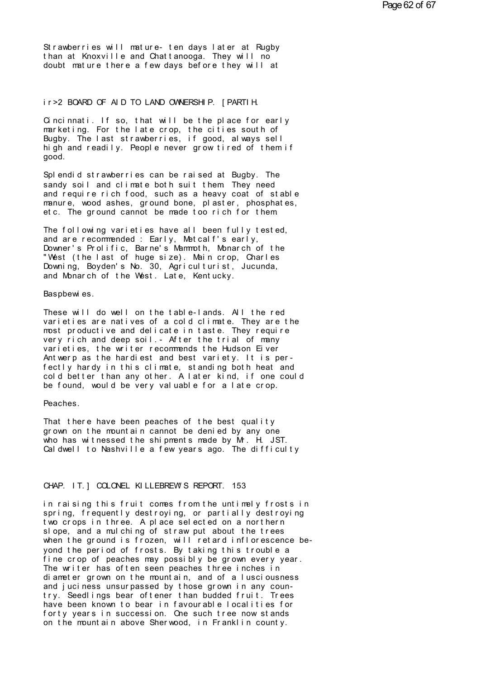Strawberries will mature- ten days later at Rugby<br>than at Knoxville and Chattanooga. They will no Strawberries will mature- ten days later at Rugby<br>than at Knoxville and Chattanooga. They will no<br>doubt mature there a few days before they will at Strawberries will mature-ten days later at Rugby<br>than at Knoxville and Chattanooga. They will no<br>doubt mature there a few days before they will at than at Knoxville and Chattanooga. They will not<br>doubt mature there a few days before they will at<br>ir>2 BOARD OF AID TO LAND OWNERSHIP. [PARTIH.<br>Cincinnati If so, that will be the place for early

ir>2 BOARD OF AID TO LAND OWNERSHIP. [PARTIH.<br>Cincinnati. If so, that will be the place for early<br>marketing. For the late crop, the cities south of<br>Bugby. The last strawberries if good, always sell ir>2 BOARD OF AID TO LAND OWNERSHIP. [PARTIH.<br>Cincinnati. If so, that will be the place for early<br>marketing. For the late crop, the cities south of<br>Bugby. The last strawberries, if good, always sell ir>2 BOARD OF AID TO LAND OWNERSHIP. [PARTIH.<br>Cincinnati. If so, that will be the place for early<br>marketing. For the late crop, the cities south of<br>Bugby. The last strawberries, if good, always sell<br>high and readily. Peopl ir>2 BOARD OF AID TO LAND OWNERSHIP. [PARTIH.<br>Cincinnati. If so, that will be the place for early<br>marketing. For the late crop, the cities south of<br>Bugby. The last strawberries, if good, always sell<br>high and readily. Peopl good. marketing. For the late crop, the cities south of<br>Bugby. The last strawberries, if good, always sell<br>high and readily. People never grow tired of them if<br>good.<br>Splendid strawberries can be raised at Bugby. The<br>sandy soil a

Bugby. The last strawberries, it good, always sell<br>high and readily. People never grow tired of them if<br>good.<br>Splendid strawberries can be raised at Bugby. The<br>sandy soil and climate both suit them. They need<br>and require r high and readily. People never grow tired of them if<br>good.<br>Splendid strawberries can be raised at Bugby. The<br>sandy soil and climate both suit them. They need<br>and require rich food, such as a heavy coat of stable<br>manure, wo good.<br>Splendid strawberries can be raised at Bugby. The<br>sandy soil and climate both suit them. They need<br>and require rich food, such as a heavy coat of stable<br>manure, wood ashes, ground bone, plaster, phosphates,<br>etc. The Splendid strawberries can be raised at Bugby. The<br>sandy soil and climate both suit them. They need<br>and require rich food, such as a heavy coat of stable<br>manure, wood ashes, ground bone, plaster, phosphates,<br>etc. The ground sandy soil and climate both suit them. They need<br>and require rich food, such as a heavy coat of stable<br>manure, wood ashes, ground bone, plaster, phosphates,<br>etc. The ground cannot be made too rich for them.<br>The following v

and require rich food, such as a heavy coat of stable<br>manure, wood ashes, ground bone, plaster, phosphates,<br>etc. The ground cannot be made too rich for them<br>The following varieties have all been fully tested,<br>and are recom manure, wood ashes, ground bone, plaster, phosphates,<br>etc. The ground cannot be made too rich for them<br>The following varieties have all been fully tested,<br>and are recommended : Early, Metcalf's early,<br>Downer's Prolific, Ba etc. The ground cannot be made too rich for them<br>The following varieties have all been fully tested,<br>and are recommended : Early, Metcalf's early,<br>Downer's Prolific, Barne's Mammoth, Monarch of the<br>"West (the last of huge The following varieties have all been fully tested,<br>and are recommended : Early, Metcalf's early,<br>Downer's Prolific, Barne's Mammoth, Monarch of the<br>"West (the last of huge size). Main crop, Charles<br>Downing, Boyden's No. 3 The following varieties have all been fully teste<br>and are recommended : Early, Metcalf's early,<br>Downer's Prolific, Barne's Mammoth, Monarch of the<br>"West (the last of huge size). Main crop, Charles<br>Downing, Boyden's No. 30, Downer's Prolitic, Bar<br>"West (the last of hug<br>Downing, Boyden's No.<br>and Monarch of the Wes<br>Baspbewies.<br>These will do well on Downing, Boyden's No. 30, Agriculturist, Jucunda,<br>and Monarch of the West. Late, Kentucky.<br>Baspbewies.<br>These will do well on the table-lands. All the red<br>varieties are natives of a cold climate. They are the

and Monarch of the West. Late, Kentucky.<br>Baspbewies.<br>These will do well on the table-lands. All the red<br>varieties are natives of a cold climate. They are the<br>most productive and delicate in taste. They require<br>very rich an Baspbewies.<br>These will do well on the table-lands. All the red<br>varieties are natives of a cold climate. They are the<br>most productive and delicate in taste. They require<br>very rich and deep soil.- After the trial of many<br>var Baspbewies.<br>These will do well on the table-lands. All the red<br>varieties are natives of a cold climate. They are the<br>most productive and delicate in taste. They require<br>very rich and deep soil.- After the trial of many<br>var These will do well on the table-lands. All the red<br>varieties are natives of a cold climate. They are the<br>most productive and delicate in taste. They require<br>very rich and deep soil.- After the trial of many<br>varieties, the These will do well on the table-lands. All the red<br>varieties are natives of a cold climate. They are the<br>most productive and delicate in taste. They require<br>very rich and deep soil.- After the trial of many<br>varieties, the varieties are natives of a cold climate. They are the<br>most productive and delicate in taste. They require<br>very rich and deep soil.-After the trial of many<br>varieties, the writer recommends the Hudson Eiver<br>Antwerp as the ha most productive and delicate in taste. They require<br>very rich and deep soil.- After the trial of many<br>varieties, the writer recommends the Hudson Eiver<br>Antwerp as the hardiest and best variety. It is per-<br>fectly hardy in t very rich and deep soil.- Arter the trial of many<br>varieties, the writer recommends the Hudson Eiver<br>Antwerp as the hardiest and best variety. It is per-<br>fectly hardy in this climate, standing both heat and<br>cold better than That there is than any other. A later kind, if one could<br>be found, would be very valuable for a late crop.<br>Peaches.<br>That there have been peaches of the best quality<br>grown on the mountain cannot be denied by any one

## Peaches.

be found, would be very valuable for a late crop.<br>Peaches.<br>That there have been peaches of the best quality<br>grown on the mountain cannot be denied by any one<br>who has witnessed the shipments made by Mr. H. JST.<br>Caldwell to Peaches.<br>That there have been peaches of the best quality<br>grown on the mountain cannot be denied by any one<br>who has witnessed the shipments made by Mr. H. JST.<br>Caldwell to Nashville a few years ago. The difficulty Peaches.<br>That there have been peaches of the best quality<br>grown on the mountain cannot be denied by any one<br>who has witnessed the shipments made by Mr. H. JST.<br>Caldwell to Nashville a few years ago. The difficulty Caldwell to Nashville a few years ago. The difficulty<br>CHAP. IT.] COLONEL KILLEBREW'S REPORT. 153

CHAP. IT.] COLONEL KILLEBREWS REPORT. 153<br>in raising this fruit comes from the untimely frosts in<br>spring, frequently destroying, or partially destroying<br>two crops in three A place selected on a porthern CHAP. IT.] COLONEL KILLEBREWS REPORT. 153<br>in raising this fruit comes from the untimely frosts in<br>spring, frequently destroying, or partially destroying<br>two crops in three. A place selected on a northern<br>slope, and a mulch in raising this fruit comes from the untimely frosts in<br>spring, frequently destroying, or partially destroying<br>two crops in three. A place selected on a northern<br>slope, and a mulching of straw put about the trees CHAP. IT.] COLONEL KILLEBREWS REPORT. 153<br>in raising this fruit comes from the untimely frosts in<br>spring, frequently destroying, or partially destroying<br>two crops in three. A place selected on a northern<br>slope, and a mulch in raising this fruit comes from the untimely frosts in<br>spring, frequently destroying, or partially destroying<br>two crops in three. A place selected on a northern<br>slope, and a mulching of straw put about the trees<br>when the spring, frequently destroying, or partially destroying<br>two crops in three. A place selected on a northern<br>slope, and a mulching of straw put about the trees<br>when the ground is frozen, will retard inflorescence be-<br>yond the two crops in three. A place selected on a northern<br>slope, and a mulching of straw put about the trees<br>when the ground is frozen, will retard inflorescence be-<br>yond the period of frosts. By taking this trouble a<br>fine crop o slope, and a mulching of straw put about the trees<br>when the ground is frozen, will retard inflorescence be-<br>yond the period of frosts. By taking this trouble a<br>fine crop of peaches may possibly be grown every year.<br>The wri when the ground is frozen, will retard inflorescence be<br>yond the period of frosts. By taking this trouble a<br>fine crop of peaches may possibly be grown every year.<br>The writer has often seen peaches three inches in<br>diameter yond the period of frosts. By taking this trouble a<br>fine crop of peaches may possibly be grown every year.<br>The writer has often seen peaches three inches in<br>diameter grown on the mountain, and of a lusciousness<br>and jucines fine crop of peaches may possibly be grown every year.<br>The writer has often seen peaches three inches in<br>diameter grown on the mountain, and of a lusciousness<br>and juciness unsurpassed by those grown in any coun-<br>try. Seedl The writer has often seen peaches three inches in<br>diameter grown on the mountain, and of a lusciousness<br>and juciness unsurpassed by those grown in any coun-<br>try. Seedlings bear oftener than budded fruit. Trees<br>have been kn and juciness unsurpassed by those grown in any country. Seedlings bear oftener than budded fruit. Trees have been known to bear in favourable localities for forty years in succession. One such tree now stands on the mounta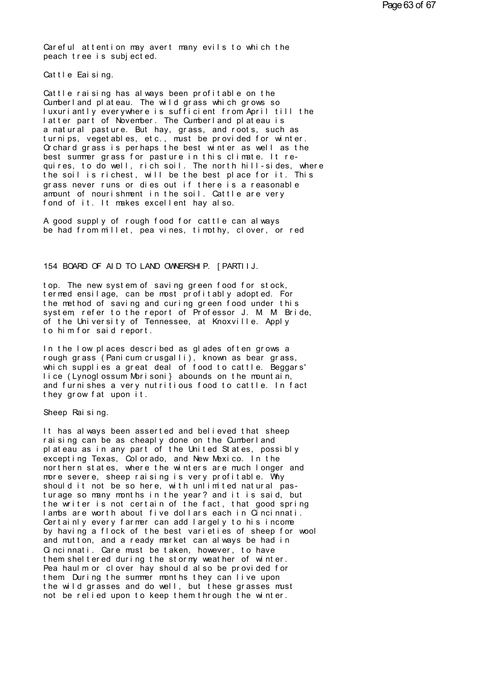Careful attention may avert many evils to which the<br>peach tree is subjected. Careful attention may avert many ever<br>peach tree is subjected.<br>Cattle Faising Careful attention may aver<br>peach tree is subjected.<br>Cattle Eaising.<br>Cattle raising bas always.

Careful attention may avert many evils to which the<br>peach tree is subjected.<br>Cattle Faising.<br>Cattle raising has always been profitable on the<br>Cumberland plateau. The wild grass which grows so peach tree is subjected.<br>Cattle Eaising.<br>Cattle raising has always been profitable on the<br>Cumberland plateau. The wild grass which grows so<br>luxuriantly everywhere is sufficient from April till the Cattle Eaising.<br>Cattle raising has always been profitable on the<br>Cumberland plateau. The wild grass which grows so<br>luxuriantly everywhere is sufficient from April till the<br>latter part of November. The Cumberland plateau is Cattle Eaising.<br>Cattle raising has always been profitable on the<br>Cumberland plateau. The wild grass which grows so<br>luxuriantly everywhere is sufficient from April till the<br>latter part of November. The Cumberland plateau is a natural pasture. But hay, grass, and roots, such as turnips, vegetables, etc., must be provided for winter. Cattle raising has always been profitable on the<br>Cumberland plateau. The wild grass which grows so<br>luxuriantly everywhere is sufficient from April till the<br>latter part of November. The Cumberland plateau is<br>a natural pastu Cumberland plateau. The wild grass which grows so<br>luxuriantly everywhere is sufficient from April till the<br>latter part of November. The Cumberland plateau is<br>a natural pasture. But hay, grass, and roots, such as<br>turnips, v luxuriantly everywhere is sufficient from April till the<br>latter part of November. The Cumberland plateau is<br>a natural pasture. But hay, grass, and roots, such as<br>turnips, vegetables, etc., must be provided for winter.<br>Crch a natural pasture. But hay, grass, and roots, such as<br>turnips, vegetables, etc., must be provided for winter.<br>Orchard grass is perhaps the best winter as well as the<br>best summer grass for pasture in this climate. It re-<br>qu turnips, vegetables, etc., must be provided for winter.<br>Orchard grass is perhaps the best winter as well as the<br>best summer grass for pasture in this climate. It re-<br>quires, to do well, rich soil. The north hill-sides, whe Crichard grass is perhaps the best winter as well as the<br>best summer grass for pasture in this climate. It re-<br>quires, to do well, rich soil. The north hill-sides, where<br>the soil is richest, will be the best place for it. best summer grass for pasture in this climate. It requires, to do well, rich soil. The north hill-sides<br>the soil is richest, will be the best place for it.<br>grass never runs or dies out if there is a reasonab<br>amount of nour the soll is richest, will be the best place for it. This<br>grass never runs or dies out if there is a reasonable<br>amount of nourishment in the soil. Cattle are very<br>fond of it. It makes excellent hay also.<br>A good supply of ro grass never runs or dies out if there is a reasonable<br>amount of nourishment in the soil. Cattle are very<br>fond of it. It makes excellent hay also.<br>A good supply of rough food for cattle can always<br>be had from millet, pea vi

A good supply of rough food for cattle can always<br>be had from millet, pea vines, timothy, clover, or red<br>154 BOARD OF AID TO LAND OWNERSHIP. [PARTIIJ.<br>top. The new system of saving green food for stock,

termed ensilage, can be most profitably adopted. For the method of saving and curing green food under this 154 BOARD OF AID TO LAND OWNERSHIP. [PARTIIJ.<br>top. The new system of saving green food for stock,<br>termed ensilage, can be most profitably adopted. For<br>the method of saving and curing green food under this<br>system, refer to 154 BOARD OF AID TO LAND OWNERSHIP. [PARTITJ.<br>top. The new system of saving green food for stock,<br>termed ensilage, can be most profitably adopted. For<br>the method of saving and curing green food under this<br>system, refer to top. The new system of saving green food for stock,<br>termed ensilage, can be most profitably adopted. For<br>the method of saving and curing green food under this<br>system, refer to the report of Professor J. M. M. Bride,<br>of the top. The new system of saving green<br>termed ensilage, can be most profita<br>the method of saving and curing gree<br>system, refer to the report of Profe<br>of the University of Tennessee, at K<br>to him for said report.<br>In the Low pla the method of saving and curing green food under this<br>system, refer to the report of Professor J. M. M. Bride,<br>of the University of Tennessee, at Knoxville. Apply<br>to him for said report.<br>In the low places described as glad

system, refer to the report of Professor J. M. M. Bride,<br>of the University of Tennessee, at Knoxville. Apply<br>to himfor said report.<br>In the low places described as glades often grows a<br>rough grass (Panicum crusgalli), known of the University of Tennessee, at Knoxville. Apply<br>to himfor said report.<br>In the low places described as glades often grows a<br>rough grass (Panicum crusgalli), known as bear grass,<br>which supplies a great deal of food to ca to him for said report.<br>In the low places described as glades often grows a<br>rough grass (Panicum crusgalli), known as bear grass,<br>which supplies a great deal of food to cattle. Beggars'<br>lice (Lynoglossum Morisoni) abounds In the low places described as glades often grows a<br>rough grass (Panicum crusgalli), known as bear grass,<br>which supplies a great deal of food to cattle. Beggars'<br>lice (Lynoglossum Morisoni} abounds on the mountain,<br>and fur In the low places described as glades often grows a<br>rough grass (Panicum crusgalli), known as bear grass,<br>which supplies a great deal of food to cattle. Beggars'<br>lice (Lynoglossum Morisoni} abounds on the mountain,<br>and fur Iice (Lynoglossum Morisoni) abounds on the mountain,<br>and furnishes a very nutritious food to cattle. In f<br>they grow fat upon it.<br>Sheep Raising.<br>It has always been asserted and believed that sheep

rai sing can be as cheaply done on the Cumberl and r and they grow fat upon it.<br>Sheep Raising.<br>It has always been asserted and believed that sheep<br>raising can be as cheaply done on the Cumberland<br>plateau as in any part of the United States, possibly<br>excepting Texas. Colora Sheep Raising.<br>It has always been asserted and believed that sheep<br>raising can be as cheaply done on the Cumberland<br>plateau as in any part of the United States, possibly<br>excepting Texas, Colorado, and New Mexico. In the<br>po Sheep Raising.<br>It has always been asserted and believed that sheep<br>raising can be as cheaply done on the Cumberland<br>plateau as in any part of the United States, possibly<br>excepting Texas, Colorado, and New Mexico. In the<br>no It has always been asserted and believed that sheep<br>raising can be as cheaply done on the Cumberland<br>plateau as in any part of the United States, possibly<br>excepting Texas, Colorado, and New Mexico. In the<br>northern states, It has always been asserted and believed that sheep<br>raising can be as cheaply done on the Cumberland<br>plateau as in any part of the United States, possibly<br>excepting Texas, Colorado, and New Mexico. In the<br>northern states, raising can be as cheaply done on the Cumberland<br>plateau as in any part of the United States, possibly<br>excepting Texas, Colorado, and New Mexico. In the<br>northern states, where the winters are much longer and<br>more severe, s plateau as in any part of the United States, possibly<br>excepting Texas, Colorado, and New Mexico. In the<br>northern states, where the winters are much longer and<br>more severe, sheep raising is very profitable. Why<br>should it no excepting lexas, Colorado, and New Mexico. In the<br>northern states, where the winters are much longer and<br>more severe, sheep raising is very profitable. Why<br>should it not be so here, with unlimited natural pas-<br>turage so ma northern states, where the winters are much longer and<br>more severe, sheep raising is very profitable. Why<br>should it not be so here, with unlimited natural pas-<br>turage so many months in the year? and it is said, but<br>the wri more severe, sheep raising is very profitable. Why<br>should it not be so here, with unlimited natural pas-<br>turage so many months in the year? and it is said, but<br>the writer is not certain of the fact, that good spring<br>lambs should it not be so here, with unlimited natural pas-<br>turage so many months in the year? and it is said, but<br>the writer is not certain of the fact, that good spring<br>lambs are worth about five dollars each in Cincinnati.<br>Ce turage so many months in the year? and it is said, but<br>the writer is not certain of the fact, that good spring<br>lambs are worth about five dollars each in Cincinnati.<br>Certainly every farmer can add largely to his income<br>by lambs are worth about five dollars each in Cincinnati.<br>Certainly every farmer can add largely to his income<br>by having a flock of the best varieties of sheep for wool<br>and mutton, and a ready market can always be had in<br>Cinc lambs are worth about tive dollars each in Cincinnati.<br>Certainly every farmer can add largely to his income<br>by having a flock of the best varieties of sheep for wool<br>and mutton, and a ready market can always be had in<br>Cinc Certainly every farmer can add largely to his income<br>by having a flock of the best varieties of sheep for wool<br>and mutton, and a ready market can always be had in<br>Cincinnati. Care must be taken, however, to have<br>them shelt by having a flock of the best varieties of sheep for wood and mutton, and a ready market can always be had in<br>Cincinnati. Care must be taken, however, to have<br>them sheltered during the stormy weather of winter.<br>Pea haulm o and mutton, and a ready market can always be had in<br>Cincinnati. Care must be taken, however, to have<br>them sheltered during the stormy weather of winter.<br>Pea haulm or clover hay should also be provided for<br>them During the s Chronotic Care must be taken, however, to have<br>them sheltered during the stormy weather of winter.<br>Pea haulm or clover hay should also be provided for<br>them During the summer months they can live upon<br>the wild grasses and d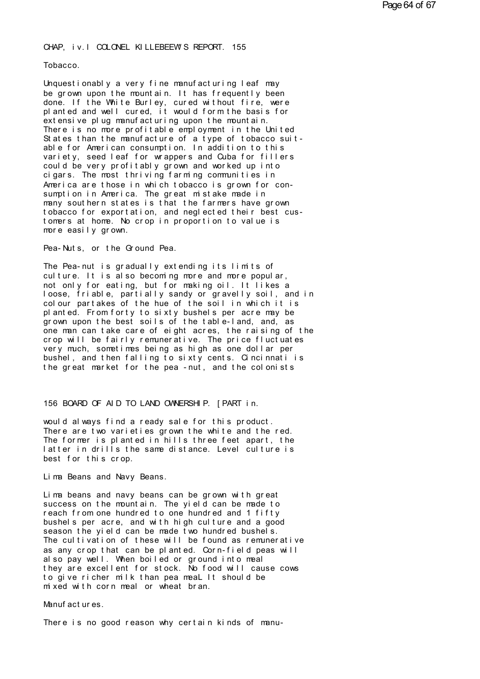## CHAP, iv. I COLONEL KILLEBEEW S REPORT. 155

Tobacco.

Unquestionably a very fine manufacturing leaf may be grown upon the mountain. It has frequently been done. If the White Burley, cured without fire, were planted and well cured, it would form the basis for ext ensi ve pl ug manufact ur i ng upon the mount ain. There is no more profitable employment in the United States than the manufacture of a type of tobacco suitable for American consumption. In addition to this variety, seed leaf for wrappers and Cuba for fillers could be very profitably grown and worked up into cigars. The most thriving farming communities in America are those in which tobacco is grown for consumption in America. The great mistake made in many southern states is that the farmers have grown tobacco for exportation, and neglected their best customers at home. No crop in proportion to value is more easily grown.

## Pea-Nuts, or the Ground Pea.

The Pea-nut is gradually extending its limits of culture. It is also becoming more and more popular, not only for eating, but for making oil. It likes a loose, friable, partially sandy or gravelly soil, and in colour partakes of the hue of the soil in which it is planted. From forty to sixty bushels per acre may be grown upon the best soils of the table-land, and, as one man can take care of eight acres, the raising of the crop will be fairly remunerative. The price fluctuates very much, sometimes being as high as one dollar per bushel, and then falling to sixty cents. Cincinnati is the great market for the pea - nut, and the colonists

## 156 BOARD OF AID TO LAND OWNERSHIP. IPART in.

would always find a ready sale for this product. There are two varieties grown the white and the red. The former is planted in hills three feet apart, the latter in drills the same distance. Level culture is best for this crop.

### Lima Beans and Navy Beans.

Lima beans and navy beans can be grown with great success on the mountain. The yield can be made to reach from one hundred to one hundred and 1 fifty bushels per acre, and with high culture and a good season the yield can be made two hundred bushels. The cultivation of these will be found as remunerative as any crop that can be planted. Corn-field peas will also pay well. When boiled or ground into meal they are excellent for stock. No food will cause cows to give richer milk than pea meal It should be mixed with corn meal or wheat bran.

Manufactures.

There is no good reason why certain kinds of manu-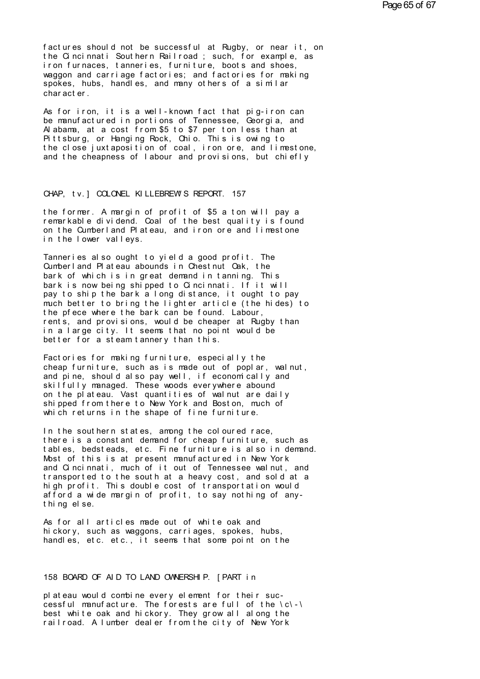factures should not be successful at Rugby, or near it, on<br>the Cincinnati Southern Railroad ; such, for example, as<br>iron furnaces, tanneries, furniture, boots and shoes factures should not be successful at Rugby, or near it, on the Cincinnati Southern Railroad ; such, for example, as factures should not be successful at Rugby, or near it,<br>the Cincinnati Southern Railroad; such, for example, as<br>iron furnaces, tanneries, furniture, boots and shoes,<br>waggon and carriage factories; and factories for making<br> factures should not be successful at Rugby, or near it, on<br>the Cincinnati Southern Railroad ; such, for example, as<br>iron furnaces, tanneries, furniture, boots and shoes,<br>waggon and carriage factories; and factories for mak factures should not be successful at Rugby, or near it, on<br>the Cincinnati Southern Railroad ; such, for example, as<br>iron furnaces, tanneries, furniture, boots and shoes,<br>waggon and carriage factories; and factories for mak iron furnaces, tanneries, furniture, boots and shoes,<br>waggon and carriage factories; and factories for making<br>spokes, hubs, handles, and many others of a similar<br>character.<br>As for iron, it is a well-known fact that pig-iro rron furnaces, tanneries, furniture, boots and shoes,<br>waggon and carriage factories; and factories for making<br>spokes, hubs, handles, and many others of a similar<br>character.<br>As for iron, it is a well-known fact that pig-iro

waggon and carriage factories; and factories for making<br>spokes, hubs, handles, and many others of a similar<br>character.<br>As for iron, it is a well-known fact that pig-iron can<br>be manufactured in portions of Tennessee, Georgi spokes, hubs, handles, and many others of a similar<br>character.<br>As for iron, it is a well-known fact that pig-iron can<br>be manufactured in portions of Tennessee, Georgia, and<br>Alabama, at a cost from \$5 to \$7 per ton less tha be manufactured in portions of Tennessee, Georgia, and<br>Alabama, at a cost from \$5 to \$7 per ton less than at<br>Pittsburg, or Hanging Rock, Chio. This is owing to<br>the close juxtaposition of coal, iron ore, and limestone, As for iron, it is a well-known fact that pig-iron can<br>be manufactured in portions of Tennessee, Georgia, and<br>Alabama, at a cost from \$5 to \$7 per ton less than at<br>Pittsburg, or Hanging Rock, Chio. This is owing to<br>the clo As for iron, it is a well-known fact that pig-iron can<br>be manufactured in portions of Tennessee, Georgia, and<br>Alabama, at a cost from \$5 to \$7 per ton less than at<br>Pittsburg, or Hanging Rock, Ohio. This is owing to<br>the clo the close juxtaposition of coal, iron ore, and limes<br>and the cheapness of labour and provisions, but chie<br>CHAP, tv.] COLONEL KILLEBREW'S REPORT. 157<br>the former. A mergin of profit of \$5.8 ton will pay

CHAP, tv.] COLONEL KILLEBREW'S REPORT. 157<br>the former. A margin of profit of \$5 a ton will pay a<br>remarkable dividend. Coal of the best quality is found<br>on the Qumberland Plateau, and iron ore and limestone CHAP, tv.] COLONEL KILLEBREW'S REPORT. 157<br>the former. A margin of profit of \$5 a ton will pay a<br>remarkable dividend. Coal of the best quality is found<br>on the Cumberland Plateau, and iron ore and limestone<br>in the Lower val CHAP, tv.] COLONEL KILLEBREWS REPORT. 157<br>the former. A margin of profit of \$5 a ton will pay a<br>remarkable dividend. Coal of the best quality is found<br>on the Cumberland Plateau, and iron ore and limestone<br>in the lower vall CHAP, tv.] COLONEL KILLEBREWS<br>the former. A margin of profit<br>remarkable dividend. Coal of th<br>on the Cumberland Plateau, and<br>in the lower valleys.<br>Tanneries also ought to vield a the former. A margin of profit of \$5 a ton will pay a<br>remarkable dividend. Coal of the best quality is found<br>on the Cumberland Plateau, and iron ore and limestone<br>in the lower valleys.<br>Tanneries also ought to yield a good

on the Cumberland Plateau, and iron ore and limestone<br>in the lower valleys.<br>Tanneries also ought to yield a good profit. The<br>Cumberland Plateau abounds in Chestnut Oak, the<br>bark of which is in great demand in tanning. This on the Cumberland Plateau, and iron ore and limestone<br>in the lower valleys.<br>Tanneries also ought to yield a good profit. The<br>Cumberland Plateau abounds in Chestnut Oak, the<br>bark of which is in great demand in tanning. This In the lower valleys.<br>Tanneries also ought to yield a good profit. The<br>Cumberland Plateau abounds in Chestnut Cak, the<br>bark of which is in great demand in tanning. This<br>bark is now being shipped to Cincinnati. If it will<br>p Tanneries also ought to yield a good profit. The<br>Cumberland Plateau abounds in Chestnut Cak, the<br>bark of which is in great demand in tanning. This<br>bark is now being shipped to Cincinnati. If it will<br>pay to ship the bark a Traineries also ought to yield a good profit. The<br>Cumberland Plateau abounds in Chestnut Cak, the<br>bark of which is in great demand in tanning. This<br>bark is now being shipped to Cincinnati. If it will<br>pay to ship the bark a Cumberland Plateau abounds in Chestnut Cak, the<br>bark of which is in great demand in tanning. This<br>bark is now being shipped to Cincinnati. If it will<br>pay to ship the bark a long distance, it ought to pay<br>much better to bri bark of which is in great demand in tanning. This<br>bark is now being shipped to Cincinnati. If it will<br>pay to ship the bark a long distance, it ought to pay<br>much better to bring the lighter article (the hides) to<br>the pfece bark is now being shipped to Cincinnati. If it will<br>pay to ship the bark a long distance, it ought to pay<br>much better to bring the lighter article (the hides) to<br>the pfece where the bark can be found. Labour,<br>rents, and pr much better to bring the lighter article (the hides) to<br>the pfece where the bark can be found. Labour,<br>rents, and provisions, would be cheaper at Rugby than<br>in a large city. It seems that no point would be<br>better for a ste

cheap furniture, such as is made out of poplar, walnut, rents, and provisions, would be cheaper at Rugby than<br>in a large city. It seems that no point would be<br>better for a steam tannery than this.<br>Factories for making furniture, especially the<br>cheap furniture, such as is made o in a large city. It seems that no point would be<br>better for a steam tannery than this.<br>Factories for making furniture, especially the<br>cheap furniture, such as is made out of poplar, walnut,<br>and pine, should also pay well, better for a steam tannery than this.<br>Factories for making furniture, especially the<br>cheap furniture, such as is made out of poplar, walnut,<br>and pine, should also pay well, if economically and<br>skilfully managed. These wood Factories for making furniture, especially the<br>cheap furniture, such as is made out of poplar, walnut,<br>and pine, should also pay well, if economically and<br>skilfully managed. These woods everywhere abound<br>on the plateau. Va Factories for making furniture, especially the<br>cheap furniture, such as is made out of poplar, walnut,<br>and pine, should also pay well, if economically and<br>skilfully managed. These woods everywhere abound<br>on the plateau. Va cheap furniture, such as is made out of poplar, walnut,<br>and pine, should also pay well, if economically and<br>skilfully managed. These woods everywhere abound<br>on the plateau. Vast quantities of walnut are daily<br>shipped from on the plateau. Vast quantities of walnut are daily<br>shipped from there to New York and Boston, much of<br>which returns in the shape of fine furniture.<br>In the southern states, among the coloured race,<br>there is a constant dema

on the plateau. Vast quantities of walnut are daily<br>shipped from there to New York and Boston, much of<br>which returns in the shape of fine furniture.<br>In the southern states, among the coloured race,<br>there is a constant dema shipped from there to New York and Boston, much of<br>which returns in the shape of fine furniture.<br>In the southern states, among the coloured race,<br>there is a constant demand for cheap furniture, such as<br>tables, bedsteads, e Which returns in the shape of fine furniture.<br>In the southern states, among the coloured race,<br>there is a constant demand for cheap furniture, such as<br>tables, bedsteads, etc. Fine furniture is also in demand.<br>Most of this In the southern states, among the coloured race,<br>there is a constant demand for cheap furniture, such as<br>tables, bedsteads, etc. Fine furniture is also in demand.<br>Most of this is at present manufactured in New York<br>and Cin In the southern states, among the coloured race,<br>there is a constant demand for cheap furniture, such as<br>tables, bedsteads, etc. Fine furniture is also in demand.<br>Most of this is at present manufactured in New York<br>and Cin there is a constant demand for cheap furniture, such as<br>tables, bedsteads, etc. Fine furniture is also in demand.<br>Most of this is at present manufactured in New York<br>and Cincinnati, much of it out of Tennessee walnut, and<br> tables, bedsteads, etc. Fine furniture is also in demand.<br>Most of this is at present manufactured in New York<br>and Cincinnati, much of it out of Tennessee walnut, and<br>transported to the south at a heavy cost, and sold at a<br> Most of this is at preand Cincinnati, much of transported to the southing herofit. This doubleaf ford a wide margin of thing else.<br>As for all articles me<br>As for all articles me transported to the south at a heavy cost, and sold at a<br>high profit. This double cost of transportation would<br>afford a wide margin of profit, to say nothing of any-<br>thing else.<br>As for all articles made out of white oak and afford a wide margin of profit, to say nothing of any-

atford a wide margin of profit, to say nothing of any-<br>thing else.<br>As for all articles made out of white oak and<br>hickory, such as waggons, carriages, spokes, hubs,<br>handles, etc. etc., it seems that some point on the hickory, such as waggons, carriages, spokes, hubs,<br>handles, etc. etc., it seems that some point on the<br>158 BOARD OF AID TO LAND OWNERSHIP. [PART in<br>plateau would combine every element for their suc-

plateau would combine every element for their successful manufacture. The forests are full of the \c\-\<br>best white oak and hickory. They grow all along the<br>railroad Alumber dealer from the city of New York 158 BOARD OF AID TO LAND OWNERSHIP. [PART in<br>plateau would combine every element for their suc-<br>cessful manufacture. The forests are full of the \c\-\<br>best white oak and hickory. They grow all along the<br>railroad. A lumber 158 BOARD OF AID TO LAND OWNERSHIP. [PART in<br>plateau would combine every element for their suc-<br>cessful manufacture. The forests are full of the \c\-\<br>best white oak and hickory. They grow all along the<br>railroad. A lumber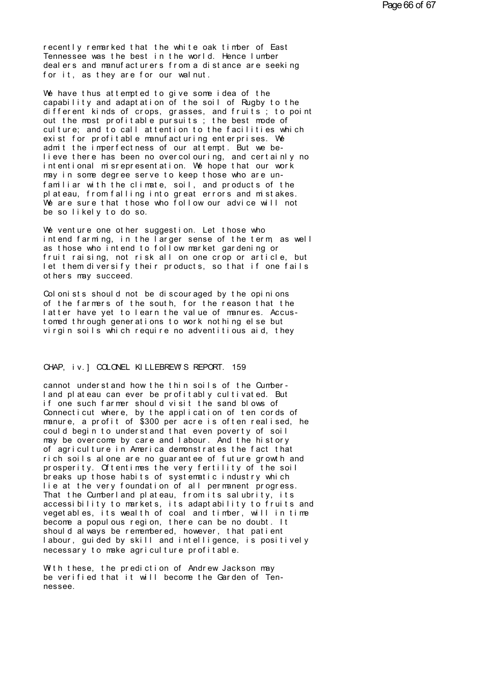recently remarked that the white oak timber of East<br>Tennessee was the best in the world. Hence lumber<br>dealers and manufacturers from a distance are seeking Tennessee was the best in the world. Hence lumber<br>dealers and manufacturers from a distance are seeking<br>for it, as they are for our walnut. recently remarked that the white oak timber of East<br>Tennessee was the best in the world. Hence lumber<br>dealers and manufacturers from a distance are seeking<br>for it, as they are for our walnut. recently remarked that the white oak timber of East<br>Tennessee was the best in the world. Hence lumber<br>dealers and manufacturers from a distance are seeki<br>for it, as they are for our walnut.<br>We have thus attempted to give s

capability and adaptation of the soil of Rugby to the different kinds of crops, grasses, and fruits; to point dealers and manufacturers from a distance are seeking<br>for it, as they are for our walnut.<br>We have thus attempted to give some idea of the<br>capability and adaptation of the soil of Rugby to the<br>different kinds of crops, gras for it, as they are for our walnut.<br>We have thus attempted to give some idea of the<br>capability and adaptation of the soil of Rugby to the<br>different kinds of crops, grasses, and fruits; to point<br>out the most profitable pur We have thus attempted to give some idea of the<br>capability and adaptation of the soil of Rugby to the<br>different kinds of crops, grasses, and fruits ; to point<br>out the most profitable pursuits ; the best mode of<br>culture; an We have thus attempted to give some idea of the<br>capability and adaptation of the soil of Rugby to the<br>different kinds of crops, grasses, and fruits; to point<br>out the most profitable pursuits; the best mode of<br>culture; and capability and adaptation of the soil of Rugby to the<br>different kinds of crops, grasses, and fruits; to point<br>out the most profitable pursuits; the best mode of<br>culture; and to call attention to the facilities which<br>exist different kinds of crops, grasses, and fruits; to point<br>out the most profitable pursuits; the best mode of<br>culture; and to call attention to the facilities which<br>exist for profitable manufacturing enterprises. We<br>admit the culture; and to call attention to the facilities which<br>exist for profitable manufacturing enterprises. We<br>admit the imperfectness of our attempt. But we be-<br>lieve there has been no overcolouring, and certainly no<br>intention culture; and to call attention to the facilities which<br>exist for profitable manufacturing enterprises. We<br>admit the imperfectness of our attempt. But we be-<br>lieve there has been no overcolouring, and certainly no<br>intention exist for profitable manufacturing enterprises. We<br>admit the imperfectness of our attempt. But we be-<br>lieve there has been no overcolouring, and certainly no<br>intentional misrepresentation. We hope that our work<br>may in some admit the imperfectness of our attempt. But we be-<br>lieve there has been no overcolouring, and certainly no<br>intentional misrepresentation. We hope that our work<br>may in some degree serve to keep those who are un-<br>familiar wi lieve there has been no overcolouring, and certainly no<br>intentional misrepresentation. We hope that our work<br>may in some degree serve to keep those who are un-<br>familiar with the climate, soil, and products of the<br>plateau, intentional misrepresentational<br>may in some degree serve to<br>familiar with the climate, s<br>plateau, from falling into g<br>We are sure that those who f<br>be so likely to do so.<br>We venture one other suggest familiar with the climate, soil, and products of the<br>plateau, from falling into great errors and mistakes.<br>We are sure that those who follow our advice will not<br>be so likely to do so.<br>We venture one other suggestion. Let t

plateau, from falling into great errors and mistakes.<br>We are sure that those who follow our advice will not<br>be so likely to do so.<br>We venture one other suggestion. Let those who<br>intend farming, in the larger sense of the t We are sure that those who follow our advice will not<br>be so likely to do so.<br>We venture one other suggestion. Let those who<br>intend farming, in the larger sense of the term, as well<br>as those who intend to follow market gard be so likely to do so.<br>We venture one other suggestion. Let those who<br>intend farming, in the larger sense of the term as well<br>as those who intend to follow market gardening or<br>fruit raising, not risk all on one crop or art We venture one other suggestion. Let those who<br>intend farming, in the larger sense of the term, as well<br>as those who intend to follow market gardening or<br>fruit raising, not risk all on one crop or article, but<br>let them div We venture one other s<br>intend farming, in the<br>as those who intend to<br>fruit raising, not ris<br>let them diversify the<br>others may succeed.<br>Colonists should not h as those who intend to follow market gardening or<br>fruit raising, not risk all on one crop or article, but<br>let them diversify their products, so that if one fails<br>others may succeed.<br>Colonists should not be discouraged by t

fruit raising, not risk all on one crop or article, but<br>let them diversify their products, so that if one fails<br>others may succeed.<br>Colonists should not be discouraged by the opinions<br>of the farmers of the south, for the r let them diversity their products, so that it one fails<br>others may succeed.<br>Colonists should not be discouraged by the opinions<br>of the farmers of the south, for the reason that the<br>latter have yet to learn the value of man others may succeed.<br>Colonists should not be discouraged by the opinions<br>of the farmers of the south, for the reason that the<br>latter have yet to learn the value of manures. Accus-<br>tomed through generations to work nothing e Colonists should not be discouraged by the opinions<br>of the farmers of the south, for the reason that the<br>latter have yet to learn the value of manures. Accus-<br>tomed through generations to work nothing else but<br>virgin soils to med through generations to work nothing else but<br>virgin soils which require no adventitious aid, they<br>CHAP, iv.] COLONEL KILLEBREW'S REPORT. 159<br>cannot understand how the thin soils of the Cumber-

CHAP, iv.] COLONEL KILLEBREW'S REPORT. 159<br>cannot understand how the thin soils of the Cumber-<br>land plateau can ever be profitably cultivated. But<br>if one such farmer should visit the sand blows of CHAP, iv.] COLONEL KILLEBREWS REPORT. 159<br>cannot understand how the thin soils of the Cumber-<br>land plateau can ever be profitably cultivated. But<br>if one such farmer should visit the sand blows of<br>Connecticut where, by the CHAP, iv.] COLONEL KILLEBREWS REPORT. 159<br>cannot understand how the thin soils of the Cumber-<br>land plateau can ever be profitably cultivated. But<br>if one such farmer should visit the sand blows of<br>Connecticut where, by the CHAP, iv.] COLONEL KILLEBREWS REPORT. 159<br>cannot understand how the thin soils of the Cumber-<br>land plateau can ever be profitably cultivated. But<br>if one such farmer should visit the sand blows of<br>Connecticut where, by the cannot understand how the thin soils of the Cumber-<br>land plateau can ever be profitably cultivated. But<br>if one such farmer should visit the sand blows of<br>Connecticut where, by the application of ten cords of<br>manure, a prof cannot understand how the thin soils of the Cumber-<br>land plateau can ever be profitably cultivated. But<br>if one such farmer should visit the sand blows of<br>Connecticut where, by the application of ten cords of<br>manure, a prof land plateau can ever be profitably cultivated. But<br>if one such farmer should visit the sand blows of<br>Connecticut where, by the application of ten cords of<br>manure, a profit of \$300 per acre is often realised, he<br>could begi if one such farmer should visit the sand blows of<br>Connecticut where, by the application of ten cords of<br>manure, a profit of \$300 per acre is often realised, he<br>could begin to understand that even poverty of soil<br>may be ove r manure, a profit of \$300 per acre is often realised, he could begin to understand that even poverty of soil may be overcome by care and labour. And the history of agriculture in America demonstrates the fact that rich so manure, a profit of \$300 per acre is often realised, he<br>could begin to understand that even poverty of soil<br>may be overcome by care and labour. And the history<br>of agriculture in America demonstrates the fact that<br>rich soil could begin to understand that even poverty of soll<br>may be overcome by care and labour. And the history<br>of agriculture in America demonstrates the fact that<br>rich soils alone are no guarantee of future growth and<br>prosperity may be overcome by care and labour. And the history<br>of agriculture in America demonstrates the fact that<br>rich soils alone are no guarantee of future growth and<br>prosperity. Oftentimes the very fertility of the soil<br>breaks u or agriculture in America demonstrates the fact that<br>rich soils alone are no guarantee of future growth and<br>prosperity. Oftentimes the very fertility of the soil<br>breaks up those habits of systematic industry which<br>lie at t rich soils alone are no guarantee of future growth and<br>prosperity. Oftentimes the very fertility of the soil<br>breaks up those habits of systematic industry which<br>lie at the very foundation of all permanent progress.<br>That th prosperity. Ottentimes the very fertility of the soil<br>breaks up those habits of systematic industry which<br>lie at the very foundation of all permanent progress.<br>That the Cumberland plateau, from its salubrity, its<br>accessibi breaks up those habits of systematic industry which<br>lie at the very foundation of all permanent progress.<br>That the Cumberland plateau, from its salubrity, its<br>accessibility to markets, its adaptability to fruits and<br>vegeta lie at the very foundation of all permanent progress.<br>That the Cumberland plateau, from its salubrity, its<br>accessibility to markets, its adaptability to fruits and<br>vegetables, its wealth of coal and timber, will in time<br>be lhat the Cumberland plateau, from its salubrity, its<br>accessibility to markets, its adaptability to fruits and<br>vegetables, its wealth of coal and timber, will in time<br>become a populous region, there can be no doubt. It<br>shou accessibility to markets, its adaptability to fruits<br>vegetables, its wealth of coal and timber, will in ti<br>become a populous region, there can be no doubt. It<br>should always be remembered, however, that patient<br>labour, guid become a populous region, there can be no doubt. It should always be remembered, however, that patient labour, guided by skill and intelligence, is positinecessary to make agriculture profitable.<br>With these, the prediction labour, guided by skill and intelligence, is positively